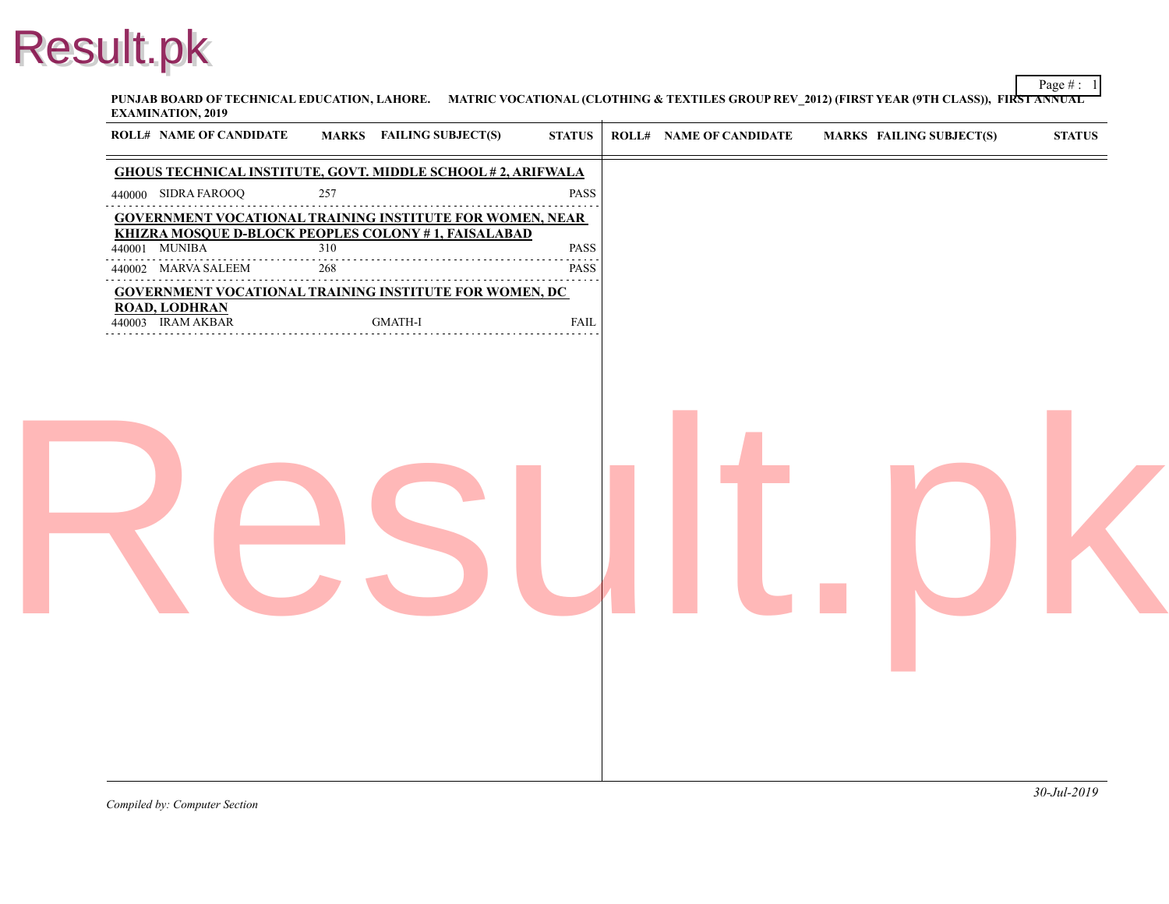**PUNJAB BOARD OF TECHNICAL EDUCATION, LAHORE. MATRIC VOCATIONAL (CLOTHING & TEXTILES GROUP REV\_2012) (FIRST YEA EXAMINATION, 2019**

| <b>ROLL# NAME OF CANDIDATE</b>            | <b>MARKS</b> FAILING SUBJECT(S)<br><b>GHOUS TECHNICAL INSTITUTE, GOVT. MIDDLE SCHOOL #2, ARIFWALA</b> | <b>STATUS</b> | <b>ROLL# NAME OF CANDIDATE</b> | <b>MARKS FAIL</b> |
|-------------------------------------------|-------------------------------------------------------------------------------------------------------|---------------|--------------------------------|-------------------|
| 440000 SIDRA FAROOQ                       | 257                                                                                                   | <b>PASS</b>   |                                |                   |
|                                           | <b>GOVERNMENT VOCATIONAL TRAINING INSTITUTE FOR WOMEN, NEAR</b>                                       |               |                                |                   |
| 440001 MUNIBA                             | KHIZRA MOSQUE D-BLOCK PEOPLES COLONY #1, FAISALABAD<br>310                                            | PASS          |                                |                   |
| 440002 MARVA SALEEM                       | 268                                                                                                   | <b>PASS</b>   |                                |                   |
|                                           | <b>GOVERNMENT VOCATIONAL TRAINING INSTITUTE FOR WOMEN, DC</b>                                         |               |                                |                   |
| <b>ROAD, LODHRAN</b><br>440003 IRAM AKBAR | <b>GMATH-I</b>                                                                                        | <b>FAIL</b>   |                                |                   |
|                                           |                                                                                                       |               |                                |                   |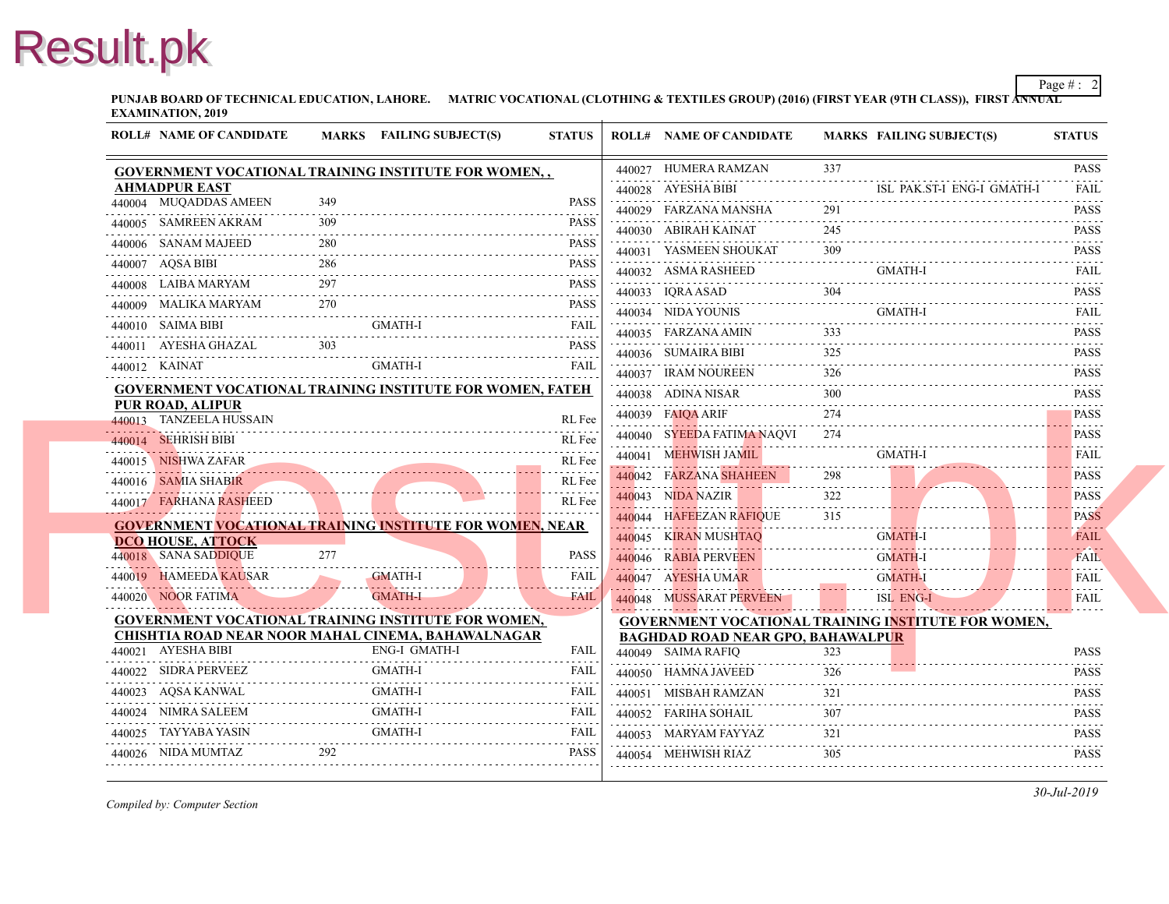**PUNJAB BOARD OF TECHNICAL EDUCATION, LAHORE.** MATRIC VOCATIONAL (CLOTHING & TEXTILES GROUP) (2016) (FIRST YEAR (97 **EXAMINATION, 2019**

| <b>ROLL# NAME OF CANDIDATE</b>                   |     | MARKS FAILING SUBJECT(S)                                                                                         | <b>STATUS</b>                                                       | <b>ROLL# NAME OF CANDIDATE</b>                                 | <b>MARKS FAIL</b> |
|--------------------------------------------------|-----|------------------------------------------------------------------------------------------------------------------|---------------------------------------------------------------------|----------------------------------------------------------------|-------------------|
|                                                  |     | GOVERNMENT VOCATIONAL TRAINING INSTITUTE FOR WOMEN,,                                                             |                                                                     | 440027 HUMERA RAMZAN                                           | 337               |
| <b>AHMADPUR EAST</b>                             |     |                                                                                                                  |                                                                     | 440028 AYESHA BIBI                                             | ISL.              |
| 440004 MUQADDAS AMEEN                            | 349 |                                                                                                                  | <b>PASS</b>                                                         | 440029 FARZANA MANSHA                                          | 291               |
| 440005 SAMREEN AKRAM                             |     |                                                                                                                  | <b>PASS</b><br>$\alpha$ , $\alpha$ , $\alpha$ , $\alpha$ , $\alpha$ | 440030 ABIRAH KAINAT                                           | 245               |
| 440006 SANAM MAJEED                              |     |                                                                                                                  | <b>PASS</b>                                                         | 440031 YASMEEN SHOUKAT                                         | 309               |
| 440007 AQSA BIBI<br>.                            |     |                                                                                                                  | <b>PASS</b>                                                         | 440032 ASMA RASHEED                                            | <b>GMA</b>        |
| 440008 LAIBA MARYAM                              | 297 |                                                                                                                  | <b>PASS</b>                                                         | 440033 IORA ASAD                                               | 304               |
| 440009 MALIKA MARYAM                             | 270 |                                                                                                                  | <b>PASS</b>                                                         | 440034 NIDA YOUNIS                                             | <b>GMA</b>        |
| 440010 SAIMA BIBI                                |     | <b>GMATH-I</b>                                                                                                   | <b>FAIL</b>                                                         | 440035 FARZANA AMIN                                            | 333               |
| 440011 AYESHA GHAZAL                             |     |                                                                                                                  | <b>PASS</b>                                                         | 440036 SUMAIRA BIBI                                            | 325               |
| 440012 KAINAT                                    |     | <b>GMATH-I</b>                                                                                                   | FAIL                                                                | 440037 IRAM NOUREEN                                            | 326               |
|                                                  |     | GOVERNMENT VOCATIONAL TRAINING INSTITUTE FOR WOMEN, FATEH                                                        |                                                                     | 440038 ADINA NISAR                                             | 300               |
| PUR ROAD, ALIPUR                                 |     |                                                                                                                  |                                                                     | 440039 FAIOA ARIF                                              | 274               |
| 440013 TANZEELA HUSSAIN                          |     |                                                                                                                  | RL Fee                                                              | 440040 SYEEDA FATIMA NAQVI                                     | 274               |
| 440014 SEHRISH BIBI                              |     |                                                                                                                  | RL Fee                                                              | 440041 MEHWISH JAMIL                                           | <b>GMA</b>        |
| 440015 NISHWA ZAFAR                              |     |                                                                                                                  | RL Fee                                                              | 440042 FARZANA SHAHEEN                                         | 298               |
| 440016 SAMIA SHABIR                              |     |                                                                                                                  | RL Fee                                                              | 440043 NIDA NAZIR                                              |                   |
| 440017 FARHANA RASHEED                           |     |                                                                                                                  | RL Fee                                                              |                                                                | 315               |
|                                                  |     | <b>GOVERNMENT VOCATIONAL TRAINING INSTITUTE FOR WOMEN, NEAR</b>                                                  |                                                                     | 440044 HAFEEZAN RAFIQUE                                        |                   |
| <b>DCO HOUSE, ATTOCK</b><br>440018 SANA SADDIQUE | 277 |                                                                                                                  |                                                                     | 440045 KIRAN MUSHTAO                                           | <b>GMA</b>        |
| 440019 HAMEEDA KAUSAR                            |     | <b>GMATH-I</b>                                                                                                   | <b>PASS</b>                                                         | 440046 RABIA PERVEEN                                           | <b>GMA</b>        |
|                                                  |     |                                                                                                                  | <b>FAIL</b>                                                         | 440047 AYESHA UMAR                                             | <b>GMA</b>        |
| 440020 NOOR FATIMA                               |     | <b>GMATH-I</b>                                                                                                   | <b>FAIL</b>                                                         | 440048 MUSSARAT PERVEEN                                        | ISL I             |
|                                                  |     | <b>GOVERNMENT VOCATIONAL TRAINING INSTITUTE FOR WOMEN,</b><br>CHISHTIA ROAD NEAR NOOR MAHAL CINEMA, BAHAWALNAGAR |                                                                     | <b>GOVERNMENT VOCATIONAL TRAINING INS</b>                      |                   |
| 440021 AYESHA BIBI                               |     | <b>ENG-I GMATH-I</b>                                                                                             | <b>FAIL</b>                                                         | <b>BAGHDAD ROAD NEAR GPO, BAHAWALPUR</b><br>440049 SAIMA RAFIQ | 323               |
| 440022 SIDRA PERVEEZ                             |     | <b>GMATH-I</b>                                                                                                   | <b>FAIL</b>                                                         | 440050 HAMNA JAVEED                                            | 326               |
| 440023 AQSA KANWAL                               |     | <b>GMATH-I</b>                                                                                                   | <b>FAIL</b>                                                         | 440051 MISBAH RAMZAN                                           | 321               |
| 440024 NIMRA SALEEM                              |     | <b>GMATH-I</b>                                                                                                   | FAIL                                                                | 440052 FARIHA SOHAIL                                           | 307               |
| 440025 TAYYABA YASIN                             |     |                                                                                                                  |                                                                     | 440053 MARYAM FAYYAZ                                           | 321               |
| 440026 NIDA MUMTAZ                               | 292 | TAIL GMATH-I FALL TAIL SALES                                                                                     | <b>PASS</b>                                                         | 440054 MEHWISH RIAZ                                            | 305               |
|                                                  |     |                                                                                                                  |                                                                     |                                                                |                   |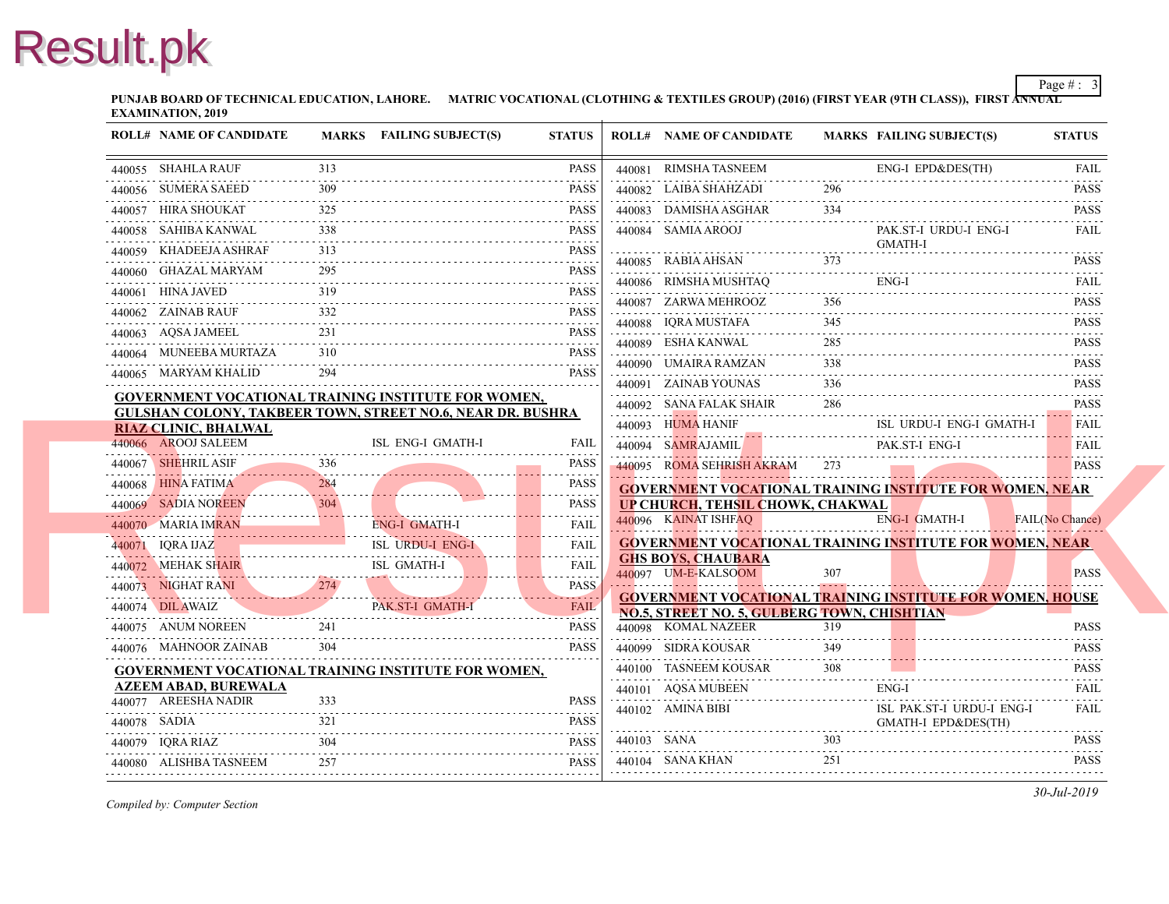**PUNJAB BOARD OF TECHNICAL EDUCATION, LAHORE.** MATRIC VOCATIONAL (CLOTHING & TEXTILES GROUP) (2016) (FIRST YEAR (97 **EXAMINATION, 2019**

| <b>ROLL# NAME OF CANDIDATE</b>                                    |     | <b>MARKS</b> FAILING SUBJECT(S)          | <b>STATUS</b>               |             | <b>ROLL# NAME OF CANDIDATE</b>                                  | <b>MARKS FAIL</b> |                     |
|-------------------------------------------------------------------|-----|------------------------------------------|-----------------------------|-------------|-----------------------------------------------------------------|-------------------|---------------------|
| 440055 SHAHLA RAUF                                                | 313 |                                          | <b>PASS</b>                 |             | 440081 RIMSHA TASNEEM                                           |                   | ENG-                |
| 440056 SUMERA SAEED                                               |     |                                          | <b>PASS</b>                 |             | 440082 LAIBA SHAHZADI                                           | 296               |                     |
| 440057 HIRA SHOUKAT                                               | 325 |                                          | <b>PASS</b>                 |             | 440083 DAMISHA ASGHAR                                           | 334               |                     |
| 440058 SAHIBA KANWAL                                              | 338 |                                          | <b>PASS</b>                 |             | 440084 SAMIA AROOJ                                              |                   | PAK.                |
| 440059 KHADEEJA ASHRAF                                            | 313 |                                          | <b>PASS</b>                 |             |                                                                 |                   | <b>GMA</b>          |
| 440060 GHAZAL MARYAM                                              | 295 |                                          | <b>PASS</b>                 |             | 440085 RABIA AHSAN                                              |                   |                     |
| 440061 HINA JAVED                                                 | 319 |                                          | <b>PASS</b>                 |             | 440086 RIMSHA MUSHTAQ                                           |                   | ENG-                |
| 440062 ZAINAB RAUF                                                | 332 |                                          | <b>PASS</b>                 |             | 440087 ZARWA MEHROOZ                                            | 356               |                     |
| 440063 AQSA JAMEEL                                                | 231 |                                          | .<br><b>PASS</b>            |             | 440088 IQRA MUSTAFA<br>.                                        | 345               |                     |
| 440064 MUNEEBA MURTAZA                                            | 310 |                                          | <b>PASS</b>                 |             | 440089 ESHA KANWAL                                              | 285               |                     |
| 440065 MARYAM KHALID                                              | 294 |                                          | <b>PASS</b>                 |             | 440090 UMAIRA RAMZAN                                            | 338               |                     |
| <b>GOVERNMENT VOCATIONAL TRAINING INSTITUTE FOR WOMEN,</b>        |     |                                          |                             |             | 440091 ZAINAB YOUNAS                                            | 336               |                     |
| <b>GULSHAN COLONY, TAKBEER TOWN, STREET NO.6, NEAR DR. BUSHRA</b> |     |                                          |                             |             | 440092 SANA FALAK SHAIR                                         | 286               |                     |
| RIAZ CLINIC, BHALWAL<br>440066 AROOJ SALEEM                       |     | ISL ENG-I GMATH-I                        |                             |             | 440093 HUMA HANIF                                               |                   | ISL 3               |
| 440067 SHEHRIL ASIF                                               | 336 |                                          | FAIL                        |             | 440094 SAMRAJAMIL                                               |                   | <b>PAK</b>          |
|                                                                   | 284 |                                          | <b>PASS</b>                 |             | 440095 ROMA SEHRISH AKRAM 273                                   |                   |                     |
| 440068 HINA FATIMA<br>440069 SADIA NOREEN                         |     |                                          | <b>PASS</b>                 |             | <b>GOVERNMENT VOCATIONAL TRAINING INS</b>                       |                   |                     |
|                                                                   |     |                                          | <b>PASS</b>                 |             | <b>UP CHURCH, TEHSIL CHOWK, CHAKWAL</b><br>440096 KAINAT ISHFAQ |                   | ENG-                |
| 440070 MARIA IMRAN                                                |     | ENG-I GMATH-I<br><b>ISL URDU-I ENG-I</b> | FAII.                       |             | <b>GOVERNMENT VOCATIONAL TRAINING INS</b>                       |                   |                     |
| 440071 IQRA IJAZ                                                  |     |                                          | <b>FAIL</b><br>$-1 - 1 - 1$ |             | <b>GHS BOYS, CHAUBARA</b>                                       |                   |                     |
| 440072 MEHAK SHAIR ISL GMATH-I                                    |     |                                          | <b>FAIL</b>                 |             | 440097 UM-E-KALSOOM                                             | 307               |                     |
| 440073 NIGHAT RANI 274                                            |     |                                          | <b>PASS</b>                 |             | <b>GOVERNMENT VOCATIONAL TRAINING INS</b>                       |                   |                     |
| 440074 DIL AWAIZ                                                  |     | PAK.ST-I GMATH-I                         | <b>FAIL</b>                 |             | NO.5, STREET NO. 5, GULBERG TOWN, CHIS                          |                   |                     |
| 440075 ANUM NOREEN                                                | 241 |                                          | <b>PASS</b>                 |             | 440098 KOMAL NAZEER                                             | 319               |                     |
| 440076 MAHNOOR ZAINAB                                             | 304 |                                          | <b>PASS</b>                 |             | 440099 SIDRA KOUSAR                                             | 349               |                     |
| <b>GOVERNMENT VOCATIONAL TRAINING INSTITUTE FOR WOMEN,</b>        |     |                                          |                             |             | 440100 TASNEEM KOUSAR                                           | 308               |                     |
| <b>AZEEM ABAD, BUREWALA</b><br>440077 AREESHA NADIR               | 333 |                                          | <b>PASS</b>                 |             | 440101 AQSA MUBEEN                                              |                   | ENG-                |
| 440078 SADIA                                                      |     |                                          | <b>PASS</b>                 |             | 440102 AMINA BIBI                                               |                   | ISL 1<br><b>GMA</b> |
| 440079 IQRA RIAZ                                                  |     |                                          | <b>PASS</b>                 | 440103 SANA |                                                                 | 303               |                     |
| 440080 ALISHBA TASNEEM                                            | 257 |                                          | <b>PASS</b>                 |             | 440104 SANA KHAN                                                | 251               |                     |
|                                                                   |     |                                          | .                           |             |                                                                 |                   |                     |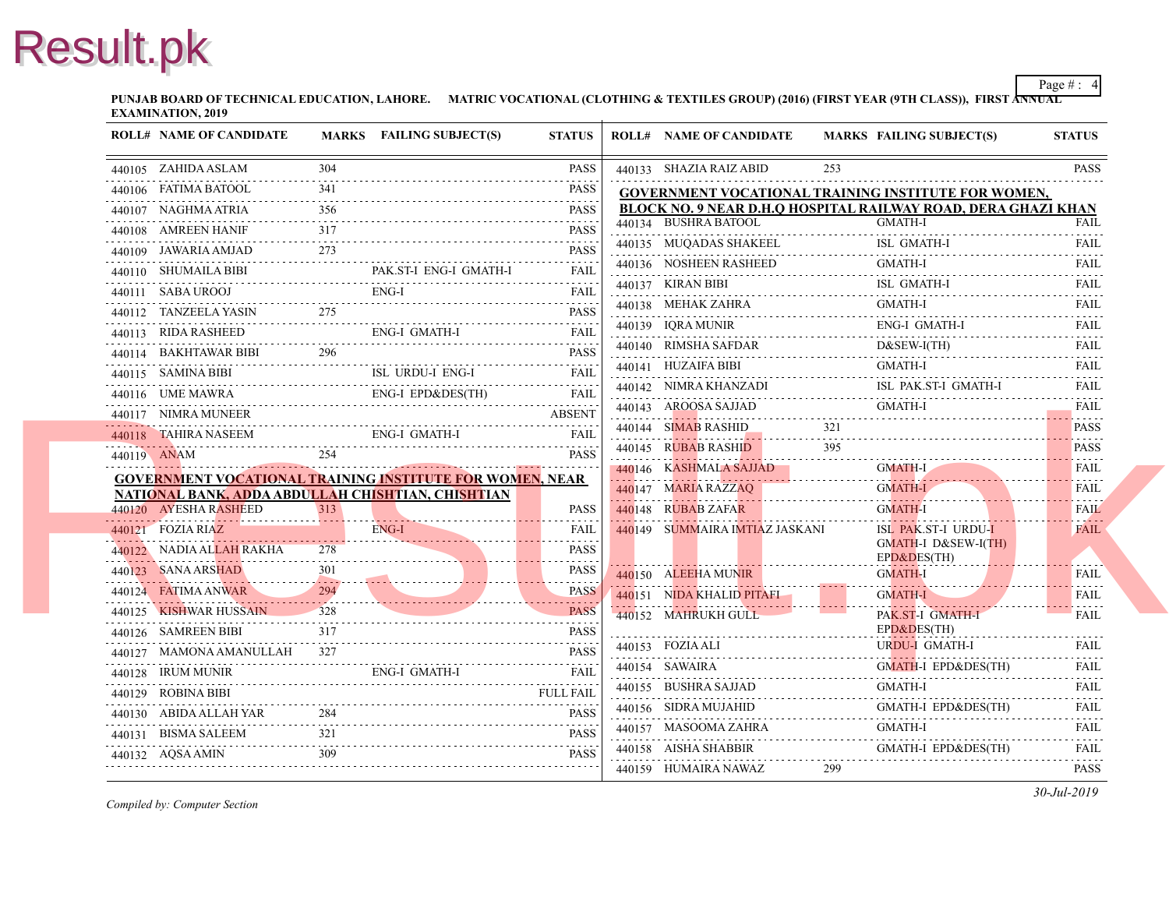**PUNJAB BOARD OF TECHNICAL EDUCATION, LAHORE.** MATRIC VOCATIONAL (CLOTHING & TEXTILES GROUP) (2016) (FIRST YEAR (97 **EXAMINATION, 2019**

| <b>ROLL# NAME OF CANDIDATE</b> |                                     | MARKS FAILING SUBJECT(S)                                 | <b>STATUS</b>                                                                                                                                                                                                                                                                                                                                                                                                                                                                                         | <b>ROLL# NAME OF CANDIDATE</b>                  | <b>MARKS FAIL</b>         |
|--------------------------------|-------------------------------------|----------------------------------------------------------|-------------------------------------------------------------------------------------------------------------------------------------------------------------------------------------------------------------------------------------------------------------------------------------------------------------------------------------------------------------------------------------------------------------------------------------------------------------------------------------------------------|-------------------------------------------------|---------------------------|
| 440105 ZAHIDA ASLAM            | 304                                 |                                                          | <b>PASS</b>                                                                                                                                                                                                                                                                                                                                                                                                                                                                                           | 440133 SHAZIA RAIZ ABID                         | 253                       |
| 440106 FATIMA BATOOL           | 341                                 |                                                          | <b>PASS</b>                                                                                                                                                                                                                                                                                                                                                                                                                                                                                           | <b>GOVERNMENT VOCATIONAL TRAINING INS</b>       |                           |
| 440107 NAGHMA ATRIA            | 356                                 |                                                          | <b>PASS</b>                                                                                                                                                                                                                                                                                                                                                                                                                                                                                           | <b>BLOCK NO. 9 NEAR D.H.Q HOSPITAL RAILW</b>    |                           |
| 440108 AMREEN HANIF            | 317                                 |                                                          | <b>.</b><br><b>PASS</b>                                                                                                                                                                                                                                                                                                                                                                                                                                                                               | 440134 BUSHRA BATOOL                            | <b>GMA</b>                |
| 440109 JAWARIA AMJAD           | 273                                 |                                                          | $\begin{array}{cccccccccccccc} \multicolumn{2}{c}{} & \multicolumn{2}{c}{} & \multicolumn{2}{c}{} & \multicolumn{2}{c}{} & \multicolumn{2}{c}{} & \multicolumn{2}{c}{} & \multicolumn{2}{c}{} & \multicolumn{2}{c}{} & \multicolumn{2}{c}{} & \multicolumn{2}{c}{} & \multicolumn{2}{c}{} & \multicolumn{2}{c}{} & \multicolumn{2}{c}{} & \multicolumn{2}{c}{} & \multicolumn{2}{c}{} & \multicolumn{2}{c}{} & \multicolumn{2}{c}{} & \multicolumn{2}{c}{} & \multicolumn{2}{c}{} & \$<br><b>PASS</b> | 440135 MUQADAS SHAKEEL                          | ISL (                     |
| 440110 SHUMAILA BIBI           |                                     | PAK.ST-I ENG-I GMATH-I                                   | FAIL                                                                                                                                                                                                                                                                                                                                                                                                                                                                                                  | 440136 NOSHEEN RASHEED                          | GMA                       |
| 440111 SABA UROOJ              |                                     | ENG-I                                                    | FAIL                                                                                                                                                                                                                                                                                                                                                                                                                                                                                                  | 440137 KIRAN BIBI                               | ISL 0                     |
|                                |                                     | 440112 TANZEELA YASIN 275 PASS                           | <b>PASS</b>                                                                                                                                                                                                                                                                                                                                                                                                                                                                                           | 440138 MEHAK ZAHRA                              | GMA                       |
| 440113 RIDA RASHEED            |                                     | ENG-I GMATH-I                                            | FAIL                                                                                                                                                                                                                                                                                                                                                                                                                                                                                                  | 440139 IORA MUNIR                               | ENG-                      |
| 440114 BAKHTAWAR BIBI          | 296                                 |                                                          | .<br><b>PASS</b>                                                                                                                                                                                                                                                                                                                                                                                                                                                                                      | 440140 RIMSHA SAFDAR                            | D&S                       |
| 440115 SAMINA BIBI             | 440115 SAMINA BIBI ISL URDU-I ENG-I | <b>ISL URDU-I ENG-I</b>                                  | .<br><b>FAIL</b>                                                                                                                                                                                                                                                                                                                                                                                                                                                                                      | 440141 HUZAIFA BIBI                             | GMA                       |
| 440116 UME MAWRA               |                                     | 440116 UME MAWRA ENG-I EPD&DES(TH) FAIL                  | .                                                                                                                                                                                                                                                                                                                                                                                                                                                                                                     | 440142 NIMRA KHANZADI                           | ISL I                     |
| 440117 NIMRA MUNEER            |                                     | 440117 NIMRA MUNEER ABSENT                               | <b>ABSENT</b>                                                                                                                                                                                                                                                                                                                                                                                                                                                                                         | 440143 AROOSA SAJJAD                            | <b>GMA</b>                |
|                                |                                     | ENG-I GMATH-I<br>440118 TAHIRA NASEEM ENG-I GMATH-I FAIL |                                                                                                                                                                                                                                                                                                                                                                                                                                                                                                       | 440144 SIMAB RASHID                             | 321                       |
| 440119 ANAM                    | 254                                 |                                                          | <b>PASS</b>                                                                                                                                                                                                                                                                                                                                                                                                                                                                                           | 440145 RUBAB RASHID                             |                           |
|                                |                                     | GOVERNMENT VOCATIONAL TRAINING INSTITUTE FOR WOMEN, NEAR |                                                                                                                                                                                                                                                                                                                                                                                                                                                                                                       | 440146 KASHMALA SAJJAD                          | <b>GMA</b>                |
|                                |                                     | NATIONAL BANK, ADDA ABDULLAH CHISHTIAN, CHISHTIAN        |                                                                                                                                                                                                                                                                                                                                                                                                                                                                                                       | 440147 MARIA RAZZAQ                             | <b>GMA</b>                |
| 440120 AYESHA RASHEED          | 313                                 |                                                          | <b>PASS</b>                                                                                                                                                                                                                                                                                                                                                                                                                                                                                           | 440148 RUBAB ZAFAR                              | <b>GMA</b>                |
| $440121$ FOZIA RIAZ            |                                     | ENG-I                                                    | FAIL                                                                                                                                                                                                                                                                                                                                                                                                                                                                                                  | 440149 SUMMAIRA IMTIAZ JASKANI                  | ISL 1                     |
| 440122 NADIA ALLAH RAKHA       | 2.78                                |                                                          | <b>PASS</b>                                                                                                                                                                                                                                                                                                                                                                                                                                                                                           |                                                 | <b>GMA</b><br>$EPD\delta$ |
| 440123 SANA ARSHAD             | $301 -$                             |                                                          | .<br><b>PASS</b><br>.                                                                                                                                                                                                                                                                                                                                                                                                                                                                                 | 440150 ALEEHA MUNIR                             | <b>GMA</b>                |
| 440124 FATIMA ANWAR            | 294                                 | 440124 <b>FALIMA ANWAR</b> 294                           | <b>PASS</b>                                                                                                                                                                                                                                                                                                                                                                                                                                                                                           | 440151 NIDA KHALID PITAFI                       | <b>GMA</b>                |
|                                | 440125 KISHWAR HUSSAIN 328          |                                                          | .<br><b>PASS</b>                                                                                                                                                                                                                                                                                                                                                                                                                                                                                      | 440152 MAHRUKH GULL                             | PAK.                      |
| 440126 SAMREEN BIBI            | 317                                 |                                                          | <b>PASS</b>                                                                                                                                                                                                                                                                                                                                                                                                                                                                                           |                                                 | $EPD\delta$               |
|                                | 440127 MAMONA AMANULLAH<br>327      |                                                          | <b>PASS</b>                                                                                                                                                                                                                                                                                                                                                                                                                                                                                           | 440153 FOZIA ALI                                | <b>URD</b>                |
| 440128 IRUM MUNIR              |                                     | ENG-I GMATH-I                                            | FAIL                                                                                                                                                                                                                                                                                                                                                                                                                                                                                                  | 440154 SAWAIRA                                  | <b>GMA</b>                |
| 440129 ROBINA BIBI             |                                     |                                                          | <b>FULL FAIL</b>                                                                                                                                                                                                                                                                                                                                                                                                                                                                                      | 440155 BUSHRA SAJJAD<br>440155 BUSHRA SAJJAD GM | GMA                       |
| 440130 ABIDA ALLAH YAR         | 284                                 |                                                          | <b>PASS</b>                                                                                                                                                                                                                                                                                                                                                                                                                                                                                           | 440156 SIDRA MUJAHID                            | <b>GMA</b>                |
|                                |                                     | 440131 BISMA SALEEM 321 PASS                             |                                                                                                                                                                                                                                                                                                                                                                                                                                                                                                       | 440157 MASOOMA ZAHRA                            | <b>GMA</b>                |
|                                | 309                                 | 440132 AQSA AMIN 309 PASS                                |                                                                                                                                                                                                                                                                                                                                                                                                                                                                                                       | 440158 AISHA SHABBIR                            | GMA                       |
|                                |                                     |                                                          |                                                                                                                                                                                                                                                                                                                                                                                                                                                                                                       | 440159 HUMAIRA NAWAZ                            | 299                       |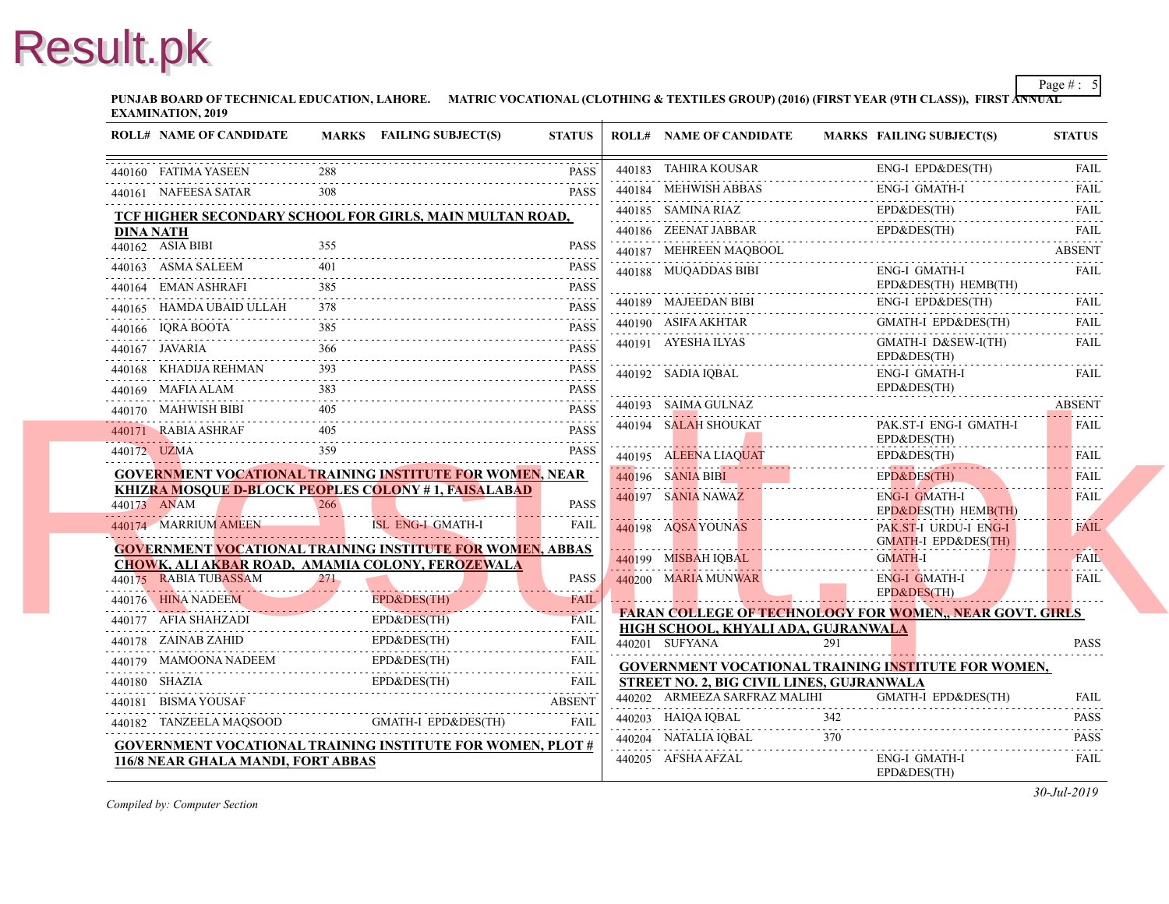**PUNJAB BOARD OF TECHNICAL EDUCATION, LAHORE.** MATRIC VOCATIONAL (CLOTHING & TEXTILES GROUP) (2016) (FIRST YEAR (97 **EXAMINATION, 2019**

|                      | <b>ROLL# NAME OF CANDIDATE</b>     |     | MARKS FAILING SUBJECT(S)                                          | <b>STATUS</b>         | <b>ROLL# NAME OF CANDIDATE</b>                                           | <b>MARKS FAIL</b>         |
|----------------------|------------------------------------|-----|-------------------------------------------------------------------|-----------------------|--------------------------------------------------------------------------|---------------------------|
| 440160 FATIMA YASEEN |                                    |     |                                                                   | <b>PASS</b>           | 440183 TAHIRA KOUSAR                                                     | ENG-                      |
|                      | 440161 NAFEESA SATAR               |     |                                                                   | <b>PASS</b>           | 440184 MEHWISH ABBAS                                                     | ENG-                      |
|                      |                                    |     | TCF HIGHER SECONDARY SCHOOL FOR GIRLS, MAIN MULTAN ROAD,          |                       | 440185 SAMINA RIAZ                                                       | $EPD\delta$               |
| <b>DINA NATH</b>     |                                    |     |                                                                   |                       | 440186 ZEENAT JABBAR                                                     | $EPD\delta$               |
| 440162 ASIA BIBI     |                                    | 355 |                                                                   | <b>PASS</b>           | 440187 MEHREEN MAQBOOL                                                   |                           |
| 440163 ASMA SALEEM   |                                    | 401 |                                                                   | <b>PASS</b>           | 440188 MUQADDAS BIBI                                                     | ENG-                      |
| 440164 EMAN ASHRAFI  |                                    | 385 |                                                                   | <b>PASS</b>           |                                                                          | $EPD\delta$               |
|                      | 440165 HAMDA UBAID ULLAH           | 378 |                                                                   | <b>PASS</b>           | 440189 MAJEEDAN BIBI                                                     | ENG-                      |
| 440166 IQRA BOOTA    |                                    |     |                                                                   | <b>PASS</b><br>.      | 440190 ASIFA AKHTAR                                                      | <b>GMA</b>                |
| 440167 JAVARIA       |                                    | 366 |                                                                   | <b>PASS</b>           | 440191 AYESHA ILYAS                                                      | <b>GMA</b><br>$EPD\delta$ |
|                      | 440168 KHADIJA REHMAN              |     |                                                                   | <b>PASS</b>           | 440192 SADIA IQBAL                                                       | ENG-                      |
| 440169 MAFIA ALAM    |                                    |     |                                                                   | <b>PASS</b>           |                                                                          | EPD&                      |
| 440170 MAHWISH BIBI  |                                    |     |                                                                   | <b>PASS</b>           | 440193 SAIMA GULNAZ                                                      |                           |
| 440171 RABIA ASHRAF  |                                    |     |                                                                   | <b>PASS</b>           | 440194 SALAH SHOUKAT                                                     | PAK.<br>$EPD\delta$       |
| 440172 UZMA          |                                    |     |                                                                   | <b>PASS</b>           | 440195 ALEENA LIAQUAT                                                    | $EPD\delta$               |
|                      |                                    |     | GOVERNMENT VOCATIONAL TRAINING INSTITUTE FOR WOMEN, NEAR          |                       | 440196 SANIA BIBI                                                        | $EPD\delta$               |
|                      |                                    |     | <b>KHIZRA MOSQUE D-BLOCK PEOPLES COLONY #1, FAISALABAD</b>        |                       | .<br>440197 SANIA NAWAZ                                                  | ENG-                      |
| 440173 ANAM          |                                    | 266 |                                                                   | <b>PASS</b><br>.      |                                                                          | $EPD\delta$               |
|                      | 440174 MARRIUM AMEEN               |     | <b>ISL ENG-I GMATH-I</b>                                          | <b>FAIL</b>           | 440198 AQSA YOUNAS                                                       | PAK.<br><b>GMA</b>        |
|                      |                                    |     | <b>GOVERNMENT VOCATIONAL TRAINING INSTITUTE FOR WOMEN, ABBAS</b>  |                       | 440199 MISBAH IOBAL                                                      | <b>GMA</b>                |
|                      | 440175 RABIA TUBASSAM              | 271 | CHOWK, ALI AKBAR ROAD, AMAMIA COLONY, FEROZEWALA                  | <b>PASS</b>           | 440200 MARIA MUNWAR                                                      | ENG-                      |
| 440176 HINA NADEEM   |                                    |     | EPD&DES(TH)                                                       | <b>FAIL</b>           |                                                                          | $EPD\delta$               |
| 440177 AFIA SHAHZADI | HINA NADEEM                        |     | EPD&DES(TH)                                                       | <b>FAIL</b>           | <b>FARAN COLLEGE OF TECHNOLOGY FOR W</b>                                 |                           |
| 440178 ZAINAB ZAHID  |                                    |     | 440177 AFIA SHAHZADI EPD&DES(TH)<br>EPD&DES(TH)                   | <b>FAIL</b>           | HIGH SCHOOL, KHYALI ADA, GUJRANWALA                                      |                           |
|                      |                                    |     |                                                                   |                       | 440201 SUFYANA                                                           | 291                       |
| 440180 SHAZIA        |                                    |     | 440179 MAMOONA NADEEM EPD&DES(TH) FAIL<br>EPD&DES(TH)             |                       | <b>GOVERNMENT VOCATIONAL TRAINING INS</b>                                |                           |
|                      |                                    |     |                                                                   | FAIL<br><b>ABSENT</b> | STREET NO. 2, BIG CIVIL LINES, GUJRANWA<br>440202 ARMEEZA SARFRAZ MALIHI | <b>GMA</b>                |
| 440181 BISMA YOUSAF  |                                    |     | <b>GMATH-I EPD&amp;DES(TH)</b>                                    | FAII.                 | 440203 HAIQA IQBAL                                                       | 342                       |
|                      | 440182 TANZEELA MAQSOOD            |     |                                                                   |                       | 440204 NATALIA IQBAL                                                     | 370                       |
|                      | 116/8 NEAR GHALA MANDI, FORT ABBAS |     | <b>GOVERNMENT VOCATIONAL TRAINING INSTITUTE FOR WOMEN, PLOT #</b> |                       | .<br>440205 AFSHA AFZAL                                                  | ENG-                      |
|                      |                                    |     |                                                                   |                       |                                                                          | $EPD\delta$               |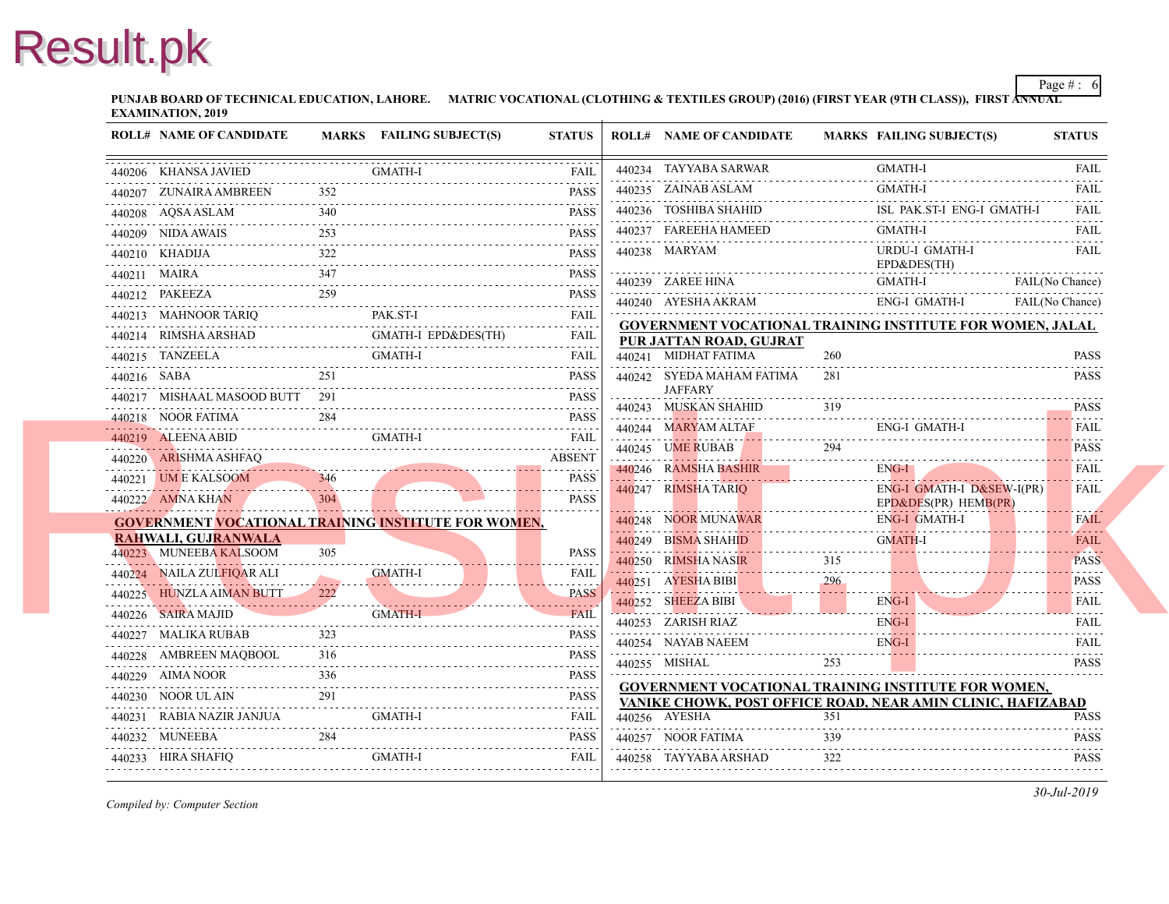**PUNJAB BOARD OF TECHNICAL EDUCATION, LAHORE.** MATRIC VOCATIONAL (CLOTHING & TEXTILES GROUP) (2016) (FIRST YEAR (97 **EXAMINATION, 2019**

|  | <b>ROLL# NAME OF CANDIDATE</b>                                      |     | <b>MARKS</b> FAILING SUBJECT(S) | <b>STATUS</b> | <b>ROLL# NAME OF CANDIDATE</b>                                       | <b>MARKS FAIL</b> |                     |
|--|---------------------------------------------------------------------|-----|---------------------------------|---------------|----------------------------------------------------------------------|-------------------|---------------------|
|  | 440206 KHANSA JAVIED                                                |     | GMATH-I                         | ${\rm FAIL}$  | 440234 TAYYABA SARWAR                                                |                   | GMA                 |
|  | 440207 ZUNAIRA AMBREEN 352 PASS                                     |     |                                 | <b>PASS</b>   | 440235 ZAINAB ASLAM<br>440235 $ZAINAB ASLAM$                         |                   | <b>GMA</b>          |
|  | 440208 AQSA ASLAM 340 PASS                                          |     |                                 |               | 440236 TOSHIBA SHAHID                                                |                   | ISL                 |
|  | 440209 NIDA AWAIS 253 PASS 253                                      | 253 |                                 |               | 440237 FAREEHA HAMEED                                                |                   | GMA                 |
|  | 440210 KHADIJA 2322 PASS                                            |     |                                 | PASS          | 440238 MARYAM                                                        |                   | <b>URD</b>          |
|  | 440211 MAIRA 347 PASS                                               |     |                                 |               | 440239 ZAREE HINA                                                    |                   | $EPD\delta$<br>GMA  |
|  | 440212 PAKEEZA 259 PASS                                             |     |                                 |               | 440240 AYESHA AKRAM                                                  |                   | ENG-                |
|  | 440213 MAHNOOR TARIQ PAK.ST-I FAIL FAIL                             |     |                                 |               |                                                                      |                   |                     |
|  | 440214 RIMSHA ARSHAD GMATH-I EPD&DES(TH) FAIL                       |     | GMATH-I EPD&DES(TH)             |               | <b>GOVERNMENT VOCATIONAL TRAINING INS</b><br>PUR JATTAN ROAD, GUJRAT |                   |                     |
|  |                                                                     |     | <b>GMATH-I</b>                  |               | 440241 MIDHAT FATIMA                                                 | 260               |                     |
|  | 440216 SABA 251 PASS                                                |     |                                 |               | 440242 SYEDA MAHAM FATIMA                                            | 281               |                     |
|  | 440217 MISHAAL MASOOD BUTT 291 PASS                                 |     |                                 |               | <b>JAFFARY</b>                                                       |                   |                     |
|  | 440218 NOOR FATIMA 284 PASS                                         |     |                                 |               | 440243 MUSKAN SHAHID 319                                             |                   |                     |
|  | 440219 ALEENA ABID GMATH-I FAIL FAIL                                |     |                                 |               | 440244 MARYAM ALTAF ENC                                              |                   | ENG-                |
|  | 440220 ARISHMA ASHFAQ ABSENT                                        |     |                                 |               | 440245 UME RUBAB 294                                                 |                   |                     |
|  | 440221 UM E KALSOOM 346 PASS                                        |     |                                 |               | 440246 RAMSHA BASHIR ENG                                             |                   | ENG-                |
|  | 440222 AMNA KHAN 304 PASS                                           |     |                                 |               | 440247 RIMSHA TARIQ                                                  |                   | ENG-<br>$EPD\delta$ |
|  | <b>GOVERNMENT VOCATIONAL TRAINING INSTITUTE FOR WOMEN,</b>          |     |                                 |               | 440248 NOOR MUNAWAR                                                  |                   | ENG-                |
|  | RAHWALI, GUJRANWALA                                                 |     |                                 |               | 440249 BISMA SHAHID                                                  |                   | <b>GMA</b>          |
|  | 440223 MUNEEBA KALSOOM                                              | 305 |                                 | <b>PASS</b>   | 440250 RIMSHA NASIR 315                                              |                   |                     |
|  | 440224 NAILA ZULFIQAR ALI<br>440224 NAILA ZULFIQAR ALI GMATH-I FAIL |     | <b>GMATH-I</b>                  |               | $440251$ AYESHA BIBI $296$                                           |                   |                     |
|  | 440225 HUNZLA AIMAN BUTT 222 PASS                                   |     |                                 |               | 440252 SHEEZA BIBI E                                                 |                   | ENG-                |
|  | 440226 SAIRA MAJID<br>440226 SAIRA MAJID GMATH-I FAIL FAIL          |     | GMATH-I                         |               | 440253 ZARISH RIAZ                                                   |                   | ENG-                |
|  | 440227 MALIKA RUBAB<br>440227 MALIKA RUBAB 323 PASS                 | 323 |                                 |               | 440254 NAYAB NAEEM                                                   |                   | ENG-                |
|  | 440228 AMBREEN MAQBOOL 316 PASS                                     |     |                                 |               | 440255 MISHAL                                                        | 253               |                     |
|  | 440229 AIMA NOOR 336 PASS                                           |     |                                 |               | <b>GOVERNMENT VOCATIONAL TRAINING INS</b>                            |                   |                     |
|  | $440230$ NOOR ULAIN 291 PASS                                        |     |                                 |               | VANIKE CHOWK, POST OFFICE ROAD, NEAI                                 |                   |                     |
|  |                                                                     |     |                                 |               | 440256 AYESHA                                                        | 351               |                     |
|  | 440232 MUNEEBA 284 PASS                                             |     |                                 |               | 440257 NOOR FATIMA                                                   | 339               |                     |
|  |                                                                     |     |                                 |               | $440258 \quad TAYYABA ARSHAD \qquad 322$                             |                   |                     |
|  |                                                                     |     |                                 |               |                                                                      |                   |                     |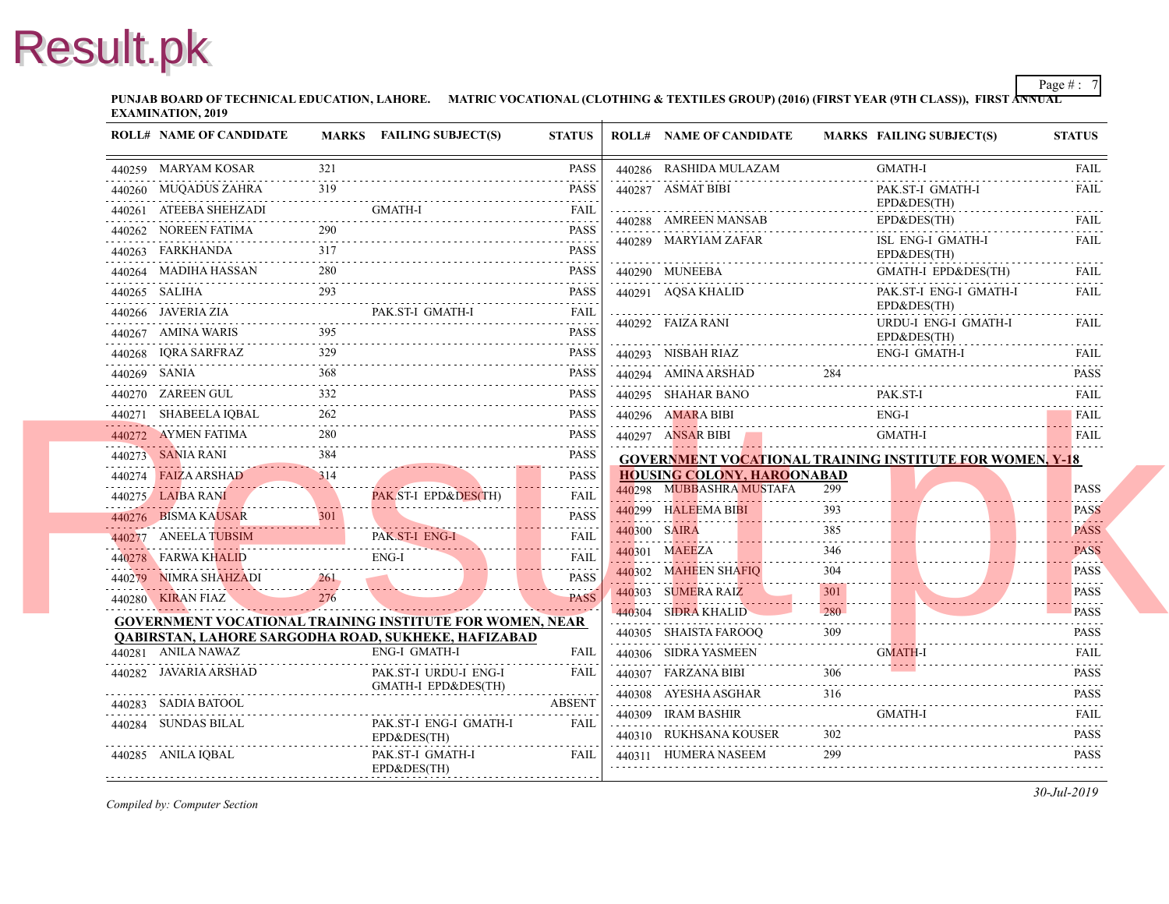**PUNJAB BOARD OF TECHNICAL EDUCATION, LAHORE.** MATRIC VOCATIONAL (CLOTHING & TEXTILES GROUP) (2016) (FIRST YEAR (97 **EXAMINATION, 2019**

|   | <b>ROLL# NAME OF CANDIDATE</b>                                  |     | <b>MARKS</b> FAILING SUBJECT(S)              | <b>STATUS</b>               |              | <b>ROLL# NAME OF CANDIDATE</b>             | <b>MARKS FAIL</b> |                           |
|---|-----------------------------------------------------------------|-----|----------------------------------------------|-----------------------------|--------------|--------------------------------------------|-------------------|---------------------------|
|   | 440259 MARYAM KOSAR                                             | 321 |                                              | <b>PASS</b>                 |              | 440286 RASHIDA MULAZAM                     |                   | <b>GMA</b>                |
|   | 440260 MUQADUS ZAHRA                                            | 319 |                                              | <b>PASS</b>                 |              | 440287 ASMAT BIBI                          |                   | PAK.                      |
|   | 440261 ATEEBA SHEHZADI                                          |     | <b>GMATH-I</b>                               | <b>FAIL</b>                 |              | 440288 AMREEN MANSAB                       |                   | $EPD\delta$               |
|   | 440262 NOREEN FATIMA                                            | 290 |                                              | PASS                        |              |                                            |                   | $EPD\delta$               |
|   | 440263 FARKHANDA                                                | 317 |                                              | .<br><b>PASS</b>            |              | 440289 MARYIAM ZAFAR                       |                   | ISL 1<br>$EPD\delta$      |
|   | 440264 MADIHA HASSAN<br>440264 MADIHA HASSAN 280 PASS           | 280 |                                              | PASS                        |              | 440290 MUNEEBA                             |                   | <b>GMA</b>                |
|   | 440265 SALIHA                                                   | 293 |                                              | PASS                        |              | 440291 AOSA KHALID                         |                   | PAK.                      |
|   | 440266 JAVERIA ZIA PAK.ST-I GMATH-I FAIL FAIL                   |     | PAK.ST-I GMATH-I                             | <b>FAIL</b>                 |              | 440292 FAIZA RANI                          |                   | $EPD\delta$<br><b>URD</b> |
|   | 440267 AMINA WARIS<br>440267 AMINA WARIS 395 PASS               |     |                                              | <b>PASS</b>                 |              |                                            |                   | $EPD\delta$               |
|   | 440268 IQRA SARFRAZ<br>440268 IQRA SARFRAZ 329 PASS             | 329 |                                              | PASS                        |              | 440293 NISBAH RIAZ                         |                   | ENG-                      |
| . | 440269 SANIA                                                    |     |                                              | <b>PASS</b>                 |              | 440294 AMINA ARSHAD                        |                   |                           |
|   | 440270 ZAREEN GUL                                               | 332 |                                              | PASS                        |              | 440295 SHAHAR BANO                         |                   | PAK.                      |
|   | 440271 SHABEELA IOBAL                                           | 262 |                                              | PASS                        |              | 440296 AMARA BIBI<br>440296 AMARA BIBI ENG |                   | ENG-                      |
|   | 440272 AYMEN FATIMA<br>$4402/2$ AYMEN FAILMA 280 280            | 280 |                                              | <b>PASS</b>                 |              | 440297 ANSAR BIBI                          |                   | <b>GMA</b>                |
|   | 440273 SANIA RANI                                               | 384 |                                              | <b>PASS</b>                 |              | <b>GOVERNMENT VOCATIONAL TRAINING INS</b>  |                   |                           |
|   | 440274 FAIZA ARSHAD 314 PASS                                    | 314 |                                              |                             |              | <b>HOUSING COLONY, HAROONABAD</b>          |                   |                           |
|   | 440275 LAIBA RANI PAK.ST-I EPD&DES(TH)                          |     | PAK ST-I EPD&DES(TH)                         | <b>FAIL</b><br>.            |              | 440298 MUBBASHRA MUSTAFA                   | 299               |                           |
|   | 440276 BISMA KAUSAR                                             | 301 |                                              | <b>PASS</b>                 |              | 440299 HALEEMA BIBI                        | 393               |                           |
|   | 440277 ANEELA TUBSIM<br>440277 ANEELA TUBSIM                    |     | PAK ST-I ENG-I                               | <b>FAIL</b><br>.            | 440300 SAIRA |                                            | 385               |                           |
|   | 440278 FARWA KHALID<br>440278 FARWA KHALID ENG-I ENG-I FAIL     |     | $ENG-I$                                      | <b>FAIL</b>                 |              | 440301 MAEEZA                              | 346               |                           |
|   | 440279 NIMRA SHAHZADI<br>440279 NIMRA SHAHZADI 261              | 261 |                                              | <b>PASS</b>                 |              | 440302 MAHEEN SHAFIO                       | 304               |                           |
|   | 440280 KIRAN FIAZ                                               | 276 |                                              | <b>PASS</b>                 |              | 440303 SUMERA RAIZ                         | 301               |                           |
|   | <b>GOVERNMENT VOCATIONAL TRAINING INSTITUTE FOR WOMEN, NEAR</b> |     |                                              |                             |              | 440304 SIDRA KHALID                        | 280               |                           |
|   | QABIRSTAN, LAHORE SARGODHA ROAD, SUKHEKE, HAFIZABAD             |     |                                              |                             |              | 440305 SHAISTA FAROOQ                      | 309               |                           |
|   | 440281 ANILA NAWAZ                                              |     | ENG-I GMATH-I                                | FAIL                        |              | 440306 SIDRA YASMEEN                       |                   | <b>GMA</b>                |
|   | 440282 JAVARIA ARSHAD                                           |     | PAK.ST-I URDU-I ENG-I<br>GMATH-I EPD&DES(TH) | <b>FAIL</b>                 |              | 440307 FARZANA BIBI                        | 306               |                           |
|   | 440283 SADIA BATOOL                                             |     |                                              | <b>.</b> .<br><b>ABSENT</b> |              | 440308 AYESHA ASGHAR                       | 316               |                           |
|   | 440284 SUNDAS BILAL                                             |     | PAK.ST-I ENG-I GMATH-I                       | FAIL                        |              | 440309 IRAM BASHIR                         |                   | <b>GMA</b>                |
|   |                                                                 |     | EPD&DES(TH)                                  |                             |              | 440310 RUKHSANA KOUSER                     | 302               |                           |
|   | 440285 ANILA IQBAL                                              |     | PAK.ST-I GMATH-I<br>EPD&DES(TH)              | FAIL                        |              | 440311 HUMERA NASEEM                       | 299               |                           |
|   |                                                                 |     |                                              |                             |              |                                            |                   |                           |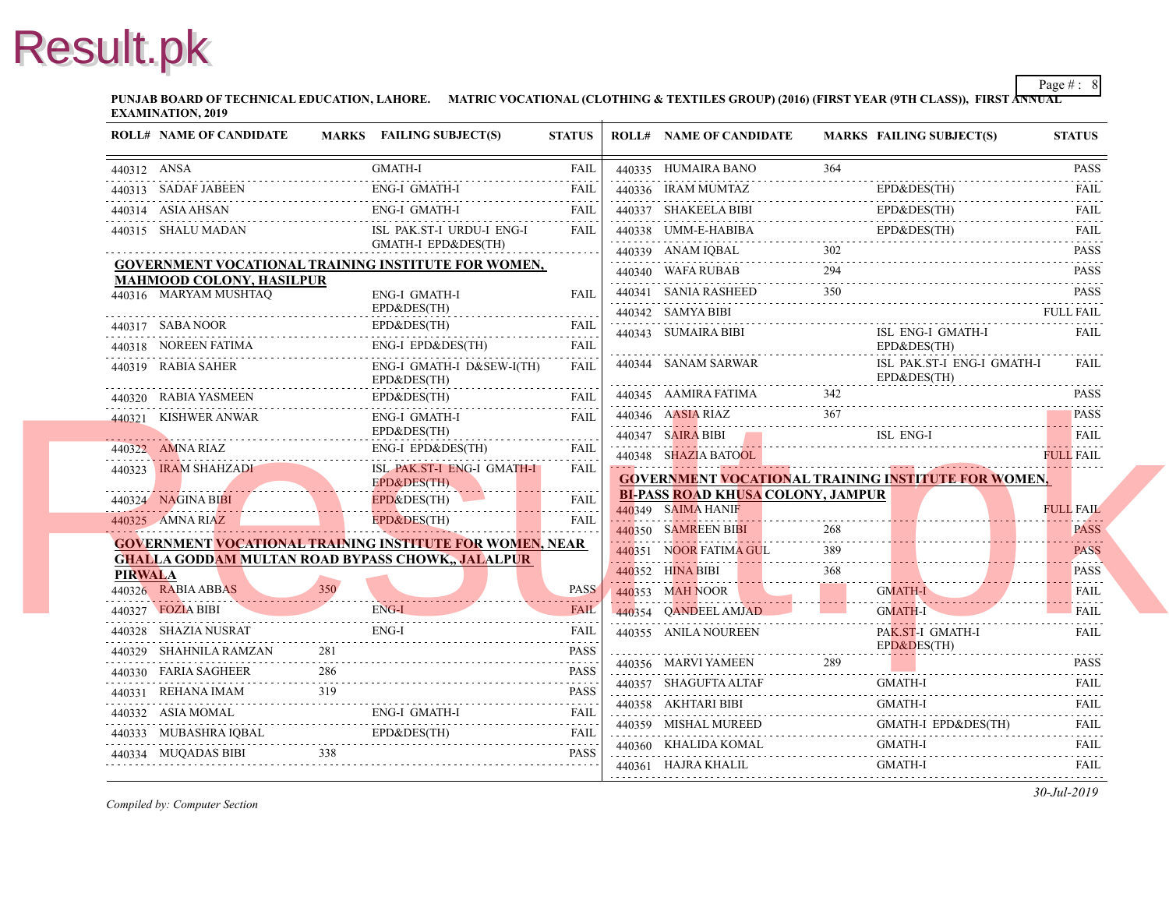**PUNJAB BOARD OF TECHNICAL EDUCATION, LAHORE.** MATRIC VOCATIONAL (CLOTHING & TEXTILES GROUP) (2016) (FIRST YEAR (97 **EXAMINATION, 2019**

|                | <b>ROLL# NAME OF CANDIDATE</b>               |      | MARKS FAILING SUBJECT(S)                                                                                                                                                                    | <b>STATUS</b> | <b>ROLL# NAME OF CANDIDATE</b>            | <b>MARKS FAIL</b> |                      |
|----------------|----------------------------------------------|------|---------------------------------------------------------------------------------------------------------------------------------------------------------------------------------------------|---------------|-------------------------------------------|-------------------|----------------------|
| 440312 ANSA    |                                              |      | <b>GMATH-I</b>                                                                                                                                                                              | FAIL          | 440335 HUMAIRA BANO                       | 364               |                      |
|                | 440313 SADAF JABEEN                          |      | ENG-I GMATH-I                                                                                                                                                                               | <b>FAIL</b>   | 440336 IRAM MUMTAZ                        |                   | $EPD\delta$          |
|                | 440314 ASIA AHSAN                            |      | ENG-I GMATH-I                                                                                                                                                                               | FAIL          | 440337 SHAKEELA BIBI                      |                   | $EPD\delta$          |
|                | 440315 SHALU MADAN                           |      | ISL PAK.ST-I URDU-I ENG-I                                                                                                                                                                   | FAIL          | 440338 UMM-E-HABIBA                       |                   | $EPD\delta$          |
|                |                                              |      | GMATH-I EPD&DES(TH)                                                                                                                                                                         |               | 440339 ANAM IQBAL                         |                   |                      |
|                | <b>MAHMOOD COLONY, HASILPUR</b>              |      | <b>GOVERNMENT VOCATIONAL TRAINING INSTITUTE FOR WOMEN,</b>                                                                                                                                  |               | 440340 WAFA RUBAB                         | 294               |                      |
|                | 440316 MARYAM MUSHTAQ                        |      | ENG-I GMATH-I                                                                                                                                                                               | <b>FAIL</b>   | 440341 SANIA RASHEED                      | 350               |                      |
|                |                                              |      | EPD&DES(TH)                                                                                                                                                                                 |               | 440342 SAMYA BIBI                         |                   |                      |
|                | 440317 SABA NOOR                             |      | EPD&DES(TH)                                                                                                                                                                                 | <b>FAIL</b>   | 440343 SUMAIRA BIBI                       |                   | ISL                  |
|                | 440318 NOREEN FATIMA I                       |      | ENG-I EPD&DES(TH)                                                                                                                                                                           | <b>FAIL</b>   | 440344 SANAM SARWAR                       |                   | $EPD\delta$<br>ISL 3 |
|                | 440319 RABIA SAHER                           |      | ENG-I GMATH-I D&SEW-I(TH)<br>EPD&DES(TH)                                                                                                                                                    | <b>FAIL</b>   |                                           |                   | $EPD\delta$          |
|                | 440320 RABIA YASMEEN                         |      | EPD&DES(TH)                                                                                                                                                                                 | FAII.         | 440345 AAMIRA FATIMA                      | 342               |                      |
|                | 440321 KISHWER ANWAR                         |      | <b>ENG-I GMATH-I</b>                                                                                                                                                                        | <b>FAIL</b>   | 440346 AASIA RIAZ                         |                   |                      |
|                |                                              |      | EPD&DES(TH)                                                                                                                                                                                 |               | 440347 SAIRA BIBI                         |                   | ISL                  |
|                | 440322 AMNA RIAZ                             |      | ENG-I EPD&DES(TH)                                                                                                                                                                           | <b>FAIL</b>   | 440348 SHAZIA BATOOL                      |                   |                      |
|                | 440323 IRAM SHAHZADI                         |      | ISL PAK.ST-I ENG-I GMATH-I<br>EPD&DES(TH)                                                                                                                                                   | <b>FAIL</b>   | <b>GOVERNMENT VOCATIONAL TRAINING INS</b> |                   |                      |
|                | 440324 NAGINA BIBI                           |      | EPD&DES(TH)<br>440324 NAGINA BIBI EPD&DES(TH) FAIL                                                                                                                                          |               | <b>BI-PASS ROAD KHUSA COLONY, JAMPUR</b>  |                   |                      |
|                | 440325 AMNA RIAZ<br><b>Contract Contract</b> |      | <b>EPD&amp;DES(TH)</b>                                                                                                                                                                      | <b>FAIL</b>   | 440349 SAIMA HANIF                        |                   |                      |
|                |                                              |      | <b>GOVERNMENT VOCATIONAL TRAINING INSTITUTE FOR WOMEN, NEAR</b>                                                                                                                             |               | 440350 SAMREEN BIBI                       | 268               |                      |
|                |                                              |      | <b>GHALLA GODDAM MULTAN ROAD BYPASS CHOWK,, JALALPUR</b>                                                                                                                                    |               | 440351 NOOR FATIMA GUL                    | 389               |                      |
| <b>PIRWALA</b> |                                              | 350' |                                                                                                                                                                                             |               | 440352 HINA BIBI                          | 368               |                      |
|                | 440326 RABIA ABBAS<br>440320 NADIA ADDAS 330 |      | ENG-I                                                                                                                                                                                       | <b>PASS</b>   | 440353 MAH NOOR                           |                   | <b>GMA</b>           |
|                | 440327 FOZIA BIBI<br>$\sum_{i=1}^{n}$        |      |                                                                                                                                                                                             | <b>FAIL</b>   | 440354 QANDEEL AMJAD                      |                   | <b>GMA</b>           |
|                | 440328 SHAZIA NUSRAT                         |      | ENG-I                                                                                                                                                                                       | <b>FAIL</b>   | 440355 ANILA NOUREEN                      |                   | PAK.<br>$EPD\delta$  |
|                | 440329 SHAHNILA RAMZAN                       |      |                                                                                                                                                                                             | <b>PASS</b>   | 440356 MARVI YAMEEN                       | 289               |                      |
|                | 440330 FARIA SAGHEER                         | 286  |                                                                                                                                                                                             | <b>PASS</b>   | 440357 SHAGUFTA ALTAF                     |                   | <b>GMA</b>           |
|                |                                              |      | 440331 REHANA IMAM 319 PASS 2011 11:00 12:00 PASS<br>ENG I GMATH-I                                                                                                                          |               | 440358 AKHTARI BIBI                       |                   | <b>GMA</b>           |
|                | 440332 ASIA MOMAL                            |      | 440332 ASIA MOMAL ENG-I GMATH-I FAIL FAIL                                                                                                                                                   |               | 440359 MISHAL MUREED                      |                   | <b>GMA</b>           |
|                |                                              |      | $\begin{tabular}{llllll} \hline 440333 & MUBASHRA IQBAL & \multicolumn{3}{c}{EPD\&DES(TH)} & \multicolumn{3}{c}{FAIL} \\ \hline 440334 & MUQADAS BIBI & 338 & PASS \\ \hline \end{tabular}$ |               | 440360 KHALIDA KOMAL                      |                   | <b>GMA</b>           |
|                |                                              |      |                                                                                                                                                                                             |               | 440361 HAJRA KHALIL                       |                   | <b>GMA</b>           |
|                |                                              |      |                                                                                                                                                                                             |               |                                           |                   |                      |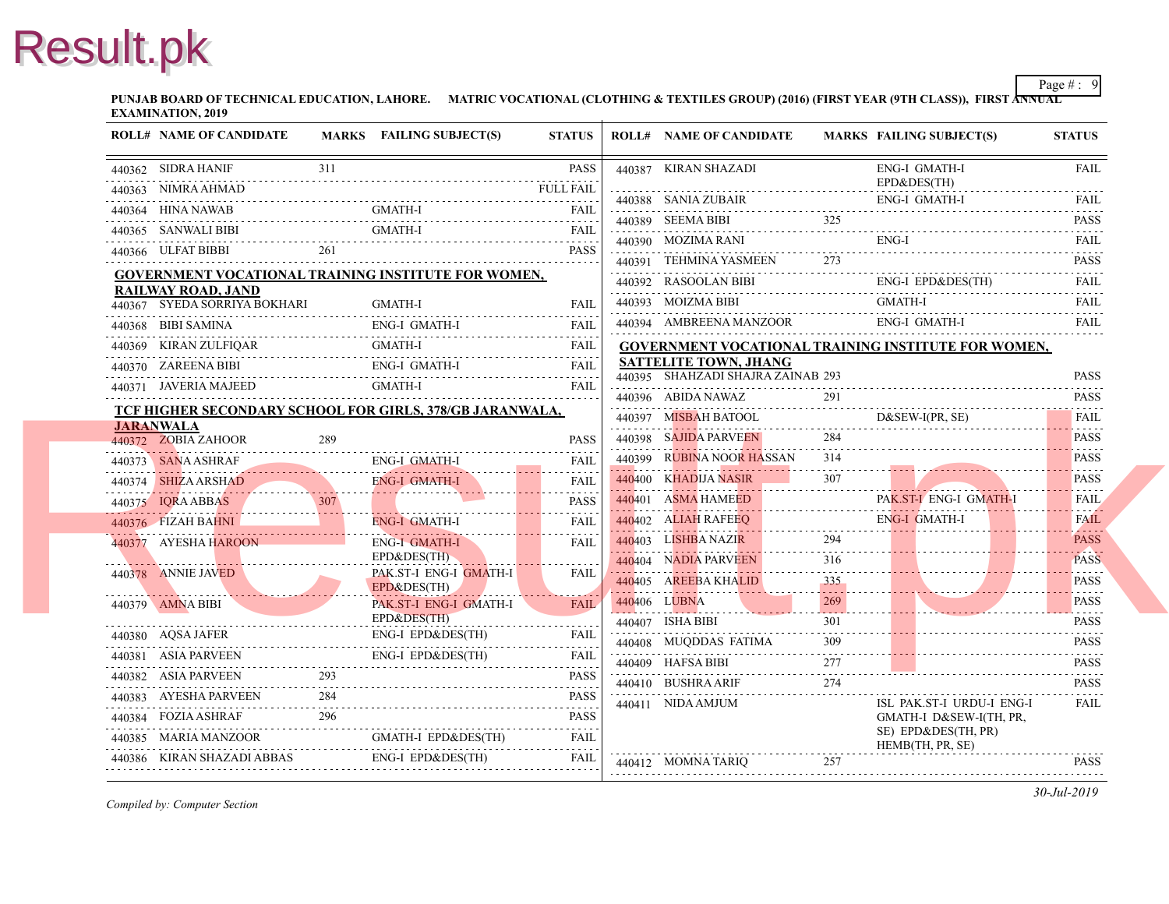**PUNJAB BOARD OF TECHNICAL EDUCATION, LAHORE.** MATRIC VOCATIONAL (CLOTHING & TEXTILES GROUP) (2016) (FIRST YEAR (9TH CLASS) **EXAMINATION, 2019**

| <b>ROLL# NAME OF CANDIDATE</b>                               |     | MARKS FAILING SUBJECT(S)              | <b>STATUS</b>    | <b>ROLL# NAME OF CANDIDATE</b>                                    | <b>MARKS FAIL</b>                                  |                     |
|--------------------------------------------------------------|-----|---------------------------------------|------------------|-------------------------------------------------------------------|----------------------------------------------------|---------------------|
| 440362 SIDRA HANIF                                           | 311 |                                       | <b>PASS</b>      | 440387 KIRAN SHAZADI                                              |                                                    | ENG-                |
| 440363 NIMRA AHMAD                                           |     |                                       | <b>FULL FAIL</b> | 440388 SANIA ZUBAIR                                               |                                                    | $EPD\delta$<br>ENG- |
| 440364 HINA NAWAB                                            |     | <b>GMATH-I</b>                        |                  | 440389 SEEMA BIBI                                                 | 325                                                |                     |
| 440365 SANWALI BIBI                                          |     | GMATH-I                               | <b>FAIL</b>      | 440390 MOZIMA RANI                                                |                                                    | ENG-                |
| 261<br>440366 ULFAT BIBBI                                    |     |                                       | PASS             | 440391 TEHMINA YASMEEN                                            |                                                    |                     |
| <b>GOVERNMENT VOCATIONAL TRAINING INSTITUTE FOR WOMEN,</b>   |     |                                       |                  |                                                                   |                                                    | ENG-                |
| <b>RAILWAY ROAD, JAND</b>                                    |     |                                       |                  | 440392 RASOOLAN BIBI<br>440393 MOIZMA BIBI                        |                                                    | <b>GMA</b>          |
| 440367 SYEDA SORRIYA BOKHARI                                 |     | <b>GMATH-I</b>                        | <b>FAIL</b>      | 440394 AMBREENA MANZOOR                                           |                                                    | ENG-                |
| 440368 BIBI SAMINA                                           |     | <b>ENG-I GMATH-I</b>                  | <b>FAIL</b>      |                                                                   |                                                    |                     |
| 440369 KIRAN ZULFIQAR                                        |     | <b>GMATH-I</b>                        |                  | <b>GOVERNMENT VOCATIONAL TRAINING INS</b>                         |                                                    |                     |
| 440370 ZAREENA BIBI                                          |     |                                       |                  | <b>SATTELITE TOWN, JHANG</b><br>440395 SHAHZADI SHAJRA ZAINAB 293 |                                                    |                     |
| 440371 JAVERIA MAJEED                                        |     | GMATH-I                               | <b>FAIL</b>      | 440396 ABIDA NAWAZ                                                | 291                                                |                     |
| TCF HIGHER SECONDARY SCHOOL FOR GIRLS, 378/GB JARANWALA,     |     |                                       |                  | 440397 MISBAH BATOOL                                              |                                                    | D&S1                |
| <b>JARANWALA</b><br>440372 ZOBIA ZAHOOR                      | 289 |                                       | <b>PASS</b>      | 440398 SAJIDA PARVEEN                                             | 284                                                |                     |
| 440373 SANA ASHRAF                                           |     | <b>ENG-I GMATH-I</b>                  | <b>FAIL</b>      | 440399 RUBINA NOOR HASSAN                                         | 314                                                |                     |
| 440374 SHIZA ARSHAD                                          |     | ENG-I GMATH-I                         | <b>FAIL</b>      | 440400 KHADIJA NASIR                                              | 307                                                |                     |
| 440375 IQRA ABBAS                                            |     |                                       | <b>PASS</b>      | 440401 ASMA HAMEED                                                |                                                    | PAK.                |
| 440376 FIZAH BAHNI                                           |     | ENG-I GMATH-I                         | <b>FAIL</b>      | 440402 ALIAH RAFEEO                                               |                                                    | ENG-                |
| 440377 AYESHA HAROON                                         |     | <b>ENG-I GMATH-I</b>                  | .<br><b>FAIL</b> | 440403 LISHBA NAZIR                                               | 294                                                |                     |
|                                                              |     | EPD&DES(TH)                           |                  | 440404 NADIA PARVEEN                                              | 316                                                |                     |
| 440378 ANNIE JAVED<br><u> Martin Albert Albert (d. 1878)</u> |     | PAK ST-I ENG-I GMATH-I<br>EPD&DES(TH) | <b>FAIL</b>      | 440405 AREEBA KHALID                                              | 335<br>$\omega_{\rm{eff}}$ and $\omega_{\rm{eff}}$ |                     |
| 440379 AMNA BIBI                                             |     | PAK ST-I ENG-I GMATH-I                | FAII.            | 440406 LUBNA                                                      |                                                    |                     |
|                                                              |     | EPD&DES(TH)                           |                  | 440407 ISHA BIBI                                                  | 301                                                |                     |
| 440380 AQSA JAFER                                            |     | ENG-I EPD&DES(TH)                     | <b>FAIL</b>      | 440408 MUQDDAS FATIMA                                             | 309                                                |                     |
| 440381 ASIA PARVEEN                                          |     | ENG-I EPD&DES(TH)                     | <b>FAIL</b><br>. | 440409 HAFSA BIBI                                                 | 277                                                |                     |
| 440382 ASIA PARVEEN                                          | 293 |                                       | <b>PASS</b>      | 440410 BUSHRA ARIF                                                | 274                                                |                     |
| 440383 AYESHA PARVEEN                                        | 284 |                                       | <b>PASS</b>      | 440411 NIDA AMJUM                                                 |                                                    | ISL                 |
| 440384 FOZIA ASHRAF 296<br>COMATH-I EPD&DES(TH)              |     |                                       | <b>PASS</b>      |                                                                   |                                                    | <b>GMA</b>          |
|                                                              |     |                                       | FAIL             |                                                                   |                                                    | SE) I<br><b>HEM</b> |
| 440386 KIRAN SHAZADI ABBAS                                   |     | ENG-I EPD&DES(TH)                     | FAIL             | 440412 MOMNA TARIQ                                                | 257                                                |                     |
|                                                              |     |                                       |                  |                                                                   |                                                    |                     |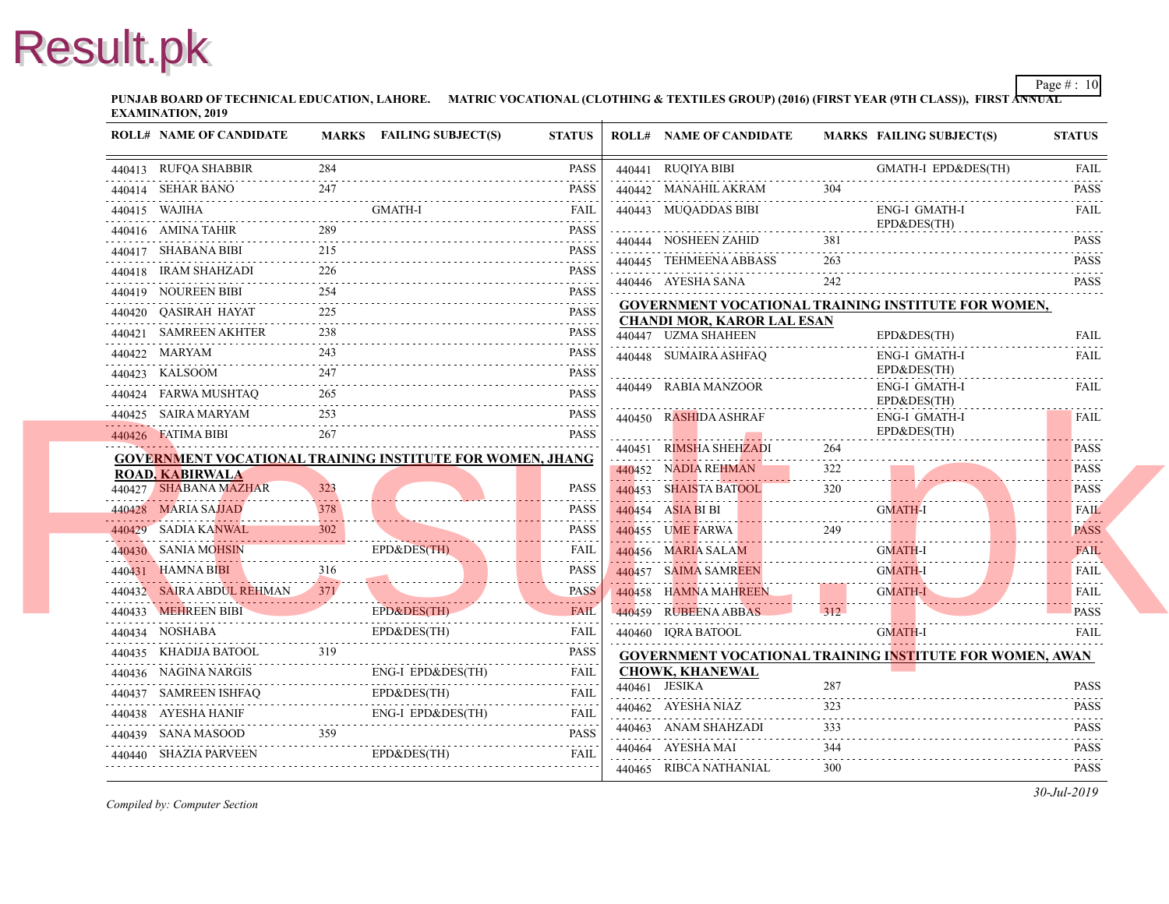**PUNJAB BOARD OF TECHNICAL EDUCATION, LAHORE.** MATRIC VOCATIONAL (CLOTHING & TEXTILES GROUP) (2016) (FIRST YEAR (97 **EXAMINATION, 2019**

| <b>ROLL# NAME OF CANDIDATE</b>                                      |     | MARKS FAILING SUBJECT(S)        | <b>STATUS</b>                                                                                                                            | <b>ROLL# NAME OF CANDIDATE</b>                                                 | <b>MARKS FAIL</b> |                     |
|---------------------------------------------------------------------|-----|---------------------------------|------------------------------------------------------------------------------------------------------------------------------------------|--------------------------------------------------------------------------------|-------------------|---------------------|
| 440413 RUFQA SHABBIR                                                | 284 |                                 | PASS                                                                                                                                     | 440441 RUQIYA BIBI                                                             |                   | <b>GMA</b>          |
| 440414 SEHAR BANO                                                   | 247 | ANO 247 PASS                    | <b>PASS</b>                                                                                                                              | 440442 MANAHIL AKRAM                                                           |                   |                     |
| 440415 WAJIHA                                                       |     | <b>GMATH-I</b>                  | FAIL                                                                                                                                     | 440443 MUQADDAS BIBI                                                           |                   | ENG-                |
| 440416 AMINA TAHIR                                                  |     |                                 | <b>PASS</b>                                                                                                                              | 440444 NOSHEEN ZAHID                                                           | 381               | $EPD\delta$         |
| 440417 SHABANA BIBI                                                 | 215 |                                 | <b>PASS</b>                                                                                                                              | 440445 TEHMEENA ABBASS                                                         | 263               |                     |
| 440418 IRAM SHAHZADI<br>440418 IRAM SHAHZADI 226 PASS               | 226 |                                 | <b>PASS</b>                                                                                                                              |                                                                                | 242               |                     |
| 440419 NOUREEN BIBI                                                 |     |                                 | <b>PASS</b>                                                                                                                              | 440446 AYESHA SANA                                                             |                   |                     |
| 440420 QASIRAH HAYAT                                                | 225 |                                 | <b>PASS</b>                                                                                                                              | <b>GOVERNMENT VOCATIONAL TRAINING INS</b><br><b>CHANDI MOR, KAROR LAL ESAN</b> |                   |                     |
| 440421 SAMREEN AKHTER                                               | 238 |                                 | <b>PASS</b>                                                                                                                              | 440447 UZMA SHAHEEN                                                            |                   | $EPD\delta$         |
| 440422 MARYAM                                                       | 243 |                                 | <b>PASS</b>                                                                                                                              | 440448 SUMAIRA ASHFAQ                                                          |                   | ENG-                |
| 440423 KALSOOM<br>440423 KALSOOM 247 PASS                           |     |                                 | <b>PASS</b>                                                                                                                              |                                                                                |                   | $EPD\delta$         |
| 440424 FARWA MUSHTAQ                                                | 265 |                                 | <b>PASS</b>                                                                                                                              | 440449 RABIA MANZOOR                                                           |                   | ENG-<br>$EPD\delta$ |
| 440425 SAIRA MARYAM                                                 | 253 |                                 | <b>PASS</b>                                                                                                                              | 440450 RASHIDA ASHRAF                                                          |                   | ENG-                |
| 440426 FATIMA BIBI                                                  | 267 |                                 | <b>PASS</b>                                                                                                                              |                                                                                |                   | $EPD\delta$         |
| <b>GOVERNMENT VOCATIONAL TRAINING INSTITUTE FOR WOMEN, JHANG</b>    |     |                                 |                                                                                                                                          | 440451 RIMSHA SHEHZADI                                                         | 264               |                     |
| <b>ROAD, KABIRWALA</b>                                              |     |                                 |                                                                                                                                          | 440452 NADIA REHMAN                                                            | 322               |                     |
| 440427 SHABANA MAZHAR                                               | 323 |                                 | <b>PASS</b>                                                                                                                              | 440453 SHAISTA BATOOL                                                          | 320               |                     |
| 440428 MARIA SAJJAD                                                 | 378 |                                 | <b>PASS</b>                                                                                                                              | 440454 ASIA BI BI                                                              |                   | <b>GMA</b>          |
| 440429 SADIA KANWAL                                                 | 302 |                                 | PASS                                                                                                                                     | 440455 UME FARWA<br>440455 UME FARWA 249                                       | 249               |                     |
| 440430 SANIA MOHSIN<br>440430 SANIA MOHSIN                          |     | EPD&DES(TH)<br>EPD&DES(TH)      | <b>FAIL</b><br>$\begin{array}{cccccccccccccc} \bullet & \bullet & \bullet & \bullet & \bullet & \bullet & \bullet & \bullet \end{array}$ | 440456 MARIA SALAM                                                             |                   | <b>GMA</b>          |
| 316<br>440432 SAIRA ABDUL REHMAN<br>1971                            |     |                                 | PASS<br>.                                                                                                                                | 440457 SAIMA SAMREEN                                                           |                   | <b>GMA</b>          |
|                                                                     |     |                                 | <b>PASS</b>                                                                                                                              | 440458 HAMNA MAHREEN                                                           |                   | <b>GMA</b>          |
| 440433 MEHREEN BIBI                                                 |     | EPD&DES(TH)<br>EPD&DES(TH) FAIL |                                                                                                                                          | 440459 RUBEENA ABBAS                                                           | 312               |                     |
| 440434 NOSHABA EPD&DES(TH) FAIL                                     |     |                                 |                                                                                                                                          | 440460 IQRA BATOOL                                                             |                   | <b>GMA</b>          |
| 440435 KHADIJA BATOOL 319                                           |     |                                 | PASS                                                                                                                                     | <b>GOVERNMENT VOCATIONAL TRAINING INS</b>                                      |                   |                     |
| 440436 NAGINA NARGIS<br>440436 NAGINA NARGIS ENG-I EPD&DES(TH) FAIL |     |                                 |                                                                                                                                          | <b>CHOWK, KHANEWAL</b><br>440461 JESIKA                                        | 287               |                     |
| 440437 SAMREEN ISHFAQ EPD&DES(TH)                                   |     | EPD&DES(TH)                     | FAIL                                                                                                                                     | 440462 AYESHA NIAZ                                                             | 323               |                     |
| 440438 AYESHA HANIF ENG-I EPD&DES(TH) FAIL                          |     |                                 |                                                                                                                                          | 440463 ANAM SHAHZADI                                                           | 333               |                     |
| 440439 SANA MASOOD 359 PASS                                         |     |                                 |                                                                                                                                          | 440464 AYESHA MAI                                                              | 344               |                     |
| 440440 SHAZIA PARVEEN<br>440440 SHAZIA PARVEEN EPD&DES(TH) FAIL     |     | EPD&DES(TH)                     |                                                                                                                                          |                                                                                | 300               |                     |
|                                                                     |     |                                 |                                                                                                                                          | 440465 RIBCA NATHANIAL                                                         |                   |                     |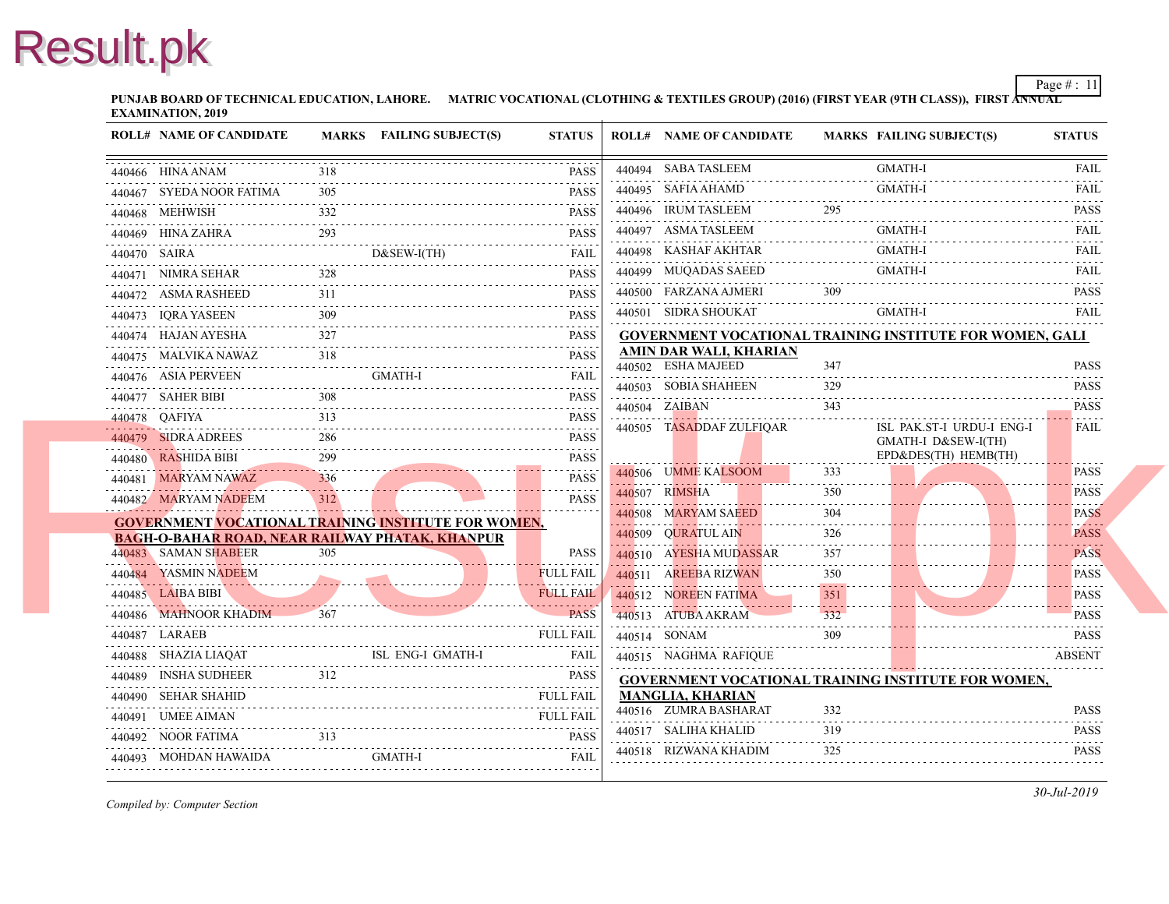**PUNJAB BOARD OF TECHNICAL EDUCATION, LAHORE.** MATRIC VOCATIONAL (CLOTHING & TEXTILES GROUP) (2016) (FIRST YEAR (97 **EXAMINATION, 2019**

|   | <b>ROLL# NAME OF CANDIDATE</b>                             |     | MARKS FAILING SUBJECT(S)              | <b>STATUS</b>    | <b>ROLL# NAME OF CANDIDATE</b>                      | <b>MARKS FAIL</b> |             |
|---|------------------------------------------------------------|-----|---------------------------------------|------------------|-----------------------------------------------------|-------------------|-------------|
|   | 440466 HINA ANAM                                           | 318 |                                       | <b>PASS</b>      | 440494 SABA TASLEEM                                 |                   | <b>GMA</b>  |
|   | 440467 SYEDA NOOR FATIMA                                   | 305 |                                       | <b>PASS</b>      | 440495 SAFIA AHAMD                                  |                   | <b>GMA</b>  |
| . | 440468 MEHWISH                                             | 332 |                                       | <b>PASS</b>      | 440496 IRUM TASLEEM                                 |                   |             |
|   | 440469 HINA ZAHRA                                          | 293 |                                       | .<br><b>PASS</b> | 440497 ASMA TASLEEM                                 |                   | GMA         |
|   | 440470 SAIRA                                               |     | $D&SEW-I(TH)$<br><u>DOCOL WEILLID</u> | <b>FAIL</b>      | 440498 KASHAF AKHTAR                                |                   | <b>GMA</b>  |
|   | 440471 NIMRA SEHAR                                         | 328 |                                       | <b>PASS</b>      | 440499 MUQADAS SAEED                                |                   | <b>GMA</b>  |
|   | 440472 ASMA RASHEED                                        | 311 |                                       | <b>PASS</b>      | 440500 FARZANA AJMERI                               | 309               |             |
|   | 440473 IORA YASEEN                                         |     |                                       | <b>PASS</b><br>. | 440501 SIDRA SHOUKAT                                |                   | <b>GMA</b>  |
|   | 440474 HAJAN AYESHA                                        |     |                                       | <b>PASS</b><br>. | <b>GOVERNMENT VOCATIONAL TRAINING INS</b>           |                   |             |
|   | 440475 MALVIKA NAWAZ                                       | 318 |                                       | <b>PASS</b>      | <b>AMIN DAR WALI, KHARIAN</b><br>440502 ESHA MAJEED | 347               |             |
|   | 440476 ASIA PERVEEN                                        |     | <b>GMATH-I</b>                        | <b>FAIL</b><br>. | 440503 SOBIA SHAHEEN                                | 329               |             |
|   | 440477 SAHER BIBI<br>440477 SAHER BIBI 308 PASS            |     |                                       | <b>PASS</b>      | 440504 ZAIBAN                                       | 343               |             |
|   | 440478 QAFIYA                                              | 313 |                                       | <b>PASS</b>      | 440505 TASADDAF ZULFIOAR                            |                   | ISL         |
|   | 440479 SIDRA ADREES                                        | 286 |                                       | <b>PASS</b>      |                                                     |                   | <b>GMA</b>  |
|   | 440480 RASHIDA BIBI<br>. <b>.</b>                          |     |                                       | <b>PASS</b><br>. |                                                     |                   | $EPD\delta$ |
|   | 440481 MARYAM NAWAZ                                        | 336 |                                       | <b>PASS</b>      | 440506 UMME KALSOOM                                 | 333               |             |
|   | 440482 MARYAM NADEEM                                       |     |                                       | <b>PASS</b>      | 440507 RIMSHA                                       | 350               |             |
|   | <b>GOVERNMENT VOCATIONAL TRAINING INSTITUTE FOR WOMEN,</b> |     |                                       |                  | 440508 MARYAM SAEED                                 | 304               |             |
|   | <b>BAGH-O-BAHAR ROAD, NEAR RAILWAY PHATAK, KHANPUR</b>     |     |                                       |                  | 440509 QURATUL AIN                                  | 326               |             |
|   | 440483 SAMAN SHABEER                                       | 305 |                                       | <b>PASS</b>      | 440510 AYESHA MUDASSAR                              | 357               |             |
|   | 440484 YASMIN NADEEM                                       |     |                                       | <b>FULL FAIL</b> | 440511 AREEBA RIZWAN                                | 350               |             |
|   | 440485 LAIBA BIBI                                          |     |                                       | <b>FULL FAIL</b> | 440512 NOREEN FATIMA                                | 351               |             |
|   | 440486 MAHNOOR KHADIM                                      | 367 |                                       | <b>PASS</b>      | 440513 ATUBA AKRAM                                  | 332               |             |
|   | 440487 LARAEB                                              |     |                                       | <b>FULL FAIL</b> | 440514 SONAM                                        | 309               |             |
|   | 440488 SHAZIA LIAOAT                                       |     | ISL ENG-I GMATH-I                     | <b>FAIL</b>      | 440515 NAGHMA RAFIQUE                               |                   |             |
|   | 440489 INSHA SUDHEER<br>440489 INSHA SUDHEER 312 PASS      | 312 |                                       | <b>PASS</b>      | <b>GOVERNMENT VOCATIONAL TRAINING INS</b>           |                   |             |
|   | 440490 SEHAR SHAHID                                        |     |                                       | <b>FULL FAIL</b> | <b>MANGLIA, KHARIAN</b><br>440516 ZUMRA BASHARAT    | 332               |             |
|   | 440491 UMEE AIMAN                                          |     |                                       | <b>FULL FAIL</b> | 440517 SALIHA KHALID                                | 319               |             |
|   | 440492 NOOR FATIMA                                         | 313 |                                       | <b>PASS</b>      | 440518 RIZWANA KHADIM                               | 325               |             |
|   | 440493 MOHDAN HAWAIDA                                      |     | <b>GMATH-I</b>                        | <b>FAIL</b>      |                                                     |                   |             |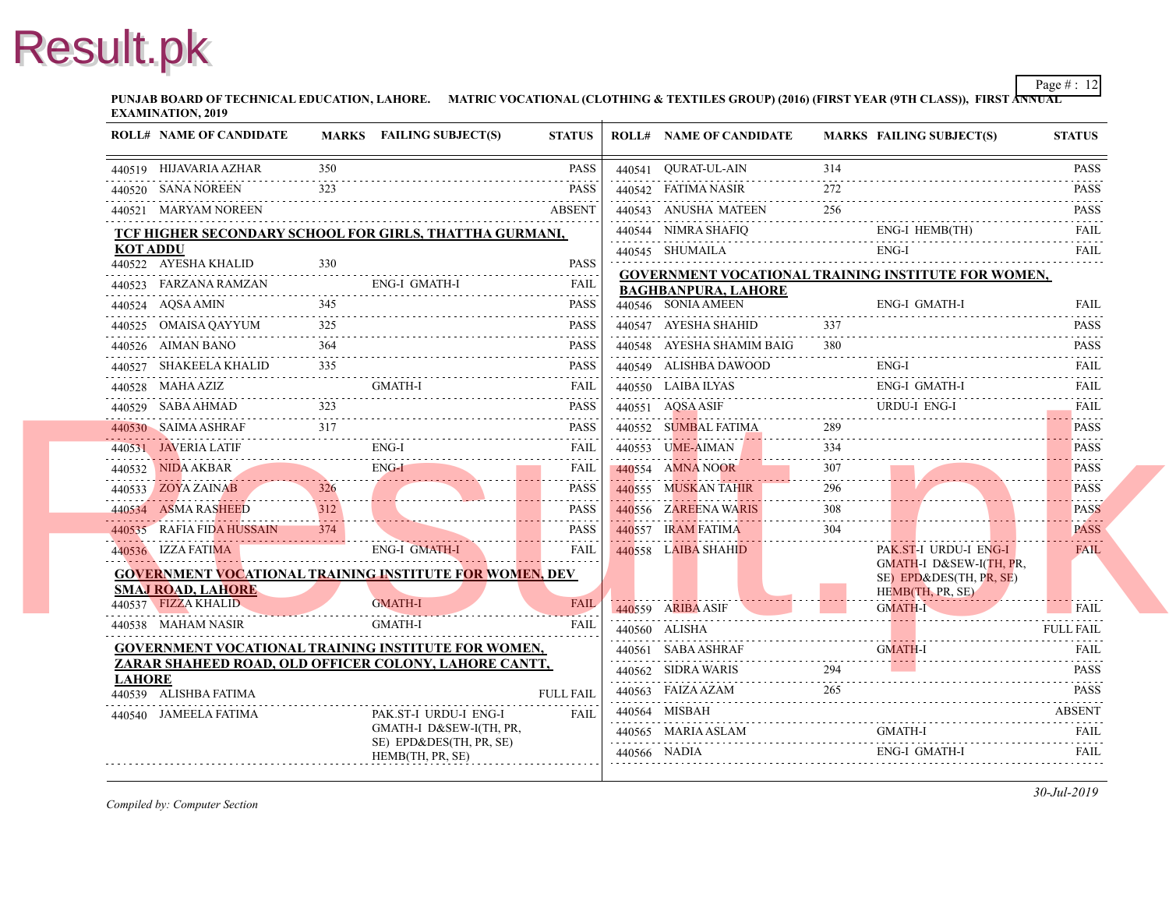**PUNJAB BOARD OF TECHNICAL EDUCATION, LAHORE.** MATRIC VOCATIONAL (CLOTHING & TEXTILES GROUP) (2016) (FIRST YEAR (97 **EXAMINATION, 2019**

|                 | <b>ROLL# NAME OF CANDIDATE</b>                                                                                      |     | MARKS FAILING SUBJECT(S)                           | <b>STATUS</b>                |              | <b>ROLL# NAME OF CANDIDATE</b>            | <b>MARKS FAIL</b> |                    |
|-----------------|---------------------------------------------------------------------------------------------------------------------|-----|----------------------------------------------------|------------------------------|--------------|-------------------------------------------|-------------------|--------------------|
|                 | 440519 HIJAVARIA AZHAR                                                                                              | 350 |                                                    | PASS                         |              | 440541 OURAT-UL-AIN                       | 314               |                    |
|                 | 440520 SANA NOREEN                                                                                                  | 323 |                                                    | PASS                         |              | 440542 FATIMA NASIR                       | 272               |                    |
|                 | 440521 MARYAM NOREEN                                                                                                |     |                                                    | <b>ABSENT</b>                |              | 440543 ANUSHA MATEEN                      | 256               |                    |
|                 | TCF HIGHER SECONDARY SCHOOL FOR GIRLS, THATTHA GURMANI,                                                             |     |                                                    |                              |              | 440544 NIMRA SHAFIQ                       |                   | ENG-               |
| <b>KOT ADDU</b> |                                                                                                                     |     |                                                    |                              |              | 440545 SHUMAILA                           |                   | ENG-               |
|                 | 440522 AYESHA KHALID                                                                                                | 330 |                                                    | <b>PASS</b>                  |              | <b>GOVERNMENT VOCATIONAL TRAINING INS</b> |                   |                    |
|                 | 440523 FARZANA RAMZAN                                                                                               |     | <b>ENG-I GMATH-I</b>                               | <b>FAIL</b><br>1.1.1.1.1.1.1 |              | <b>BAGHBANPURA, LAHORE</b>                |                   |                    |
|                 | 440524 AQSA AMIN                                                                                                    | 345 |                                                    | <b>PASS</b>                  |              | 440546 SONIA AMEEN                        |                   | ENG-               |
|                 | 440525 OMAISA QAYYUM                                                                                                | 325 |                                                    | <b>PASS</b>                  |              | 440547 AYESHA SHAHID                      | 337               |                    |
|                 | 440526 AIMAN BANO                                                                                                   |     |                                                    | PASS                         |              | 440548 AYESHA SHAMIM BAIG                 | 380               |                    |
|                 | 440527 SHAKEELA KHALID                                                                                              | 335 |                                                    | <b>PASS</b>                  |              | 440549 ALISHBA DAWOOD                     |                   | ENG-               |
|                 | 440528 MAHA AZIZ                                                                                                    |     | GMATH-I                                            | <b>FAIL</b>                  |              | 440550 LAIBA ILYAS                        |                   | ENG-               |
|                 | 440529 SABA AHMAD                                                                                                   | 323 |                                                    | <b>PASS</b>                  |              | 440551 AQSA ASIF                          |                   | <b>URD</b>         |
|                 | 440530 SAIMA ASHRAF                                                                                                 | 317 |                                                    | <b>PASS</b>                  |              | 440552 SUMBAL FATIMA                      | 289               |                    |
|                 | 440531 JAVERIA LATIF                                                                                                |     | ENG-I                                              | <b>FAIL</b>                  |              | 440553 UME-AIMAN                          | 334               |                    |
|                 | 440532 NIDA AKBAR                                                                                                   |     | ENG-I                                              | <b>FAIL</b><br>.             |              | 440554 AMNA NOOR                          | 307<br>.          |                    |
|                 | 440533 ZOYA ZAINAB                                                                                                  | 326 |                                                    | <b>PASS</b>                  |              | 440555 MUSKAN TAHIR                       | 296               |                    |
|                 | 440534 ASMA RASHEED                                                                                                 | 312 |                                                    | <b>PASS</b>                  |              | 440556 ZAREENA WARIS                      | 308               |                    |
|                 | 440535 RAFIA FIDA HUSSAIN                                                                                           | 374 |                                                    | <b>PASS</b>                  |              | 440557 IRAM FATIMA                        | 304               |                    |
|                 | 440536 IZZA FATIMA                                                                                                  |     | <b>ENG-I GMATH-I</b>                               | <b>FAIL</b>                  |              | 440558 LAIBA SHAHID                       |                   | PAK.<br><b>GMA</b> |
|                 | <b>GOVERNMENT VOCATIONAL TRAINING INSTITUTE FOR WOMEN, DEV</b>                                                      |     |                                                    |                              |              |                                           |                   | $SE$ )             |
|                 | <b>SMAJ ROAD, LAHORE</b><br>440537 FIZZA KHALID                                                                     |     | <b>GMATH-I</b>                                     | <b>FAIL</b>                  |              |                                           |                   | <b>HEM</b>         |
|                 | 440538 MAHAM NASIR                                                                                                  |     | <b>GMATH-I</b>                                     | <b>FAIL</b>                  |              | 440559 ARIBA ASIF                         |                   | <b>GMA</b>         |
|                 |                                                                                                                     |     |                                                    |                              |              | 440560 ALISHA                             |                   |                    |
|                 | <b>GOVERNMENT VOCATIONAL TRAINING INSTITUTE FOR WOMEN,</b><br>ZARAR SHAHEED ROAD, OLD OFFICER COLONY, LAHORE CANTT, |     |                                                    |                              |              | 440561 SABA ASHRAF                        |                   | <b>GMA</b>         |
| <b>LAHORE</b>   |                                                                                                                     |     |                                                    |                              |              | 440562 SIDRA WARIS                        | 294               |                    |
|                 | 440539 ALISHBA FATIMA                                                                                               |     |                                                    | <b>FULL FAIL</b>             |              | 440563 FAIZA AZAM                         | 265               |                    |
|                 | 440540 JAMEELA FATIMA                                                                                               |     | PAK.ST-I URDU-I ENG-I                              | <b>FAIL</b>                  |              | 440564 MISBAH                             |                   |                    |
|                 |                                                                                                                     |     | GMATH-I D&SEW-I(TH, PR,<br>SE) EPD&DES(TH, PR, SE) |                              |              | 440565 MARIA ASLAM                        |                   | <b>GMA</b>         |
|                 |                                                                                                                     |     | HEMB(TH, PR, SE)                                   |                              | 440566 NADIA |                                           |                   | ENG-               |
|                 |                                                                                                                     |     |                                                    |                              |              |                                           |                   |                    |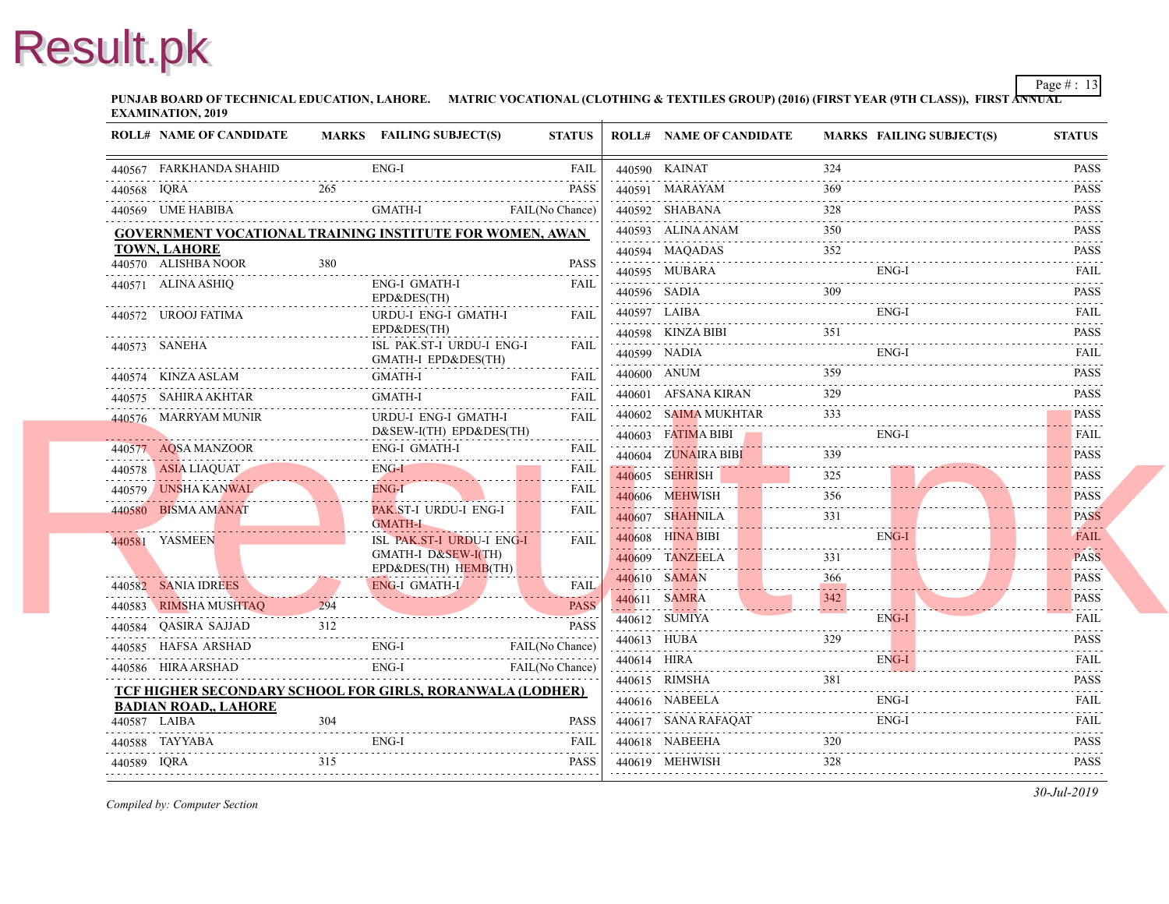**PUNJAB BOARD OF TECHNICAL EDUCATION, LAHORE.** MATRIC VOCATIONAL (CLOTHING & TEXTILES GROUP) (2016) (FIRST YEAR (97 **EXAMINATION, 2019**

|             | <b>ROLL# NAME OF CANDIDATE</b>                                             |                        | MARKS FAILING SUBJECT(S)                         | <b>STATUS</b>    |             | <b>ROLL# NAME OF CANDIDATE</b>             | <b>MARKS FAIL</b> |      |
|-------------|----------------------------------------------------------------------------|------------------------|--------------------------------------------------|------------------|-------------|--------------------------------------------|-------------------|------|
|             | 440567 FARKHANDA SHAHID                                                    |                        | ENG-I                                            | <b>FAIL</b>      |             | 440590 KAINAT                              | 324               |      |
| 440568 IORA |                                                                            | 265                    |                                                  | .<br><b>PASS</b> |             | 440591 MARAYAM                             | 369               |      |
|             | 440569 UME HABIBA                                                          |                        | GMATH-I                                          | FAIL(No Chance)  |             | 440592 SHABANA                             | 328               |      |
|             | GOVERNMENT VOCATIONAL TRAINING INSTITUTE FOR WOMEN, AWAN                   |                        |                                                  |                  |             | 440593 ALINA ANAM                          | 350               |      |
|             | TOWN, LAHORE                                                               |                        |                                                  |                  |             | 440594 MAQADAS                             | 352               |      |
|             | 440570 ALISHBA NOOR                                                        | 380                    |                                                  | <b>PASS</b>      |             | 440595 MUBARA                              |                   | ENG- |
|             | 440571 ALINA ASHIQ                                                         |                        | ENG-I GMATH-I<br>EPD&DES(TH)                     | <b>FAIL</b>      |             | 440596 SADIA                               |                   |      |
|             | 440572 UROOJ FATIMA                                                        |                        | URDU-I ENG-I GMATH-I                             | <b>FAIL</b>      |             | 440597 LAIBA                               |                   | ENG- |
|             |                                                                            |                        | EPD&DES(TH)                                      |                  |             | 440598 KINZA BIBI<br>440598 KINZA BIBI 351 |                   |      |
|             | 440573 SANEHA                                                              |                        | ISL PAK.ST-I URDU-I ENG-I<br>GMATH-I EPD&DES(TH) | FAIL             |             | 440599 NADIA                               |                   | ENG- |
|             | 440574 KINZA ASLAM                                                         |                        | GMATH-I                                          | <b>FAIL</b>      |             | 440600 ANUM                                | 359               |      |
|             | 440575 SAHIRA AKHTAR                                                       |                        | <b>GMATH-I</b>                                   | <b>FAIL</b>      |             | 440601 AFSANA KIRAN                        | 329               |      |
|             | 440576 MARRYAM MUNIR                                                       |                        | URDU-I ENG-I GMATH-I                             | <b>FAIL</b>      |             | 440602 SAIMA MUKHTAR                       | 333               |      |
|             |                                                                            |                        | D&SEW-I(TH) EPD&DES(TH)                          |                  |             | 440603 FATIMA BIBI                         |                   | ENG- |
|             | 440577 AQSA MANZOOR<br>440577 AQSA MANZOOR ENG-I GMATH-I                   |                        | <b>ENG-I GMATH-I</b>                             | <b>FAIL</b>      |             | 440604 ZUNAIRA BIBI                        | 339               |      |
|             | 440578 ASIA LIAQUAT                                                        |                        | ENG-I                                            | FAIL             |             | 440605 SEHRISH                             | 325               |      |
|             | 440579 UNSHA KANWAL                                                        | <b>START CONTINUES</b> | $ENG-I$                                          | <b>FAIL</b><br>. |             | 440606 MEHWISH                             | 356               |      |
|             | 440580 BISMA AMANAT                                                        |                        | PAK ST-I URDU-I ENG-I<br><b>GMATH-I</b>          | <b>FAIL</b>      |             | 440607 SHAHNILA                            | 331               |      |
|             | 440581 YASMEEN                                                             |                        | ISL PAK.ST-I URDU-I ENG-I                        | <b>FAIL</b>      |             | 440608 HINA BIBI                           |                   | ENG- |
|             |                                                                            |                        | GMATH-I D&SEW-I(TH)                              |                  |             | 440609 TANZEELA                            | 331<br>.          |      |
|             | 440582 SANIA IDREES                                                        |                        | EPD&DES(TH) HEMB(TH)<br><b>ENG-I GMATH-I</b>     | <b>FAIL</b>      |             | 440610 SAMAN                               | 366<br>.          |      |
|             | 440583 RIMSHA MUSHTAQ                                                      | 294                    |                                                  | <b>PASS</b>      |             | 440611 SAMRA<br>. <b>.</b> <mark>.</mark>  | 342<br>.          |      |
|             | 440584 OASIRA SAJJAD                                                       | 312                    |                                                  | <b>PASS</b>      |             | 440612 SUMIYA                              |                   | ENG- |
|             |                                                                            |                        | $D$ PASS PASS                                    |                  |             | 440613 HUBA                                | 329               |      |
|             | ENG-I<br>440585 HAFSA ARSHAD<br>ENG-I<br>ENG-I<br>ENG-I<br>FAIL(No Chance) |                        |                                                  |                  | 440614 HIRA |                                            |                   | ENG- |
|             | TCF HIGHER SECONDARY SCHOOL FOR GIRLS, RORANWALA (LODHER)                  |                        |                                                  |                  |             | 440615 RIMSHA                              | 381               |      |
|             | <b>BADIAN ROAD,, LAHORE</b>                                                |                        |                                                  |                  |             | 440616 NABEELA                             |                   | ENG- |
|             | 440587 LAIBA                                                               | 304                    |                                                  | <b>PASS</b>      |             | 440617 SANA RAFAQAT                        |                   | ENG- |
|             | 440588 TAYYABA                                                             |                        | ENG-I                                            | FAIL             |             | 440618 NABEEHA                             | 320               |      |
| 440589 IQRA |                                                                            | 315                    |                                                  | PASS             |             | 440619 MEHWISH                             | 328               |      |
|             |                                                                            |                        |                                                  |                  |             |                                            |                   |      |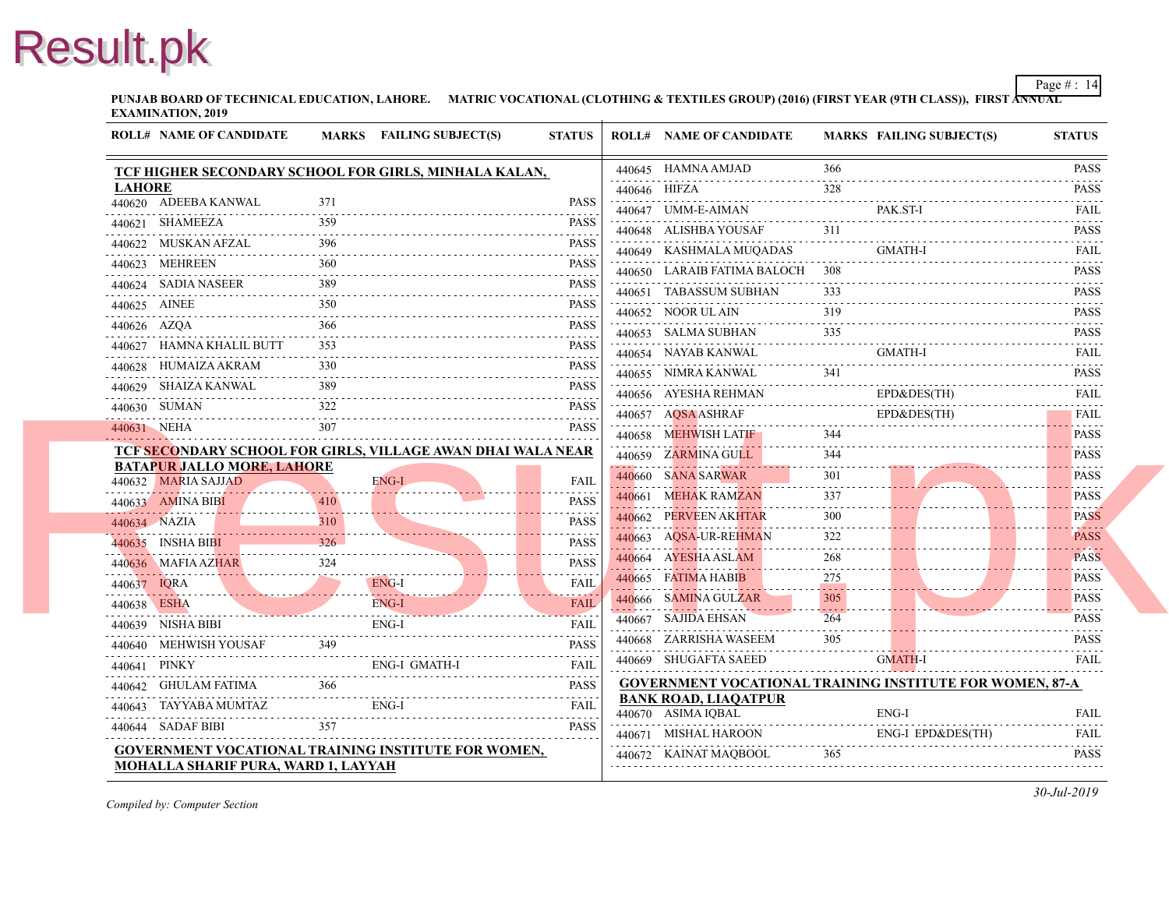**PUNJAB BOARD OF TECHNICAL EDUCATION, LAHORE.** MATRIC VOCATIONAL (CLOTHING & TEXTILES GROUP) (2016) (FIRST YEAR (97 **EXAMINATION, 2019**

|                   | <b>ROLL# NAME OF CANDIDATE</b>             |     | MARKS FAILING SUBJECT(S)                                    | <b>STATUS</b>                  | <b>ROLL# NAME OF CANDIDATE</b>                    | <b>MARKS FAIL</b>             |             |
|-------------------|--------------------------------------------|-----|-------------------------------------------------------------|--------------------------------|---------------------------------------------------|-------------------------------|-------------|
|                   |                                            |     | TCF HIGHER SECONDARY SCHOOL FOR GIRLS, MINHALA KALAN,       |                                | 440645 HAMNA AMJAD                                | 366                           |             |
| <b>LAHORE</b>     |                                            |     |                                                             |                                | 440646 HIFZA                                      | 328                           |             |
|                   | 440620 ADEEBA KANWAL                       | 371 |                                                             | <b>PASS</b>                    | 440647 UMM-E-AIMAN                                |                               | PAK.        |
|                   | 440621 SHAMEEZA                            | 359 |                                                             | <b>PASS</b><br>.               | 440648 ALISHBA YOUSAF                             |                               |             |
|                   | 440622 MUSKAN AFZAL                        | 396 |                                                             | <b>PASS</b>                    | 440649 KASHMALA MUQADAS                           |                               | <b>GMA</b>  |
| .                 | 440623 MEHREEN                             | 360 |                                                             | <b>PASS</b>                    | 440650 LARAIB FATIMA BALOCH                       |                               |             |
|                   | 440624 SADIA NASEER                        | 389 |                                                             | <b>PASS</b>                    | 440651 TABASSUM SUBHAN                            | 333                           |             |
| 440625 AINEE<br>. |                                            | 350 |                                                             | <b>PASS</b>                    | 440652 NOOR UL AIN                                | 319                           |             |
| 440626 AZQA       |                                            | 366 |                                                             | <b>PASS</b>                    | 440653 SALMA SUBHAN                               | 335                           |             |
|                   | 440627 HAMNA KHALIL BUTT                   | 353 |                                                             | <b>PASS</b>                    | 440654 NAYAB KANWAL                               |                               | <b>GMA</b>  |
|                   | 440628 HUMAIZA AKRAM                       | 330 |                                                             | <b>PASS</b>                    | 440655 NIMRA KANWAL                               | 341                           |             |
|                   | 440629 SHAIZA KANWAL                       | 389 |                                                             | <b>PASS</b>                    | .<br>440656 AYESHA REHMAN                         |                               | $EPD\delta$ |
| 440630 SUMAN      |                                            | 322 |                                                             | <b>PASS</b>                    | 440657 AQSA ASHRAF                                |                               | $EPD\delta$ |
| 440631 NEHA       |                                            | 307 |                                                             | <b>PASS</b>                    | 440658 MEHWISH LATIF                              |                               |             |
|                   |                                            |     | TCF SECONDARY SCHOOL FOR GIRLS, VILLAGE AWAN DHAI WALA NEAR |                                | 440659 ZARMINA GULL                               | 344                           |             |
|                   | <b>BATAPUR JALLO MORE, LAHORE</b>          |     |                                                             |                                | 440660 SANA SARWAR                                | 301                           |             |
|                   | 440632 MARIA SAJJAD                        |     | ENG-I                                                       | <b>FAIL</b>                    | 440661 MEHAK RAMZAN                               | 337                           |             |
|                   | 440633 AMINA BIBI                          | 410 |                                                             | <b>PASS</b><br>.               | 440662 PERVEEN AKHTAR                             | 300                           |             |
| 440634 NAZIA      |                                            | 310 |                                                             | <b>PASS</b><br>.               | 440663 AQSA-UR-REHMAN                             |                               |             |
|                   | 440635 INSHA BIBI                          | 326 |                                                             | <b>PASS</b>                    |                                                   | 268                           |             |
|                   | 440636 MAFIA AZHAR                         | 324 |                                                             | <b>PASS</b><br>.               | 440664 AYESHA ASLAM                               |                               |             |
| 440637 IQRA       | $\frac{44063}{10000}$                      |     | ENG-I<br>. <b>. .</b>                                       | <b>FAIL</b>                    | 440665 FATIMA HABIB                               | 275<br>$\omega$ is a $\omega$ |             |
| 440638 ESHA       |                                            |     | ENG-I<br>440638 ESHA ENG-I                                  | <b>FAIL</b><br>أتحدث والمتوارد | 440666 SAMINA GULZAR                              | 305                           |             |
|                   | 440639 NISHA BIBI                          |     | ENG-I                                                       | <b>FAIL</b>                    | 440667 SAJIDA EHSAN                               | 264                           |             |
|                   | 440640 MEHWISH YOUSAF                      | 349 |                                                             | <b>PASS</b>                    | 440668 ZARRISHA WASEEM                            | 305                           |             |
| 440641 PINKY      |                                            |     | ENG-I GMATH-I<br>ENG I GALLERY                              | <b>FAIL</b>                    | 440669 SHUGAFTA SAEED                             |                               | <b>GMA</b>  |
|                   | 440642 GHULAM FATIMA                       | 366 |                                                             | <b>PASS</b>                    | <b>GOVERNMENT VOCATIONAL TRAINING INS</b>         |                               |             |
|                   | 440643 TAYYABA MUMTAZ                      |     | ENG-I                                                       | FAIL                           | <b>BANK ROAD, LIAQATPUR</b><br>440670 ASIMA IQBAL |                               | ENG-        |
|                   | 440644 SADAF BIBI                          | 357 |                                                             | <b>PASS</b>                    | .<br>440671 MISHAL HAROON                         |                               | ENG-        |
|                   |                                            |     | GOVERNMENT VOCATIONAL TRAINING INSTITUTE FOR WOMEN,         |                                |                                                   |                               |             |
|                   | <b>MOHALLA SHARIF PURA, WARD 1, LAYYAH</b> |     |                                                             |                                | 440672 KAINAT MAOBOOL                             | 365                           |             |
|                   |                                            |     |                                                             |                                |                                                   |                               |             |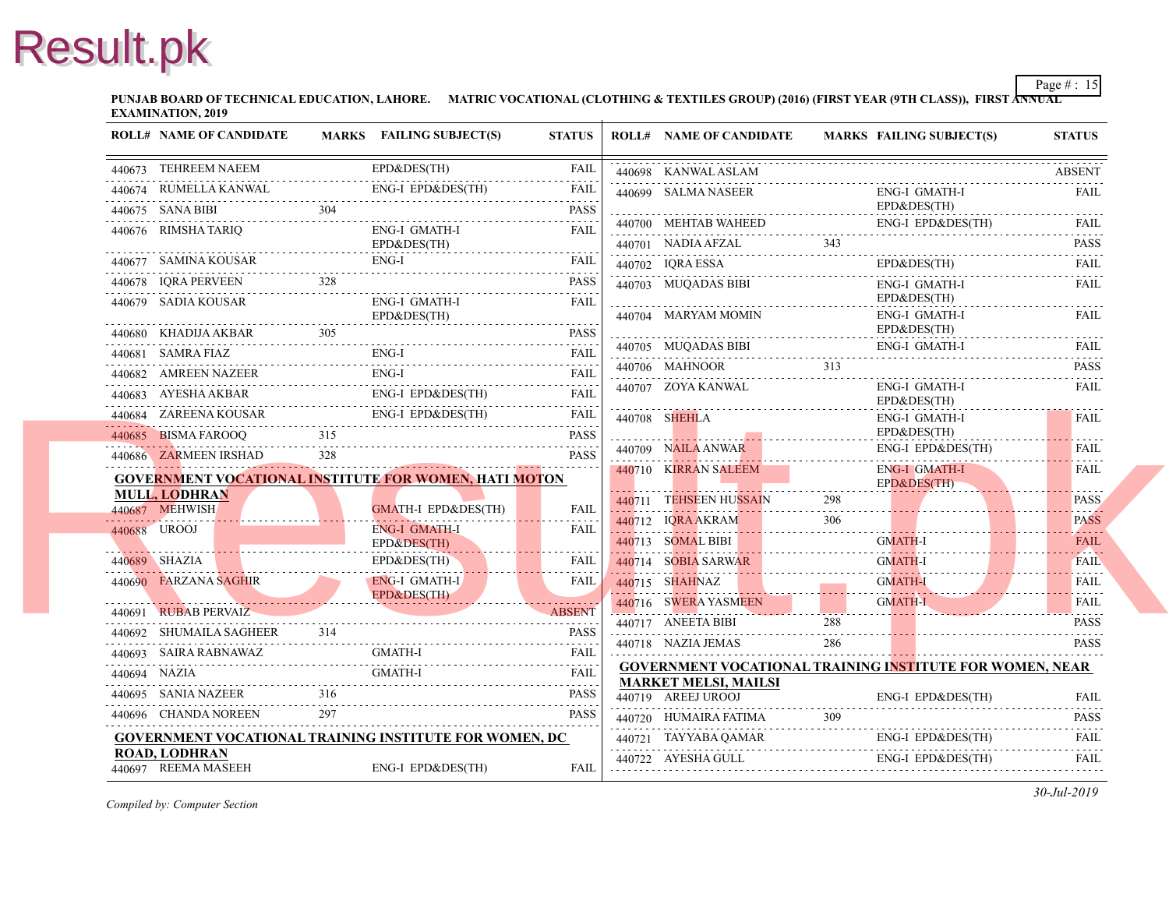**PUNJAB BOARD OF TECHNICAL EDUCATION, LAHORE.** MATRIC VOCATIONAL (CLOTHING & TEXTILES GROUP) (2016) (FIRST YEAR (97 **EXAMINATION, 2019**

|  | <b>ROLL# NAME OF CANDIDATE</b>                                                                                          |     | MARKS FAILING SUBJECT(S)                                          | <b>STATUS</b> | <b>ROLL# NAME OF CANDIDATE</b>                                                   | <b>MARKS FAIL</b> |                     |
|--|-------------------------------------------------------------------------------------------------------------------------|-----|-------------------------------------------------------------------|---------------|----------------------------------------------------------------------------------|-------------------|---------------------|
|  | 440673 TEHREEM NAEEM                                                                                                    |     | EPD&DES(TH)                                                       | <b>FAIL</b>   | 440698 KANWAL ASLAM                                                              |                   |                     |
|  |                                                                                                                         |     | 440674 RUMELLA KANWAL ENG-I EPD&DES(TH) FAIL                      |               | 440699 SALMA NASEER                                                              |                   | ENG-                |
|  |                                                                                                                         |     | 440675 SANA BIBI 304                                              | <b>PASS</b>   |                                                                                  |                   | $EPD\delta$         |
|  | 440676 RIMSHA TARIQ                                                                                                     |     | ENG-I GMATH-I                                                     | <b>FAIL</b>   | 440700 MEHTAB WAHEED                                                             |                   | ENG-                |
|  | 440677 SAMINA KOUSAR                                                                                                    |     | EPD&DES(TH)<br>ENG-I                                              |               | 440701 NADIA AFZAL<br>440701 NADIA AFZAL 343                                     |                   |                     |
|  |                                                                                                                         | 328 |                                                                   | FAIL          | 440702 IQRA ESSA                                                                 |                   | $EPD\delta$         |
|  | 440678 IQRA PERVEEN                                                                                                     |     |                                                                   | PASS          | 440703 MUQADAS BIBI                                                              |                   | ENG-<br>$EPD\delta$ |
|  | 440679 SADIA KOUSAR                                                                                                     |     | ENG-I GMATH-I<br>EPD&DES(TH)                                      | <b>FAIL</b>   | 440704 MARYAM MOMIN                                                              |                   | ENG-                |
|  | 440680 KHADIJA AKBAR 305                                                                                                |     |                                                                   | <b>PASS</b>   |                                                                                  |                   | $EPD\delta$         |
|  | 440681 SAMRA FIAZ                                                                                                       |     | ENG-I                                                             | <b>FAIL</b>   | 440705 MUQADAS BIBI                                                              |                   | ENG-                |
|  | 440682 AMREEN NAZEER                                                                                                    |     | ENG-I                                                             | <b>FAIL</b>   | 440706 MAHNOOR<br>440706 MAHNOOR 313                                             |                   |                     |
|  |                                                                                                                         |     | 440683 AYESHA AKBAR ENG-I EPD&DES(TH) FAIL                        |               | 440707 ZOYA KANWAL                                                               |                   | ENG-<br>$EPD\delta$ |
|  |                                                                                                                         |     | ENG-I EPD&DES(TH)<br>440684 ZAREENA KOUSAR ENG-I EPD&DES(TH) FAIL |               | 440708 SHEHLA                                                                    |                   | ENG-                |
|  | 440685 BISMA FAROOQ 315                                                                                                 |     |                                                                   | <b>PASS</b>   |                                                                                  |                   | $EPD\delta$         |
|  | 440686 ZARMEEN IRSHAD                                                                                                   | 328 |                                                                   | <b>PASS</b>   | 440709 NAILA ANWAR                                                               |                   | ENG-                |
|  |                                                                                                                         |     | <b>GOVERNMENT VOCATIONAL INSTITUTE FOR WOMEN, HATI MOTON</b>      |               | 440710 KIRRAN SALEEM                                                             |                   | ENG-<br>$EPD\delta$ |
|  | <b>MULL, LODHRAN</b>                                                                                                    |     |                                                                   |               | 440711 TEHSEEN HUSSAIN                                                           | 298               |                     |
|  | 440687 MEHWISH                                                                                                          |     | <b>GMATH-I EPD&amp;DES(TH)</b>                                    | <b>FAIL</b>   | 440712 IQRA AKRAM                                                                | 306               |                     |
|  | 440688 UROOJ                                                                                                            |     | ENG-I GMATH-I<br>EPD&DES(TH)                                      | FAIL          | <u> 1111. 1111. 1111. 1111. 1111. 1111. 1111. 1111. 111</u><br>440713 SOMAL BIBI |                   | <b>GMA</b>          |
|  | <u> 1999 - Januar Januar III, martxa al-A</u><br>440689 SHAZIA                                                          |     | EPD&DES(TH)                                                       | <b>FAIL</b>   | 440714 SOBIA SARWAR<br>440714 SOBIA SARWAR GM/                                   |                   | <b>GMA</b>          |
|  | 440690 FARZANA SAGHIR                                                                                                   |     | <b>ENG-I GMATH-I</b>                                              | <b>FAIL</b>   | 440715 SHAHNAZ                                                                   |                   | <b>GMA</b>          |
|  | <u> Estados de Santo de Santo de Santo de Santo de Santo de Santo de Santo de Santo de Santo de Santo de Santo de S</u> |     | EPD&DES(TH)                                                       |               | 440716 SWERA YASMEEN                                                             |                   | <b>GMA</b>          |
|  | 440691 RUBAB PERVAIZ                                                                                                    |     | ABSENT                                                            | <b>ABSENT</b> | <u> 1999 : Andreus Indian (Andreus Indian I</u><br>440717 ANEETA BIBI            | 288               |                     |
|  | 440692 SHUMAILA SAGHEER                                                                                                 |     | PASS<br>VAZ GMATH-I EATT                                          |               | 440718 NAZIA JEMAS                                                               | 286               |                     |
|  |                                                                                                                         |     | 440693 SAIRA RABNAWAZ GMATH-I FAIL FAIL                           |               | <b>GOVERNMENT VOCATIONAL TRAINING INS</b>                                        |                   |                     |
|  | 440694 NAZIA                                                                                                            |     | GMATH-I                                                           | <b>FAIL</b>   | <b>MARKET MELSI, MAILSI</b>                                                      |                   |                     |
|  |                                                                                                                         |     | 440695 SANIA NAZEER 316 PASS                                      | <b>PASS</b>   | 440719 AREEJ UROOJ                                                               |                   | ENG-                |
|  | 440696 CHANDA NOREEN                                                                                                    | 297 |                                                                   | <b>PASS</b>   | 440720 HUMAIRA FATIMA                                                            | 309               |                     |
|  |                                                                                                                         |     | <b>GOVERNMENT VOCATIONAL TRAINING INSTITUTE FOR WOMEN, DC</b>     |               | 440721 TAYYABA QAMAR                                                             |                   | ENG-                |
|  | ROAD. LODHRAN<br>440697 REEMA MASEEH                                                                                    |     | ENG-I EPD&DES(TH)                                                 | FAIL          | 440722 AYESHA GULL                                                               |                   | ENG-                |
|  |                                                                                                                         |     |                                                                   |               |                                                                                  |                   |                     |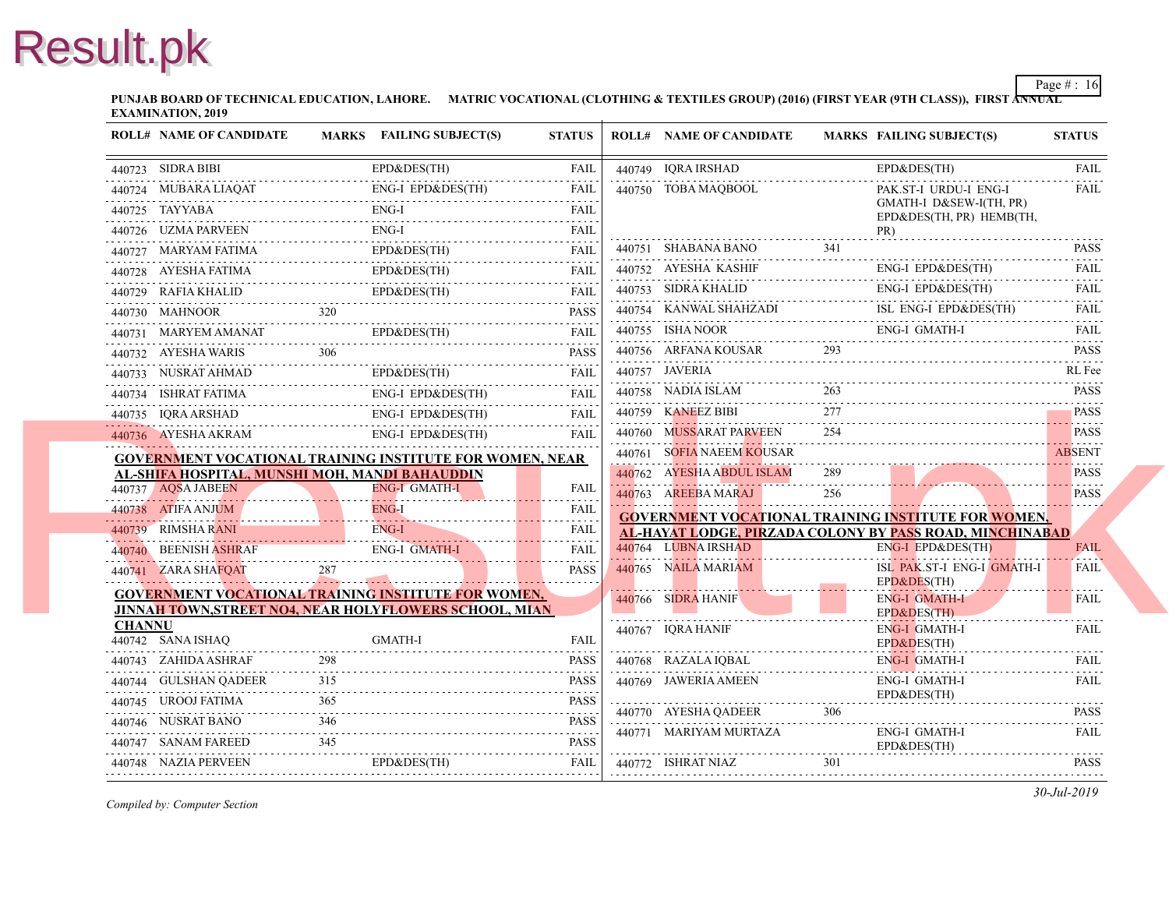**PUNJAB BOARD OF TECHNICAL EDUCATION, LAHORE.** MATRIC VOCATIONAL (CLOTHING & TEXTILES GROUP) (2016) (FIRST YEAR (97 **EXAMINATION, 2019**

|               | <b>ROLL# NAME OF CANDIDATE</b>                                                                                             |        | <b>MARKS</b> FAILING SUBJECT(S) | <b>STATUS</b>                                                                                                                                                                    | <b>ROLL# NAME OF CANDIDATE</b>                              | <b>MARKS FAIL</b> |                           |
|---------------|----------------------------------------------------------------------------------------------------------------------------|--------|---------------------------------|----------------------------------------------------------------------------------------------------------------------------------------------------------------------------------|-------------------------------------------------------------|-------------------|---------------------------|
|               | 440723 SIDRA BIBI                                                                                                          |        | EPD&DES(TH)                     | <b>FAIL</b>                                                                                                                                                                      | 440749 IQRA IRSHAD                                          |                   | $EPD\delta$               |
|               | 440724 MUBARA LIAQAT                                                                                                       |        | ENG-I EPD&DES(TH)               | <b>FAIL</b>                                                                                                                                                                      | 440750 TOBA MAQBOOL                                         |                   | PAK.                      |
|               | 440725 TAYYABA                                                                                                             |        | ENG-I                           | <b>FAIL</b>                                                                                                                                                                      |                                                             |                   | <b>GMA</b><br>$EPD\delta$ |
|               | 440726 UZMA PARVEEN                                                                                                        |        | ENG-I                           | <b>FAIL</b>                                                                                                                                                                      |                                                             |                   | PR)                       |
|               | 440727 MARYAM FATIMA                                                                                                       |        | EPD&DES(TH)                     | <b>FAIL</b>                                                                                                                                                                      | 440751 SHABANA BANO                                         | 341               |                           |
|               | 440728 AYESHA FATIMA                                                                                                       |        | EPD&DES(TH)                     | .<br>FAIL                                                                                                                                                                        | 440752 AYESHA KASHIF                                        |                   | ENG-                      |
|               | 440729 RAFIA KHALID EPD&DES(TH)                                                                                            |        |                                 | المتمامين<br><b>FAIL</b>                                                                                                                                                         | 440753 SIDRA KHALID                                         |                   | ENG-                      |
|               | 440730 MAHNOOR                                                                                                             |        |                                 | <b>PASS</b>                                                                                                                                                                      | 440754 KANWAL SHAHZADI                                      |                   | ISL.                      |
|               | 440731 MARYEM AMANAT<br>440731 MARYEM AMANAT EPD&DES(TH)                                                                   |        | EPD&DES(TH)                     | .<br><b>FAIL</b>                                                                                                                                                                 | 440755 ISHA NOOR                                            |                   | ENG-                      |
|               | 440732 AYESHA WARIS                                                                                                        | 306    |                                 | <b>PASS</b>                                                                                                                                                                      | 440756 ARFANA KOUSAR                                        | 293               |                           |
|               | 440733 NUSRAT AHMAD                                                                                                        |        | EPD&DES(TH)                     | <b>FAIL</b>                                                                                                                                                                      | 440757 JAVERIA                                              |                   |                           |
|               | 440734 ISHRAT FATIMA                                                                                                       |        | <b>ENG-I EPD&amp;DES(TH)</b>    | FAIL                                                                                                                                                                             | 440758 NADIA ISLAM                                          | 263               |                           |
|               | 440735 IQRA ARSHAD ENG-I EPD&DES(TH) FAIL                                                                                  |        | ENG-I EPD&DES(TH)               |                                                                                                                                                                                  | 440759 KANEEZ BIBI                                          | 277               |                           |
|               | 440736 AYESHA AKRAM                                                                                                        |        | ENG-I EPD&DES(TH)               | <b>FAIL</b>                                                                                                                                                                      | 440760 MUSSARAT PARVEEN                                     | 254               |                           |
|               | <b>GOVERNMENT VOCATIONAL TRAINING INSTITUTE FOR WOMEN, NEAR</b>                                                            |        |                                 |                                                                                                                                                                                  | 440761 SOFIA NAEEM KOUSAR                                   |                   |                           |
|               | <u>AL-SHIFA HOSPITAL, MUNSHI MOH, MANDI BAHAUDDIN</u>                                                                      |        |                                 |                                                                                                                                                                                  | 440762 AYESHA ABDUL ISLAM                                   | 289               |                           |
|               | 440737 AQSA JABEEN                                                                                                         |        | <b>ENG-I GMATH-I</b>            | <b>FAIL</b>                                                                                                                                                                      | 440763 AREEBA MARAJ                                         | 256               |                           |
|               | 440738 ATIFA ANJUM ENG-I                                                                                                   |        |                                 | <b>FAIL</b><br>.                                                                                                                                                                 | <b>GOVERNMENT VOCATIONAL TRAINING INS</b>                   |                   |                           |
|               | 440739 RIMSHA RANI                                                                                                         |        | ENG-I                           | <b>FAII</b>                                                                                                                                                                      | AL-HAYAT LODGE, PIRZADA COLONY BY PA<br>440764 LUBNA IRSHAD |                   | ENG-                      |
|               | 440740 BEENISH ASHRAF                                                                                                      |        | <b>ENG-I GMATH-I</b>            | <b>FAIL</b>                                                                                                                                                                      | 440765 NAILA MARIAM                                         |                   | ISL-                      |
|               | 440741 ZARA SHAFQAT                                                                                                        | $287-$ |                                 | <b>PASS</b>                                                                                                                                                                      |                                                             |                   | <b>EPD&amp;</b>           |
|               | <b>GOVERNMENT VOCATIONAL TRAINING INSTITUTE FOR WOMEN,</b><br><b>JINNAH TOWN,STREET NO4, NEAR HOLYFLOWERS SCHOOL, MIAN</b> |        |                                 |                                                                                                                                                                                  | 440766 SIDRA HANIF                                          |                   | ENG-                      |
| <b>CHANNU</b> |                                                                                                                            |        |                                 |                                                                                                                                                                                  | 440767 IQRA HANIF                                           |                   | $EPD\delta$<br>ENG-       |
|               | 440742 SANA ISHAQ                                                                                                          |        | <b>GMATH-I</b>                  | <b>FAIL</b>                                                                                                                                                                      |                                                             |                   | $EPD\delta$               |
|               | 440743 ZAHIDA ASHRAF                                                                                                       | 298    |                                 | <b>PASS</b>                                                                                                                                                                      | 440768 RAZALA IQBAL                                         |                   | ENG-                      |
|               | 440744 GULSHAN QADEER                                                                                                      | 315    |                                 | $\frac{1}{2} \left( \frac{1}{2} \right) \left( \frac{1}{2} \right) \left( \frac{1}{2} \right) \left( \frac{1}{2} \right) \left( \frac{1}{2} \right)$<br><b>PASS</b><br>2.2.2.2.2 | 440769 JAWERIA AMEEN                                        |                   | ENG-                      |
|               | 440745 UROOJ FATIMA                                                                                                        | 365    |                                 | <b>PASS</b>                                                                                                                                                                      | 440770 AYESHA QADEER                                        | 306               | $EPD\delta$               |
|               | 440746 NUSRAT BANO                                                                                                         | 346    |                                 | <b>PASS</b><br>الداعات عامان                                                                                                                                                     | 440771 MARIYAM MURTAZA                                      |                   | ENG-                      |
|               | 440747 SANAM FAREED                                                                                                        | 345    |                                 | <b>PASS</b>                                                                                                                                                                      |                                                             |                   | $EPD\delta$               |
|               | 440748 NAZIA PERVEEN                                                                                                       |        | EPD&DES(TH)                     | FAIL                                                                                                                                                                             | 440772 ISHRAT NIAZ                                          | 301               |                           |
|               |                                                                                                                            |        |                                 |                                                                                                                                                                                  |                                                             |                   |                           |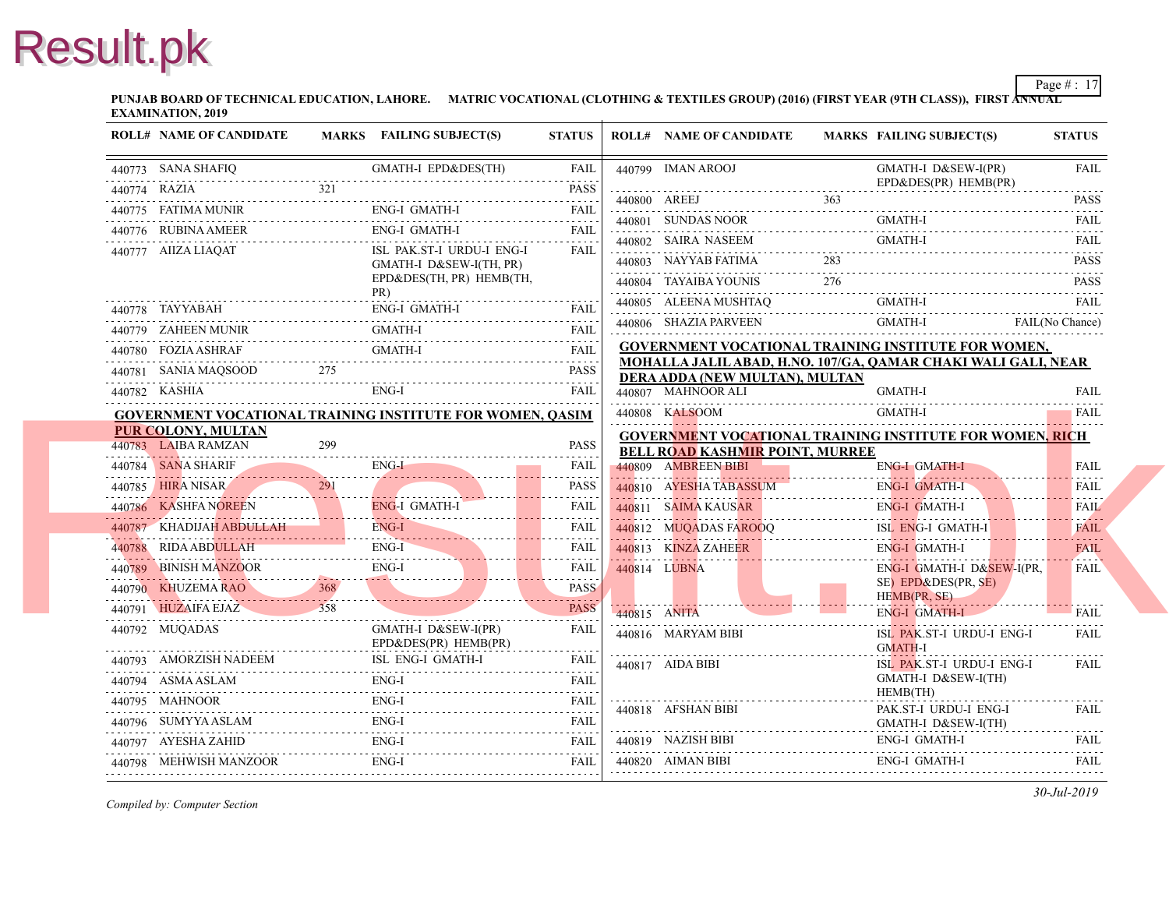**PUNJAB BOARD OF TECHNICAL EDUCATION, LAHORE.** MATRIC VOCATIONAL (CLOTHING & TEXTILES GROUP) (2016) (FIRST YEAR (97 **EXAMINATION, 2019**

| <b>ROLL# NAME OF CANDIDATE</b>               |     | MARKS FAILING SUBJECT(S)                                         | <b>STATUS</b>                |              | <b>ROLL# NAME OF CANDIDATE</b>                                           | <b>MARKS FAIL</b> |                     |
|----------------------------------------------|-----|------------------------------------------------------------------|------------------------------|--------------|--------------------------------------------------------------------------|-------------------|---------------------|
| 440773 SANA SHAFIQ                           |     | <b>GMATH-I EPD&amp;DES(TH)</b>                                   | FAIL                         |              | 440799 IMAN AROOJ                                                        |                   | <b>GMA</b>          |
| 440774 RAZIA                                 | 321 | 440774 RAZIA PASS PASS PASS PASS                                 | <b>PASS</b>                  |              |                                                                          |                   | $EPD\delta$         |
|                                              |     | ENG-I GMATH-I<br>440775 FATIMA MUNIR ENG-I GMATH-I FAIL FAIL     |                              |              | 440800 AREEJ                                                             | 363               |                     |
| AMEER<br><br>440776 RUBINA AMEER             |     | ENG-I GMATH-I                                                    | <b>FAIL</b>                  |              | 440801 SUNDAS NOOR                                                       |                   | <b>GMA</b>          |
| 440777 AIIZA LIAQAT                          |     | ISL PAK.ST-I URDU-I ENG-I                                        | <b>FAIL</b>                  |              | 440802 SAIRA NASEEM                                                      |                   | <b>GMA</b>          |
|                                              |     | GMATH-I D&SEW-I(TH, PR)<br>EPD&DES(TH, PR) HEMB(TH,              |                              |              | 440803 NAYYAB FATIMA                                                     |                   |                     |
|                                              |     | PR)                                                              |                              |              | 440804 TAYAIBA YOUNIS                                                    | 276               |                     |
| 440778 TAYYABAH                              |     | ENG-I GMATH-I                                                    | <b>FAIL</b>                  |              | 440805 ALEENA MUSHTAQ                                                    |                   | GMA                 |
| 440779 ZAHEEN MUNIR                          |     | GMATH-I                                                          | <b>FAIL</b>                  |              | 440806 SHAZIA PARVEEN                                                    |                   | <b>GMA</b>          |
| 440780 FOZIA ASHRAF                          |     | GMATH-I                                                          |                              |              | <b>GOVERNMENT VOCATIONAL TRAINING INS</b>                                |                   |                     |
|                                              |     | 440781 SANIA MAQSOOD 275 PASS                                    | <b>PASS</b>                  |              | MOHALLA JALIL ABAD, H.NO. 107/GA, QAMA<br>DERA ADDA (NEW MULTAN), MULTAN |                   |                     |
|                                              |     | ENG-I<br>440782 KASHIA ENG-I FAIL FAIL                           |                              |              | 440807 MAHNOOR ALI                                                       |                   | <b>GMA</b>          |
|                                              |     | <b>GOVERNMENT VOCATIONAL TRAINING INSTITUTE FOR WOMEN, QASIM</b> |                              |              | 440808 KALSOOM                                                           |                   | <b>GMA</b>          |
| <b>PUR COLONY, MULTAN</b>                    |     |                                                                  |                              |              | <b>GOVERNMENT VOCATIONAL TRAINING INS</b>                                |                   |                     |
| 440783 LAIBA RAMZAN                          | 299 |                                                                  | <b>PASS</b>                  |              | <b>BELL ROAD KASHMIR POINT. MURREE</b>                                   |                   |                     |
|                                              |     | 440784 SANA SHARIF ENG-I                                         | <b>FAIL</b><br>1.1.1.1.1.1.1 |              | 440809 AMBREEN BIBI                                                      |                   | ENG-                |
| 440785 HIRA NISAR<br>$440/85$ TIKA NISAK 291 |     |                                                                  | <b>PASS</b><br>.             |              | 440810 AYESHA TABASSUM                                                   |                   | ENG-                |
|                                              |     | 440786 KASHFA NOREEN ENG-I GMATH-                                | <b>FAIL</b>                  |              | 440811 SAIMA KAUSAR                                                      |                   | ENG-                |
| 440787 KHADIJAH ABDULLAH ENG-I               |     |                                                                  | <b>FAIL</b><br>.             |              | 440812 MUQADAS FAROOQ                                                    |                   | ISL I               |
| 440788 RIDA ABDULLAH                         |     | ENG-I<br>440/88 KIDA ABDULLAH ENG-I                              | <b>FAIL</b>                  |              | 440813 KINZA ZAHEER                                                      |                   | ENG-                |
|                                              |     | ENG-I<br>440789 BINISH MANZOOR ENG-I                             | <b>FAIL</b><br>.             |              | 440814 LUBNA                                                             |                   | ENG-<br>$SE$ ) I    |
|                                              |     | 440790 KHUZEMA RAO 368 PASS                                      | <b>PASS</b>                  |              |                                                                          |                   | <b>HEM</b>          |
| 440791 HUZAIFA EJAZ 358                      |     |                                                                  | <b>PASS</b>                  | 440815 ANITA |                                                                          |                   | ENG-                |
| 440792 MUQADAS                               |     | GMATH-I D&SEW-I(PR)<br>$EPD&DES(PR)$ HEMB(PR)                    | <b>FAIL</b>                  |              | 440816 MARYAM BIBI                                                       |                   | ISL I<br><b>GMA</b> |
| 440793 AMORZISH NADEEM                       |     | ISL ENG-I GMATH-I<br>440793 AMORZISH NADEEM ISL ENG-I GMATH-I    | FAIL                         |              | 440817 AIDA BIBI                                                         |                   | ISL 1               |
| 440794 ASMA ASLAM                            |     | $ENG-I$                                                          | <b>FAIL</b>                  |              |                                                                          |                   | <b>GMA</b>          |
| 440795 MAHNOOR                               |     | ENG-I<br>440795 MAHNOOR ENG-I FAIL                               |                              |              | 440818 AFSHAN BIBI                                                       |                   | <b>HEM</b><br>PAK.  |
|                                              |     | $ENG-I$<br>440796 SUMYYA ASLAM ENG-I FAIL FAIL                   |                              |              |                                                                          |                   | <b>GMA</b>          |
|                                              |     | ENG-I                                                            | <b>FAIL</b>                  |              | 440819 NAZISH BIBI                                                       |                   | ENG-                |
| 440798 MEHWISH MANZOOR                       |     | ENG-I                                                            | FAIL                         |              | 440820 AIMAN BIBI                                                        |                   | ENG-                |
|                                              |     |                                                                  |                              |              |                                                                          |                   |                     |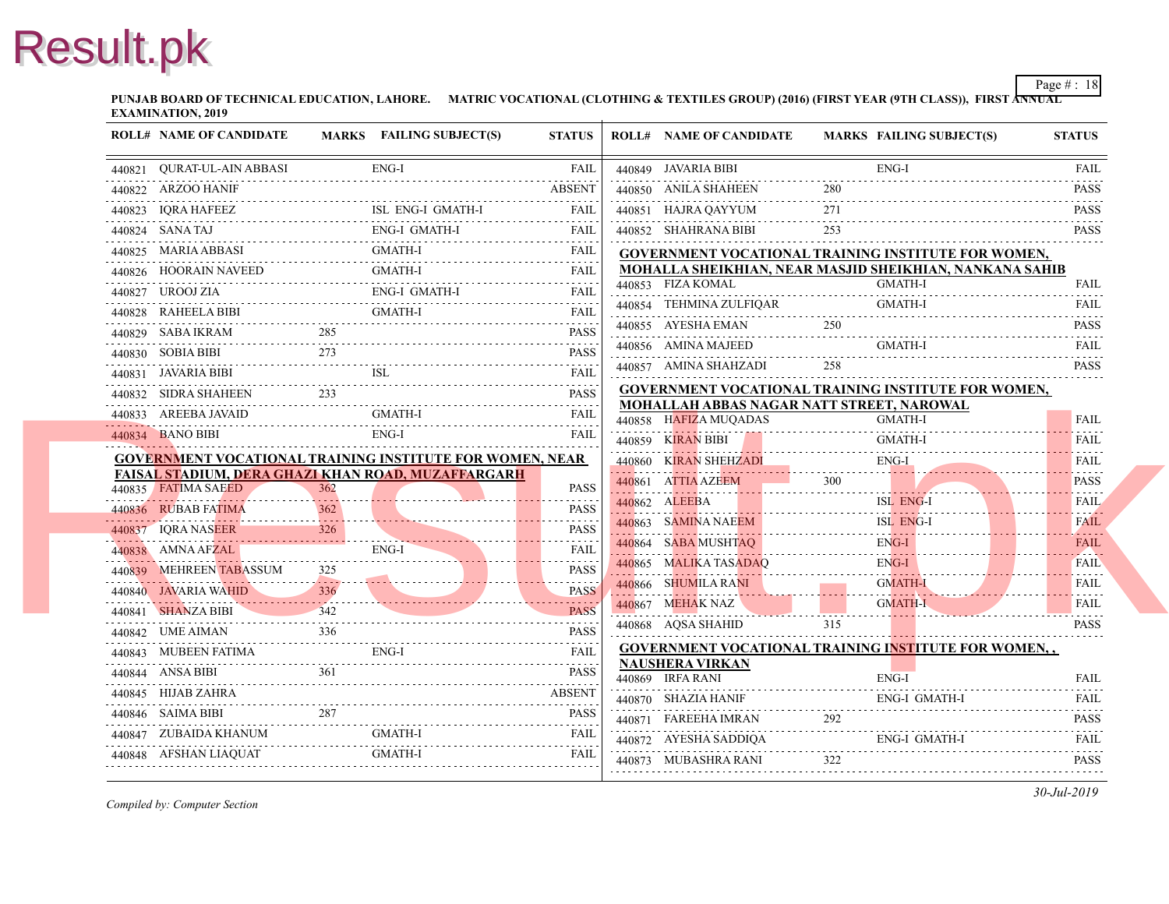**PUNJAB BOARD OF TECHNICAL EDUCATION, LAHORE.** MATRIC VOCATIONAL (CLOTHING & TEXTILES GROUP) (2016) (FIRST YEAR (97 **EXAMINATION, 2019**

| <b>ROLL# NAME OF CANDIDATE</b>                                   |         | MARKS FAILING SUBJECT(S) | <b>STATUS</b>            | <b>ROLL# NAME OF CANDIDATE</b>                                      | <b>MARKS FAIL</b> |            |
|------------------------------------------------------------------|---------|--------------------------|--------------------------|---------------------------------------------------------------------|-------------------|------------|
| 440821 QURAT-UL-AIN ABBASI                                       |         | ENG-I                    | <b>FAIL</b>              | 440849 JAVARIA BIBI                                                 |                   | ENG-       |
| 440822 ARZOO HANIF                                               |         |                          | <b>ABSENT</b>            | 440850 ANILA SHAHEEN                                                | 280               |            |
| 440823 IQRA HAFEEZ<br>440823 IQRA HAFEEZ                         |         | ISL ENG-I GMATH-I        | <b>FAIL</b>              | 440851 HAJRA QAYYUM                                                 | 271               |            |
| 440824 SANATAJ                                                   |         | ENG-I GMATH-I            | <b>FAIL</b>              | 440852 SHAHRANA BIBI                                                | 253               |            |
| 440825 MARIA ABBASI                                              |         | <b>GMATH-I</b>           | <b>FAIL</b>              | <b>GOVERNMENT VOCATIONAL TRAINING INS</b>                           |                   |            |
| 440826 HOORAIN NAVEED<br>440826 HOORAIN NAVEED GMATH-I FAIL FAIL |         | <b>GMATH-I</b>           | <b>FAIL</b>              | MOHALLA SHEIKHIAN, NEAR MASJID SHEI                                 |                   |            |
| 440827 UROOJ ZIA<br>440827 UROOJ ZIA ENG-I GMATH-I FAIL          |         | <b>ENG-I GMATH-I</b>     | FAIL                     | 440853 FIZA KOMAL                                                   |                   | <b>GMA</b> |
| 440828 RAHEELA BIBI                                              |         | <b>GMATH-I</b>           | <b>FAIL</b>              | 440854 TEHMINA ZULFIQAR                                             |                   | <b>GMA</b> |
| 440829 SABA IKRAM                                                | 285     |                          | <b>PASS</b><br>1.1.1.1.1 | 440855 AYESHA EMAN                                                  | 250               |            |
| 440830 SOBIA BIBI                                                | 273     |                          | <b>PASS</b>              | 440856 AMINA MAJEED                                                 |                   | <b>GMA</b> |
| 440831 JAVARIA BIBI<br>440831 JAVARIA BIBI ISL FAIL FAIL         |         | ISL                      |                          | 440857 AMINA SHAHZADI                                               | 258               |            |
| 440832 SIDRA SHAHEEN                                             | 233     |                          | <b>PASS</b>              | <b>GOVERNMENT VOCATIONAL TRAINING INS</b>                           |                   |            |
| 440833 AREEBA JAVAID                                             |         | GMATH-I                  | <b>FAIL</b>              | <b>MOHALLAH ABBAS NAGAR NATT STREET, 1</b><br>440858 HAFIZA MUQADAS |                   | <b>GMA</b> |
| 440834 BANO BIBI                                                 |         | ENG-I                    | <b>FAIL</b>              | 440859 KIRAN BIBI                                                   |                   | <b>GMA</b> |
| <b>GOVERNMENT VOCATIONAL TRAINING INSTITUTE FOR WOMEN, NEAR</b>  |         |                          |                          | 440860 KIRAN SHEHZADI                                               |                   | ENG-       |
| FAISAL STADIUM, DERA GHAZI KHAN ROAD, MUZAFFARGARH               |         |                          |                          | 440861 ATTIA AZEEM                                                  | 300               |            |
| 440835 FATIMA SAEED                                              | 362     |                          | <b>PASS</b><br>.         | 440862 ALEEBA                                                       |                   | ISL 1      |
| 440836 RUBAB FATIMA                                              |         |                          | <b>PASS</b><br>.         | 440863 SAMINA NAEEM                                                 |                   | ISL-       |
| 440837 IORA NASEER                                               | 326     |                          | <b>PASS</b><br>.         | 440864 SABA MUSHTAO                                                 |                   | ENG-       |
| 440838 AMNA AFZAL                                                |         | ENG-I                    | FAIL                     | 440865 MALIKA TASADAQ                                               |                   | ENG-       |
| 440839 MEHREEN TABASSUM                                          | $325 -$ |                          | <b>PASS</b><br>.         | 440866 SHUMILA RANI                                                 |                   | <b>GMA</b> |
| 440840 JAVARIA WAHID                                             | 336     |                          | <b>PASS</b>              | 440867 MEHAK NAZ                                                    |                   | <b>GMA</b> |
| 440841 SHANZA BIBI                                               |         |                          | <b>PASS</b><br>.         | 440868 AQSA SHAHID                                                  | 315               |            |
| 440842 UME AIMAN                                                 | 336     |                          | <b>PASS</b>              | <b>GOVERNMENT VOCATIONAL TRAINING INS</b>                           |                   |            |
| 440843 MUBEEN FATIMA                                             |         | ENG-I                    | <b>FAIL</b>              | <b>NAUSHERA VIRKAN</b>                                              |                   |            |
| 440844 ANSA BIBI                                                 |         |                          | <b>PASS</b>              | 440869 IRFA RANI                                                    |                   | ENG-       |
| 440845 HIJAB ZAHRA                                               |         |                          | <b>ABSENT</b>            | 440870 SHAZIA HANIF                                                 |                   | ENG-       |
| 440846 SAIMA BIBI                                                | 287     |                          | <b>PASS</b>              | 440871 FAREEHA IMRAN                                                | 292               |            |
| 440847 ZUBAIDA KHANUM                                            |         | GMATH-I                  | <b>FAIL</b>              | 440872 AYESHA SADDIQA                                               |                   | ENG-       |
| 440848 AFSHAN LIAQUAT                                            |         | <b>GMATH-I</b>           |                          | 440873 MUBASHRA RANI                                                | 322               |            |
|                                                                  |         |                          |                          |                                                                     |                   |            |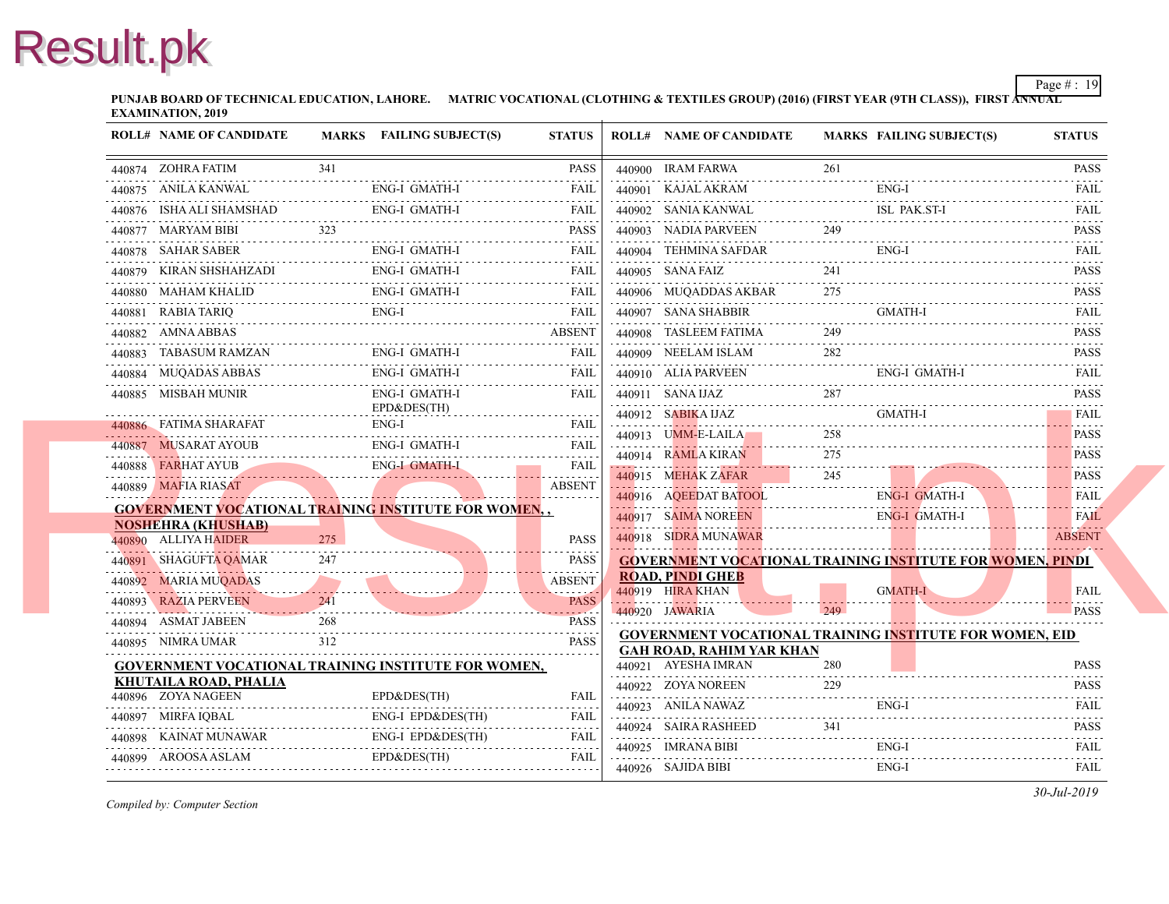**PUNJAB BOARD OF TECHNICAL EDUCATION, LAHORE.** MATRIC VOCATIONAL (CLOTHING & TEXTILES GROUP) (2016) (FIRST YEAR (9TH CLASS) **EXAMINATION, 2019**

| <b>ROLL# NAME OF CANDIDATE</b>                                                           |     | MARKS FAILING SUBJECT(S)                               | <b>STATUS</b>                          | <b>ROLL# NAME OF CANDIDATE</b>                         | <b>MARKS FAIL</b> |            |
|------------------------------------------------------------------------------------------|-----|--------------------------------------------------------|----------------------------------------|--------------------------------------------------------|-------------------|------------|
| 440874 ZOHRA FATIM                                                                       | 341 |                                                        | <b>PASS</b>                            | 440900 IRAM FARWA                                      | 261               |            |
| 440875 ANILA KANWAL                                                                      |     | <b>ENG-I GMATH-I</b>                                   | <b>FAIL</b>                            | 440901 KAJAL AKRAM                                     |                   | ENG-       |
| 440876 ISHA ALI SHAMSHAD                                                                 |     | ENG-I GMATH-I                                          | FAIL                                   | 440902 SANIA KANWAL                                    |                   | ISL        |
| 440877 MARYAM BIBI                                                                       | 323 |                                                        | <b>PASS</b>                            | 440903 NADIA PARVEEN                                   | 249               |            |
| 440878 SAHAR SABER                                                                       |     | <b>ENG-I GMATH-I</b>                                   | <b>FAIL</b>                            | 440904 TEHMINA SAFDAR                                  |                   | ENG-       |
| 440879 KIRAN SHSHAHZADI                                                                  |     | <b>ENG-I GMATH-I</b>                                   | FAIL                                   | 440905 SANA FAIZ                                       | 241               |            |
| 440880 MAHAM KHALID                                                                      |     | ENG-I GMATH-I<br>$D$ ENG-I GMAIH-I $\blacksquare$ FAIL | <b>FAIL</b>                            | 440906 MUQADDAS AKBAR                                  | 275               |            |
| 440881 RABIA TARIQ                                                                       |     | ENG-I                                                  | <b>FAIL</b>                            | 440907 SANA SHABBIR                                    |                   | <b>GMA</b> |
| 440882 AMNA ABBAS                                                                        |     |                                                        | <b>ABSENT</b>                          | 440908 TASLEEM FATIMA                                  | 249               |            |
| 440883 TABASUM RAMZAN                                                                    |     | ENG-I GMATH-I                                          | <b>FAIL</b>                            | 440909 NEELAM ISLAM                                    | 282               |            |
| 440884 MUQADAS ABBAS                                                                     |     | <b>ENG-I GMATH-I</b>                                   | FAIL                                   | 440910 ALIA PARVEEN                                    |                   | ENG-       |
| 440885 MISBAH MUNIR                                                                      |     | <b>ENG-I GMATH-I</b>                                   | <b>FAIL</b>                            | 440911 SANA IJAZ                                       | 287               |            |
|                                                                                          |     | EPD&DES(TH)<br>$ENG-I$                                 | <b>FAIL</b>                            | 440912 SABIKA IJAZ                                     |                   | <b>GMA</b> |
| 440886 FATIMA SHARAFAT                                                                   |     | <b>ENG-I GMATH-I</b>                                   | <b>FAIL</b>                            | 440913 UMM-E-LAILA                                     | 258               |            |
| 440887 MUSARAT AYOUB                                                                     |     |                                                        | 2.2.2.2.2                              | 440914 RAMLA KIRAN                                     | 275               |            |
| 440888 FARHAT AYUB ENG-I GMATH-I FAIL FAIL<br>440888 FARHAT AYUB<br>440889 MAFIA RIASAT  |     |                                                        | <b>ABSENT</b>                          | 440915 MEHAK ZAFAR                                     | 245               |            |
|                                                                                          |     |                                                        | .                                      | 440916 AQEEDAT BATOOL                                  |                   | ENG-       |
| <b>GOVERNMENT VOCATIONAL TRAINING INSTITUTE FOR WOMEN,,</b><br><b>NOSHEHRA (KHUSHAB)</b> |     |                                                        |                                        | 440917 SAIMA NOREEN                                    |                   | ENG-       |
| 440890 ALLIYA HAIDER                                                                     | 275 |                                                        | <b>PASS</b>                            | 440918 SIDRA MUNAWAR                                   |                   |            |
| 440891 SHAGUFTA QAMAR                                                                    | 247 |                                                        | <b>PASS</b>                            | <b>GOVERNMENT VOCATIONAL TRAINING INS</b>              |                   |            |
| 440892 MARIA MUQADAS                                                                     |     |                                                        | <b>ABSENT</b>                          | <b>ROAD, PINDI GHEB</b>                                |                   |            |
| 440893 RAZIA PERVEEN<br><u> 1994 - John Marie Barn, fransk politik (f. 1985)</u>         | 241 |                                                        | <b>PASS</b>                            | 440919 HIRA KHAN                                       |                   | <b>GMA</b> |
| 440894 ASMAT JABEEN                                                                      | 268 |                                                        | $\omega$ is a distance.<br><b>PASS</b> | 440920 JAWARIA                                         | 249               |            |
| 440895 NIMRA UMAR                                                                        | 312 |                                                        | .<br><b>PASS</b>                       | <b>GOVERNMENT VOCATIONAL TRAINING INS</b>              |                   |            |
| GOVERNMENT VOCATIONAL TRAINING INSTITUTE FOR WOMEN,                                      |     |                                                        |                                        | <b>GAH ROAD, RAHIM YAR KHAN</b><br>440921 AYESHA IMRAN | 280               |            |
| KHUTAILA ROAD, PHALIA                                                                    |     |                                                        |                                        | 440922 ZOYA NOREEN                                     | 229               |            |
| 440896 ZOYA NAGEEN                                                                       |     | EPD&DES(TH)                                            | <b>FAIL</b>                            | 440923 ANILA NAWAZ                                     |                   | ENG-       |
| 440897 MIRFA IQBAL                                                                       |     | ENG-I EPD&DES(TH)                                      | <b>FAIL</b>                            | 440924 SAIRA RASHEED                                   | 341               |            |
| 440898 KAINAT MUNAWAR                                                                    |     | ENG-I EPD&DES(TH)                                      | <b>FAIL</b>                            | 440925 IMRANA BIBI                                     |                   | ENG-       |
| 440899 AROOSA ASLAM                                                                      |     | EPD&DES(TH)                                            | <b>FAIL</b>                            | 440926 SAJIDA BIBI                                     |                   | ENG-       |
|                                                                                          |     |                                                        |                                        |                                                        |                   |            |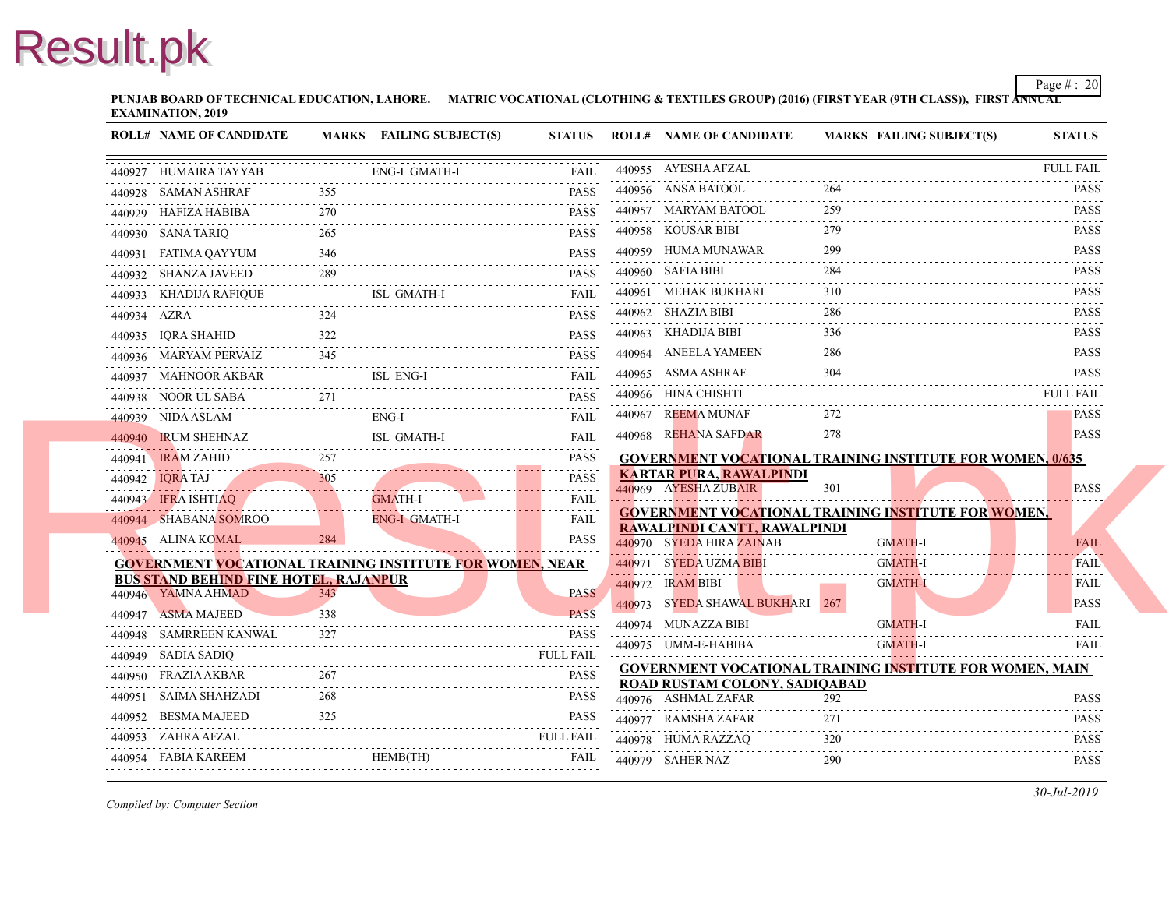**PUNJAB BOARD OF TECHNICAL EDUCATION, LAHORE.** MATRIC VOCATIONAL (CLOTHING & TEXTILES GROUP) (2016) (FIRST YEAR (9TH CLASS) **EXAMINATION, 2019**

| <b>ROLL# NAME OF CANDIDATE</b>                                   |     | MARKS FAILING SUBJECT(S)          | <b>STATUS</b>    | <b>ROLL# NAME OF CANDIDATE</b>                                                   | <b>MARKS FAIL</b> |
|------------------------------------------------------------------|-----|-----------------------------------|------------------|----------------------------------------------------------------------------------|-------------------|
| 440927 HUMAIRA TAYYAB                                            |     | <b>ENG-I GMATH-I</b>              | <b>FAIL</b>      | 440955 AYESHA AFZAL                                                              |                   |
| 440928 SAMAN ASHRAF                                              |     |                                   | <b>PASS</b>      | 440956 ANSA BATOOL                                                               |                   |
| 440929 HAFIZA HABIBA                                             | 270 |                                   | <b>PASS</b>      | 440957 MARYAM BATOOL                                                             | 259               |
| 440930 SANA TARIQ                                                | 265 |                                   | PASS             | 440958 KOUSAR BIBI                                                               | 279               |
| 440931 FATIMA QAYYUM                                             | 346 |                                   | <b>PASS</b>      | 440959 HUMA MUNAWAR                                                              | 299               |
| 440932 SHANZA JAVEED<br>440932 SHANZA JAVEED 289 PASS            |     |                                   | <b>PASS</b>      | 440960 SAFIA BIBI                                                                | 284               |
| 440933 KHADIJA RAFIQUE                                           |     | ISL GMATH-I<br><b>ISL GMATH-I</b> | <b>FAIL</b>      | 440961 MEHAK BUKHARI                                                             | 310               |
| 440934 AZRA                                                      | 324 |                                   | PASS             | 440962 SHAZIA BIBI                                                               | 286               |
| 440935 IQRA SHAHID                                               |     | HID 222 PASS                      | .<br><b>PASS</b> | 440963 KHADIJA BIBI                                                              | 336               |
| 440936 MARYAM PERVAIZ                                            | 345 |                                   | <b>PASS</b>      | 440964 ANEELA YAMEEN                                                             | 286               |
| 440937 MAHNOOR AKBAR<br>440937 MAHNOOR AKBAR ISL ENG-I FAIL FAIL |     |                                   |                  | 440965 ASMA ASHRAF                                                               | 304               |
| 440938 NOOR UL SABA 271 PASS                                     |     |                                   |                  | 440966 HINA CHISHTI                                                              |                   |
| 440939 NIDA ASLAM<br>440939 NIDA ASLAM ENG-I FAIL FAIL           |     | $ENG-I$                           | <b>FAIL</b>      | 440967 REEMA MUNAF                                                               |                   |
| 440940 IRUM SHEHNAZ<br>M SHEHNAZ<br>                             |     | ISL GMATH-I<br>ISL GMATH-I        | <b>FAIL</b>      | 440968 REHANA SAFDAR                                                             | 278               |
| 440941 IRAM ZAHID 257 PASS                                       | 257 |                                   |                  | <b>GOVERNMENT VOCATIONAL TRAINING INS</b>                                        |                   |
| 440942 IQRA TAJ<br>440942 IQRA TAJ 305 PASS                      |     |                                   | <b>PASS</b>      | <b>KARTAR PURA, RAWALPINDI</b><br>440969 AYESHA ZUBAIR                           | 301               |
| 440943 IFRA ISHTIAQ<br>440943 <b>IFRA ISHTIAQ</b>                |     | GMATH-I                           | <b>FAIL</b><br>. |                                                                                  |                   |
| 440944 SHABANA SOMROO<br>$\frac{1}{100000}$                      |     | ENG-I GMATH-I                     | <b>FAIL</b>      | <b>GOVERNMENT VOCATIONAL TRAINING INS</b><br><b>RAWALPINDI CANTT, RAWALPINDI</b> |                   |
| 440945 ALINA KOMAL                                               |     |                                   | .<br><b>PASS</b> | 440970 SYEDA HIRA ZAINAB                                                         | <b>GMA</b>        |
| <b>GOVERNMENT VOCATIONAL TRAINING INSTITUTE FOR WOMEN, NEAR</b>  |     |                                   |                  | 440971 SYEDA UZMA BIBI                                                           | <b>GMA</b>        |
| <b>BUS STAND BEHIND FINE HOTEL, RAJANPUR</b>                     |     |                                   |                  | 440972 IRAM BIBI                                                                 | <b>GMA</b>        |
| 440946 YAMNA AHMAD                                               | 343 | TANIMAL 549                       | <b>PASS</b>      | 440973 SYEDA SHAWAL BUKHARI 267                                                  |                   |
| 440947 ASMA MAJEED                                               | 338 |                                   | <b>PASS</b>      | 440974 MUNAZZA BIBI                                                              | <b>GMA</b>        |
| 440948 SAMRREEN KANWAL                                           |     |                                   | <b>PASS</b>      | 440975 UMM-E-HABIBA                                                              | <b>GMA</b>        |
| 440949 SADIA SADIQ                                               |     |                                   |                  | <b>GOVERNMENT VOCATIONAL TRAINING INS</b>                                        |                   |
| 440950 FRAZIA AKBAR<br>440950 FRAZIA AKBAR 267 PASS              | 268 |                                   | <b>PASS</b>      | ROAD RUSTAM COLONY, SADIQABAD                                                    |                   |
| 440951 SAIMA SHAHZADI<br>440951  SAIMA SHAHZADI  268  PASS       |     |                                   | PASS             | 440976 ASHMAL ZAFAR                                                              | 292               |
| 440952 BESMA MAJEED                                              | 325 |                                   | <b>PASS</b>      | 440977 RAMSHA ZAFAR                                                              | 271               |
| 440953 ZAHRA AFZAL                                               |     |                                   | <b>FULL FAIL</b> | 440978 HUMA RAZZAQ                                                               | 320               |
| 440954 FABIA KAREEM HEMB(TH) FAIL FAIL                           |     |                                   |                  | 440979 SAHER NAZ                                                                 | 290               |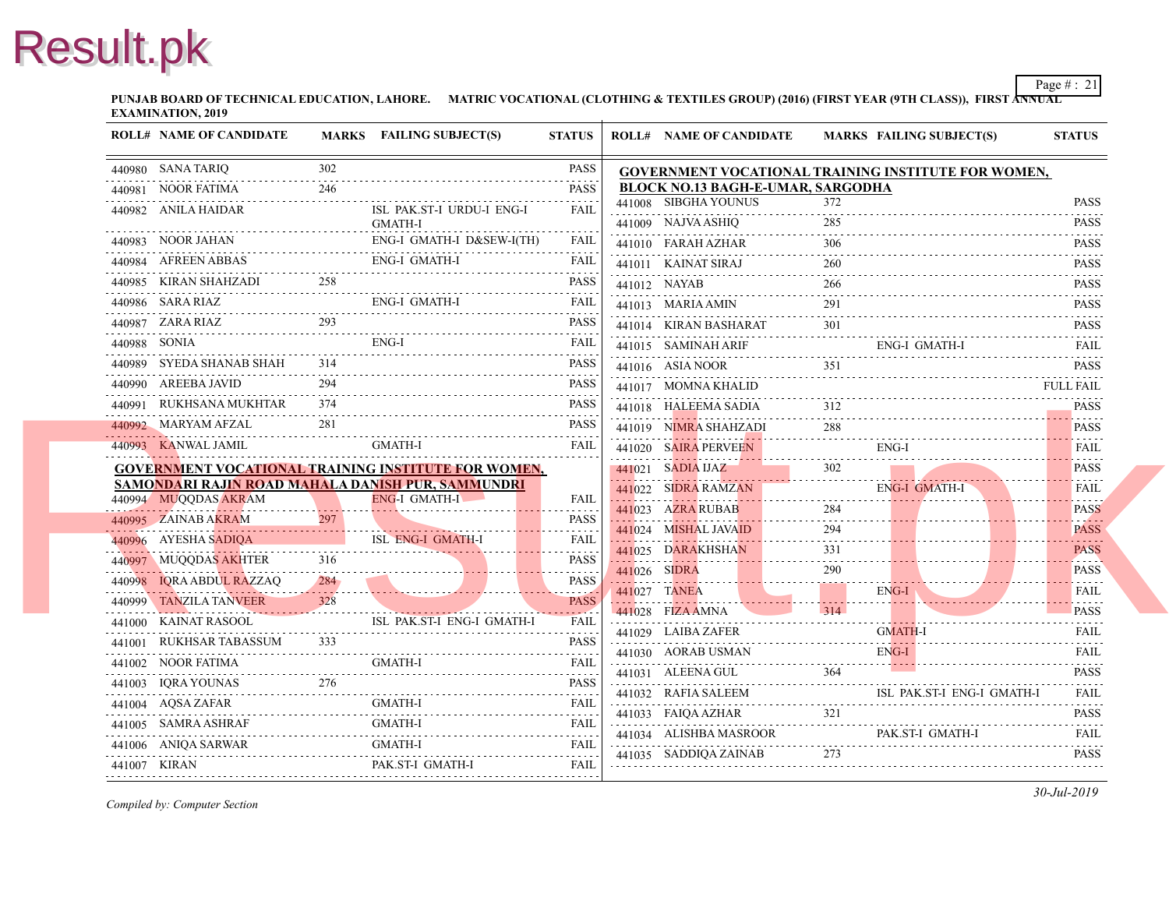**PUNJAB BOARD OF TECHNICAL EDUCATION, LAHORE.** MATRIC VOCATIONAL (CLOTHING & TEXTILES GROUP) (2016) (FIRST YEAR (97 **EXAMINATION, 2019**

| <b>ROLL# NAME OF CANDIDATE</b> |            | MARKS FAILING SUBJECT(S)                                                  | <b>STATUS</b>                                                                                                                                                                               |              | <b>ROLL# NAME OF CANDIDATE</b>            | <b>MARKS FAIL</b> |            |
|--------------------------------|------------|---------------------------------------------------------------------------|---------------------------------------------------------------------------------------------------------------------------------------------------------------------------------------------|--------------|-------------------------------------------|-------------------|------------|
| 440980 SANA TARIQ              | 302        |                                                                           | <b>PASS</b>                                                                                                                                                                                 |              | <b>GOVERNMENT VOCATIONAL TRAINING INS</b> |                   |            |
| 440981 NOOR FATIMA             | .<br>246   |                                                                           | <b>PASS</b>                                                                                                                                                                                 |              | <b>BLOCK NO.13 BAGH-E-UMAR, SARGODHA</b>  |                   |            |
| 440982 ANILA HAIDAR            |            | ISL PAK.ST-I URDU-I ENG-I                                                 | $\mathcal{L}^{\mathcal{A}}\left( \mathcal{L}^{\mathcal{A}}\left( \mathcal{L}^{\mathcal{A}}\right) \right) =\mathcal{L}^{\mathcal{A}}\left( \mathcal{L}^{\mathcal{A}}\right)$<br><b>FAIL</b> |              | 441008 SIBGHA YOUNUS                      | 372               |            |
|                                |            | <b>GMATH-I</b>                                                            |                                                                                                                                                                                             |              | 441009 NAJVA ASHIQ                        | 285               |            |
| 440983 NOOR JAHAN              |            | ENG-I GMATH-I D&SEW-I(TH)                                                 | FAIL                                                                                                                                                                                        |              | 441010 FARAH AZHAR                        | 306               |            |
| 440984 AFREEN ABBAS            |            | <b>ENG-I GMATH-I</b>                                                      | <b>FAIL</b>                                                                                                                                                                                 |              | 441011 KAINAT SIRAJ                       | 260               |            |
| 440985 KIRAN SHAHZADI          | 258        |                                                                           | <b>PASS</b>                                                                                                                                                                                 |              | 441012 NAYAB                              | 266               |            |
| 440986 SARA RIAZ               |            | <b>ENG-I GMATH-I</b>                                                      | <b>FAIL</b><br>.                                                                                                                                                                            |              | 441013 MARIA AMIN                         | 291               |            |
| 440987 ZARA RIAZ               | 293        |                                                                           | <b>PASS</b>                                                                                                                                                                                 |              | 441014 KIRAN BASHARAT                     | 301               |            |
| 440988 SONIA                   |            | ENG-I                                                                     | FAIL                                                                                                                                                                                        |              | 441015 SAMINAH ARIF                       |                   | ENG-       |
| 440989 SYEDA SHANAB SHAH       | 314        |                                                                           | <b>PASS</b>                                                                                                                                                                                 |              | 441016 ASIA NOOR                          | 351               |            |
| 440990 AREEBA JAVID            | 294        |                                                                           | <b>PASS</b>                                                                                                                                                                                 |              | 441017 MOMNA KHALID                       |                   |            |
| 440991 RUKHSANA MUKHTAR        | 374        |                                                                           | <b>PASS</b>                                                                                                                                                                                 |              | 441018 HALEEMA SADIA                      | 312               |            |
| 440992 MARYAM AFZAL            | 281        |                                                                           | <b>PASS</b>                                                                                                                                                                                 |              | 441019 NIMRA SHAHZADI                     | 288               |            |
| 440993 KANWAL JAMIL            |            | <b>GMATH-I</b>                                                            | <b>FAIL</b>                                                                                                                                                                                 |              | 441020 SAIRA PERVEEN                      |                   | ENG-       |
|                                |            | GOVERNMENT VOCATIONAL TRAINING INSTITUTE FOR WOMEN,                       |                                                                                                                                                                                             |              | 441021 SADIA IJAZ                         | 302               |            |
| 440994 MUQQDAS AKRAM           |            | SAMONDARI RAJIN ROAD MAHALA DANISH PUR, SAMMUNDRI<br><b>ENG-I GMATH-I</b> | <b>FAIL</b>                                                                                                                                                                                 |              | 441022 SIDRA RAMZAN                       |                   | ENG-       |
| 440995 ZAINAB AKRAM            |            |                                                                           | .<br><b>PASS</b>                                                                                                                                                                            |              | 441023 AZRA RUBAB                         | 284               |            |
| 440996 AYESHA SADIQA           |            | <b>ISL ENG-I GMATH-I</b>                                                  | .<br>FAII.                                                                                                                                                                                  |              | 441024 MISHAL JAVAID                      | 294               |            |
|                                |            |                                                                           |                                                                                                                                                                                             |              | 441025 DARAKHSHAN                         | 331               |            |
| 440997 MUQQDAS AKHTER          | 316        |                                                                           | <b>PASS</b>                                                                                                                                                                                 | 441026 SIDRA |                                           | 290               |            |
| 440998 IQRA ABDUL RAZZAQ       | 284<br>. 7 |                                                                           | <b>PASS</b><br>.                                                                                                                                                                            |              | 441027 TANEA                              |                   | ENG-       |
| 440999 TANZILA TANVEER         | 328        |                                                                           | <b>PASS</b><br>$\omega$ is a second set of $\omega$                                                                                                                                         |              | 441028 FIZA AMNA                          | 314               |            |
| 441000 KAINAT RASOOL           |            | ISL PAK ST-I ENG-I GMATH-I                                                | <b>FAIL</b><br>.                                                                                                                                                                            |              | 441029 LAIBA ZAFER                        |                   | <b>GMA</b> |
| 441001 RUKHSAR TABASSUM        | 333        |                                                                           | <b>PASS</b>                                                                                                                                                                                 |              | 441030 AORAB USMAN                        |                   | ENG-       |
| 441002 NOOR FATIMA             |            | <b>GMATH-I</b>                                                            | FAIL<br>.                                                                                                                                                                                   |              | 441031 ALEENA GUL                         | 364               |            |
| 441003 IQRA YOUNAS             | 276        |                                                                           | <b>PASS</b>                                                                                                                                                                                 |              | 441032 RAFIA SALEEM                       |                   | ISL        |
| 441004 AQSA ZAFAR              |            | <b>GMATH-I</b>                                                            | <b>FAIL</b>                                                                                                                                                                                 |              | 441033 FAIQA AZHAR                        | 321               |            |
| 441005 SAMRA ASHRAF            |            | <b>GMATH-I</b>                                                            | <b>FAIL</b><br>.                                                                                                                                                                            |              | 441034 ALISHBA MASROOR                    |                   | PAK.       |
| 441006 ANIOA SARWAR            |            | GMATH-I                                                                   | <b>FAIL</b>                                                                                                                                                                                 |              | 441035 SADDIQA ZAINAB                     | 273               |            |
| 441007 KIRAN                   |            | PAK.ST-I GMATH-I                                                          | <b>FAIL</b>                                                                                                                                                                                 |              |                                           |                   |            |
|                                |            |                                                                           |                                                                                                                                                                                             |              |                                           |                   |            |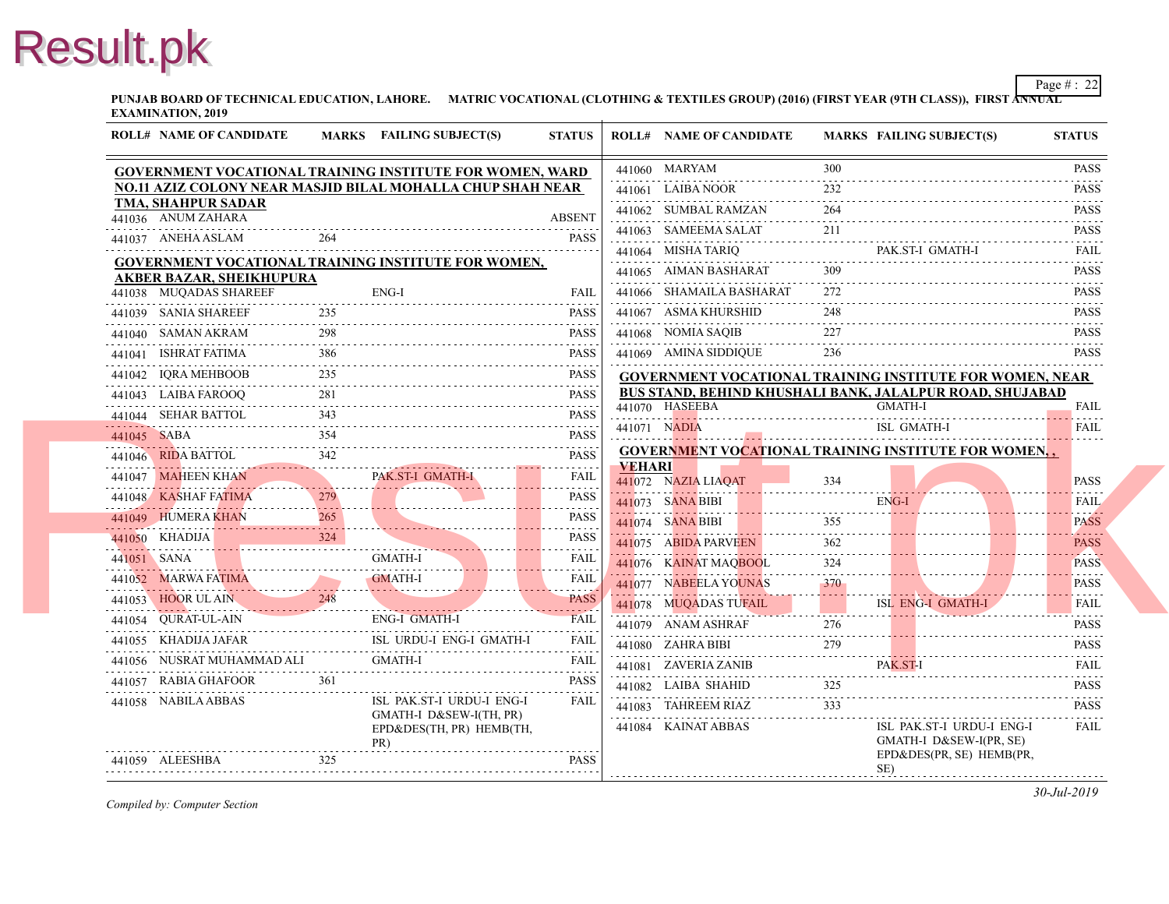**PUNJAB BOARD OF TECHNICAL EDUCATION, LAHORE.** MATRIC VOCATIONAL (CLOTHING & TEXTILES GROUP) (2016) (FIRST YEAR (97 **EXAMINATION, 2019**

|                      | <b>ROLL# NAME OF CANDIDATE</b>  |     | <b>MARKS</b> FAILING SUBJECT(S)                                 | <b>STATUS</b>                                     |               | <b>ROLL# NAME OF CANDIDATE</b> | <b>MARKS FAIL</b>                           |                           |
|----------------------|---------------------------------|-----|-----------------------------------------------------------------|---------------------------------------------------|---------------|--------------------------------|---------------------------------------------|---------------------------|
|                      |                                 |     | <b>GOVERNMENT VOCATIONAL TRAINING INSTITUTE FOR WOMEN, WARD</b> |                                                   |               | 441060 MARYAM                  | 300                                         |                           |
|                      |                                 |     | NO.11 AZIZ COLONY NEAR MASJID BILAL MOHALLA CHUP SHAH NEAR      |                                                   |               | 441061 LAIBA NOOR              | 232                                         |                           |
| 441036 ANUM ZAHARA   | TMA, SHAHPUR SADAR              |     |                                                                 | <b>ABSENT</b>                                     |               | 441062 SUMBAL RAMZAN           | 264                                         |                           |
|                      |                                 | 264 |                                                                 |                                                   |               | 441063 SAMEEMA SALAT           | 211                                         |                           |
| 441037 ANEHA ASLAM   |                                 |     |                                                                 | <b>PASS</b>                                       |               | 441064 MISHA TARIO             |                                             | PAK.                      |
|                      | <b>AKBER BAZAR, SHEIKHUPURA</b> |     | GOVERNMENT VOCATIONAL TRAINING INSTITUTE FOR WOMEN,             |                                                   |               | 441065 AIMAN BASHARAT          | 309                                         |                           |
|                      | 441038 MUQADAS SHAREEF          |     | $ENG-I$                                                         | FAIL                                              |               | 441066 SHAMAILA BASHARAT       | 272                                         |                           |
| 441039 SANIA SHAREEF |                                 | 235 |                                                                 | <b>PASS</b>                                       |               | 441067 ASMA KHURSHID           | 248                                         |                           |
| 441040 SAMAN AKRAM   |                                 | 298 |                                                                 | .<br><b>PASS</b>                                  |               | 441068 NOMIA SAQIB             | 227                                         |                           |
| 441041 ISHRAT FATIMA |                                 |     |                                                                 | .<br><b>PASS</b>                                  |               | 441069 AMINA SIDDIQUE          | 236                                         |                           |
| 441042 IQRA MEHBOOB  |                                 | 235 |                                                                 | <b>PASS</b>                                       |               |                                | <b>GOVERNMENT VOCATIONAL TRAINING INS</b>   |                           |
| 441043 LAIBA FAROOO  |                                 | 281 |                                                                 | <b>PASS</b>                                       |               |                                | <b>BUS STAND, BEHIND KHUSHALI BANK, JAL</b> |                           |
| 441044 SEHAR BATTOL  |                                 |     |                                                                 | .<br><b>PASS</b>                                  |               | 441070 HASEEBA                 |                                             | <b>GMA</b>                |
| 441045 SABA          |                                 | 354 |                                                                 | <b>PASS</b>                                       | 441071 NADIA  |                                |                                             | ISL.                      |
|                      | 441046 RIDA BATTOL              | 342 |                                                                 | <b>PASS</b><br>.                                  | <b>VEHARI</b> |                                | <b>GOVERNMENT VOCATIONAL TRAINING INS</b>   |                           |
|                      | 441047 MAHEEN KHAN              |     | PAK.ST-I GMATH-I                                                | FAIL                                              |               | 441072 NAZIA LIAOAT            | 334                                         |                           |
| 441048 KASHAF FATIMA | 2/9                             |     |                                                                 | <b>PASS</b><br>$\sim$ $\sim$ $\sim$ $\sim$ $\sim$ |               | 441073 SANA BIBI               |                                             | ENG-                      |
| 441049 HUMERA KHAN   |                                 | 265 |                                                                 | <b>PASS</b>                                       |               | 441074 SANA BIBI               | 355                                         |                           |
|                      |                                 |     | 441050 KHADIJA 324 324                                          | <b>PASS</b>                                       |               | 441075 ABIDA PARVEEN           | 362                                         |                           |
| 441051 SANA          | 441051 SANA GMATH-I             |     | <b>GMATH-I</b>                                                  | <b>FAIL</b><br>.                                  |               | 441076 KAINAT MAOBOOL          | .                                           |                           |
|                      |                                 |     | 441052 MARWA FATIMA GMATH-I                                     | FAII.<br>يو د د د د                               |               | 441077 NABEELA YOUNAS          | 370                                         |                           |
|                      | 441053 HOOR UL AIN 248          |     |                                                                 | <b>PASS</b><br>والمتمام المتمار                   |               | 441078 MUQADAS TUFAIL          |                                             | ISL 1                     |
| 441054 OURAT-UL-AIN  |                                 |     | <b>ENG-I GMATH-I</b>                                            | <b>FAIL</b><br>.                                  |               | 441079 ANAM ASHRAF             | 276                                         |                           |
| 441055 KHADIJA JAFAR |                                 |     | ISL URDU-I ENG-I GMATH-I                                        | <b>FAIL</b>                                       |               | 441080 ZAHRA BIBI              | 279                                         |                           |
|                      | 441056 NUSRAT MUHAMMAD ALI      |     | <b>GMATH-I</b>                                                  | FAIL.<br>.                                        |               | 441081 ZAVERIA ZANIB           |                                             | PAK.                      |
| 441057 RABIA GHAFOOR |                                 | 361 |                                                                 | <b>PASS</b>                                       |               | 441082 LAIBA SHAHID            | 325                                         |                           |
| 441058 NABILA ABBAS  |                                 |     | ISL PAK.ST-I URDU-I ENG-I                                       | <b>FAIL</b>                                       |               | 441083 TAHREEM RIAZ            | 333                                         |                           |
|                      |                                 |     | GMATH-I D&SEW-I(TH, PR)<br>EPD&DES(TH, PR) HEMB(TH,             |                                                   |               | 441084 KAINAT ABBAS            |                                             | ISL I                     |
| 441059 ALEESHBA      |                                 | 325 | PR)                                                             | <b>PASS</b>                                       |               |                                |                                             | <b>GMA</b><br>$EPD\delta$ |
|                      |                                 |     |                                                                 |                                                   |               |                                |                                             | SE)                       |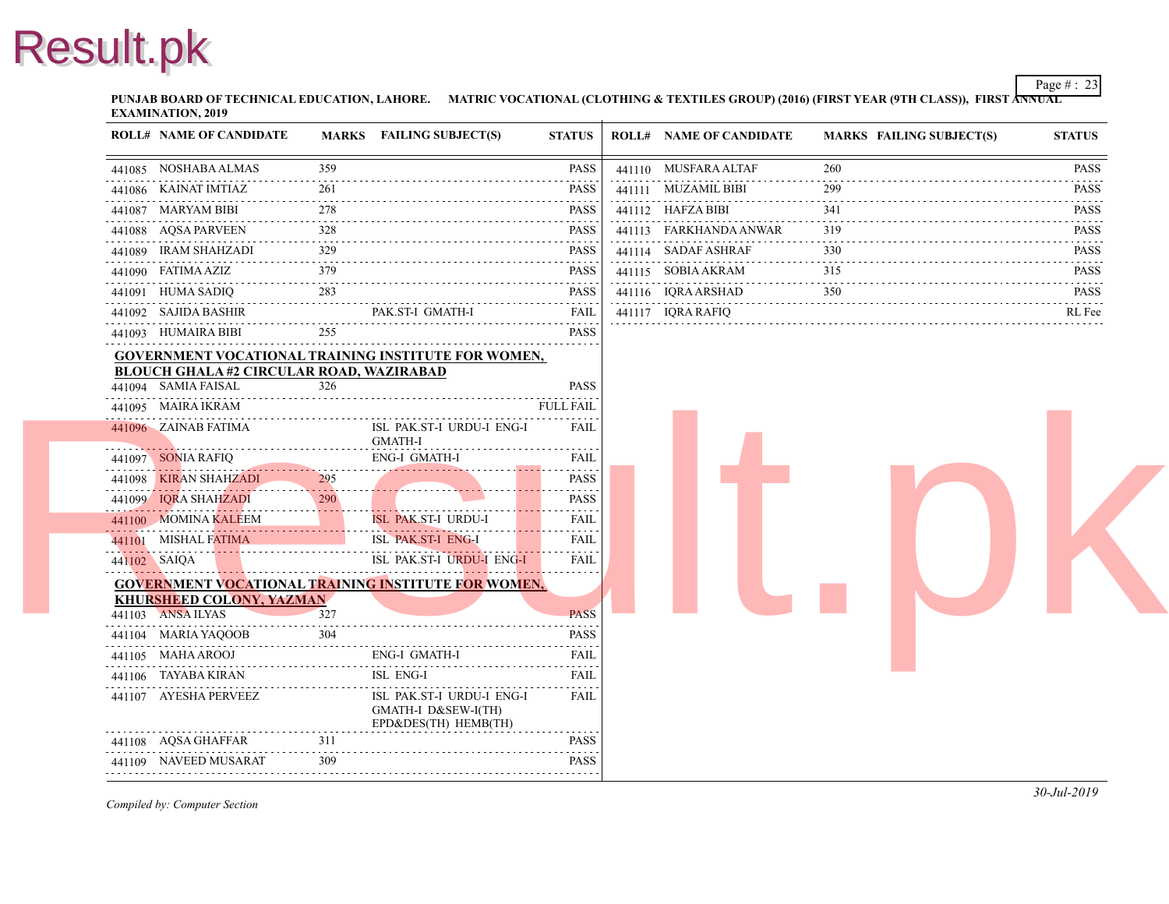**PUNJAB BOARD OF TECHNICAL EDUCATION, LAHORE.** MATRIC VOCATIONAL (CLOTHING & TEXTILES GROUP) (2016) (FIRST YEAR (97 **EXAMINATION, 2019**

| <b>ROLL# NAME OF CANDIDATE</b>                     |     | MARKS FAILING SUBJECT(S)                                                 | <b>STATUS</b>                | <b>ROLL# NAME OF CANDIDATE</b> | <b>MARKS FAIL</b> |
|----------------------------------------------------|-----|--------------------------------------------------------------------------|------------------------------|--------------------------------|-------------------|
| 441085 NOSHABA ALMAS                               | 359 |                                                                          | <b>PASS</b>                  | 441110 MUSFARA ALTAF           | 260               |
| 441086 KAINAT IMTIAZ                               | 261 |                                                                          | <b>PASS</b>                  | 441111 MUZAMIL BIBI            | 299               |
| 441087 MARYAM BIBI                                 | 278 |                                                                          | <b>PASS</b>                  | 441112 HAFZA BIBI              | 341               |
| 441088 AQSA PARVEEN                                | 328 |                                                                          | <b>PASS</b>                  | 441113 FARKHANDA ANWAR         | 319               |
| 441089 IRAM SHAHZADI                               | 329 |                                                                          | <b>PASS</b>                  | 441114 SADAF ASHRAF            | 330               |
| 441090 FATIMA AZIZ                                 | 379 |                                                                          | <b>PASS</b>                  | 441115 SOBIA AKRAM             | 315               |
| 441091 HUMA SADIQ                                  | 283 |                                                                          | <b>PASS</b>                  | 441116 IQRA ARSHAD             | 350               |
| 441092 SAJIDA BASHIR                               |     | PAK.ST-I GMATH-I                                                         | FAIL                         | 441117 IQRA RAFIQ              |                   |
| 441093 HUMAIRA BIBI                                | 255 |                                                                          | <b>PASS</b>                  |                                |                   |
|                                                    |     | <b>GOVERNMENT VOCATIONAL TRAINING INSTITUTE FOR WOMEN,</b>               |                              |                                |                   |
| <b>BLOUCH GHALA #2 CIRCULAR ROAD, WAZIRABAD</b>    |     |                                                                          |                              |                                |                   |
| 441094 SAMIA FAISAL                                | 326 |                                                                          | <b>PASS</b>                  |                                |                   |
| 441095 MAIRA IKRAM                                 |     |                                                                          | <b>FULL FAIL</b>             |                                |                   |
| 441096 ZAINAB FATIMA                               |     | ISL PAK.ST-I URDU-I ENG-I<br><b>GMATH-I</b>                              | <b>FAIL</b>                  |                                |                   |
| 441097 SONIA RAFIQ                                 |     | ENG-I GMATH-I                                                            | <b>FAIL</b>                  |                                |                   |
| 441098 KIRAN SHAHZADI<br>441098 KIRAN SHAHZADI 295 | 295 |                                                                          | $- - - - - -$<br><b>PASS</b> |                                |                   |
| 441099 IQRA SHAHZADI                               | 290 |                                                                          | <b>PASS</b>                  |                                |                   |
| 441100 MOMINA KALEEM                               |     | <b>ISL PAK.ST-I URDU-I</b>                                               | <b>FAIL</b>                  |                                |                   |
| 441101 MISHAL FATIMA                               |     | <b>ISL PAK.ST-I ENG-I</b>                                                | FAIL                         |                                |                   |
| 441102 SAIQA                                       |     | ISL PAK.ST-I URDU-I ENG-I                                                | <b>FAIL</b>                  |                                |                   |
|                                                    |     | <b>GOVERNMENT VOCATIONAL TRAINING INSTITUTE FOR WOMEN,</b>               |                              |                                |                   |
| <b>KHURSHEED COLONY, YAZMAN</b>                    |     |                                                                          |                              |                                |                   |
| 441103 ANSA ILYAS                                  | 327 |                                                                          | <b>PASS</b>                  |                                |                   |
| 441104 MARIA YAQOOB                                | 304 |                                                                          | <b>PASS</b>                  |                                |                   |
| 441105 MAHA AROOJ                                  |     | ENG-I GMATH-I                                                            | <b>FAIL</b>                  |                                |                   |
| 441106 TAYABA KIRAN                                |     | ISL ENG-I                                                                | <b>FAIL</b>                  |                                |                   |
| 441107 AYESHA PERVEEZ                              |     | ISL PAK.ST-I URDU-I ENG-I<br>GMATH-I D&SEW-I(TH)<br>EPD&DES(TH) HEMB(TH) | FAIL                         |                                |                   |
| 441108 AQSA GHAFFAR                                | 311 |                                                                          | <b>PASS</b>                  |                                |                   |
| 441109 NAVEED MUSARAT                              | 309 |                                                                          | <b>PASS</b>                  |                                |                   |
|                                                    |     |                                                                          |                              |                                |                   |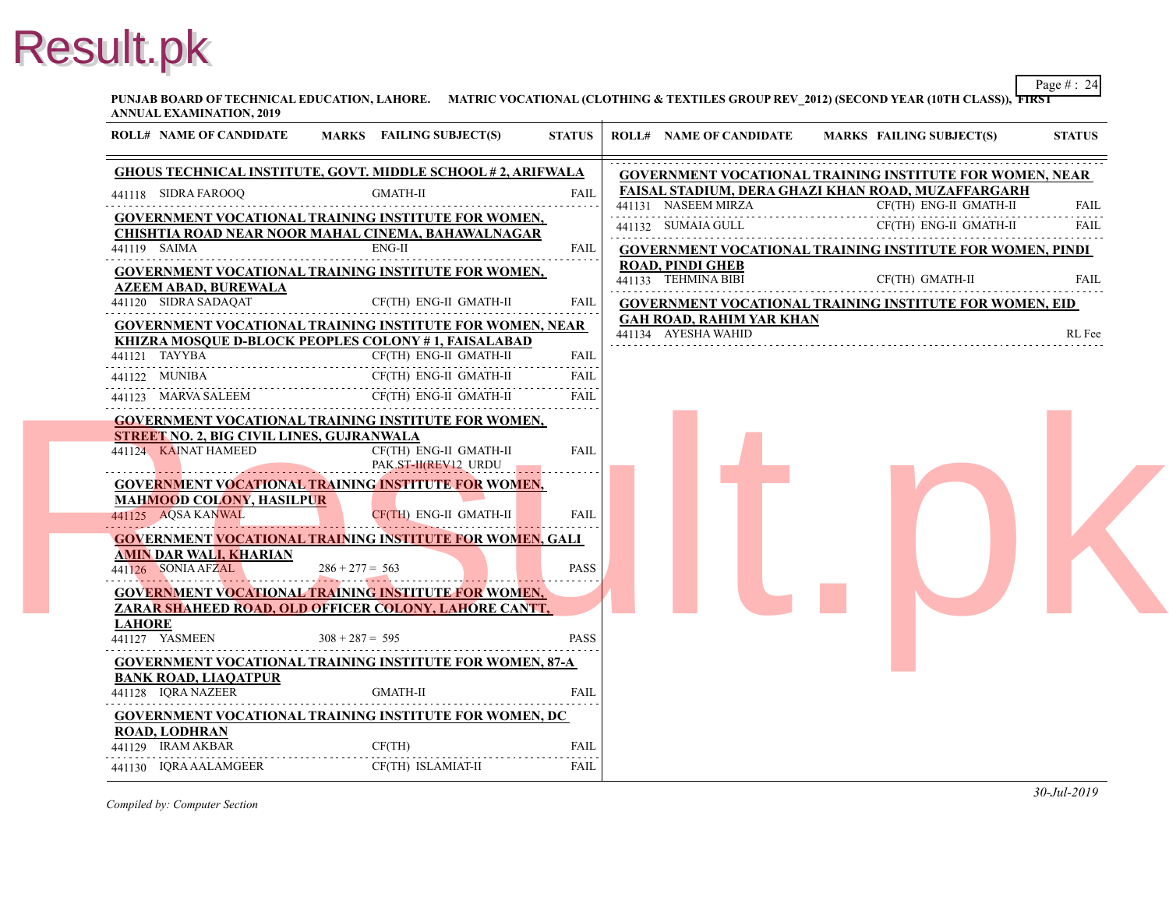**PUNJAB BOARD OF TECHNICAL EDUCATION, LAHORE. MATRIC VOCATIONAL (CLOTHING & TEXTILES GROUP REV\_2012) (SECOND YI ANNUAL EXAMINATION, 2019**

| <b>ROLL# NAME OF CANDIDATE</b>                                           | MARKS FAILING SUBJECT(S)                                                                                               | <b>STATUS</b>    | <b>ROLL# NAME OF CANDIDATE</b>                                     | <b>MARKS FAIL</b> |
|--------------------------------------------------------------------------|------------------------------------------------------------------------------------------------------------------------|------------------|--------------------------------------------------------------------|-------------------|
|                                                                          | <u>GHOUS TECHNICAL INSTITUTE, GOVT. MIDDLE SCHOOL # 2, ARIFWALA</u>                                                    |                  | <b>GOVERNMENT VOCATIONAL TRAINING INS</b>                          |                   |
| 441118 SIDRA FAROOQ                                                      | <b>GMATH-II</b>                                                                                                        | <b>FAIL</b><br>. | <b>FAISAL STADIUM, DERA GHAZI KHAN ROAI</b><br>441131 NASEEM MIRZA | CF(T)             |
|                                                                          | <b>GOVERNMENT VOCATIONAL TRAINING INSTITUTE FOR WOMEN,</b><br>CHISHTIA ROAD NEAR NOOR MAHAL CINEMA, BAHAWALNAGAR       |                  | 441132 SUMAIA GULL                                                 | CF(T)             |
| 441119 SAIMA                                                             | $ENG-II$                                                                                                               | FAIL             | <b>GOVERNMENT VOCATIONAL TRAINING INS</b>                          |                   |
| <b>AZEEM ABAD, BUREWALA</b>                                              | <b>GOVERNMENT VOCATIONAL TRAINING INSTITUTE FOR WOMEN,</b>                                                             |                  | <b>ROAD, PINDI GHEB</b><br>441133 TEHMINA BIBI                     | CF(T)             |
| 441120 SIDRA SADAQAT                                                     | CF(TH) ENG-II GMATH-II                                                                                                 | FAIL             | <b>GOVERNMENT VOCATIONAL TRAINING INS</b>                          |                   |
|                                                                          | <b>GOVERNMENT VOCATIONAL TRAINING INSTITUTE FOR WOMEN, NEAR</b><br>KHIZRA MOSQUE D-BLOCK PEOPLES COLONY #1, FAISALABAD |                  | <b>GAH ROAD, RAHIM YAR KHAN</b><br>441134 AYESHA WAHID             |                   |
| 441121 TAYYBA                                                            | CF(TH) ENG-II GMATH-II                                                                                                 | <b>FAIL</b>      |                                                                    |                   |
| 441122 MUNIBA                                                            | CF(TH) ENG-II GMATH-II                                                                                                 | <b>FAIL</b>      |                                                                    |                   |
| 441123 MARVA SALEEM                                                      | CF(TH) ENG-II GMATH-II                                                                                                 | <b>FAIL</b>      |                                                                    |                   |
| <b>STREET NO. 2, BIG CIVIL LINES, GUJRANWALA</b><br>441124 KAINAT HAMEED | <b>GOVERNMENT VOCATIONAL TRAINING INSTITUTE FOR WOMEN,</b><br>CF(TH) ENG-II GMATH-II<br>PAK.ST-II(REV12 URDU           | <b>FAIL</b>      |                                                                    |                   |
| <b>MAHMOOD COLONY, HASILPUR</b><br>441125 AQSA KANWAL                    | <u>GOVERNMENT VOCATIONAL TRAINING INSTITUTE FOR WOMEN,</u><br>CF(TH) ENG-II GMATH-II                                   | <b>FAIL</b>      |                                                                    |                   |
| <b>AMIN DAR WALI, KHARIAN</b><br>441126 SONIA AFZAL                      | GOVERNMENT VOCATIONAL TRAINING INSTITUTE FOR WOMEN, GALI<br>$286 + 277 = 563$                                          | <b>PASS</b>      |                                                                    |                   |
| <b>LAHORE</b>                                                            | GOVERNMENT VOCATIONAL TRAINING INSTITUTE FOR WOMEN,<br>ZARAR SHAHEED ROAD. OLD OFFICER COLONY. LAHORE CANTT.           |                  |                                                                    |                   |
| 441127 YASMEEN                                                           | $308 + 287 = 595$                                                                                                      | <b>PASS</b>      |                                                                    |                   |
|                                                                          | <b>GOVERNMENT VOCATIONAL TRAINING INSTITUTE FOR WOMEN, 87-A</b>                                                        |                  |                                                                    |                   |
| <b>BANK ROAD, LIAOATPUR</b><br>441128 IORA NAZEER                        | <b>GMATH-II</b>                                                                                                        | <b>FAIL</b>      |                                                                    |                   |
| <b>ROAD, LODHRAN</b>                                                     | <b>GOVERNMENT VOCATIONAL TRAINING INSTITUTE FOR WOMEN, DC</b>                                                          |                  |                                                                    |                   |
| 441129 IRAM AKBAR                                                        | CF(TH)                                                                                                                 | <b>FAIL</b>      |                                                                    |                   |
| 441130 IQRA AALAMGEER                                                    | CF(TH) ISLAMIAT-II                                                                                                     | FAIL             |                                                                    |                   |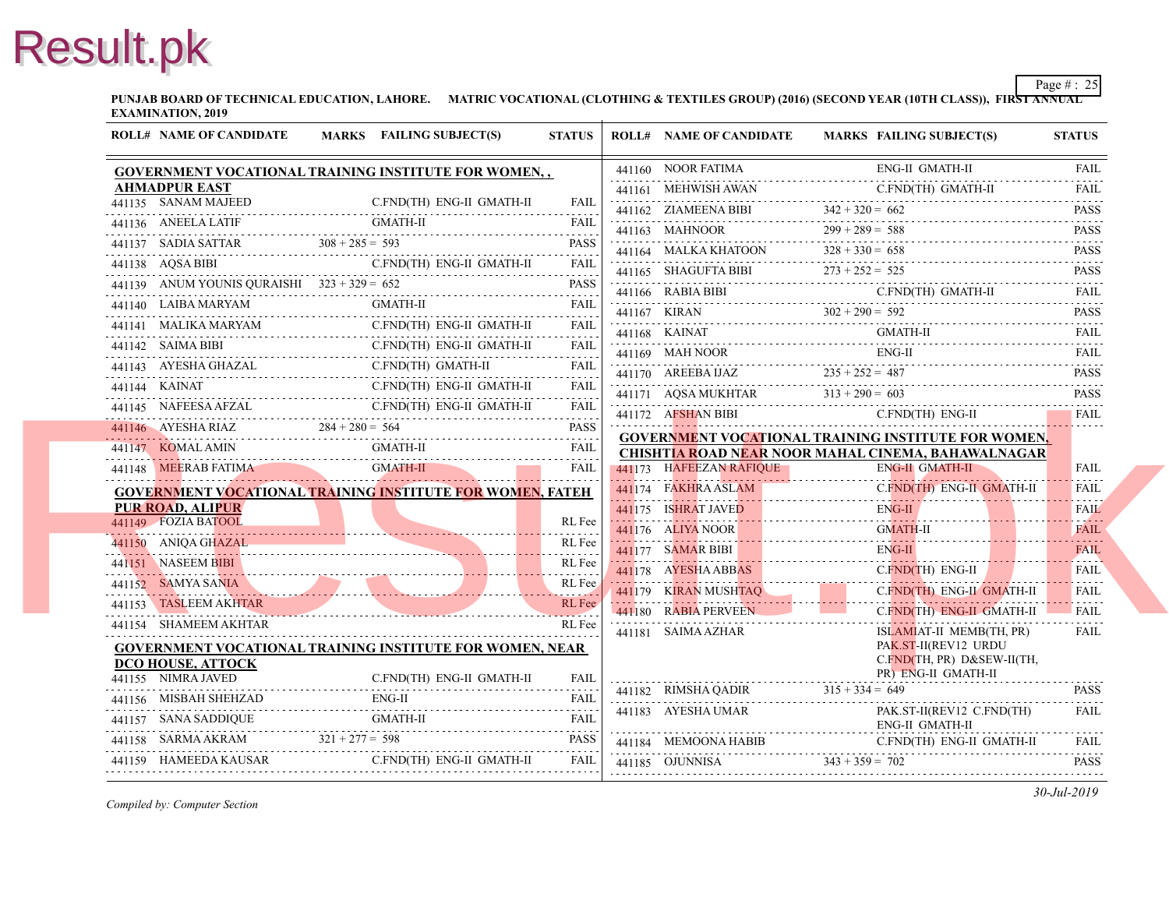**PUNJAB BOARD OF TECHNICAL EDUCATION, LAHORE. MATRIC VOCATIONAL (CLOTHING & TEXTILES GROUP) (2016) (SECOND YEAR EXAMINATION, 2019**

| <b>ROLL# NAME OF CANDIDATE</b>                | MARKS FAILING SUBJECT(S)                                                                                                                                                                                                                | <b>STATUS</b> | <b>ROLL# NAME OF CANDIDATE</b>                                                         | <b>MARKS FAIL</b> |
|-----------------------------------------------|-----------------------------------------------------------------------------------------------------------------------------------------------------------------------------------------------------------------------------------------|---------------|----------------------------------------------------------------------------------------|-------------------|
|                                               | GOVERNMENT VOCATIONAL TRAINING INSTITUTE FOR WOMEN,,                                                                                                                                                                                    |               | 441160 NOOR FATIMA                                                                     | ENG-              |
| <b>AHMADPUR EAST</b>                          |                                                                                                                                                                                                                                         |               | 441161 MEHWISH AWAN                                                                    | C.FN              |
| 441135 SANAM MAJEED                           | C.FND(TH) ENG-II GMATH-II                                                                                                                                                                                                               | <b>FAIL</b>   | 441162 ZIAMEENA BIBI $342 + 320 = 662$                                                 |                   |
| 441136 ANEELA LATIF                           |                                                                                                                                                                                                                                         |               | 441163 MAHNOOR 299 + 289 = 588                                                         |                   |
|                                               | 441137 SADIA SATTAR $308 + 285 = 593$ PASS                                                                                                                                                                                              | PASS          | 441164 MALKA KHATOON $328 + 330 = 658$                                                 |                   |
| 441138 AQSA BIBI                              | C.FND(TH) ENG-II GMATH-II                                                                                                                                                                                                               |               | 441165 SHAGUFTA BIBI $273 + 252 = 525$                                                 |                   |
| 441139 ANUM YOUNIS QURAISHI $323 + 329 = 652$ | <u>1400 WINDOW 723 727 002</u>                                                                                                                                                                                                          | <b>PASS</b>   | 441166 RABIA BIBI C.FN                                                                 | C.FN              |
|                                               | 441140 LAIBA MARYAM GMATH-II<br><b>GMATH-II</b>                                                                                                                                                                                         | FAII.<br>.    | 441167 KIRAN $302 + 290 = 592$                                                         |                   |
|                                               | $\begin{tabular}{ll} \bf 441141 & \tt MALIKA MARKAM & \tt C.FND(TH) ENG-II GAMTH-II \\ \hline \end{tabular}$                                                                                                                            | FAIL          |                                                                                        | <b>GMA</b>        |
|                                               | 441142 SAIMA BIBI C.FND(TH) ENG-II GMATH-II FAIL                                                                                                                                                                                        |               | 441168 KAINAT GM.                                                                      | ENG-              |
| 441143 AYESHA GHAZAL C.FND(TH) GMATH-II       |                                                                                                                                                                                                                                         | FAII.         | 441169 MAH NOOR<br>441170 AREEBA IJAZ 235 + 252 = 487                                  |                   |
|                                               | 441144 KAINAT C.FND(TH) ENG-II GMATH-II FAIL                                                                                                                                                                                            |               |                                                                                        |                   |
|                                               | 441145 NAFEESA AFZAL C.FND(TH) ENG-II GMATH-II FAIL                                                                                                                                                                                     |               | 441171 AQSA MUKHTAR $313 + 290 = 603$<br>441172 AFSHAN BIBI                            | C.FN              |
|                                               | $441146$ AYESHA RIAZ $284 + 280 = 564$ PASS                                                                                                                                                                                             |               |                                                                                        |                   |
|                                               | 441147 KOMALAMIN GMATH-II FAIL                                                                                                                                                                                                          | <b>FAIL</b>   | <b>GOVERNMENT VOCATIONAL TRAINING INS</b><br><b>CHISHTIA ROAD NEAR NOOR MAHAL CINE</b> |                   |
|                                               | 441148 MEERAB FATIMA GMATH-II                                                                                                                                                                                                           | <b>FAIL</b>   | 441173 HAFEEZAN RAFIQUE                                                                | ENG-              |
|                                               | GOVERNMENT VOCATIONAL TRAINING INSTITUTE FOR WOMEN, FATEH                                                                                                                                                                               |               | 441174 FAKHRA ASLAM C.F                                                                | C.FN              |
| PUR ROAD, ALIPUR                              |                                                                                                                                                                                                                                         |               | 441175 ISHRAT JAVED ENG-                                                               | ENG-              |
| 441149 FOZIA BATOOL                           | 441149    FOZIA BATOOL    EXAMPLE    FOZIA BATOOL                                                                                                                                                                                       | RL Fee        | 441176 ALIYA NOOR<br>441176 ALIYA NOOR                                                 | <b>GMA</b>        |
| 441150 ANIOA GHAZAL                           | ANIQA GHAZAL                                                                                                                                                                                                                            | RL Fee        | 441177 SAMAR BIBI EN                                                                   | ENG-              |
| 441151 NASEEM BIBI                            | 441151 NASEEM BIBI<br>All Fee Richard States and States and States and States and States and States and States and States and States                                                                                                    | RL Fee        | 441178 AYESHA ABBAS C.FN                                                               | $C$ . $FN$        |
| 441152 SAMYA SANIA                            | 441152 SAMYA SANIA REFERENTIAL REFERENTIAL REFERENTIAL REFERENTIAL REFERENTIAL REFERENTIAL REFERENTIAL REFERENTIAL REFERENTIAL REFERENTIAL REFERENTIAL REFERENTIAL REFERENTIAL REFERENTIAL REFERENTIAL REFERENTIAL REFERENTIAL          | RL Fee        | 441179 KIRAN MUSHTAQ C.FN                                                              | C.FN              |
| 441153 TASLEEM AKHTAR                         | 441153 TASLEEM AKHTAR RL Fee                                                                                                                                                                                                            | <b>RL</b> Fee | 441180 RABIA PERVEEN AND LODGED AT LACK AND RAIL AND RESIDENCE.                        | $C$ . FN          |
| 441154 SHAMEEM AKHTAR                         |                                                                                                                                                                                                                                         | RL Fee        | 441181 SAIMA AZHAR                                                                     | <b>ISLA</b>       |
|                                               | <b>GOVERNMENT VOCATIONAL TRAINING INSTITUTE FOR WOMEN, NEAR</b>                                                                                                                                                                         |               |                                                                                        | PAK.              |
| DCO HOUSE, ATTOCK<br>441155 NIMRA JAVED       | C.FND(TH) ENG-II GMATH-II                                                                                                                                                                                                               |               |                                                                                        | C.FN<br>PR)       |
|                                               | $ENG-II$                                                                                                                                                                                                                                |               | 441182 RIMSHA QADIR $315 + 334 = 649$                                                  |                   |
| 441156 MISBAH SHEHZAD                         |                                                                                                                                                                                                                                         |               | 441183 AYESHA UMAR                                                                     | PAK.              |
|                                               | $\begin{tabular}{cc} 441157 & SANA SADDIQUE & GMATH-II & FAIL \\ \hline \end{tabular} \begin{tabular}{lcccccc} \multicolumn{2}{c} \textbf{FAIL} & \multicolumn{2}{c} \textbf{FAIL} & \multicolumn{2}{c} \textbf{FAIL} \\ \end{tabular}$ |               |                                                                                        | ENG-              |
|                                               | 441158 SARMA AKRAM 321+277 = 598 PASS                                                                                                                                                                                                   |               | 441184 MEMOONA HABIB C.F                                                               | C.FN              |
|                                               | 441159 HAMEEDA KAUSAR C.FND(TH) ENG-II GMATH-II                                                                                                                                                                                         | <b>FAIL</b>   | 441185 OJUNNISA $343 + 359 = 702$                                                      |                   |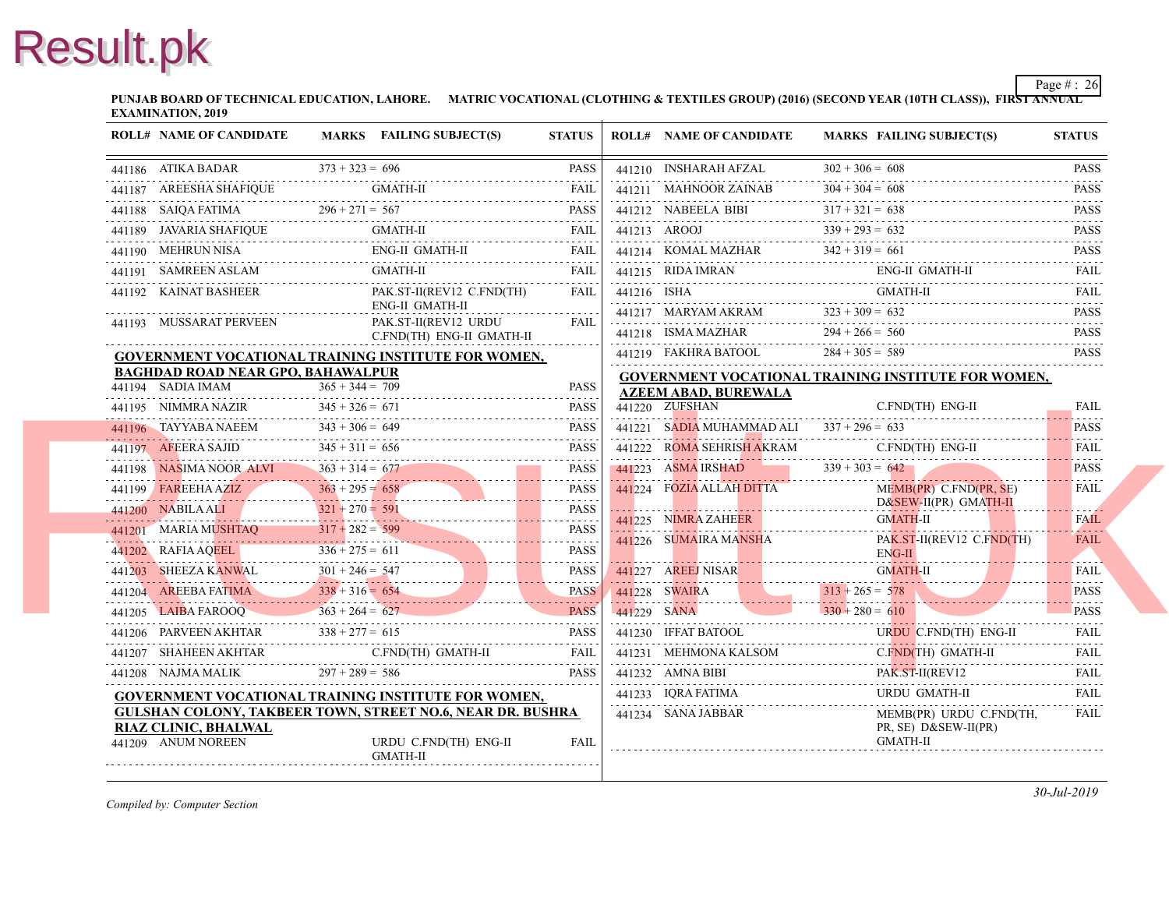**PUNJAB BOARD OF TECHNICAL EDUCATION, LAHORE. MATRIC VOCATIONAL (CLOTHING & TEXTILES GROUP) (2016) (SECOND YEAR EXAMINATION, 2019**

| <b>ROLL# NAME OF CANDIDATE</b>             | MARKS FAILING SUBJECT(S)                                                                                                                                                                                                                                                                                                                                                                                                                                      | <b>STATUS</b> | <b>ROLL# NAME OF CANDIDATE</b>                                  | <b>MARKS FAIL</b>   |
|--------------------------------------------|---------------------------------------------------------------------------------------------------------------------------------------------------------------------------------------------------------------------------------------------------------------------------------------------------------------------------------------------------------------------------------------------------------------------------------------------------------------|---------------|-----------------------------------------------------------------|---------------------|
|                                            | 441186 ATIKA BADAR $373 + 323 = 696$ PASS                                                                                                                                                                                                                                                                                                                                                                                                                     |               | 441210 INSHARAH AFZAL                                           | $302 + 306 = 608$   |
|                                            | $\begin{minipage}{0.9\linewidth} \begin{tabular}{ll} \bf 441187 & AREESHA SHAFIQUE & GMATH-II & FAIL \\ \hline \end{tabular} & \begin{tabular}{ll} \bf 441187 & AREESHA & HIC \\ \bf 441187 & AREESHA & HIC \\ \bf 441187 & AREISH & A. & B. \\ \end{tabular} \end{minipage}$                                                                                                                                                                                 |               | 441211 MAHNOOR ZAINAB<br>441211 MAHNOOR ZAINAB $304 + 304 = 60$ | $304 + 304 = 608$   |
|                                            | 441188 SAIQA FATIMA $296 + 271 = 567$ PASS                                                                                                                                                                                                                                                                                                                                                                                                                    | <b>PASS</b>   | 441212 NABEELA BIBI $317 + 321 = 638$                           |                     |
|                                            |                                                                                                                                                                                                                                                                                                                                                                                                                                                               |               | 441213 AROOJ $339 + 293 = 632$                                  |                     |
|                                            | $\begin{tabular}{ll} \bf 441190 & MEHRUN NISA & ENG-II GMATH-II & FAIL \\ \bf 441190 & MEHRUN NISA & ENG-II GMATH-II & TAIL \\ \bf 441190 & MEHRUN NISA & ENG-II GMATH-II & TAL \\ \bf 441190 & MEHRUN NISA & ENG-II GMATH-II & TAL \\ \bf 441190 & MEHRUN NISA & ENG-II GMATH-II & TAL \\ \bf 441190 & MEHRUN NISA & ENG-II GMATH-II & TAL \\ \bf 441190 & MEHRUN NISA & ENG-II GMATH-II & TAL \\ \bf 441190 & MEHRUN NISA & ENG-II GMATH-II & TAL \\ \bf 4$ |               | 441214 KOMAL MAZHAR $342 + 319 = 661$                           |                     |
|                                            | 441191 SAMREEN ASLAM GMATH-II FAIL FAIL                                                                                                                                                                                                                                                                                                                                                                                                                       |               | 441215 RIDA IMRAN ENG                                           | ENG-                |
| 441192 KAINAT BASHEER                      | PAK.ST-II(REV12 C.FND(TH)                                                                                                                                                                                                                                                                                                                                                                                                                                     | FAIL          |                                                                 | <b>GMA</b>          |
| 441193 MUSSARAT PERVEEN                    | ENG-II GMATH-II                                                                                                                                                                                                                                                                                                                                                                                                                                               |               | 441217 MARYAM AKRAM 323 + 309 = 632                             |                     |
|                                            | PAK.ST-II(REV12 URDU<br>C.FND(TH) ENG-II GMATH-II                                                                                                                                                                                                                                                                                                                                                                                                             | FAIL          | 441218 ISMA MAZHAR 294 + 266 = 5                                | $294 + 266 = 560$   |
|                                            | <b>GOVERNMENT VOCATIONAL TRAINING INSTITUTE FOR WOMEN,</b>                                                                                                                                                                                                                                                                                                                                                                                                    |               | 441219 FAKHRA BATOOL                                            | $284 + 305 = 589$   |
| <b>BAGHDAD ROAD NEAR GPO, BAHAWALPUR</b>   |                                                                                                                                                                                                                                                                                                                                                                                                                                                               |               | <b>GOVERNMENT VOCATIONAL TRAINING INS</b>                       |                     |
|                                            | 441194 SADIA IMAM $365 + 344 = 709$ PASS                                                                                                                                                                                                                                                                                                                                                                                                                      | <b>PASS</b>   | <b>AZEEM ABAD, BUREWALA</b>                                     |                     |
|                                            | 441195 NIMMRA NAZIR $345 + 326 = 671$ PASS                                                                                                                                                                                                                                                                                                                                                                                                                    |               | 441220 ZUFSHAN                                                  | C.FN                |
|                                            | 441196 TAYYABA NAEEM $343 + 306 = 649$ PASS                                                                                                                                                                                                                                                                                                                                                                                                                   |               | 441221 SADIA MUHAMMAD ALI $337 + 296 = 633$                     |                     |
|                                            | 441197 AFEERA SAJID $345 + 311 = 656$ PASS                                                                                                                                                                                                                                                                                                                                                                                                                    |               | 441222 ROMA SEHRISH AKRAM                                       | C.FN                |
| 441198 NASIMA NOOR ALVI $363 + 314 = 677$  | 441198 NASIMA NOOR ALVI $363 + 314 = 677$ PASS                                                                                                                                                                                                                                                                                                                                                                                                                |               | $441223$ ASMA IRSHAD $339 + 303 = 642$                          |                     |
| 441199 FAREEHA AZIZ                        |                                                                                                                                                                                                                                                                                                                                                                                                                                                               |               | 441224 FOZIA ALLAH DITTA                                        | MEM                 |
|                                            | 441199 FAREEHA AZIZ<br>441200 NABILA ALI 321 + 270 = 591 PASS                                                                                                                                                                                                                                                                                                                                                                                                 |               |                                                                 | D&S<br><b>GMA</b>   |
|                                            |                                                                                                                                                                                                                                                                                                                                                                                                                                                               |               | 441225 NIMRA ZAHEER GM<br>441226 SUMAIRA MANSHA                 |                     |
|                                            | $317 + 282 = 599$<br>PASS<br>441202 RAFIA AQEEL<br>$336 + 275 = 611$<br>PASS<br>441202 RAFIA AQEEL 336 + 275 = 611 PASS                                                                                                                                                                                                                                                                                                                                       |               |                                                                 | PAK.<br>ENG-        |
|                                            | $301 + 246 = 547$ PASS                                                                                                                                                                                                                                                                                                                                                                                                                                        |               | 441227 AREEJ NISAR GN                                           | <b>GMA</b>          |
|                                            |                                                                                                                                                                                                                                                                                                                                                                                                                                                               |               | $313 + 265 = 578$<br>$313 + 265 = 578$                          |                     |
|                                            | $\begin{tabular}{c} 441204 \quad AREEBA FATIMA \end{tabular} \hfill \begin{tabular}{c} 338 + 316 = 654 \quad BASS \\ 441205 \quad LAIBA FAROOQ \end{tabular} \hfill \begin{tabular}{c} 363 + 264 = 627 \quad BASS \\ \end{tabular} \hfill \begin{tabular}{c} \bf{138} \\ \bf{249} \\ \bf{259} \\ \bf{363} \\ \bf{470} \\ \bf{489} \\ \bf{490} \\ \bf{490} \\ \bf{401} \\ \bf{4120} \\ \bf{4120} \\ \$                                                         |               | $330 + 280 = 610$                                               |                     |
|                                            | 441206 PARVEEN AKHTAR $338 + 277 = 615$ PASS                                                                                                                                                                                                                                                                                                                                                                                                                  |               | 441230 IFFAT BATOOL URI                                         | <b>URD</b>          |
|                                            | $\begin{tabular}{ll} \bf 441207 & \bf SHAHEEN AKHTAR & \tt C.FND(TH) \bf GMATH-II & \tt FAIL \\ \bf \end{tabular}$                                                                                                                                                                                                                                                                                                                                            |               | 441231 MEHMONA KALSOM                                           | $C$ . $FN$          |
|                                            | 441208 NAJMA MALIK $297 + 289 = 586$ PASS                                                                                                                                                                                                                                                                                                                                                                                                                     | <b>PASS</b>   | $441232$ AMNA BIBI PAK.                                         | PAK.                |
|                                            | <b>GOVERNMENT VOCATIONAL TRAINING INSTITUTE FOR WOMEN,</b>                                                                                                                                                                                                                                                                                                                                                                                                    |               | 441233 IQRA FATIMA                                              | <b>URD</b>          |
|                                            | <b>GULSHAN COLONY, TAKBEER TOWN, STREET NO.6, NEAR DR. BUSHRA</b>                                                                                                                                                                                                                                                                                                                                                                                             |               | 441234 SANA JABBAR                                              | MEM                 |
| RIAZ CLINIC, BHALWAL<br>441209 ANUM NOREEN | URDU C.FND(TH) ENG-II<br><b>GMATH-II</b>                                                                                                                                                                                                                                                                                                                                                                                                                      | <b>FAIL</b>   |                                                                 | PR, S<br><b>GMA</b> |
|                                            |                                                                                                                                                                                                                                                                                                                                                                                                                                                               |               |                                                                 |                     |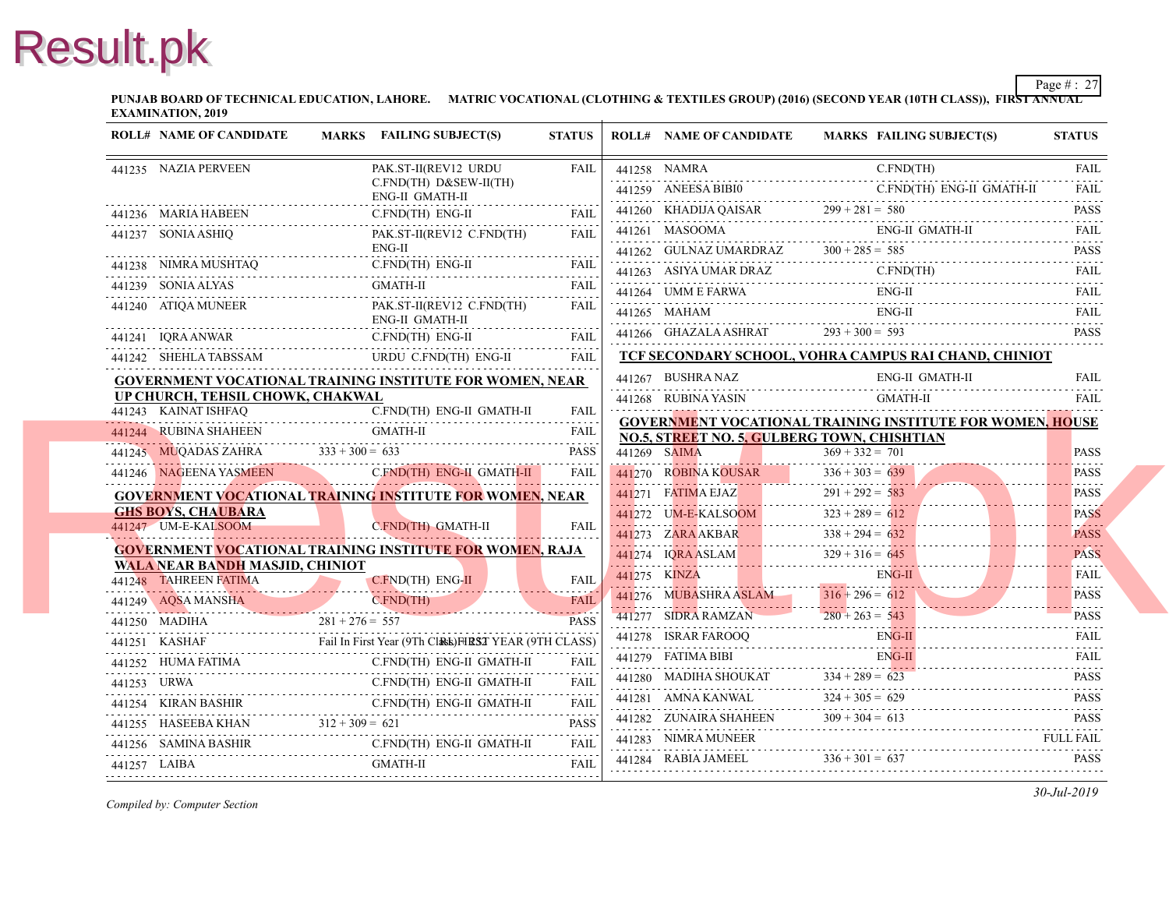**PUNJAB BOARD OF TECHNICAL EDUCATION, LAHORE. MATRIC VOCATIONAL (CLOTHING & TEXTILES GROUP) (2016) (SECOND YEAR EXAMINATION, 2019**

|              | <b>ROLL# NAME OF CANDIDATE</b>                                  | MARKS FAILING SUBJECT(S)                                                                                         | <b>STATUS</b> | <b>ROLL# NAME OF CANDIDATE</b>                                                                    | <b>MARKS FAIL</b> |
|--------------|-----------------------------------------------------------------|------------------------------------------------------------------------------------------------------------------|---------------|---------------------------------------------------------------------------------------------------|-------------------|
|              | 441235 NAZIA PERVEEN                                            | PAK.ST-II(REV12 URDU                                                                                             | <b>FAIL</b>   | 441258 NAMRA                                                                                      | C.FN              |
|              |                                                                 | C.FND(TH) D&SEW-II(TH)<br>ENG-II GMATH-II                                                                        |               | 441259 ANEESA BIBI0                                                                               | C.FN              |
|              | 441236 MARIA HABEEN<br>ABEEN C.                                 | C.FND(TH) ENG-II                                                                                                 | <b>FAIL</b>   | 441260 KHADIJA QAISAR $299 + 281 = 580$                                                           |                   |
|              | 441237 SONIA ASHIQ                                              | PAK.ST-II(REV12 C.FND(TH)<br>$ENG-II$                                                                            | FAII.         | 441261 MASOOMA<br>441262 GULNAZ UMARDRAZ $300 + 285 = 585$                                        | ENG-              |
|              |                                                                 | <u> 11</u><br>441238 NIMRA MUSHTAQ C.FND(TH) ENG-II FAIL                                                         |               | 441263 ASIYA UMAR DRAZ                                                                            |                   |
|              | 441239 SONIA ALYAS                                              | <b>GMATH-II</b>                                                                                                  |               | 441263 ASIYA UMAR DRAZ C.FI                                                                       | C.FN              |
|              | 441240 ATIQA MUNEER                                             | PAK.ST-II(REV12 C.FND(TH)<br>ENG-II GMATH-II                                                                     | <b>FAIL</b>   | 441265 MAHAM                                                                                      | ENG-<br>ENG-      |
|              |                                                                 | 441241 IQRA ANWAR C.FND(TH) ENG-II FAIL                                                                          |               | 441266 GHAZALA ASHRAT                                                                             | $293 + 300 = 593$ |
|              |                                                                 | 441242 SHEHLA TABSSAM URDU C.FND(TH) ENG-II FAIL                                                                 | <b>FAIL</b>   | TCF SECONDARY SCHOOL, VOHRA CAMPUS                                                                |                   |
|              |                                                                 | <b>GOVERNMENT VOCATIONAL TRAINING INSTITUTE FOR WOMEN, NEAR</b>                                                  |               | 441267 BUSHRA NAZ                                                                                 | ENG-              |
|              | UP CHURCH, TEHSIL CHOWK, CHAKWAL                                |                                                                                                                  |               | 441268 RUBINA YASIN                                                                               | <b>GMA</b>        |
|              | 441243 KAINAT ISHFAQ                                            | C.FND(TH) ENG-II GMATH-II                                                                                        | <b>FAIL</b>   | <b>GOVERNMENT VOCATIONAL TRAINING INS</b>                                                         |                   |
|              |                                                                 | <b>GMATH-II</b><br>441244 RUBINA SHAHEEN GMATH-II FAIL FAIL                                                      |               | NO.5, STREET NO. 5, GULBERG TOWN, CHIS                                                            |                   |
|              | 441245 MUQADAS ZAHRA $333 + 300 = 633$                          |                                                                                                                  | <b>PASS</b>   | 441269 SAIMA                                                                                      | $369 + 332 = 701$ |
|              | 441246 NAGEENA YASMEEN C.FND(TH                                 | C.FND(TH) ENG-II GMATH-II                                                                                        | <b>FAIL</b>   | 441270 ROBINA KOUSAR                                                                              | $336 + 303 = 639$ |
|              |                                                                 | <b>GOVERNMENT VOCATIONAL TRAINING INSTITUTE FOR WOMEN, NEAR</b>                                                  |               | 441271 FATIMA EJAZ                                                                                | $291 + 292 = 583$ |
|              | <b>GHS BOYS, CHAUBARA</b>                                       |                                                                                                                  |               | $141272$ UM-E-KALSOOM $323 + 289 =$                                                               | $323 + 289 = 612$ |
|              | 441247 UM-E-KALSOOM                                             | C.FND(TH) GMATH-II                                                                                               | <b>FAIL</b>   | 441273 ZARA AKBAR 338 + 294 =                                                                     | $338 + 294 = 632$ |
|              |                                                                 | GOVERNMENT VOCATIONAL TRAINING INSTITUTE FOR WOMEN, RAJA                                                         |               | $\frac{441274}{10}$ IQRA ASLAM 329 + 316 = 645                                                    |                   |
|              | <b>WALA NEAR BANDH MASJID, CHINIOT</b><br>441248 TAHREEN FATIMA |                                                                                                                  | <b>FAIL</b>   | 441275 KINZA<br>441275 KINZA EN                                                                   | ENG-              |
|              | 441249 AQSA MANSHA                                              | IREEN FATIMA<br>EREEN FATIMA<br>C.FND(TH)                                                                        |               | 441276 MUBASHRA ASLAM                                                                             | $316 + 296 = 612$ |
|              |                                                                 | 441249 AQSA MANSHA CFND(TH) FAIL                                                                                 |               | 441277 SIDRA RAMZAN<br>441277 SIDRA RAMZAN 280 + 263 = 54                                         | $280 + 263 = 543$ |
|              |                                                                 | $281 + 276 = 557$ PASS<br>$441251$ KASHAF<br>Fail In First Year (9Th Class) FIRST YEAR (9TH CLASS)               |               | 441278 ISRAR FAROOQ EN                                                                            | ENG-              |
|              | 441252 HUMA FATIMA C.FND(TH) ENG-II GMATH                       | C.FND(TH) ENG-II GMATH-II                                                                                        | <b>FAIL</b>   | 441279 FATIMA BIBI                                                                                | ENG-              |
|              |                                                                 | 441253 URWA<br>C.FND(TH) ENG-II GMATH-II                                                                         | <b>FAIL</b>   | 441280 MADIHA SHOUKAT $334 + 289 = 623$                                                           |                   |
|              |                                                                 | 441254 KIRAN BASHIR C.FND(TH) ENG-II GMATH-II FAIL                                                               | .             | 441281 AMNA KANWAL                                                                                | $324 + 305 = 629$ |
|              |                                                                 | 441255 HASEEBA KHAN $312 + 309 = 621$ PASS                                                                       |               | 441282 ZUNAIRA SHAHEEN $309 + 304 = 61$                                                           | $309 + 304 = 613$ |
|              |                                                                 | ${\bf 441256\_SAMINA BASHIR} \hspace{1.5cm} {\bf C.FND (TH) ENG-II\_GMATH-II\_FAIL} \hspace{1.5cm} {\bf FAIL\_}$ |               | 441283 NIMRA MUNEER                                                                               |                   |
| 441257 LAIBA |                                                                 | GMATH-II                                                                                                         | <b>FAIL</b>   | 441283 NIMRA MUNEER<br>441284 RABIA JAMEEL 336 + 301 = 637<br>441284 RABIA JAMEEL 336 + 301 = 637 |                   |
|              |                                                                 |                                                                                                                  |               |                                                                                                   |                   |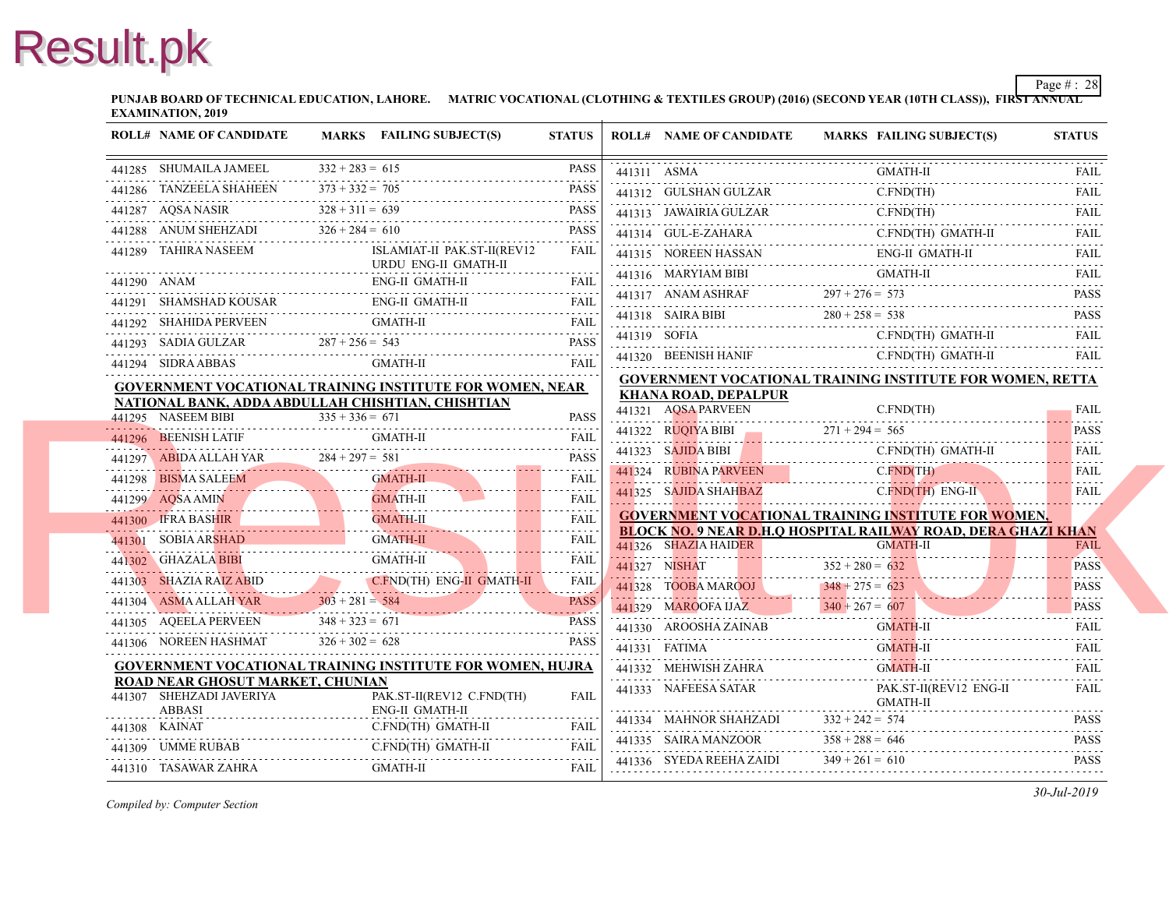**PUNJAB BOARD OF TECHNICAL EDUCATION, LAHORE. MATRIC VOCATIONAL (CLOTHING & TEXTILES GROUP) (2016) (SECOND YEAR EXAMINATION, 2019**

|   | <b>ROLL# NAME OF CANDIDATE</b>            | MARKS FAILING SUBJECT(S)                                                   | <b>STATUS</b>   |             | <b>ROLL# NAME OF CANDIDATE</b>                                       | <b>MARKS FAIL</b>  |
|---|-------------------------------------------|----------------------------------------------------------------------------|-----------------|-------------|----------------------------------------------------------------------|--------------------|
|   | 441285 SHUMAILA JAMEEL                    | $332 + 283 = 615$                                                          | <b>PASS</b>     | 441311 ASMA |                                                                      | <b>GMA</b>         |
|   | 441286 TANZEELA SHAHEEN                   | $373 + 332 = 705$                                                          | <b>PASS</b>     |             | 441312 GULSHAN GULZAR                                                | C.FN               |
|   | 441287 AQSA NASIR                         | $328 + 311 = 639$                                                          | <b>PASS</b>     |             | 441313 JAWAIRIA GULZAR<br>441313 JAWAIRIA GULZAR C.I                 | C.FN               |
|   | 441288 ANUM SHEHZADI $326 + 284 = 610$    |                                                                            | <b>PASS</b>     |             | 441314 GUL-E-ZAHARA<br>441314 GUL-E-ZAHARA C.F                       | C.FN               |
|   | 441289 TAHIRA NASEEM                      | ISLAMIAT-II PAK.ST-II(REV12<br>URDU ENG-II GMATH-II                        | FAIL            |             | 441315 NOREEN HASSAN<br>441315 NOREEN HASSAN ENC                     | ENG-               |
|   |                                           | ENG-II GMATH-II                                                            |                 |             | 441316 MARYIAM BIBI<br>441316 MARYIAM BIBI GMA                       | GMA                |
|   |                                           | <b>ENG-II GMATH-II</b><br>441291 SHAMSHAD KOUSAR ENG-II GMATH-II FAIL FAIL |                 |             | 441317 ANAM ASHRAF $297 + 276 = 573$                                 |                    |
|   | 441292 SHAHIDA PERVEEN                    | <b>GMATH-II</b><br>441292 SHAHIDA PERVEEN GMATH-II FAIL FAIL               | <b>FAIL</b>     |             | 441318 SAIRA BIBI $280 + 258 = 538$                                  |                    |
|   |                                           | $441293$ SADIA GULZAR $287 + 256 = 543$ PASS                               |                 |             | 441319 SOFIA C.FN                                                    |                    |
|   | 441294 SIDRA ABBAS                        | GMATH-II                                                                   | FAIL            |             | 441320 BEENISH HANIF                                                 | $C$ . $FN$         |
|   |                                           | <b>GOVERNMENT VOCATIONAL TRAINING INSTITUTE FOR WOMEN, NEAR</b>            |                 |             | <b>GOVERNMENT VOCATIONAL TRAINING INS</b>                            |                    |
|   |                                           | NATIONAL BANK, ADDA ABDULLAH CHISHTIAN, CHISHTIAN                          |                 |             | <b>KHANA ROAD, DEPALPUR</b><br>441321 AQSA PARVEEN                   | C.FN               |
|   | 441295 NASEEM BIBI                        | $335 + 336 = 671$                                                          | <b>PASS</b>     |             |                                                                      |                    |
|   | 441296 BEENISH LATIF                      |                                                                            | <b>FAIL</b>     |             | 441322 RUQIYA BIBI 271 + 294 = 565                                   |                    |
|   |                                           | 441297 ABIDA ALLAH YAR 284 + 297 = 581 PASS PASS                           |                 |             |                                                                      | C.FN               |
|   | 441298 BISMA SALEEM                       | <b>GMATH-II</b><br>441298 BISMA SALEEM GMATH-II                            | <b>FAIL</b>     |             | 441324 RUBINA PARVEEN                                                | $C$ . FN.          |
|   | 441299 AQSA AMIN                          | 441299 AQSA AMIN GMATH-II FAIL FAIL                                        | .               |             | 441325 SAJIDA SHAHBAZ                                                | $C$ . $FN$         |
|   | 441300 IFRA BASHIR                        | <b>GMATH-II</b><br>441300 IFRA BASHIR GMATH-II                             | FAIL<br>$FAL$ . |             | <b>GOVERNMENT VOCATIONAL TRAINING INS</b>                            |                    |
|   | 441301 SOBIA ARSHAD                       | <b>GMATH-II</b><br>441301 SOBIA ARSHAD GMATH-II                            | FAIL            |             | <b>BLOCK NO. 9 NEAR D.H.Q HOSPITAL RAILW</b><br>441326 SHAZIA HAIDER | <b>GMA</b>         |
|   | 441302 GHAZALA BIBI                       | <b>GMATH-II</b><br>441302 GHAZALA BIBI GMATH-II                            | .<br>FAIL       |             | 441327 NISHAT                                                        | $352 + 280 = 632$  |
|   |                                           | 441303 SHAZIA RAIZ ABID CFND(TH) ENG-II GMATH-II FAIL                      | .<br>FAIL       |             | 441328 TOOBA MAROOJ                                                  | $348 + 275 = 623$  |
|   |                                           | $441304$ ASMA ALLAH YAR $303 + 281 = 584$ PASS                             |                 |             |                                                                      |                    |
|   | 441305 AQEELA PERVEEN                     | $348 + 323 = 671$<br>$441305$ AQEELA PERVEEN $348 + 323 = 671$ PASS        | <b>PASS</b>     |             | 441329 MAROOFA IJAZ 340 + 267 = 607                                  | <b>GMA</b>         |
|   | 441306 NOREEN HASHMAT                     | $326 + 302 = 628$                                                          | <b>PASS</b>     |             | 441330 AROOSHA ZAINAB GM<br>441331 FATIMA                            | <b>GMA</b>         |
|   |                                           | <b>GOVERNMENT VOCATIONAL TRAINING INSTITUTE FOR WOMEN, HUJRA</b>           |                 |             | 441332 MEHWISH ZAHRA                                                 | <b>GMA</b>         |
|   | ROAD NEAR GHOSUT MARKET, CHUNIAN          |                                                                            |                 |             | 441332 MEHWISH ZAHRA GM                                              |                    |
| . | 441307 SHEHZADI JAVERIYA<br><b>ABBASI</b> | PAK.ST-II(REV12 C.FND(TH)<br>ENG-II GMATH-II                               | <b>FAIL</b>     |             | 441333 NAFEESA SATAR                                                 | PAK.<br><b>GMA</b> |
|   | 441308 KAINAT                             | C.FND(TH) GMATH-II                                                         |                 |             | 441334 MAHNOR SHAHZADI                                               | $332 + 242 = 574$  |
|   | 441309 UMME RUBAB                         | C.FND(TH) GMATH-II                                                         | FAIL            |             | 441335 SAIRA MANZOOR                                                 | $358 + 288 = 646$  |
|   | 441310 TASAWAR ZAHRA                      | GMATH-II                                                                   | FAIL            |             | 441336 SYEDA REEHA ZAIDI                                             | $349 + 261 = 610$  |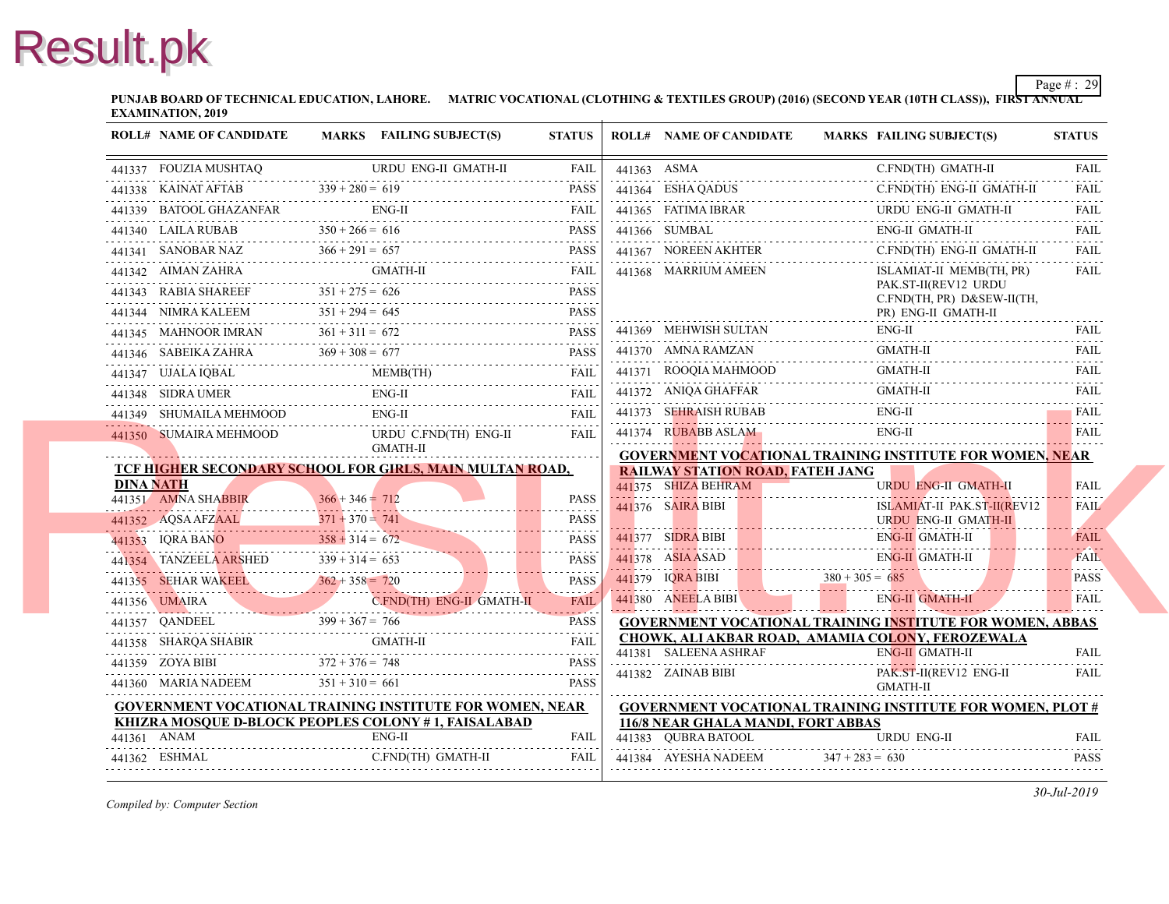**PUNJAB BOARD OF TECHNICAL EDUCATION, LAHORE. MATRIC VOCATIONAL (CLOTHING & TEXTILES GROUP) (2016) (SECOND YEAR EXAMINATION, 2019**

| <b>ROLL# NAME OF CANDIDATE</b> |                   | MARKS FAILING SUBJECT(S)                                                                                                                                                                                                                                                                                                                                                                                                                     | <b>STATUS</b> |             | <b>ROLL# NAME OF CANDIDATE</b>                                 | <b>MARKS FAIL</b>                         |
|--------------------------------|-------------------|----------------------------------------------------------------------------------------------------------------------------------------------------------------------------------------------------------------------------------------------------------------------------------------------------------------------------------------------------------------------------------------------------------------------------------------------|---------------|-------------|----------------------------------------------------------------|-------------------------------------------|
|                                |                   | $\begin{tabular}{ll} \bf 441337 & \bf FOUZIA MUSHTAQ & \bf URDU ENG-II GMATH-II & \bf FAIL \\ \bf \end{tabular}$                                                                                                                                                                                                                                                                                                                             | FAIL          | 441363 ASMA |                                                                | C.FN                                      |
|                                |                   | 441338 KAINAT AFTAB $339 + 280 = 619$ PASS                                                                                                                                                                                                                                                                                                                                                                                                   |               |             |                                                                | 441364 ESHA QADUS C.FN                    |
|                                |                   | 441339 BATOOL GHAZANFAR ENG-II FAIL FAIL                                                                                                                                                                                                                                                                                                                                                                                                     |               |             |                                                                | 441365 FATIMA IBRAR URL<br><b>URD</b>     |
|                                |                   | 441340 LAILA RUBAB $350 + 266 = 616$ PASS                                                                                                                                                                                                                                                                                                                                                                                                    |               |             | 441366 SUMBAL                                                  | ENG-<br>441366 SUMBAL ENG-                |
|                                |                   |                                                                                                                                                                                                                                                                                                                                                                                                                                              |               |             |                                                                | 441367 NOREEN AKHTER C.FN<br>C.FN         |
|                                |                   | $\begin{tabular}{ll} \bf 441341 & SANOBAR NAZ & \tt 366 + 291 = 657 & \tt PASS \\ \bf 441342 & AIMAN ZAHRA & \tt GMATH-II & \tt FAIL \\ \end{tabular}$                                                                                                                                                                                                                                                                                       |               |             | 441368 MARRIUM AMEEN                                           | <b>ISLA</b>                               |
|                                |                   | 441343 RABIA SHAREEF $351 + 275 = 626$ PASS                                                                                                                                                                                                                                                                                                                                                                                                  |               |             |                                                                | PAK.<br>C.FN                              |
|                                |                   | 441344 NIMRA KALEEM $351 + 294 = 645$ PASS                                                                                                                                                                                                                                                                                                                                                                                                   |               |             |                                                                | PR)                                       |
|                                |                   | $\begin{tabular}{lllllll} \multicolumn{2}{c c }{\textbf{441345}} & \textbf{MAHNOOR IMRAN} & \textbf{361 + 311 = 672} & \textbf{PASS} \\ \hline \multicolumn{2}{c }{\textbf{441346}} & \textbf{SABEIKA ZAHRA} & \textbf{369 + 308 = 677} & \textbf{PASS} \\ \multicolumn{2}{c }{\textbf{541345}} & \textbf{55435} & \textbf{569 + 308 = 677} & \textbf{SHS} \\ \multicolumn{2}{c }{\textbf{5413}}$                                            |               |             |                                                                | ENG-<br>441369 MEHWISH SULTAN ENG         |
|                                |                   |                                                                                                                                                                                                                                                                                                                                                                                                                                              |               |             | 441370 AMNA RAMZAN                                             | 441370 AMNA RAMZAN GM<br><b>GMA</b>       |
|                                |                   | 441347 UJALA IQBAL MEMB(TH) FAIL MEMB(TH)                                                                                                                                                                                                                                                                                                                                                                                                    |               |             | 441371 ROOQIA MAHMOOD                                          | <b>GMA</b>                                |
|                                |                   |                                                                                                                                                                                                                                                                                                                                                                                                                                              |               |             |                                                                | 441372 ANIQA GHAFFAR GM<br><b>GMA</b>     |
|                                |                   | 441349 SHUMAILA MEHMOOD ENG-II FAIL FAIL                                                                                                                                                                                                                                                                                                                                                                                                     |               |             | 441373 SEHRAISH RUBAB                                          | ENG-<br>441373 SEHRAISH RUBAB ENC         |
|                                |                   | $\begin{tabular}{lllllllll} \bf 441350 & \bf  SUMAIRA MEHMOOD & \bf  URDU C.FND(TH) ENG-II & \bf  FAIL \\ \bf GMATH-II & \bf 1 & \bf 1 & \bf 2 & \bf 3 & \bf 3 & \bf 4 & \bf 5 & \bf 6 \\ \bf 1 & \bf 2 & \bf 3 & \bf 4 & \bf 5 & \bf 7 & \bf 8 & \bf 1 & \bf 1 \\ \bf 2 & \bf 3 & \bf 4 & \bf 5 & \bf 6 & \bf 1 & \bf 1 & \bf 1 & \bf 1 \\ \bf 3 & \bf 4 & \bf 5 & \bf 6 & \bf 1 & \bf 1 &$                                                 |               |             |                                                                | 441374 RUBABB ASLAM ENG<br>ENG-           |
|                                |                   |                                                                                                                                                                                                                                                                                                                                                                                                                                              |               |             |                                                                | <b>GOVERNMENT VOCATIONAL TRAINING INS</b> |
| <b>DINA NATH</b>               |                   | TCF HIGHER SECONDARY SCHOOL FOR GIRLS, MAIN MULTAN ROAD,                                                                                                                                                                                                                                                                                                                                                                                     |               |             | <b>RAILWAY STATION ROAD, FATEH JANG</b><br>441375 SHIZA BEHRAM |                                           |
| 441351 AMNA SHABBIR            | $366 + 346 = 712$ |                                                                                                                                                                                                                                                                                                                                                                                                                                              |               |             |                                                                | <b>URD</b>                                |
|                                |                   |                                                                                                                                                                                                                                                                                                                                                                                                                                              |               |             | 441376 SAIRA BIBI                                              | <b>ISLA</b><br>URDI                       |
|                                |                   | $\begin{tabular}{lllllllllll} \multicolumn{1}{c l}{} & \multicolumn{1}{c l}{} & \multicolumn{1}{c l}{} & \multicolumn{1}{c l}{} & \multicolumn{1}{c l}{} & \multicolumn{1}{c l}{} & \multicolumn{1}{c l}{} & \multicolumn{1}{c l}{} & \multicolumn{1}{c l}{} & \multicolumn{1}{c l}{} & \multicolumn{1}{c l}{} & \multicolumn{1}{c l}{} & \multicolumn{1}{c l}{} & \multicolumn{1}{c l}{} & \multicolumn{1}{c l}{} & \multicolumn{1}{c l}{}$ |               |             |                                                                | 441377 SIDRA BIBI ENG.<br>ENG-            |
|                                |                   |                                                                                                                                                                                                                                                                                                                                                                                                                                              |               |             | 441378 ASIA ASAD EN                                            | ENG-                                      |
|                                |                   |                                                                                                                                                                                                                                                                                                                                                                                                                                              |               |             |                                                                | $141379$ IQRA BIBI $380 + 305 = 685$      |
|                                |                   |                                                                                                                                                                                                                                                                                                                                                                                                                                              |               |             | 441380 ANEELA BIBI                                             | ENG-                                      |
|                                |                   | 441357 QANDEEL 399 + 367 = 766 PASS                                                                                                                                                                                                                                                                                                                                                                                                          |               |             |                                                                | <b>GOVERNMENT VOCATIONAL TRAINING INS</b> |
|                                |                   | 441358 SHARQA SHABIR GMATH-II FAIL FAIL                                                                                                                                                                                                                                                                                                                                                                                                      |               |             |                                                                | CHOWK, ALI AKBAR ROAD, AMAMIA COLO        |
|                                |                   | $372 + 376 = 748$ PASS<br>PASS<br>PASS                                                                                                                                                                                                                                                                                                                                                                                                       |               |             | 441381 SALEENA ASHRAF                                          | ENG-                                      |
|                                |                   | 441360 MARIA NADEEM $351 + 310 = 661$                                                                                                                                                                                                                                                                                                                                                                                                        | <b>PASS</b>   |             | 441382 ZAINAB BIBI                                             | PAK.<br><b>GMA</b>                        |
|                                |                   | <b>GOVERNMENT VOCATIONAL TRAINING INSTITUTE FOR WOMEN, NEAR</b>                                                                                                                                                                                                                                                                                                                                                                              |               |             |                                                                | <b>GOVERNMENT VOCATIONAL TRAINING INS</b> |
|                                |                   | KHIZRA MOSOUE D-BLOCK PEOPLES COLONY #1, FAISALABAD                                                                                                                                                                                                                                                                                                                                                                                          |               |             | 116/8 NEAR GHALA MANDI, FORT ABBAS                             |                                           |
|                                |                   | $ENG-II$<br>$\begin{tabular}{ll} \bf 441361 & \bf 4NAM & \bf ENG-II & \bf FAIL \\ \bf 441362 & \bf ESHMAL & \bf C.FND(TH) GMATH-II & \bf FAIL \\ \bf 441362 & \bf ESHMAL & \bf C.FND(TH) GMATH-II & \bf FAIL \\ \bf 441363 & \bf FALL & \bf FALL \\ \bf 441364 & \bf FALL & \bf FALL \\ \bf 441365 & \bf FALL & \bf FALL \\ \bf 441367 & \bf FALL & \bf FALL \\ \bf 441368 & \bf FALL & \bf FALL \\ \bf 4413$                                |               |             | 441383 QUBRA BATOOL                                            | <b>URD</b>                                |
|                                |                   |                                                                                                                                                                                                                                                                                                                                                                                                                                              |               |             |                                                                | 441384 AYESHA NADEEM $347 + 283 = 630$    |
|                                |                   |                                                                                                                                                                                                                                                                                                                                                                                                                                              |               |             |                                                                |                                           |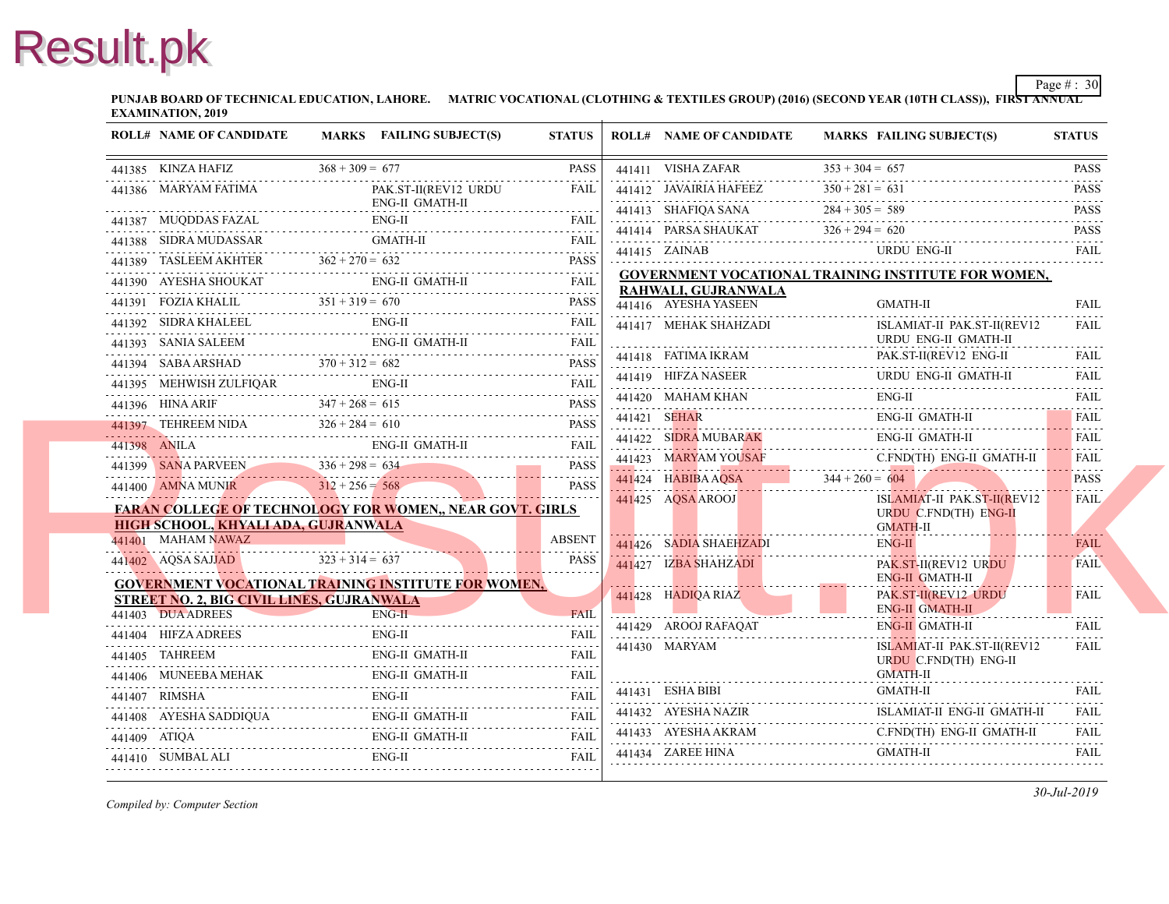**PUNJAB BOARD OF TECHNICAL EDUCATION, LAHORE. MATRIC VOCATIONAL (CLOTHING & TEXTILES GROUP) (2016) (SECOND YEAR EXAMINATION, 2019**

|               | <b>ROLL# NAME OF CANDIDATE</b>             | <b>MARKS</b> FAILING SUBJECT(S)                                                                                                                                                                                                                                                                                                                                                                                                                  | <b>STATUS</b> | <b>ROLL# NAME OF CANDIDATE</b>                                                                        | <b>MARKS FAIL</b>         |
|---------------|--------------------------------------------|--------------------------------------------------------------------------------------------------------------------------------------------------------------------------------------------------------------------------------------------------------------------------------------------------------------------------------------------------------------------------------------------------------------------------------------------------|---------------|-------------------------------------------------------------------------------------------------------|---------------------------|
|               | 441385 KINZA HAFIZ $368 + 309 = 677$       |                                                                                                                                                                                                                                                                                                                                                                                                                                                  | PASS          | 441411 VISHA ZAFAR                                                                                    | $353 + 304 = 657$         |
|               | 441386 MARYAM FATIMA                       | PAK.ST-II(REV12 URDU                                                                                                                                                                                                                                                                                                                                                                                                                             | FAIL          | 441412 JAVAIRIA HAFEEZ $350 + 281 = 63$                                                               | $350 + 281 = 631$         |
|               |                                            | <b>ENG-II GMATH-II</b>                                                                                                                                                                                                                                                                                                                                                                                                                           |               | 441413 SHAFIQA SANA                                                                                   | $284 + 305 = 589$         |
|               |                                            | 441387 MUQDDAS FAZAL ENG-II FAIL FAIL FAIL                                                                                                                                                                                                                                                                                                                                                                                                       |               | 441414 PARSA SHAUKAT $326 + 294 = 620$                                                                |                           |
|               |                                            |                                                                                                                                                                                                                                                                                                                                                                                                                                                  |               | $441415$ $ZAINAB$                                                                                     | <b>URD</b>                |
|               |                                            | $141389$ TASLEEM AKHTER $362 + 270 = 632$ PASS                                                                                                                                                                                                                                                                                                                                                                                                   |               | <b>GOVERNMENT VOCATIONAL TRAINING INS</b>                                                             |                           |
|               |                                            | $\begin{tabular}{ll} \bf 441390 & AYESHA SHOUKAT & \bf \end{tabular} \begin{tabular}{ll} \bf 241390 & AYESHA SHOUKAT \\ \hline \end{tabular} \begin{tabular}{ll} \bf 241390 & AYESHA SHOUKAT \\ \end{tabular}$                                                                                                                                                                                                                                   |               | RAHWALI, GUJRANWALA                                                                                   |                           |
|               |                                            | 441391 FOZIA KHALIL $351 + 319 = 670$ PASS                                                                                                                                                                                                                                                                                                                                                                                                       | <b>PASS</b>   | 441416 AYESHA YASEEN                                                                                  | <b>GMA</b>                |
|               |                                            | 441392 SIDRA KHALEEL ENG-II FAIL FAIL                                                                                                                                                                                                                                                                                                                                                                                                            |               | 441417 MEHAK SHAHZADI                                                                                 | <b>ISLA</b>               |
|               |                                            | 441393 SANIA SALEEM ENG-II GMATH-II FAIL FAIL                                                                                                                                                                                                                                                                                                                                                                                                    |               | 441418 FATIMA IKRAM                                                                                   | <b>URD</b><br>PAK.        |
|               |                                            | 441394 SABA ARSHAD $370 + 312 = 682$ PASS PASS                                                                                                                                                                                                                                                                                                                                                                                                   |               | 441418 FATIMA IKRAM PAK.                                                                              | <b>URD</b>                |
|               |                                            | $\begin{tabular}{ll} 441395 & MEHWISH ZULFIQAR & ENG-II & PAIL \\ \hline 441396 & HINA ARIF & 347 + 268 = 615 & & PASS \\ \end{tabular}$                                                                                                                                                                                                                                                                                                         |               |                                                                                                       | ENG-                      |
|               |                                            |                                                                                                                                                                                                                                                                                                                                                                                                                                                  |               | 441420 MAHAM KHAN ENG                                                                                 |                           |
|               |                                            | 441397 TEHREEM NIDA $326 + 284 = 610$ PASS                                                                                                                                                                                                                                                                                                                                                                                                       |               | 441421 SEHAR ENG                                                                                      | ENG-                      |
|               |                                            | 441398 ANILA ENG-II GMATH-II FAIL FAIL                                                                                                                                                                                                                                                                                                                                                                                                           |               | 441422 SIDRA MUBARAK ENG                                                                              | ENG-                      |
|               |                                            |                                                                                                                                                                                                                                                                                                                                                                                                                                                  |               | 441423 MARYAM YOUSAF C.FN<br>441424 HABIBA AQSA 344 + 260 = 604<br>441424 HABIBA AQSA 344 + 260 = 604 |                           |
|               |                                            | $\begin{tabular}{c c c c c} \hline 441399 & SANA PARVEEN & 336 + 298 = 634 & \text{PASS} \\ \hline 441400 & AMNA MUNIR & 312 + 256 = 568 & \text{PASS} \\ \hline \end{tabular}$                                                                                                                                                                                                                                                                  |               |                                                                                                       |                           |
|               |                                            | <b>FARAN COLLEGE OF TECHNOLOGY FOR WOMEN,, NEAR GOVT. GIRLS</b>                                                                                                                                                                                                                                                                                                                                                                                  |               | 441425 AQSA AROOJ                                                                                     | <b>ISLA</b><br><b>URD</b> |
|               | <b>HIGH SCHOOL, KHYALI ADA, GUJRANWALA</b> |                                                                                                                                                                                                                                                                                                                                                                                                                                                  |               |                                                                                                       | <b>GMA</b>                |
|               | 441401 MAHAM NAWAZ                         | 441401 MAHAM NAWAZ ABSENT                                                                                                                                                                                                                                                                                                                                                                                                                        |               | 441426 SADIA SHAEHZADI                                                                                | ENG-                      |
|               | $323 + 314 = 637$                          |                                                                                                                                                                                                                                                                                                                                                                                                                                                  | <b>PASS</b>   | 441427 IZBA SHAHZADI                                                                                  | PAK.                      |
|               |                                            | <b>GOVERNMENT VOCATIONAL TRAINING INSTITUTE FOR WOMEN,</b>                                                                                                                                                                                                                                                                                                                                                                                       |               |                                                                                                       | ENG-<br>PAK.              |
|               | STREET NO. 2, BIG CIVIL LINES, GUJRANWALA  | $ENG-H$                                                                                                                                                                                                                                                                                                                                                                                                                                          |               | $441428$ HADIQA RIAZ                                                                                  | ENG-                      |
|               |                                            | 441403 DUA ADREES ENG-II FAIL                                                                                                                                                                                                                                                                                                                                                                                                                    |               | 441429 AROOJ RAFAQAT                                                                                  | ENG-                      |
|               | 441404 HIFZA ADREES                        | ENG-II<br>441404 HIFZA ADREES ENG-II FAIL FAIL                                                                                                                                                                                                                                                                                                                                                                                                   |               | 441430 MARYAM                                                                                         | <b>ISLA</b>               |
|               |                                            | 441405 TAHREEM ENG-II GMATH-II FAIL FAIL                                                                                                                                                                                                                                                                                                                                                                                                         |               |                                                                                                       | <b>URD</b>                |
|               |                                            | $\begin{tabular}{ll} \bf 441406 & \bf MUNEEBA MEHAK & \bf ENG-II GMATH-II & \bf FAIL \\ \bf .141406 & \bf MUNEEBA MEHAK & \bf ENG-II GMATH-II & \bf FAIL \\ \bf .241406 & \bf MUNEEBA MEHAK & \bf ENG-II GMATH-II & \bf FALL \\ \bf .341406 & \bf MUNEEBA MEHAK & \bf ENG-II GMATH-II & \bf FALL \\ \bf .341406 & \bf MUNEEBA MEHAK & \bf ENG-II GMATH-II & \bf FALL \\ \bf .341406 & \bf MUNEEBA MEHAK & \bf ENG-II GMATH-II & \bf FALL \\ \bf$ |               | 441431 ESHA BIBI                                                                                      | <b>GMA</b><br><b>GMA</b>  |
| 441407 RIMSHA |                                            | HA ENG-II FAIL FAIL                                                                                                                                                                                                                                                                                                                                                                                                                              |               | 441432 AYESHA NAZIR                                                                                   | <b>ISLA</b>               |
|               |                                            | 441408 AYESHA SADDIQUA ENG-II GMATH-II FAIL                                                                                                                                                                                                                                                                                                                                                                                                      |               |                                                                                                       | C.FN                      |
|               |                                            | 441409 ATIQA ENG-II GMATH-II FAIL FAIL                                                                                                                                                                                                                                                                                                                                                                                                           |               | 441433 AYESHA AKRAM C.FN                                                                              |                           |
|               |                                            | 441410 SUMBAL ALI ENG-II FAIL FAIL FAIL                                                                                                                                                                                                                                                                                                                                                                                                          |               | 441434 ZAREE HINA                                                                                     | <b>GMA</b>                |
|               |                                            |                                                                                                                                                                                                                                                                                                                                                                                                                                                  |               |                                                                                                       |                           |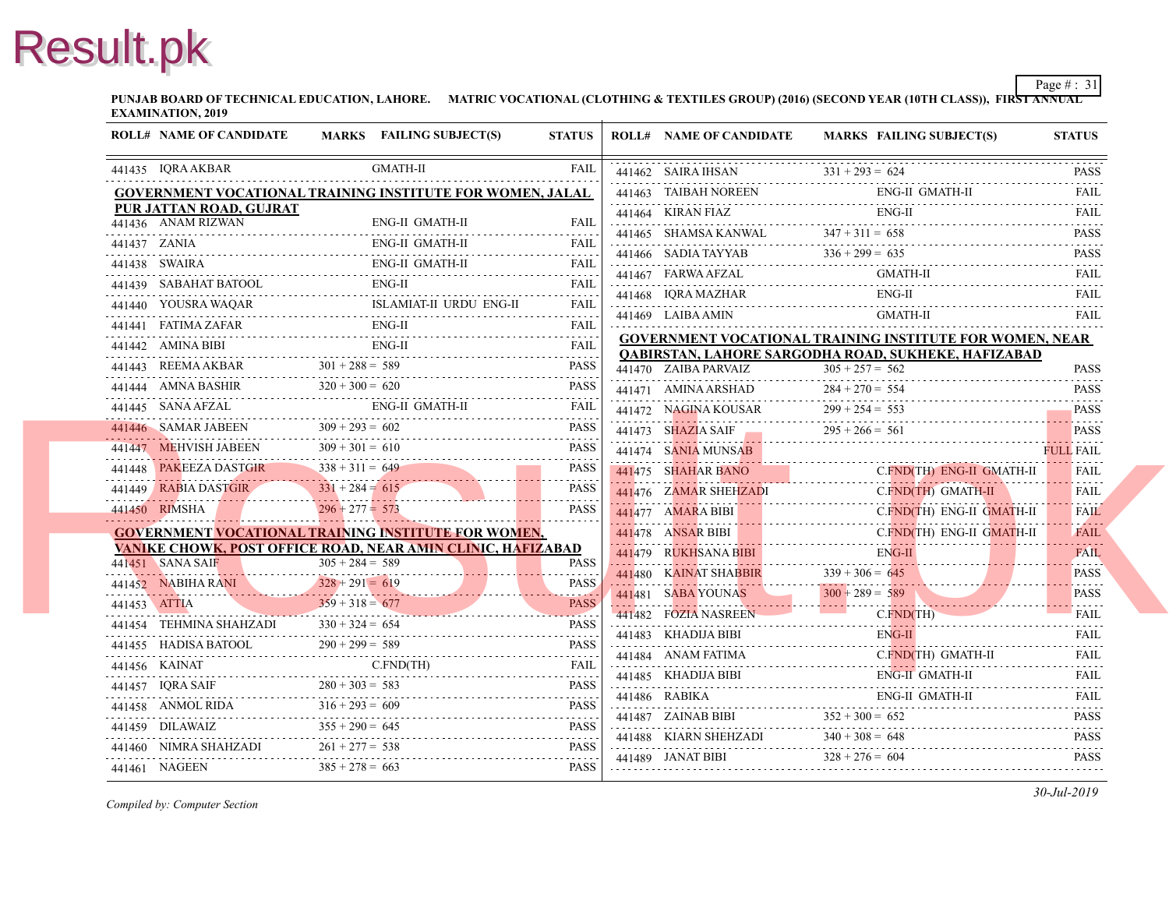**PUNJAB BOARD OF TECHNICAL EDUCATION, LAHORE. MATRIC VOCATIONAL (CLOTHING & TEXTILES GROUP) (2016) (SECOND YEAR EXAMINATION, 2019**

| <b>ROLL# NAME OF CANDIDATE</b> |                                         | MARKS FAILING SUBJECT(S)                                                                                                                                                                                                                                                                                                                                                                                                       | <b>STATUS</b>              | <b>ROLL# NAME OF CANDIDATE</b>                                                          | <b>MARKS FAIL</b> |
|--------------------------------|-----------------------------------------|--------------------------------------------------------------------------------------------------------------------------------------------------------------------------------------------------------------------------------------------------------------------------------------------------------------------------------------------------------------------------------------------------------------------------------|----------------------------|-----------------------------------------------------------------------------------------|-------------------|
| 441435 IQRA AKBAR              |                                         | <b>GMATH-II</b>                                                                                                                                                                                                                                                                                                                                                                                                                | FAIL                       | 441462 SAIRA IHSAN $331 + 293 = 62$                                                     | $331 + 293 = 624$ |
|                                |                                         | GOVERNMENT VOCATIONAL TRAINING INSTITUTE FOR WOMEN, JALAL                                                                                                                                                                                                                                                                                                                                                                      |                            | 441463 TAIBAH NOREEN ENG                                                                | ENG-              |
| PUR JATTAN ROAD, GUJRAT        |                                         |                                                                                                                                                                                                                                                                                                                                                                                                                                |                            | 441464 KIRAN FIAZ                                                                       | ENG-              |
| 441436 ANAM RIZWAN             |                                         | ENG-II GMATH-II                                                                                                                                                                                                                                                                                                                                                                                                                | <b>FAIL</b>                | 441465 SHAMSA KANWAL $347 + 311 = 658$                                                  |                   |
| 441437 ZANIA                   |                                         | <b>ENG-II GMATH-II</b>                                                                                                                                                                                                                                                                                                                                                                                                         | <b>FAIL</b>                |                                                                                         |                   |
| 441438 SWAIRA                  |                                         | ENG-II GMATH-II<br>441438 SWAIRA ENG-II GMATH-II FAIL                                                                                                                                                                                                                                                                                                                                                                          |                            | 441466 SADIA TAYYAB $336 + 299 = 635$                                                   | <b>GMA</b>        |
|                                |                                         | 441439 SABAHAT BATOOL ENG-II FAIL FAIL                                                                                                                                                                                                                                                                                                                                                                                         |                            | 441467 FARWA AFZAL GMA                                                                  | ENG-              |
|                                |                                         | 441440 YOUSRA WAQAR ISLAMIAT-II URDU ENG-II                                                                                                                                                                                                                                                                                                                                                                                    | <b>FAIL</b><br>111111      | 441468 IQRA MAZHAR ENG-<br>441469 LAIBA AMIN                                            | <b>GMA</b>        |
|                                |                                         | 441441 FATIMA ZAFAR ENG-II FAIL FAIL                                                                                                                                                                                                                                                                                                                                                                                           |                            |                                                                                         |                   |
|                                |                                         | 441442 AMINA BIBI ENG-II EALL FAIL FAIL                                                                                                                                                                                                                                                                                                                                                                                        |                            | <b>GOVERNMENT VOCATIONAL TRAINING INS</b><br><b>QABIRSTAN, LAHORE SARGODHA ROAD, SU</b> |                   |
|                                |                                         | 441443 REEMAAKBAR $301 + 288 = 589$ PASS                                                                                                                                                                                                                                                                                                                                                                                       | <b>PASS</b>                | 441470 ZAIBA PARVAIZ                                                                    | $305 + 257 = 562$ |
|                                |                                         | $320 + 300 = 620$ PASS<br>441444 AMNA BASHIR $320 + 300 = 620$ PASS                                                                                                                                                                                                                                                                                                                                                            | <b>PASS</b>                | 441471 AMINA ARSHAD                                                                     | $284 + 270 = 554$ |
|                                |                                         | 441445 SANA AFZAL ENG-II GMATH-II FAIL FAIL                                                                                                                                                                                                                                                                                                                                                                                    |                            |                                                                                         |                   |
|                                |                                         | $441446$ SAMAR JABEEN $309 + 293 = 602$ PASS                                                                                                                                                                                                                                                                                                                                                                                   | <b>PASS</b>                | 441472 NAGINA KOUSAR 299 + 254 = 553<br>441473 SHAZIA SAIF 295 + 266 = 561              |                   |
|                                |                                         | 441447 MEHVISH JABEEN $309 + 301 = 610$                                                                                                                                                                                                                                                                                                                                                                                        | <b>PASS</b>                | 441474 SANIA MUNSAB                                                                     |                   |
|                                |                                         | 441448 PAKEEZA DASTGIR $338 + 311 = 649$                                                                                                                                                                                                                                                                                                                                                                                       | <b>PASS</b>                | 441475 SHAHAR BANO<br>441475 SHAHAR BANO C.I                                            | C.FN              |
| 441449 RABIA DASTGIR           | $331 + 284 = 615$                       | 441449 RABIA DASTGIR $331 + 284 = 615$                                                                                                                                                                                                                                                                                                                                                                                         | .<br>PASS                  | 441476 ZAMAR SHEHZADI<br>441476 ZAMAR SHEHZADI C.FI                                     | $C$ . $FN$        |
| 441450 RIMSHA                  | $296 + 277 = 573$                       |                                                                                                                                                                                                                                                                                                                                                                                                                                | 1.1.1.1.1.1<br><b>PASS</b> | 441477 AMARA BIBI C.FI                                                                  | $C$ . $FN$        |
|                                |                                         | <b>GOVERNMENT VOCATIONAL TRAINING INSTITUTE FOR WOMEN,</b>                                                                                                                                                                                                                                                                                                                                                                     |                            | 441478 ANSAR BIBI C.F                                                                   | $C$ FN            |
|                                |                                         | VANIKE CHOWK, POST OFFICE ROAD, NEAR AMIN CLINIC, HAFIZABAD                                                                                                                                                                                                                                                                                                                                                                    |                            | <b>441479 RUKHSANA BIBI ENG. ENG.</b>                                                   | ENG-              |
| 441451 SANA SAIF               | $305 + 284 = 589$                       |                                                                                                                                                                                                                                                                                                                                                                                                                                | <b>PASS</b><br><u>.</u>    | 441480 KAINAT SHABBIR 339 + 306 = 645                                                   |                   |
|                                | $328 + 291 = 619$                       | $441452 \text{ NABIHA RANI}$<br>238 + 291 = 619                                                                                                                                                                                                                                                                                                                                                                                | <b>PASS</b>                | 441481 SABA YOUNAS                                                                      | $300 + 289 = 589$ |
|                                |                                         | $359 + 318 = 677$ PASS<br>$441454$ TEHMINA SHAHZADI<br>$330 + 324 = 654$ PASS                                                                                                                                                                                                                                                                                                                                                  |                            | 441482 FOZIA NASREEN                                                                    | $C$ . $FN$        |
|                                |                                         | $\begin{tabular}{lllllll} \multicolumn{2}{c}{\textbf{441454} & \textbf{TEHMINA SHAHZADI} & \multicolumn{2}{c}{\textbf{330 + 324 = 654}} & \multicolumn{2}{c}{\textbf{PASS}} \\ \multicolumn{2}{c}{\textbf{441455} & \textbf{HADISA BATOOL} & \multicolumn{2}{c}{\textbf{290 + 299 = 589}} & \multicolumn{2}{c}{\textbf{PASS}} \\ \multicolumn{2}{c}{\textbf{541455} & \textbf{HADISA BATOOL} & \multicolumn{2}{c}{\textbf{290$ |                            | 441483 KHADIJA BIBI                                                                     | ENG-              |
|                                |                                         |                                                                                                                                                                                                                                                                                                                                                                                                                                |                            | $441483$ KHADIJA BIBI EN                                                                | $C$ . FN.         |
|                                |                                         | 441456 KAINAT C.FND(TH) FAIL RELEASED FOR THE C.F. RELEASED FOR THE C.F. RELEASED FOR THE C.F. RELEASED FOR THE C.F. RELEASED FOR THE C.F. RELEASED FOR THE C.F. RELEASED FOR THE C.F. RELEASED FOR THE C.F. RELEASED FOR THE                                                                                                                                                                                                  |                            | 441484 ANAM FATIMA                                                                      | ENG-              |
|                                |                                         | 441457 IQRA SAIF $280 + 303 = 583$ PASS                                                                                                                                                                                                                                                                                                                                                                                        | <b>PASS</b>                | 441485 KHADIJA BIBI ENG<br>441486 RABIKA                                                | ENG-              |
|                                |                                         | 441458 ANMOL RIDA $316 + 293 = 609$ PASS                                                                                                                                                                                                                                                                                                                                                                                       |                            | 441486 RABIKA ENG                                                                       |                   |
|                                | $355 + 290 = 645$                       | 441459 DILAWAIZ $355 + 290 = 645$ PASS                                                                                                                                                                                                                                                                                                                                                                                         | PASS                       | 441487 ZAINAB BIBI $352 + 300 = 652$                                                    |                   |
|                                | 441460 NIMRA SHAHZADI $261 + 277 = 538$ | 441460 NIMRA SHAHZADI $261 + 277 = 538$ PASS                                                                                                                                                                                                                                                                                                                                                                                   |                            | 441488 KIARN SHEHZADI $340 + 308 = 648$                                                 |                   |
| 441461 NAGEEN                  | $385 + 278 = 663$                       |                                                                                                                                                                                                                                                                                                                                                                                                                                | <b>PASS</b>                | 441489 JANAT BIBI $328 + 276 = 604$                                                     |                   |
|                                |                                         |                                                                                                                                                                                                                                                                                                                                                                                                                                |                            |                                                                                         |                   |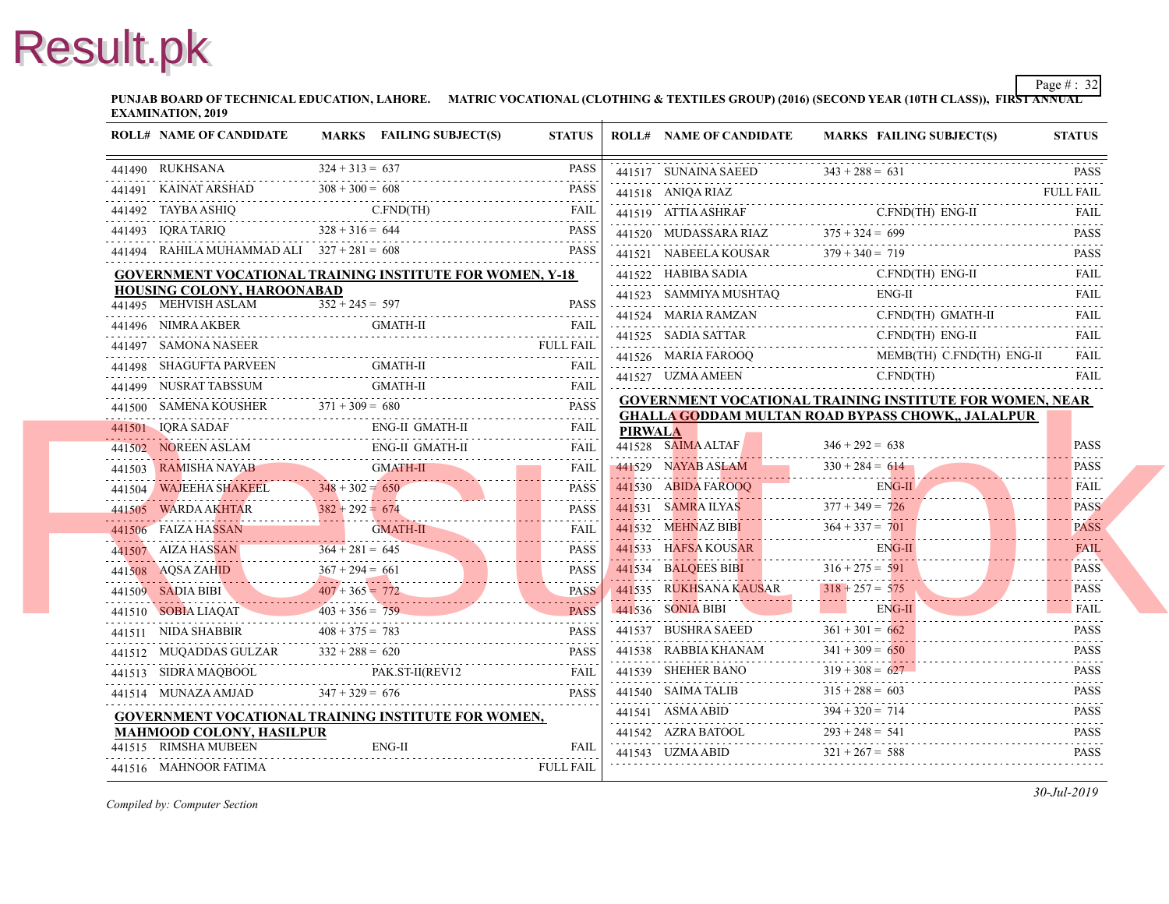**PUNJAB BOARD OF TECHNICAL EDUCATION, LAHORE. MATRIC VOCATIONAL (CLOTHING & TEXTILES GROUP) (2016) (SECOND YEAR EXAMINATION, 2019**

| <b>ROLL# NAME OF CANDIDATE</b>           | MARKS FAILING SUBJECT(S)                                                                                                                                                                                                                                                                                                                                                                                                                                                       | <b>STATUS</b>    |                | <b>ROLL# NAME OF CANDIDATE</b>                                                                                       | <b>MARKS FAIL</b>                  |
|------------------------------------------|--------------------------------------------------------------------------------------------------------------------------------------------------------------------------------------------------------------------------------------------------------------------------------------------------------------------------------------------------------------------------------------------------------------------------------------------------------------------------------|------------------|----------------|----------------------------------------------------------------------------------------------------------------------|------------------------------------|
| 441490 RUKHSANA                          | $324 + 313 = 637$                                                                                                                                                                                                                                                                                                                                                                                                                                                              | <b>PASS</b>      |                | $441517$ SUNAINA SAEED $343 + 288 = 631$                                                                             |                                    |
|                                          | 441491 KAINAT ARSHAD $308 + 300 = 608$ PASS                                                                                                                                                                                                                                                                                                                                                                                                                                    |                  |                | 441518 ANIQA RIAZ                                                                                                    | 5<br>----------------------------- |
|                                          | 441492 TAYBA ASHIQ C.FND(TH) FAIL FAIL FAIL                                                                                                                                                                                                                                                                                                                                                                                                                                    |                  |                | 441519 ATTIA ASHRAF                                                                                                  | C.FN                               |
| 441493 IQRA TARIQ $328 + 316 = 644$      |                                                                                                                                                                                                                                                                                                                                                                                                                                                                                | <b>PASS</b>      |                | 441520 MUDASSARA RIAZ $375 + 324 = 699$                                                                              |                                    |
|                                          | 441494 RAHILA MUHAMMAD ALI 327 + 281 = 608 PASS                                                                                                                                                                                                                                                                                                                                                                                                                                | <b>PASS</b>      |                | 441521 NABEELA KOUSAR 379 + 340 = 719                                                                                |                                    |
|                                          | <b>GOVERNMENT VOCATIONAL TRAINING INSTITUTE FOR WOMEN, Y-18</b>                                                                                                                                                                                                                                                                                                                                                                                                                |                  |                |                                                                                                                      | C.FN                               |
| HOUSING COLONY, HAROONABAD               |                                                                                                                                                                                                                                                                                                                                                                                                                                                                                |                  |                | 441523 SAMMIYA MUSHTAQ ENG                                                                                           | ENG-                               |
| 441495 MEHVISH ASLAM                     | $\overline{352} + 245 = 597$                                                                                                                                                                                                                                                                                                                                                                                                                                                   | <b>PASS</b>      |                |                                                                                                                      | C.FN                               |
|                                          | 441496 NIMRA AKBER GMATH-II FAIL FAIL                                                                                                                                                                                                                                                                                                                                                                                                                                          |                  |                | 441524 MARIA RAMZAN C.FN                                                                                             |                                    |
| 441497 SAMONA NASEER                     |                                                                                                                                                                                                                                                                                                                                                                                                                                                                                |                  |                | $441525$ SADIA SATTAR C.FN<br>441526 MARIA FAROOQ                                                                    | <b>MEM</b>                         |
|                                          | 441498 SHAGUFTA PARVEEN GMATH-II FAIL FAIL                                                                                                                                                                                                                                                                                                                                                                                                                                     |                  |                | 441526 MARIA FAROOQ MEN                                                                                              | $C$ . $FN$                         |
|                                          |                                                                                                                                                                                                                                                                                                                                                                                                                                                                                |                  |                | 441527 UZMA AMEEN C.F                                                                                                |                                    |
|                                          | 441499 NUSRAT TABSSUM GMATH-II FAIL FAIL (441500 SAMENA KOUSHER 371 + 309 = 680 PASS                                                                                                                                                                                                                                                                                                                                                                                           |                  |                | <b>GOVERNMENT VOCATIONAL TRAINING INS</b><br><b>GHALLA GODDAM MULTAN ROAD BYPASS</b>                                 |                                    |
| 441501 IQRA SADAF                        |                                                                                                                                                                                                                                                                                                                                                                                                                                                                                |                  | <b>PIRWALA</b> |                                                                                                                      |                                    |
|                                          | 441502 NOREEN ASLAM ENG-II GMATH-II FAIL FAIL                                                                                                                                                                                                                                                                                                                                                                                                                                  |                  |                | 441528 SAIMA ALTAF                                                                                                   | $346 + 292 = 638$                  |
|                                          | $\begin{tabular}{lllllllll} \multicolumn{2}{c}{\textbf{AAMISHA NAVAB}} & \multicolumn{2}{c}{\textbf{GAIL}} & \multicolumn{2}{c}{\textbf{FAIL}}\\ \multicolumn{2}{c}{\textbf{AAMISHA NAVAB}} & \multicolumn{2}{c}{\textbf{GAAL}} & \multicolumn{2}{c}{\textbf{FAIL}}\\ \multicolumn{2}{c}{\textbf{AAMISHA NAVAB}} & \multicolumn{2}{c}{\textbf{GAAL}} & \multicolumn{2}{c}{\textbf{FAIL}}\\ \multicolumn{2}{c}{\textbf{AAMISHA NAKEEL}} & \multicolumn{2}{c}{\textbf{348 + 302$ |                  |                | $141529$ NAYAB ASLAM $330 + 284 = 614$                                                                               | $330 + 284 = 614$                  |
|                                          |                                                                                                                                                                                                                                                                                                                                                                                                                                                                                |                  |                | 441530 ABIDA FAROOQ ENG                                                                                              |                                    |
|                                          |                                                                                                                                                                                                                                                                                                                                                                                                                                                                                |                  |                | $377 + 349 = 726$                                                                                                    |                                    |
|                                          | $\begin{tabular}{c c c c c} \hline 441505 & WARDA AKHTAR & 382 + 292 & = 674 & \textbf{PASS} \\ \hline \end{tabular}$ PASS CMATH-II FAIL                                                                                                                                                                                                                                                                                                                                       |                  |                | 441532 MEHNAZ BIBI $364 + 337 = 701$                                                                                 |                                    |
|                                          |                                                                                                                                                                                                                                                                                                                                                                                                                                                                                |                  |                | 441533 HAFSA KOUSAR EN                                                                                               | ENG-                               |
|                                          |                                                                                                                                                                                                                                                                                                                                                                                                                                                                                |                  |                |                                                                                                                      |                                    |
|                                          |                                                                                                                                                                                                                                                                                                                                                                                                                                                                                |                  |                | 441534 BALQEES BIBI<br>316+275 = 591<br>441535 RUKHSANA KAUSAR 318+257 = 575<br>441535 RUKHSANA KAUSAR 318+257 = 575 |                                    |
|                                          |                                                                                                                                                                                                                                                                                                                                                                                                                                                                                |                  |                | 441536 SONIA BIBI                                                                                                    | <b>ENG-</b> ENG-                   |
|                                          |                                                                                                                                                                                                                                                                                                                                                                                                                                                                                |                  |                | 441537 BUSHRA SAEED $361 + 301 = 662$                                                                                |                                    |
| 441512 MUQADDAS GULZAR $332 + 288 = 620$ | 441512 MUQADDAS GULZAR $332 + 288 = 620$ PASS                                                                                                                                                                                                                                                                                                                                                                                                                                  |                  |                | 441538 RABBIA KHANAM $341 + 309 =$                                                                                   | $341 + 309 = 650$                  |
|                                          | 441513 SIDRA MAQBOOL PAK.ST-II(REV12 FAIL                                                                                                                                                                                                                                                                                                                                                                                                                                      |                  |                | 441539 SHEHER BANO $319 + 308 = 627$                                                                                 |                                    |
|                                          | 441514 MUNAZA AMJAD $347 + 329 = 676$                                                                                                                                                                                                                                                                                                                                                                                                                                          | <b>PASS</b>      |                | 441540 SAIMA TALIB $315 + 288 = 60$                                                                                  | $315 + 288 = 603$                  |
|                                          | GOVERNMENT VOCATIONAL TRAINING INSTITUTE FOR WOMEN,                                                                                                                                                                                                                                                                                                                                                                                                                            |                  |                | 441541 ASMA ABID 394 + 320 = 714<br>441542 AZRA BATOOL 293 + 248 = 541<br>441542 AZRA BATOOL 293 + 248 = 541         |                                    |
| <b>MAHMOOD COLONY, HASILPUR</b>          |                                                                                                                                                                                                                                                                                                                                                                                                                                                                                |                  |                |                                                                                                                      |                                    |
| 441515 RIMSHA MUBEEN                     | $ENG-II$                                                                                                                                                                                                                                                                                                                                                                                                                                                                       | <b>FAIL</b>      |                | 441543 UZMA ABID $321 + 267 = 588$                                                                                   |                                    |
| 441516 MAHNOOR FATIMA                    |                                                                                                                                                                                                                                                                                                                                                                                                                                                                                | <b>FULL FAIL</b> |                |                                                                                                                      |                                    |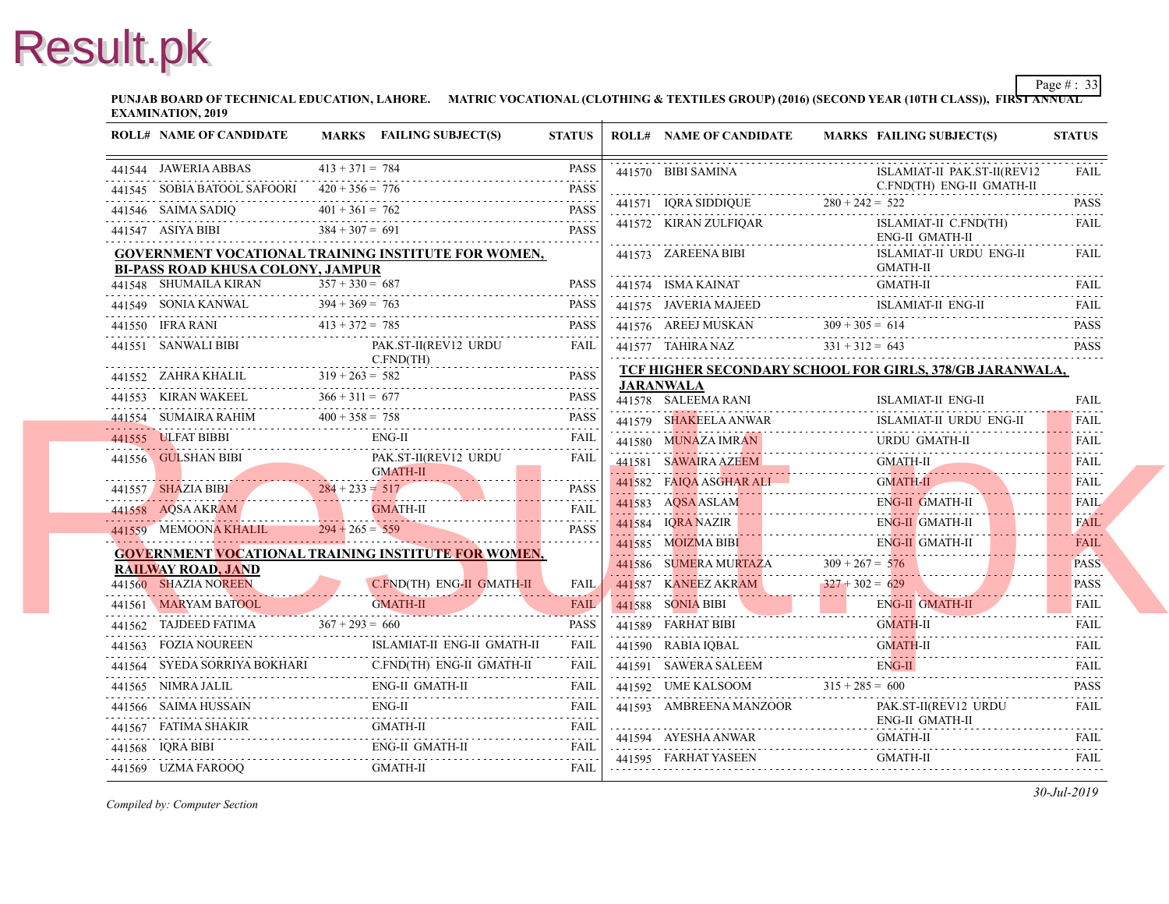**PUNJAB BOARD OF TECHNICAL EDUCATION, LAHORE. MATRIC VOCATIONAL (CLOTHING & TEXTILES GROUP) (2016) (SECOND YEAR EXAMINATION, 2019**

| <b>ROLL# NAME OF CANDIDATE</b>                | MARKS FAILING SUBJECT(S)                                                                                                                                                                                                                                                                                                                                                                                                                                        | <b>STATUS</b> | <b>ROLL# NAME OF CANDIDATE</b>                                                                                | <b>MARKS FAIL</b>   |
|-----------------------------------------------|-----------------------------------------------------------------------------------------------------------------------------------------------------------------------------------------------------------------------------------------------------------------------------------------------------------------------------------------------------------------------------------------------------------------------------------------------------------------|---------------|---------------------------------------------------------------------------------------------------------------|---------------------|
| 441544 JAWERIA ABBAS                          | $413 + 371 = 784$                                                                                                                                                                                                                                                                                                                                                                                                                                               | PASS          | 441570 BIBI SAMINA                                                                                            | <b>ISLA</b>         |
| 441545 SOBIA BATOOL SAFOORI $420 + 356 = 776$ | 11545 SOBIA BATOOL SAFOORI 420 + 356 = 776 PASS                                                                                                                                                                                                                                                                                                                                                                                                                 | <b>PASS</b>   |                                                                                                               | C.FN                |
|                                               | $401 + 361 = 762$<br>441546 SAIMA SADIQ $401 + 361 = 762$ PASS                                                                                                                                                                                                                                                                                                                                                                                                  |               | C.FN<br>441571 IQRA SIDDIQUE 280 + 242 = 522                                                                  |                     |
| 441547 ASIYA BIBI $384 + 307 = 691$           |                                                                                                                                                                                                                                                                                                                                                                                                                                                                 | <b>PASS</b>   | 441572 KIRAN ZULFIQAR                                                                                         | <b>ISLA</b><br>ENG- |
|                                               | <b>GOVERNMENT VOCATIONAL TRAINING INSTITUTE FOR WOMEN,</b>                                                                                                                                                                                                                                                                                                                                                                                                      |               | 441573 ZAREENA BIBI                                                                                           | <b>ISLA</b>         |
| <b>BI-PASS ROAD KHUSA COLONY, JAMPUR</b>      |                                                                                                                                                                                                                                                                                                                                                                                                                                                                 |               |                                                                                                               | <b>GMA</b>          |
|                                               | 441548 SHUMAILA KIRAN $357 + 330 = 687$ PASS                                                                                                                                                                                                                                                                                                                                                                                                                    |               | 441574 ISMA KAINAT GMA                                                                                        | <b>GMA</b>          |
|                                               | 441549 SONIA KANWAL 394 + 369 = 763 PASS                                                                                                                                                                                                                                                                                                                                                                                                                        | PASS          | 441575 JAVERIA MAJEED<br>441575 JAVERIA MAJEED ISLA                                                           | <b>ISLA</b>         |
|                                               | 441550 IFRA RANI $413 + 372 = 785$ PASS                                                                                                                                                                                                                                                                                                                                                                                                                         | <b>PASS</b>   |                                                                                                               |                     |
|                                               | $\begin{tabular}{c c c c} \hline \multicolumn{1}{c}{\textbf{441551}} & \multicolumn{1}{c}{\textbf{SANWALI BIBI}} & \multicolumn{1}{c}{\textbf{PAK.ST-II(REV12 URDU} & \textbf{FAIL})} \\ \hline \multicolumn{1}{c}{\textbf{CAHRA KHALL}} & \multicolumn{1}{c}{\textbf{SAIS}} & \multicolumn{1}{c}{\textbf{CAHRA KHALL}} & \multicolumn{1}{c}{\textbf{SAIS}} \\ \hline \multicolumn{1}{c}{\textbf{441552}} & \multicolumn{1}{c}{\textbf{ZAHRA KHALL}} & \multic$ |               | 441576 AREEJ MUSKAN 309 + 305 = 614<br>441577 TAHIRA NAZ 331 + 312 = 643<br>441577 TAHIRA NAZ 331 + 312 = 643 |                     |
|                                               |                                                                                                                                                                                                                                                                                                                                                                                                                                                                 |               | <b>TCF HIGHER SECONDARY SCHOOL FOR GIF</b>                                                                    |                     |
|                                               |                                                                                                                                                                                                                                                                                                                                                                                                                                                                 |               | <b>JARANWALA</b><br>441578 SALEEMA RANI                                                                       | <b>ISLA</b>         |
|                                               |                                                                                                                                                                                                                                                                                                                                                                                                                                                                 |               | 441579 SHAKEELA ANWAR                                                                                         | <b>ISLA</b>         |
| 441555 ULFAT BIBBI                            | ENG-II                                                                                                                                                                                                                                                                                                                                                                                                                                                          | FAIL          | 441580 MUNAZA IMRAN                                                                                           | <b>URD</b>          |
|                                               | 441556 GULSHAN BIBI<br>$\frac{6MATH-II}{284 + 233} = 517$<br>PASS<br>$\frac{284 + 233}{284 + 233} = 517$<br>PASS                                                                                                                                                                                                                                                                                                                                                |               | 11580 MUNAZA IMRAN URD URD<br>441581 SAWAIRA AZEEM GM                                                         | <b>GMA</b>          |
|                                               |                                                                                                                                                                                                                                                                                                                                                                                                                                                                 |               | 441582 FAIQA ASGHAR ALI GMA                                                                                   | <b>GMA</b>          |
|                                               |                                                                                                                                                                                                                                                                                                                                                                                                                                                                 |               |                                                                                                               | ENG-                |
|                                               | <u>and the second second in the second second in the second second in the second second in the second second in the second second in the second second in the second second in the second second in the second second in the sec</u>                                                                                                                                                                                                                            |               | 441584 IQRA NAZIR EN                                                                                          | ENG-                |
|                                               |                                                                                                                                                                                                                                                                                                                                                                                                                                                                 |               | 441585 MOIZMA BIBI ENC                                                                                        | ENG-                |
| <b>RAILWAY ROAD, JAND</b>                     | <b>GOVERNMENT VOCATIONAL TRAINING INSTITUTE FOR WOMEN,</b>                                                                                                                                                                                                                                                                                                                                                                                                      |               | 441586 SUMERA MURTAZA $309 + 267 = 576$                                                                       |                     |
| 441560 SHAZIA NOREEN                          | C.FND(TH) ENG-II GMATH-II<br>en nous characteristics and the conditions of the conditions of the                                                                                                                                                                                                                                                                                                                                                                | <b>FAIL</b>   | 441587 KANEEZ AKRAM 327+302 = 629                                                                             |                     |
|                                               | GMATH-II<br>441561 MARYAM BATOOL GMATH-II                                                                                                                                                                                                                                                                                                                                                                                                                       | <b>FAIL</b>   | 441588 SONIA BIBI EN                                                                                          | ENG-                |
|                                               | 441562 TAJDEED FATIMA $367 + 293 = 660$ PASS                                                                                                                                                                                                                                                                                                                                                                                                                    | .             | 441589 FARHAT BIBI<br>441589 FARHAT BIBI GM                                                                   | <b>GMA</b>          |
|                                               | ISLAMIAT-II ENG-II GMATH-II                                                                                                                                                                                                                                                                                                                                                                                                                                     | FAIL          | 441590 RABIA IQBAL                                                                                            | <b>GMA</b>          |
|                                               | 441564 SYEDA SORRIYA BOKHARI C.FND(TH) ENG-II GMATH-II FAIL                                                                                                                                                                                                                                                                                                                                                                                                     |               | 441591 SAWERA SALEEM                                                                                          | ENG-                |
|                                               | 441565 NIMRA JALIL ENG-II GMATH-II FAIL FAIL                                                                                                                                                                                                                                                                                                                                                                                                                    | FAIL          | 441592 UME KALSOOM $315 + 285 = 600$                                                                          |                     |
|                                               | $\begin{tabular}{ll} 441566 & SAIMA HUSSAIN & \hspace{0.3cm} \text{ENG-II} \hspace{0.3cm} \text{FAIL} \end{tabular}$                                                                                                                                                                                                                                                                                                                                            |               | 441593 AMBREENA MANZOOR                                                                                       | PAK.                |
|                                               | $\begin{tabular}{ll} \bf 441567 & FATIMA SHAKIR & \multicolumn{2}{c}{GMATH-II} & \multicolumn{2}{c}{FATL} \\ \bf 441567 & FATIMA SHAKIR & \multicolumn{2}{c}{GMATH-II} \\ \end{tabular}$                                                                                                                                                                                                                                                                        |               |                                                                                                               | ENG-                |
|                                               | 441568 IQRA BIBI ENG-II GMATH-II FAIL FAIL                                                                                                                                                                                                                                                                                                                                                                                                                      |               |                                                                                                               | <b>GMA</b>          |
| 441569 UZMA FAROOQ                            | GMATH-II                                                                                                                                                                                                                                                                                                                                                                                                                                                        | FAIL          | 441595 FARHAT YASEEN GMA                                                                                      | <b>GMA</b>          |
|                                               |                                                                                                                                                                                                                                                                                                                                                                                                                                                                 |               |                                                                                                               |                     |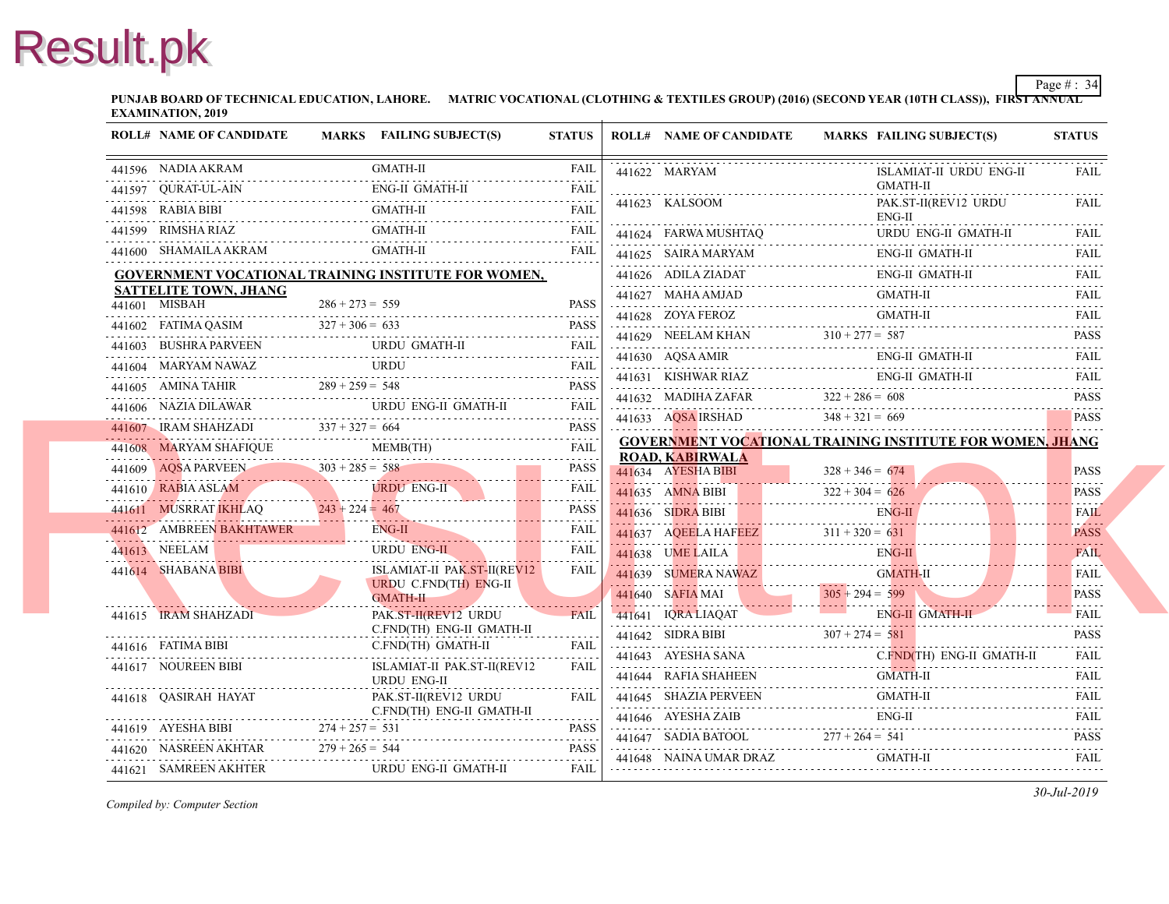**PUNJAB BOARD OF TECHNICAL EDUCATION, LAHORE. MATRIC VOCATIONAL (CLOTHING & TEXTILES GROUP) (2016) (SECOND YEAR EXAMINATION, 2019**

| <b>ROLL# NAME OF CANDIDATE</b>               | MARKS FAILING SUBJECT(S)                                                                                                                                                                                                                                                 | <b>STATUS</b> | <b>ROLL# NAME OF CANDIDATE</b>                                                                  | <b>MARKS FAIL</b> |
|----------------------------------------------|--------------------------------------------------------------------------------------------------------------------------------------------------------------------------------------------------------------------------------------------------------------------------|---------------|-------------------------------------------------------------------------------------------------|-------------------|
| 441596 NADIA AKRAM                           | GMATH-II                                                                                                                                                                                                                                                                 | <b>FAIL</b>   | 441622 MARYAM                                                                                   | <b>ISLA</b>       |
| 441597 QURAT-UL-AIN                          | 441597 QURAT-UL-AIN ENG-II GMATH-II FAIL                                                                                                                                                                                                                                 |               |                                                                                                 | <b>GMA</b>        |
|                                              |                                                                                                                                                                                                                                                                          |               | 441623 KALSOOM                                                                                  | PAK.<br>ENG-      |
| 441599 RIMSHA RIAZ                           |                                                                                                                                                                                                                                                                          |               | 441624 FARWA MUSHTAQ                                                                            | <b>URD</b>        |
|                                              | 441600 SHAMAILA AKRAM GMATH-II FAIL                                                                                                                                                                                                                                      | <b>FAIL</b>   | 441625 SAIRA MARYAM ENC                                                                         | ENG-              |
|                                              | <b>GOVERNMENT VOCATIONAL TRAINING INSTITUTE FOR WOMEN,</b>                                                                                                                                                                                                               |               | 441626 ADILA ZIADAT ENG-                                                                        |                   |
| <b>SATTELITE TOWN, JHANG</b>                 |                                                                                                                                                                                                                                                                          |               | $\begin{minipage}{0.9\linewidth} 441627 \quad \text{MAHAAMJAD} \quad \text{GM.} \end{minipage}$ | <b>GMA</b>        |
| 441601 MISBAH                                | $286 + 273 = 559$                                                                                                                                                                                                                                                        | PASS          |                                                                                                 | <b>GMA</b>        |
|                                              |                                                                                                                                                                                                                                                                          |               | 441629 NEELAM KHAN $310 + 277 = 587$                                                            |                   |
|                                              | $\begin{tabular}{c c c c c} \hline 441603 & \text{BUSHRA PARYEEN} & \text{URDU GMATH-II} & \text{FAIL} \\ \hline 441604 & \text{MARYAM NAWAZ} & \text{URDU} & \text{FAIL} \\ \hline 441605 & \text{AMINA TAHIR} & 289 + 259 = 548 & \text{PASS} \\ \hline \end{tabular}$ |               | $441630$ AQSA AMIR ENC                                                                          | ENG-              |
|                                              |                                                                                                                                                                                                                                                                          |               | 441631 KISHWAR RIAZ ENG                                                                         | ENG-              |
|                                              |                                                                                                                                                                                                                                                                          |               | 441632 MADIHA ZAFAR $322 + 286 = 608$                                                           |                   |
|                                              | 441606 NAZIA DILAWAR URDU ENG-II GMATH-II FAIL                                                                                                                                                                                                                           |               | 441633 AQSA IRSHAD $348 + 321 = 669$                                                            |                   |
|                                              | $441607$ IRAM SHAHZADI $337 + 327 = 664$ PASS                                                                                                                                                                                                                            |               | <b>GOVERNMENT VOCATIONAL TRAINING INS</b>                                                       |                   |
|                                              | $\begin{tabular}{c c c c c} \hline 441608 & MARYAM SHAFIQUE & MEMB(TH) & Fall \\ \hline 441609 & AQSA PARVEEN & 303 + 285 = 588 & PASS \\ & & & & & & & & &\\ \hline \end{tabular}$                                                                                      |               | <b>ROAD, KABIRWALA</b>                                                                          |                   |
|                                              |                                                                                                                                                                                                                                                                          |               | 441634 AYESHA BIBI $328 + 346 = 674$                                                            |                   |
|                                              |                                                                                                                                                                                                                                                                          |               | $322 + 304 = 626$                                                                               |                   |
|                                              |                                                                                                                                                                                                                                                                          |               |                                                                                                 | ENG-              |
|                                              | 441612 AMBREEN BAKHTAWER ENG-II FAIL FAIL                                                                                                                                                                                                                                |               | 441637 AQEELA HAFEEZ 311 + 320 = 631                                                            |                   |
| 441613 NEELAM URDU EN                        | URDU ENG-II                                                                                                                                                                                                                                                              | FAIL          | 441638 UME LAILA ENG-                                                                           | ENG-              |
| 441614 SHABANA BIBI                          | <b>ISLAMIAT-II PAK.ST-II(REV12</b><br><b>URDU C.FND(TH) ENG-II</b>                                                                                                                                                                                                       | <b>FAIL</b>   |                                                                                                 |                   |
| <u> 1988 - Jan Amerikaanse kommunister (</u> | <b>GMATH-II</b>                                                                                                                                                                                                                                                          |               | 441639 SUMERA NAWAZ GMA<br>441640 SAFIA MAI 305 + 294 = 599                                     |                   |
| 441615 IRAM SHAHZADI                         | PAK.ST-II(REV12 URDU                                                                                                                                                                                                                                                     | FAIL          | 441641 IQRA LIAQAT EN                                                                           | ENG-              |
|                                              | C.FND(TH) ENG-II GMATH-II                                                                                                                                                                                                                                                |               | 441642 SIDRA BIBI $307 + 274 = 581$                                                             |                   |
| 441616 FATIMA BIBI C.FND(                    | C.FND(TH) GMATH-II                                                                                                                                                                                                                                                       | FAIL          | 441643 AYESHA SANA C.F                                                                          | $C$ FN            |
| 441617 NOUREEN BIBI                          | ISLAMIAT-II PAK.ST-II(REV12<br><b>URDU ENG-II</b>                                                                                                                                                                                                                        | <b>FAIL</b>   | 441644 RAFIA SHAHEEN GMA                                                                        | <b>GMA</b>        |
| 441618 QASIRAH HAYAT                         | PAK.ST-II(REV12 URDU                                                                                                                                                                                                                                                     | <b>FAIL</b>   | 441645 SHAZIA PERVEEN GM.                                                                       | <b>GMA</b>        |
|                                              | C.FND(TH) ENG-II GMATH-II                                                                                                                                                                                                                                                | .             | 441646 AYESHA ZAIB ENC                                                                          | ENG-              |
|                                              | 441619 AYESHA BIBI $274 + 257 = 531$ PASS                                                                                                                                                                                                                                |               | 441647 SADIA BATOOL 277 + 264 = 541                                                             |                   |
|                                              | $141620$ NASREEN AKHTAR $279 + 265 = 544$ PASS                                                                                                                                                                                                                           |               | 441648 NAINA UMAR DRAZ GMA                                                                      | <b>GMA</b>        |
|                                              | 441621 SAMREEN AKHTER URDU ENG-II GMATH-II                                                                                                                                                                                                                               | FAIL          |                                                                                                 |                   |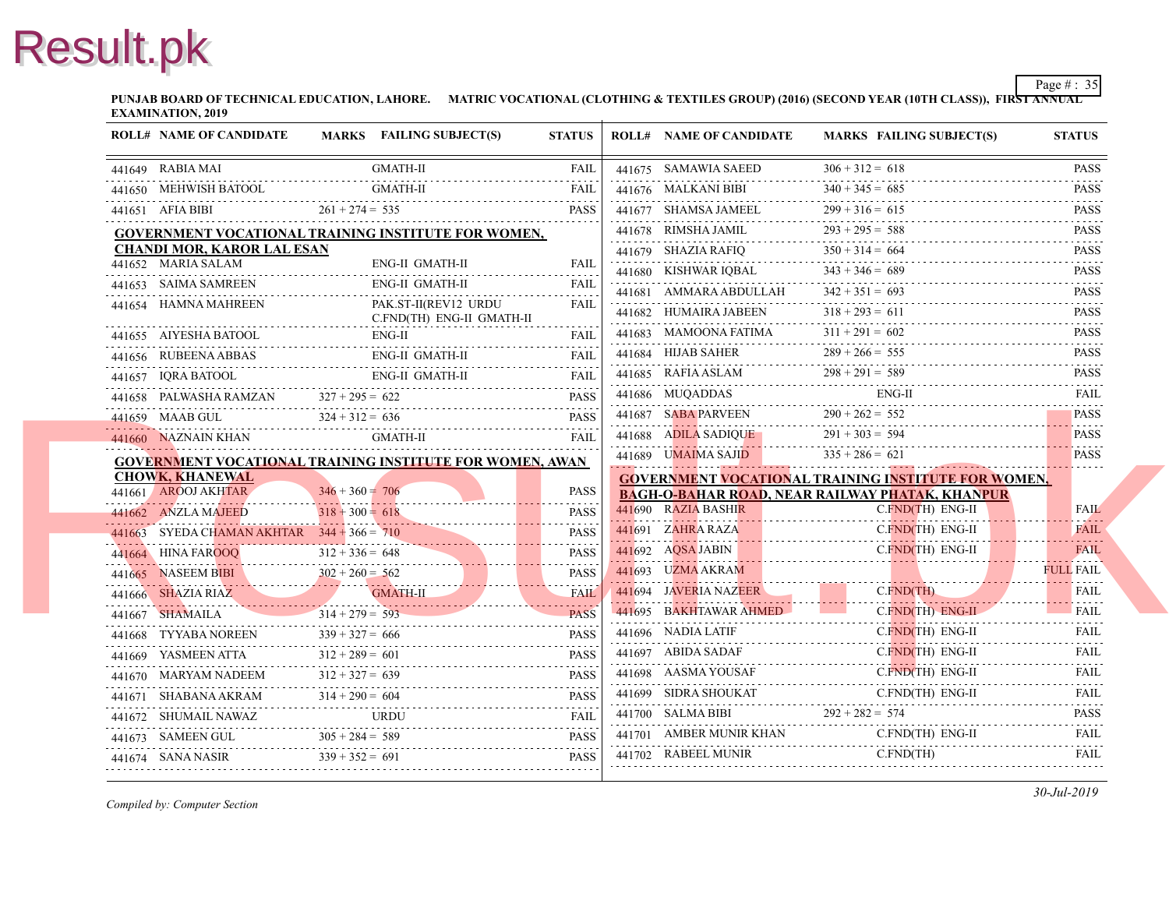**PUNJAB BOARD OF TECHNICAL EDUCATION, LAHORE. MATRIC VOCATIONAL (CLOTHING & TEXTILES GROUP) (2016) (SECOND YEAR EXAMINATION, 2019**

| <b>ROLL# NAME OF CANDIDATE</b>                                                                                                                                                                                                                                                                                                                                                                                                  |                   | MARKS FAILING SUBJECT(S) | <b>STATUS</b> | <b>ROLL# NAME OF CANDIDATE</b>                                           | <b>MARKS FAIL</b> |
|---------------------------------------------------------------------------------------------------------------------------------------------------------------------------------------------------------------------------------------------------------------------------------------------------------------------------------------------------------------------------------------------------------------------------------|-------------------|--------------------------|---------------|--------------------------------------------------------------------------|-------------------|
| 441649 RABIA MAI                                                                                                                                                                                                                                                                                                                                                                                                                | <b>GMATH-II</b>   |                          | <b>FAIL</b>   | 441675 SAMAWIA SAEED                                                     | $306 + 312 = 618$ |
| 441650 MEHWISH BATOOL                                                                                                                                                                                                                                                                                                                                                                                                           | <b>GMATH-II</b>   |                          | <b>FAIL</b>   | 441676 MALKANI BIBI                                                      | $340 + 345 = 685$ |
| 441651 AFIA BIBI $261 + 274 = 535$ PASS                                                                                                                                                                                                                                                                                                                                                                                         | $261 + 274 = 535$ |                          | <b>PASS</b>   | 441677 SHAMSA JAMEEL 299 + 316 =                                         | $299 + 316 = 615$ |
| GOVERNMENT VOCATIONAL TRAINING INSTITUTE FOR WOMEN,                                                                                                                                                                                                                                                                                                                                                                             |                   |                          |               | 441678 RIMSHA JAMIL                                                      | $293 + 295 = 588$ |
| <b>CHANDI MOR, KAROR LAL ESAN</b>                                                                                                                                                                                                                                                                                                                                                                                               |                   |                          |               | 441679 SHAZIA RAFIQ $350 + 314 = 6$                                      | $350 + 314 = 664$ |
| 441652 MARIA SALAM                                                                                                                                                                                                                                                                                                                                                                                                              |                   | ENG-II GMATH-II          | <b>FAIL</b>   | 441680 KISHWAR IQBAL                                                     | $343 + 346 = 689$ |
| 441653 SAIMA SAMREEN                                                                                                                                                                                                                                                                                                                                                                                                            |                   | ENG-II GMATH-II          | <b>FAIL</b>   | 441681 AMMARA ABDULLAH                                                   | $342 + 351 = 693$ |
| 441654 HAMNA MAHREEN<br>C.FND(TH) ENG-II GMATH-II                                                                                                                                                                                                                                                                                                                                                                               |                   | PAK.ST-II(REV12 URDU     | FAIL          | 441682 HUMAIRA JABEEN $318 + 293 = 0$                                    | $318 + 293 = 611$ |
| 441655 AIYESHA BATOOL<br>441655 AIYESHA BATOOL ENG-II FAIL FAIL                                                                                                                                                                                                                                                                                                                                                                 | ENG-II            |                          | FAII.         | 441683 MAMOONA FATIMA                                                    | $311 + 291 = 602$ |
| 441656 RUBEENA ABBAS<br>441656 RUBEENA ABBAS ENG-II GMATH-II FAIL FAIL                                                                                                                                                                                                                                                                                                                                                          |                   | ENG-II GMATH-II          | <b>FAIL</b>   | 441684 HIJAB SAHER 289 + 266 = :                                         | $289 + 266 = 555$ |
|                                                                                                                                                                                                                                                                                                                                                                                                                                 |                   |                          |               | 441685 RAFIA ASLAM $298 + 291 = 5$                                       | $298 + 291 = 589$ |
| $\begin{tabular}{llllll} \multicolumn{2}{c}{\textbf{441657}} & \textbf{IQRA BATOOL} & \textbf{ENG-II GMATH-II} & \textbf{FAIL} \\ \multicolumn{2}{c}{\textbf{441658}} & \textbf{PALWASHA RAMZAN} & \textbf{327 + 295 = 622} & \textbf{PASS} \\ \multicolumn{2}{c}{\textbf{241658}} & \textbf{PALWASHA RAMZAN} & \textbf{327 + 295 = 622} & \textbf{PASS} \\ \multicolumn{2}{c}{\textbf{2416}} & \textbf{PASSB} & \textbf{PASSB$ |                   |                          |               | 441686 MUQADDAS EN                                                       | ENG-              |
| $324 + 312 = 636$ PASS<br>ALL $324 + 312 = 636$ PASS                                                                                                                                                                                                                                                                                                                                                                            |                   |                          | <b>PASS</b>   | 441687 SABA PARVEEN $290 + 262 = 55$                                     | $290 + 262 = 552$ |
|                                                                                                                                                                                                                                                                                                                                                                                                                                 |                   | GMATH-II                 | FAII          | 441688 ADILA SADIQUE                                                     | $291 + 303 = 594$ |
| <b>GOVERNMENT VOCATIONAL TRAINING INSTITUTE FOR WOMEN, AWAN</b>                                                                                                                                                                                                                                                                                                                                                                 |                   |                          |               | 441689 UMAIMA SAJID                                                      | $335 + 286 = 621$ |
| <b>CHOWK, KHANEWAL</b>                                                                                                                                                                                                                                                                                                                                                                                                          |                   |                          |               | <b>GOVERNMENT VOCATIONAL TRAINING INS</b>                                |                   |
| 441661 AROOJ AKHTAR                                                                                                                                                                                                                                                                                                                                                                                                             | $346 + 360 = 706$ |                          | <b>PASS</b>   | <b>BAGH-O-BAHAR ROAD, NEAR RAILWAY PHA</b>                               |                   |
| 441662 ANZLA MAJEED<br>441662 ANZLA MAJEED $318 + 300 = 618$ PASS                                                                                                                                                                                                                                                                                                                                                               | $318 + 300 = 618$ |                          | <b>PASS</b>   | 441690 RAZIA BASHIR                                                      | C.FN              |
|                                                                                                                                                                                                                                                                                                                                                                                                                                 |                   |                          |               | 441691 ZAHRA RAZA<br>441691 ZAHRA RAZA C.                                | $C$ . $FN$        |
|                                                                                                                                                                                                                                                                                                                                                                                                                                 |                   |                          |               | 441692 AQSA JABIN C.                                                     | $C$ . $FN$        |
| 441663 SYEDA CHAMAN AKHTAR $344 + 366 = 710$ PASS<br>441664 HINA FAROOQ $312 + 336 = 648$ PASS<br>441665 NASEEM BIBI $302 + 260 = 562$ PASS<br>441666 SHAZIA RIAZ                                                                                                                                                                                                                                                               |                   |                          |               | 441693 UZMA AKRAM<br><u>in in de general de continua a continua de c</u> |                   |
| 441666 SHAZIA RIAZ GMATH-II FAIL                                                                                                                                                                                                                                                                                                                                                                                                |                   |                          |               | 441694 JAVERIA NAZEER                                                    | C.FN              |
| 441667 SHAMAILA<br>$314 + 279 = 593$ PASS                                                                                                                                                                                                                                                                                                                                                                                       | $314 + 279 = 593$ |                          | <b>PASS</b>   | 441695 BAKHTAWAR AHMED                                                   | $C$ . $FN$        |
| 441668 TYYABA NOREEN $339 + 327 = 666$ PASS                                                                                                                                                                                                                                                                                                                                                                                     | $339 + 327 = 666$ |                          |               | 441696 NADIA LATIF<br>441696 NADIA LATIF C.                              | C.FN              |
| 441669 YASMEEN ATTA<br>441669 YASMEEN ATTA $312 + 289 = 601$ PASS                                                                                                                                                                                                                                                                                                                                                               | $312 + 289 = 601$ |                          |               | 441697 ABIDA SADAF C.F                                                   | $C$ . FN.         |
| 441670 MARYAM NADEEM                                                                                                                                                                                                                                                                                                                                                                                                            | $312 + 327 = 639$ |                          |               | 441698 AASMA YOUSAF                                                      | $C$ FN            |
| 441670 MARYAM NADEEM $312 + 327 = 639$ PASS                                                                                                                                                                                                                                                                                                                                                                                     |                   |                          | <b>PASS</b>   | 441699 SIDRA SHOUKAT<br>441699 SIDRA SHOUKAT C.FN                        | C.FN              |
| 441671 SHABANA AKRAM $314 + 290 = 604$ PASS                                                                                                                                                                                                                                                                                                                                                                                     |                   |                          |               | 441700 SALMA BIBI $292 + 282 = 574$                                      |                   |
| 441672 SHUMAIL NAWAZ URDU FAIL                                                                                                                                                                                                                                                                                                                                                                                                  |                   |                          |               | 441701 AMBER MUNIR KHAN                                                  | C.FN              |
| 441673 SAMEEN GUL $305 + 284 = 589$ PASS<br>441674 SANA NASIR $339 + 352 = 691$                                                                                                                                                                                                                                                                                                                                                 |                   |                          | <b>PASS</b>   | 441702 RABEEL MUNIR<br>441702 RABEEL MUNIR C.FN                          | C.FN              |
| 441674 SANA NASIR $339 + 352 = 691$ PASS                                                                                                                                                                                                                                                                                                                                                                                        |                   |                          |               |                                                                          |                   |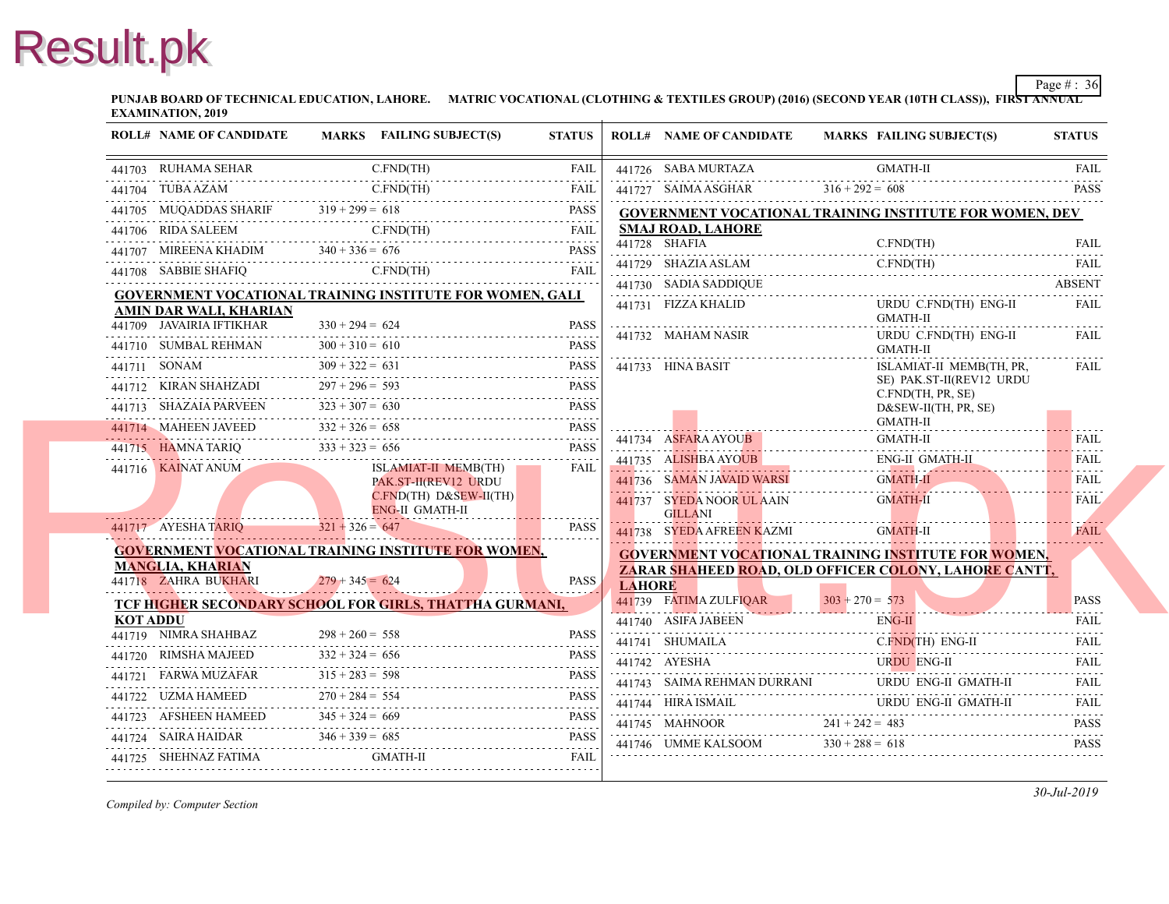**PUNJAB BOARD OF TECHNICAL EDUCATION, LAHORE. MATRIC VOCATIONAL (CLOTHING & TEXTILES GROUP) (2016) (SECOND YEAR EXAMINATION, 2019**

|          | <b>ROLL# NAME OF CANDIDATE</b>                                                                                                                                                                                                                                                                                                                                                                                                         |                   | MARKS FAILING SUBJECT(S)                     | <b>STATUS</b> |               | <b>ROLL# NAME OF CANDIDATE</b>               | <b>MARKS FAIL</b>        |
|----------|----------------------------------------------------------------------------------------------------------------------------------------------------------------------------------------------------------------------------------------------------------------------------------------------------------------------------------------------------------------------------------------------------------------------------------------|-------------------|----------------------------------------------|---------------|---------------|----------------------------------------------|--------------------------|
|          | 441703 RUHAMA SEHAR                                                                                                                                                                                                                                                                                                                                                                                                                    |                   | C.FND(TH)                                    | FAIL          |               | 441726 SABA MURTAZA                          | <b>GMA</b>               |
|          |                                                                                                                                                                                                                                                                                                                                                                                                                                        |                   |                                              |               |               | 441727 SAIMA ASGHAR                          | $316 + 292 = 608$        |
|          | $\begin{tabular}{lllllllll} \multicolumn{2}{c}{\textbf{0.13}\textbf{0.141704}} &\multicolumn{2}{c}{\textbf{TUBA AZAM}} &\multicolumn{2}{c}{\textbf{CFND(TH)}} &\multicolumn{2}{c}{\textbf{FAL}}\\ &\multicolumn{2}{c}{\textbf{0.141705}} &\multicolumn{2}{c}{\textbf{HUL}} &\multicolumn{2}{c}{\textbf{FAD(TH)}} &\multicolumn{2}{c}{\textbf{FAL}}\\ &\multicolumn{2}{c}{\textbf{0.141705}} &\multicolumn{2}{c}{\textbf{MUQADDAS SHAR$ |                   |                                              |               |               | <b>GOVERNMENT VOCATIONAL TRAINING INS</b>    |                          |
|          |                                                                                                                                                                                                                                                                                                                                                                                                                                        |                   |                                              |               |               | <b>SMAJ ROAD, LAHORE</b>                     |                          |
|          | $\begin{tabular}{c} 441706 & RIDA SALEEM \\ \hline 441707 & MIREENA KHADIM \\ \end{tabular} \begin{tabular}{c} 240 + 336 = 676 \\ \hline 741707 & MIREENA KHADIM \\ \end{tabular} \end{tabular} \begin{tabular}{c} 240 + 336 = 676 \\ \hline \end{tabular} \begin{tabular}{c} 240 + 336 = 676 \\ \hline \end{tabular}$                                                                                                                 |                   |                                              |               |               | 441728 SHAFIA                                | C.FN                     |
|          | 441708 SABBIE SHAFIQ C.FND(TH) FAIL                                                                                                                                                                                                                                                                                                                                                                                                    |                   |                                              |               |               | 441729 SHAZIA ASLAM C.FN                     | C.FN                     |
|          | <b>GOVERNMENT VOCATIONAL TRAINING INSTITUTE FOR WOMEN, GALI</b>                                                                                                                                                                                                                                                                                                                                                                        |                   |                                              |               |               | 441730 SADIA SADDIQUE                        |                          |
|          | AMIN DAR WALI, KHARIAN                                                                                                                                                                                                                                                                                                                                                                                                                 |                   |                                              |               |               | 441731 FIZZA KHALID                          | <b>URD</b><br><b>GMA</b> |
|          | 441709 JAVAIRIA IFTIKHAR                                                                                                                                                                                                                                                                                                                                                                                                               | $330 + 294 = 624$ | AR $330 + 294 = 624$ PASS                    | <b>PASS</b>   |               | 441732 MAHAM NASIR                           | <b>URD</b>               |
|          | 441710 SUMBAL REHMAN $300 + 310 = 610$ PASS                                                                                                                                                                                                                                                                                                                                                                                            | $300 + 310 = 610$ |                                              |               |               |                                              | <b>GMA</b>               |
|          | $309 + 322 = 631$<br>441711 SONAM<br>441711 SONAM $309 + 322 = 631$ PASS                                                                                                                                                                                                                                                                                                                                                               |                   |                                              | PASS          |               | 441733 HINA BASIT                            | <b>ISLA</b><br>SE) I     |
|          | 441712 KIRAN SHAHZADI 297 + 296 = 593                                                                                                                                                                                                                                                                                                                                                                                                  |                   |                                              | <b>PASS</b>   |               |                                              | C.FN                     |
|          | 441713 SHAZAIA PARVEEN $323 + 307 = 630$ PASS                                                                                                                                                                                                                                                                                                                                                                                          |                   |                                              |               |               |                                              | D&S<br><b>GMA</b>        |
|          | 441714 MAHEEN JAVEED $332 + 326 = 658$ PASS                                                                                                                                                                                                                                                                                                                                                                                            |                   |                                              |               |               | 441734 ASFARA AYOUB                          | <b>GMA</b>               |
|          | 441715 HAMNA TARIQ $333 + 323 = 656$ PASS                                                                                                                                                                                                                                                                                                                                                                                              |                   |                                              |               |               | 441735 ALISHBA AYOUB                         | ENG-                     |
|          | 441716 KAINAT ANUM                                                                                                                                                                                                                                                                                                                                                                                                                     |                   | ISLAMIAT-II MEMB(TH)<br>PAK.ST-II(REV12 URDU | FAIL          |               | 441736 SAMAN JAVAID WARSI GN                 | <b>GMA</b>               |
|          |                                                                                                                                                                                                                                                                                                                                                                                                                                        |                   | $C.FND(TH) D&SEW-II(TH)$                     |               |               | 441737 SYEDA NOOR UL AAIN                    | <b>GMA</b>               |
|          | 441717 AYESHA TARIO $321 + 326 = 647$                                                                                                                                                                                                                                                                                                                                                                                                  |                   | <b>ENG-II GMATH-II</b>                       | PASS          |               | <b>GILLANI</b>                               |                          |
|          |                                                                                                                                                                                                                                                                                                                                                                                                                                        |                   |                                              |               |               | 441738 SYEDA AFREEN KAZMI                    | <b>GMA</b>               |
|          | <b>GOVERNMENT VOCATIONAL TRAINING INSTITUTE FOR WOMEN,</b><br><b>MANGLIA, KHARIAN</b>                                                                                                                                                                                                                                                                                                                                                  |                   |                                              |               |               | <b>GOVERNMENT VOCATIONAL TRAINING INS</b>    |                          |
|          | 441718 ZAHRA BUKHARI                                                                                                                                                                                                                                                                                                                                                                                                                   | $279 + 345 = 624$ |                                              | <b>PASS</b>   | <b>LAHORE</b> | <b>ZARAR SHAHEED ROAD, OLD OFFICER COL</b>   |                          |
|          | TCF HIGHER SECONDARY SCHOOL FOR GIRLS, THATTHA GURMANI,                                                                                                                                                                                                                                                                                                                                                                                |                   |                                              |               |               | 441739 FATIMA ZULFIOAR                       | $303 + 270 = 573$        |
| KOT ADDU |                                                                                                                                                                                                                                                                                                                                                                                                                                        |                   |                                              |               |               | 441740 ASIFA JABEEN ENG                      | ENG-                     |
|          | $441719$ NIMRA SHAHBAZ $298 + 260 = 558$ PASS                                                                                                                                                                                                                                                                                                                                                                                          |                   |                                              | <b>PASS</b>   |               | 441741 SHUMAILA                              | $C$ . $FN$               |
|          | 441720 RIMSHA MAJEED $332 + 324 = 656$ PASS                                                                                                                                                                                                                                                                                                                                                                                            | $332 + 324 = 656$ |                                              |               |               | 441742 AYESHA                                | <b>URD</b>               |
|          | $\begin{tabular}{c} 441721 \quad FRAWA MUZAFAR \end{tabular} \hfill 315 + 283 = 598 \hfill 720 + 284 = 554 \hfill 722 \quad UZMA HAMEED \end{tabular} \hfill 283 + 283 = 598 \hfill 720 + 284 = 554 \hfill 723 \qquad PASS$                                                                                                                                                                                                            |                   |                                              |               |               | 441743 SAIMA REHMAN DURRANI                  | <b>URD</b>               |
|          |                                                                                                                                                                                                                                                                                                                                                                                                                                        |                   |                                              |               |               | 441744 HIRA ISMAIL<br>441744 HIRA ISMAIL URI | <b>URD</b>               |
|          | 441723 AFSHEEN HAMEED $345 + 324 = 669$ PASS                                                                                                                                                                                                                                                                                                                                                                                           |                   |                                              |               |               | 441745 MAHNOOR $241 + 242 = 483$             |                          |
|          | 441724 SAIRA HAIDAR $346 + 339 = 685$ PASS PASS                                                                                                                                                                                                                                                                                                                                                                                        |                   |                                              |               |               | 441746 UMME KALSOOM $330 + 288 = 618$        |                          |
|          | 441725 SHEHNAZ FATIMA GMATH-II FAIL FAIL                                                                                                                                                                                                                                                                                                                                                                                               |                   |                                              |               |               |                                              |                          |
|          |                                                                                                                                                                                                                                                                                                                                                                                                                                        |                   |                                              |               |               |                                              |                          |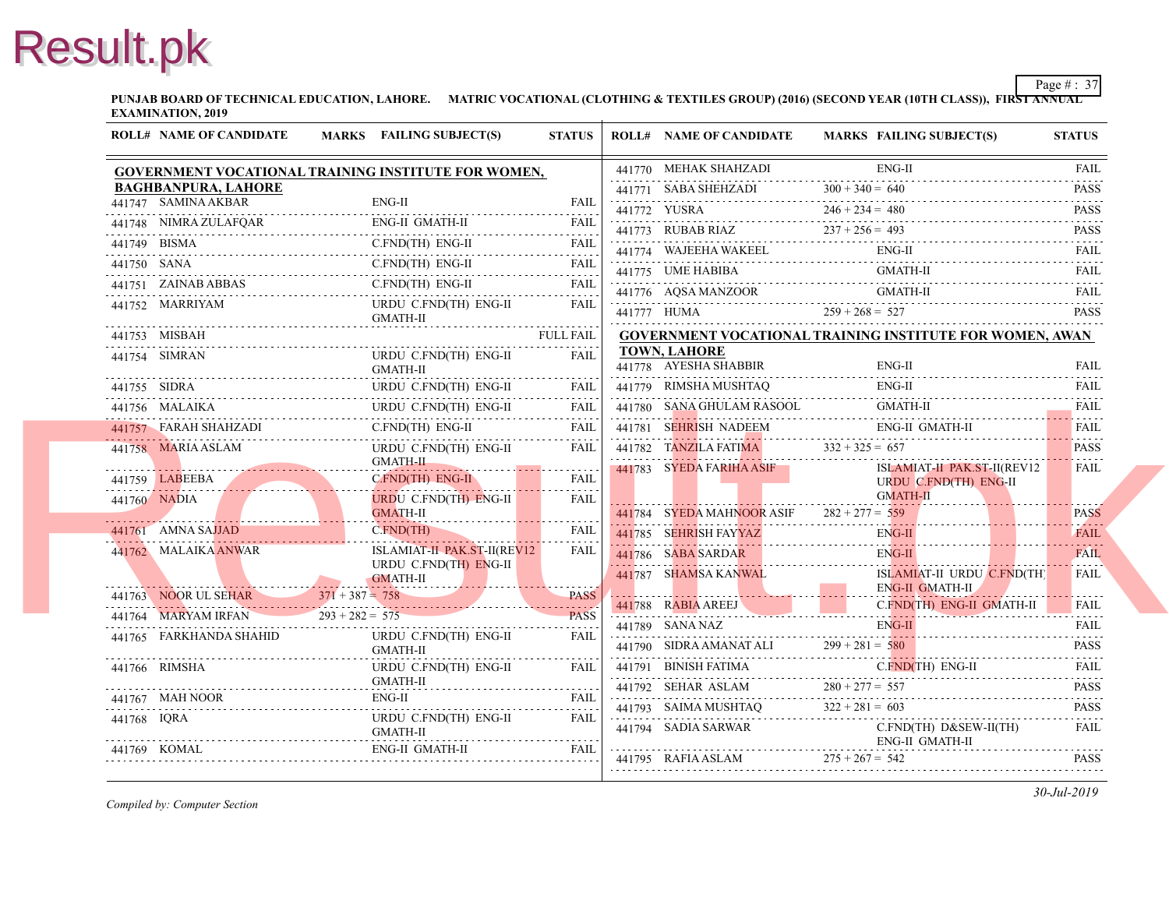**PUNJAB BOARD OF TECHNICAL EDUCATION, LAHORE. MATRIC VOCATIONAL (CLOTHING & TEXTILES GROUP) (2016) (SECOND YEAR EXAMINATION, 2019**

|             | <b>ROLL# NAME OF CANDIDATE</b>      | MARKS FAILING SUBJECT(S)                                                                                                                                | <b>STATUS</b>    | <b>ROLL# NAME OF CANDIDATE</b>                     | <b>MARKS FAIL</b>        |
|-------------|-------------------------------------|---------------------------------------------------------------------------------------------------------------------------------------------------------|------------------|----------------------------------------------------|--------------------------|
|             |                                     | GOVERNMENT VOCATIONAL TRAINING INSTITUTE FOR WOMEN,                                                                                                     |                  | 441770 MEHAK SHAHZADI                              | ENG-                     |
|             | <b>BAGHBANPURA, LAHORE</b>          |                                                                                                                                                         |                  | 441771 SABA SHEHZADI $300 + 340 = 640$             |                          |
|             | 441747 SAMINA AKBAR                 | $ENG-II$                                                                                                                                                | <b>FAIL</b>      | 441772 YUSRA $246 + 234 = 480$                     |                          |
|             |                                     | 441748 NIMRA ZULAFQAR ENG-II GMATH-II FAIL FAIL                                                                                                         |                  | 441773 RUBAB RIAZ $237 + 256 = 493$                |                          |
|             |                                     | 441749 BISMA C.FND(TH) ENG-II FAIL                                                                                                                      |                  | 441774 WAJEEHA WAKEEL ENG-                         |                          |
|             |                                     | 441750 SANA C.FND(TH) ENG-II FAIL                                                                                                                       |                  | 441775 UME HABIBA GM                               | <b>GMA</b>               |
|             |                                     | 441751 ZAINAB ABBAS C.FND(TH) ENG-II FAIL                                                                                                               |                  | 441776 AQSA MANZOOR GMA                            | <b>GMA</b>               |
|             | 441752 MARRIYAM                     | URDU C.FND(TH) ENG-II<br>GMATH-II                                                                                                                       | <b>FAIL</b>      | 441777 HUMA $259 + 268 = 527$                      |                          |
|             | 441753 MISBAH                       |                                                                                                                                                         | <b>FULL FAIL</b> | <b>GOVERNMENT VOCATIONAL TRAINING INS</b>          |                          |
|             | 441754 SIMRAN                       | URDU C.FND(TH) ENG-II<br>GMATH-II                                                                                                                       | FAIL             | <b>TOWN, LAHORE</b><br>441778 AYESHA SHABBIR       | ENG-                     |
|             |                                     | 441755 SIDRA URDU C.FND(TH) ENG-II FAIL                                                                                                                 |                  | 441779 RIMSHA MUSHTAQ                              | ENG-                     |
|             |                                     | 441756 MALAIKA URDU C.FND(TH) ENG-II FAIL                                                                                                               |                  | 441780 SANA GHULAM RASOOL                          | <b>GMA</b>               |
|             |                                     | 441757 FARAH SHAHZADI C.FND(TH) ENG-II FAIL                                                                                                             |                  | 441781 SEHRISH NADEEM                              | ENG-                     |
|             | 441758 MARIA ASLAM                  | $\begin{tabular}{ c c c } \hline \texttt{URDU C.FND(TH) ENG-II} & \texttt{FAIL} \\ \hline \texttt{GMATH-II} & \texttt{MATH-II} \\ \hline \end{tabular}$ |                  | 441782 TANZILA FATIMA $332 + 325 = 657$            |                          |
|             |                                     |                                                                                                                                                         |                  | $-441783$ SYEDA FARIHA ASIF                        | <b>ISLA</b>              |
|             |                                     | 441759 LABEEBA CFND(TH) ENG-IL FAIL<br>URDU C.FND(TH) ENG-II                                                                                            | FAIL             |                                                    | <b>URD</b><br><b>GMA</b> |
|             | 441760 NADIA                        | <b>GMATH-II</b>                                                                                                                                         |                  | 441784 SYEDA MAHNOOR ASIF $282 + 277 = 559$        |                          |
|             |                                     | C.FND(TH)<br>441761 AMNA SAJJAD C.FND(TH)<br>and the state of the state                                                                                 | FAIL             | 441785 SEHRISH FAYYAZ<br>441785 SEHRISH FAYYAZ ENG | ENG-                     |
|             | 441762 MALAIKA ANWAR                | ISLAMIAT-II PAK.ST-II(REV12                                                                                                                             | <b>FAIL</b>      | 441786 SABA SARDAR EN                              | ENG-                     |
|             |                                     | URDU C.FND(TH) ENG-II<br>GMATH-II                                                                                                                       |                  | 441787 SHAMSA KANWAL                               | <b>ISLA</b>              |
|             |                                     | 441763 NOOR UL SEHAR 371 + 387 = 758 PASS                                                                                                               |                  |                                                    | ENG-                     |
|             | 441764 MARYAM IRFAN 293 + 282 = 575 |                                                                                                                                                         | <b>PASS</b>      | 441788 RABIA AREEJ C.I                             | C.FN                     |
|             | 441765 FARKHANDA SHAHID             | URDU C.FND(TH) ENG-II                                                                                                                                   | FAII.            | 441789 SANA NAZ EN                                 | ENG-                     |
|             |                                     | GMATH-II                                                                                                                                                |                  | 441790 SIDRA AMANAT ALI $299 + 281 = 580$          |                          |
|             | 441766 RIMSHA                       | URDU C.FND(TH) ENG-II                                                                                                                                   | FAIL             | 441791 BINISH FATIMA                               | C.FN                     |
|             | 441767 MAH NOOR                     | GMATH-II                                                                                                                                                |                  | 441792 SEHAR ASLAM $280 + 277 = 557$               |                          |
| 441768 IORA | 441767 MAH NOOR E                   | ENG-II FAIL<br>URDU C.FND(TH) ENG-II                                                                                                                    | FAIL             | 441793 SAIMA MUSHTAQ $322 + 281 = 603$             |                          |
|             |                                     | GMATH-II                                                                                                                                                |                  | 441794 SADIA SARWAR                                | C.FN<br>ENG-             |
|             |                                     | 441769 KOMAL ENG-II GMATH-II FAIL FAIL                                                                                                                  |                  |                                                    |                          |
|             |                                     |                                                                                                                                                         |                  | 441795 RAFIA ASLAM $275 + 267 = 542$               |                          |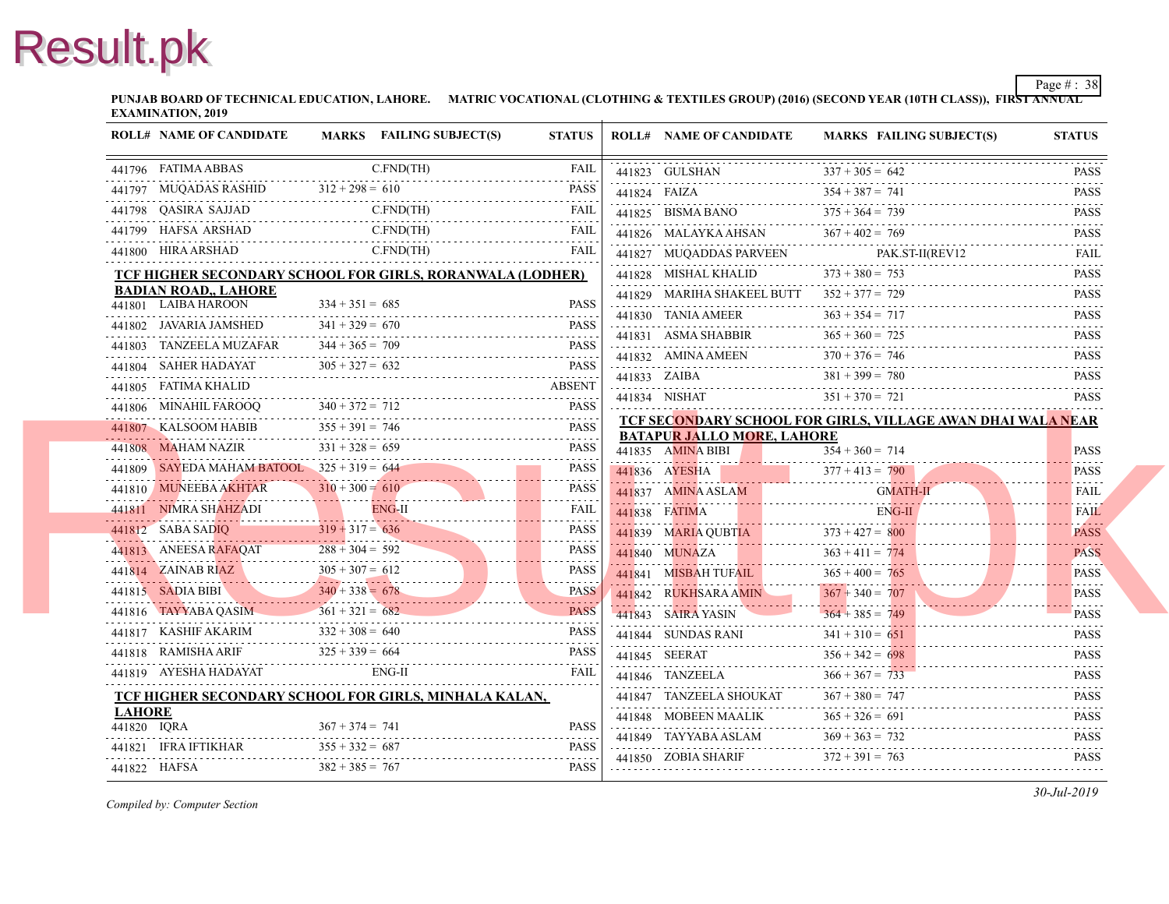**PUNJAB BOARD OF TECHNICAL EDUCATION, LAHORE. MATRIC VOCATIONAL (CLOTHING & TEXTILES GROUP) (2016) (SECOND YEAR EXAMINATION, 2019**

|               | <b>ROLL# NAME OF CANDIDATE</b>               |                   | MARKS FAILING SUBJECT(S)                                                                                                                                                                                                                                                                                                                                                                                            | <b>STATUS</b> |              | <b>ROLL# NAME OF CANDIDATE</b>                                            | <b>MARKS FAIL</b> |
|---------------|----------------------------------------------|-------------------|---------------------------------------------------------------------------------------------------------------------------------------------------------------------------------------------------------------------------------------------------------------------------------------------------------------------------------------------------------------------------------------------------------------------|---------------|--------------|---------------------------------------------------------------------------|-------------------|
|               | 441796 FATIMA ABBAS                          |                   | $C.FND$ (TH)                                                                                                                                                                                                                                                                                                                                                                                                        | <b>FAIL</b>   |              | 441823 GULSHAN                                                            | $337 + 305 = 642$ |
|               |                                              |                   | 441797 MUQADAS RASHID $312 + 298 = 610$ PASS                                                                                                                                                                                                                                                                                                                                                                        |               | 441824 FAIZA | 441824 FAIZA $354 + 387 = 7$                                              | $354 + 387 = 741$ |
|               | 441798 QASIRA SAJJAD                         |                   | C.FND(TH)<br>441798 QASIRA SAJJAD C.FND(TH) FAIL                                                                                                                                                                                                                                                                                                                                                                    |               |              | 441825 BISMA BANO                                                         | $375 + 364 = 739$ |
|               |                                              |                   | 441799 HAFSA ARSHAD C.FND(TH) FAIL                                                                                                                                                                                                                                                                                                                                                                                  |               |              | 441826 MALAYKA AHSAN                                                      | $367 + 402 = 769$ |
|               | 441800 HIRA ARSHAD                           |                   | C.FND(TH)                                                                                                                                                                                                                                                                                                                                                                                                           | <b>FAIL</b>   |              | 441827 MUQADDAS PARVEEN                                                   | PAK.              |
|               |                                              |                   | TCF HIGHER SECONDARY SCHOOL FOR GIRLS, RORANWALA (LODHER)                                                                                                                                                                                                                                                                                                                                                           |               |              | 441828 MISHAL KHALID                                                      | $373 + 380 = 753$ |
|               | <b>BADIAN ROAD,, LAHORE</b>                  |                   |                                                                                                                                                                                                                                                                                                                                                                                                                     |               |              | 441829 MARIHA SHAKEEL BUTT 352 + 377 = 729                                |                   |
|               | 441801 LAIBA HAROON                          | $334 + 351 = 685$ |                                                                                                                                                                                                                                                                                                                                                                                                                     | <b>PASS</b>   |              | 441830 TANIA AMEER                                                        | $363 + 354 = 717$ |
|               | 441802 JAVARIA JAMSHED                       | $341 + 329 = 670$ | 441802 JAVARIA JAMSHED $341 + 329 = 670$ PASS                                                                                                                                                                                                                                                                                                                                                                       | <b>PASS</b>   |              |                                                                           | $365 + 360 = 725$ |
|               | 441803 TANZEELA MUZAFAR                      | $344 + 365 = 709$ |                                                                                                                                                                                                                                                                                                                                                                                                                     | <b>PASS</b>   |              | 441831 ASMA SHABBIR $365 + 360 = ?$                                       | $370 + 376 = 746$ |
|               |                                              |                   | 441804 SAHER HADAYAT $305 + 327 = 632$ PASS                                                                                                                                                                                                                                                                                                                                                                         |               |              | 441832 AMINA AMEEN $370 + 376 = 7$                                        | $381 + 399 = 780$ |
|               |                                              |                   |                                                                                                                                                                                                                                                                                                                                                                                                                     |               |              | 441833 ZAIBA $381 + 399 =$                                                | $351 + 370 = 721$ |
|               |                                              |                   | ABSENT<br>441806 MINAHIL FAROOQ 340 + 372 = 712                                                                                                                                                                                                                                                                                                                                                                     |               |              | 441834 NISHAT $351 + 370 = 72$                                            |                   |
|               | 441807 KALSOOM HABIB                         | $355 + 391 = 746$ | 441807 KALSOOM HABIB $355 + 391 = 746$ PASS                                                                                                                                                                                                                                                                                                                                                                         |               |              | TCF SECONDARY SCHOOL FOR GIRLS, VILI<br><b>BATAPUR JALLO MORE, LAHORE</b> |                   |
|               | 441808 MAHAM NAZIR                           | $331 + 328 = 659$ | R $331 + 328 = 659$ PASS                                                                                                                                                                                                                                                                                                                                                                                            | <b>PASS</b>   |              | 441835 AMINA BIBI                                                         | $354 + 360 = 714$ |
|               | 441809 SAYEDA MAHAM BATOOL $325 + 319 = 644$ |                   | $\frac{\text{SAYEDA MAHAM BATOOL}}{225 + 319} = 644$                                                                                                                                                                                                                                                                                                                                                                | <b>PASS</b>   |              | 441836 AYESHA                                                             | $377 + 413 = 790$ |
|               |                                              | $310 + 300 = 610$ | 441810 MUNEEBA AKHTAR $310 + 300 = 610$                                                                                                                                                                                                                                                                                                                                                                             | <b>PASS</b>   |              | 441837 AMINA ASLAM<br>44183/ AMINA ASLAM GIVIA                            | <b>GMA</b>        |
|               |                                              |                   | 441811 NIMRA SHAHZADI ENG-II FAIL FAIL                                                                                                                                                                                                                                                                                                                                                                              |               |              | 441838 FATIMA<br>441838 FATIMA E                                          | ENG-              |
|               |                                              |                   | 441812 SABA SADIQ $319 + 317 = 636$ PASS PASS PASS PASS PASS PASS 441813 ANEESA RAFAQAT $288 + 304 = 592$ PASS                                                                                                                                                                                                                                                                                                      |               |              | 441839 MARIA QUBTIA 373 + 427 = $800$                                     |                   |
|               |                                              |                   | 441813 ANEESA RAFAQAT 288 + 304 = 592                                                                                                                                                                                                                                                                                                                                                                               |               |              | 441840 MUNAZA 363 + 411 = 774                                             |                   |
|               |                                              |                   |                                                                                                                                                                                                                                                                                                                                                                                                                     |               |              | 441841 MISBAH TUFAIL                                                      | $365 + 400 = 765$ |
|               |                                              |                   |                                                                                                                                                                                                                                                                                                                                                                                                                     |               |              | 441842 RUKHSARA AMIN                                                      | $367 + 340 = 707$ |
|               |                                              |                   |                                                                                                                                                                                                                                                                                                                                                                                                                     |               |              | 441843 SAIRA YASIN                                                        | $364 + 385 = 749$ |
|               |                                              |                   | $\begin{array}{ c c c c c } \hline \text{441814} & \text{ZAINAB RIZ} & 305 + 307 = 612 & \text{PASS} \\ \hline \text{441815} & \text{SADIA BIBI} & 340 + 338 = 678 & \text{PASS} \\ \hline \text{441816} & \text{TAYYYABA QASIM} & 361 + 321 = 682 & \text{PASS} \\ \hline \text{441817} & \text{KASHIF AKARIM} & 332 + 308 = 640 & \text{PASS} \\ \hline \end{array}$<br>441817 KASHIF AKARIM 332 + 308 = 640 PASS |               |              | 441844 SUNDAS RANI<br>441844 SUNDAS RANI $341 + 310 =$                    | $341 + 310 = 651$ |
|               |                                              | $325 + 339 = 664$ | $441818$ RAMISHA ARIF $325 + 339 = 664$ PASS                                                                                                                                                                                                                                                                                                                                                                        |               |              | 441845 SEERAT $356 + 342 =$                                               | $356 + 342 = 698$ |
|               | 441819 AYESHA HADAYAT                        |                   | ENG-II                                                                                                                                                                                                                                                                                                                                                                                                              | <b>FAIL</b>   |              | 441846 TANZEELA                                                           | $366 + 367 = 733$ |
|               |                                              |                   | TCF HIGHER SECONDARY SCHOOL FOR GIRLS, MINHALA KALAN,                                                                                                                                                                                                                                                                                                                                                               |               |              | 441847 TANZEELA SHOUKAT                                                   | $367 + 380 = 747$ |
| <b>LAHORE</b> |                                              |                   |                                                                                                                                                                                                                                                                                                                                                                                                                     |               |              | 441848 MOBEEN MAALIK $365 + 326 = 6$                                      | $365 + 326 = 691$ |
| 441820 IQRA   |                                              | $367 + 374 = 741$ | 441820 IQRA 867 + 374 = 741 PASS                                                                                                                                                                                                                                                                                                                                                                                    | <b>PASS</b>   |              | 441849 TAYYABA ASLAM $369 + 363 = 732$                                    |                   |
|               | 441821 IFRA IFTIKHAR                         | $355 + 332 = 687$ |                                                                                                                                                                                                                                                                                                                                                                                                                     | <b>PASS</b>   |              | 441850 ZOBIA SHARIF $372 + 391 = 763$                                     |                   |
| 441822 HAFSA  |                                              | $382 + 385 = 767$ |                                                                                                                                                                                                                                                                                                                                                                                                                     | <b>PASS</b>   |              |                                                                           |                   |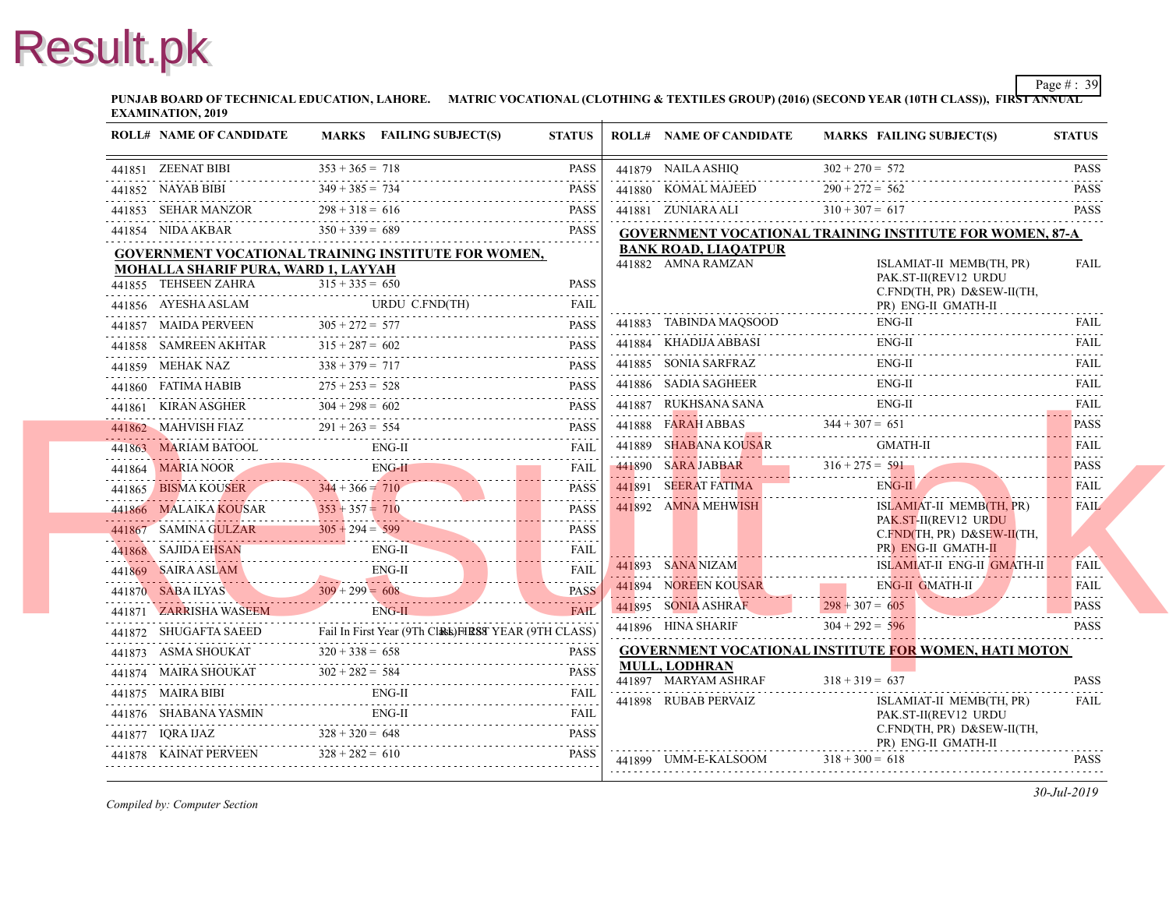**PUNJAB BOARD OF TECHNICAL EDUCATION, LAHORE. MATRIC VOCATIONAL (CLOTHING & TEXTILES GROUP) (2016) (SECOND YEAR EXAMINATION, 2019**

| <b>ROLL# NAME OF CANDIDATE</b>                             | MARKS FAILING SUBJECT(S) | <b>STATUS</b>                                                                                                                                                                                                                                                                                                                                                                                                                                 | <b>ROLL# NAME OF CANDIDATE</b>                   | <b>MARKS FAIL</b>        |
|------------------------------------------------------------|--------------------------|-----------------------------------------------------------------------------------------------------------------------------------------------------------------------------------------------------------------------------------------------------------------------------------------------------------------------------------------------------------------------------------------------------------------------------------------------|--------------------------------------------------|--------------------------|
|                                                            |                          | 441851 ZEENAT BIBI $353 + 365 = 718$ PASS                                                                                                                                                                                                                                                                                                                                                                                                     | 441879 NAILA ASHIQ                               | $302 + 270 = 572$        |
| 441852 NAYAB BIBI                                          |                          | 441852 NAYAB BIBI 349 + 385 = 734 PASS                                                                                                                                                                                                                                                                                                                                                                                                        | 441880 KOMAL MAJEED $290 + 272 = 56$             | $290 + 272 = 562$        |
| 441853 SEHAR MANZOR $298 + 318 = 616$                      |                          | 441853 SEHAR MANZOR $298 + 318 = 616$ PASS                                                                                                                                                                                                                                                                                                                                                                                                    | 441881 ZUNIARA ALI $310 + 307 = 61$              |                          |
| 441854 NIDA AKBAR                                          | $350 + 339 = 689$        | <b>PASS</b>                                                                                                                                                                                                                                                                                                                                                                                                                                   | <b>GOVERNMENT VOCATIONAL TRAINING INS</b>        |                          |
| <b>GOVERNMENT VOCATIONAL TRAINING INSTITUTE FOR WOMEN,</b> |                          |                                                                                                                                                                                                                                                                                                                                                                                                                                               | <b>BANK ROAD, LIAOATPUR</b>                      |                          |
| MOHALLA SHARIF PURA, WARD 1, LAYYAH                        |                          |                                                                                                                                                                                                                                                                                                                                                                                                                                               | 441882 AMNA RAMZAN                               | <b>ISLA</b><br>PAK.      |
| 441855 TEHSEEN ZAHRA                                       | $315 + 335 = 650$        | <b>PASS</b><br>ZAHRA $315 + 335 = 650$ PASS                                                                                                                                                                                                                                                                                                                                                                                                   |                                                  | C.FN                     |
|                                                            |                          | 441856 AYESHA ASLAM URDU C.FND(TH) FAIL                                                                                                                                                                                                                                                                                                                                                                                                       |                                                  | PR)                      |
|                                                            |                          |                                                                                                                                                                                                                                                                                                                                                                                                                                               | 441883 TABINDA MAOSOOD                           | ENG-                     |
|                                                            |                          | $\begin{tabular}{lllllllll} \multicolumn{2}{c}{\textbf{441857}} & \multicolumn{2}{c}{\textbf{MAIDA PERVEEN}} & \multicolumn{2}{c}{\textbf{305 + 272 = 577}} & \multicolumn{2}{c}{\textbf{PASS}} \\ \multicolumn{2}{c}{\textbf{441858}} & \multicolumn{2}{c}{\textbf{SAMREEN AKHTAR}} & \multicolumn{2}{c}{\textbf{315 + 287 = 602}} & \multicolumn{2}{c}{\textbf{PASS}} \\ \multicolumn{2}{c}{\textbf{441858}} & \multicolumn{2}{c}{\textbf{$ | 441884 KHADIJA ABBASI ENG                        | ENG-                     |
|                                                            |                          | 441859 MEHAK NAZ $338 + 379 = 717$ PASS                                                                                                                                                                                                                                                                                                                                                                                                       | 441885 SONIA SARFRAZ<br>441885 SONIA SARFRAZ ENC | ENG-                     |
|                                                            |                          | 441860 FATIMA HABIB $275 + 253 = 528$ PASS                                                                                                                                                                                                                                                                                                                                                                                                    | 441886 SADIA SAGHEER                             | ENG-                     |
|                                                            |                          | 441861 KIRAN ASGHER $304 + 298 = 602$ PASS                                                                                                                                                                                                                                                                                                                                                                                                    | 441887 RUKHSANA SANA                             | ENG-                     |
|                                                            |                          | $441862$ MAHVISH FIAZ $291 + 263 = 554$ PASS                                                                                                                                                                                                                                                                                                                                                                                                  | 441888 FARAH ABBAS $344 + 307 = 651$             |                          |
|                                                            |                          | 441863 MARIAM BATOOL ENG-II FAIL FAIL                                                                                                                                                                                                                                                                                                                                                                                                         | 441889 SHABANA KOUSAR GM                         | GMA                      |
|                                                            |                          | 441864 MARIA NOOR ENG-II FAIL FAIL                                                                                                                                                                                                                                                                                                                                                                                                            | $141890$ SARA JABBAR $316 + 275 = 591$           |                          |
|                                                            |                          | 441865 BISMA KOUSER 344 + 366 = 710 PASS<br><b>PASS</b>                                                                                                                                                                                                                                                                                                                                                                                       | <b>441891 SEERAT FATIMA EXECUTE CONTRACTLY</b>   | ENG-                     |
|                                                            |                          | 441866 MALAIKA KOUSAR 353 + 357 = 710 PASS                                                                                                                                                                                                                                                                                                                                                                                                    | 441892 AMNA MEHWISH                              | <b>ISLA</b>              |
|                                                            |                          | 441867 SAMINA GULZAR $305 + 294 = 599$ PASS<br><b>PASS</b>                                                                                                                                                                                                                                                                                                                                                                                    |                                                  | PAK.<br>C.FN             |
|                                                            |                          | 441868 SAJIDA EHSAN ENG-II FAIL FAIL                                                                                                                                                                                                                                                                                                                                                                                                          |                                                  | PR)                      |
|                                                            |                          | 441869 SAIRA ASLAM ENG-II FAIL                                                                                                                                                                                                                                                                                                                                                                                                                | 441893 SANA NIZAM                                | <b>ISLA</b>              |
|                                                            |                          |                                                                                                                                                                                                                                                                                                                                                                                                                                               | 441894 NOREEN KOUSAR ENG                         | ENG-                     |
|                                                            |                          | $\begin{tabular}{c} 441870 & SABA ILYAS \\ 441871 & ZARRISHA WASEEM \\ \hline \end{tabular} \begin{tabular}{l} \hline \textbf{FAIL} \\ \hline \end{tabular} \begin{tabular}{c} \hline \textbf{FAIL} \\ \hline \end{tabular}$                                                                                                                                                                                                                  | 441895 SONIA ASHRAF $298 + 307 = 605$            |                          |
|                                                            |                          |                                                                                                                                                                                                                                                                                                                                                                                                                                               | 441896 HINA SHARIF                               | $304 + 292 = 596$        |
|                                                            |                          |                                                                                                                                                                                                                                                                                                                                                                                                                                               | <b>GOVERNMENT VOCATIONAL INSTITUTE FO</b>        |                          |
|                                                            |                          | $\begin{tabular}{c c c c} \hline \textbf{441872} & SHUGAFTA SAEED & \textbf{fail In First Year (9Th ClAEk)}\textbf{HERSY} & YEAR (9TH CLASS) \\ \hline \textbf{441873} & ASMA SHOUKAT & 320 + 338 = 658 & \textbf{PASS} \\ \hline \textbf{441874} & MAIRA SHOUKAT & 302 + 282 = 584 & \textbf{PASS} \\ \hline \end{tabular}$                                                                                                                  | MULL, LODHRAN                                    |                          |
|                                                            |                          | 441875 MAIRA BIBI ENG-II FAIL FAIL                                                                                                                                                                                                                                                                                                                                                                                                            | 441897 MARYAM ASHRAF                             | $318 + 319 = 637$        |
|                                                            |                          | 441876 SHABANA YASMIN ENG-II FAIL FAIL                                                                                                                                                                                                                                                                                                                                                                                                        | 441898 RUBAB PERVAIZ                             | <b>ISLA</b><br>PAK.      |
|                                                            |                          | 441877 IQRA IJAZ $328 + 320 = 648$ PASS                                                                                                                                                                                                                                                                                                                                                                                                       |                                                  | C.FN                     |
|                                                            |                          | 441878 KAINAT PERVEEN $328 + 282 = 610$ PASS                                                                                                                                                                                                                                                                                                                                                                                                  | 441899 UMM-E-KALSOOM                             | PR)<br>$318 + 300 = 618$ |
|                                                            |                          |                                                                                                                                                                                                                                                                                                                                                                                                                                               |                                                  |                          |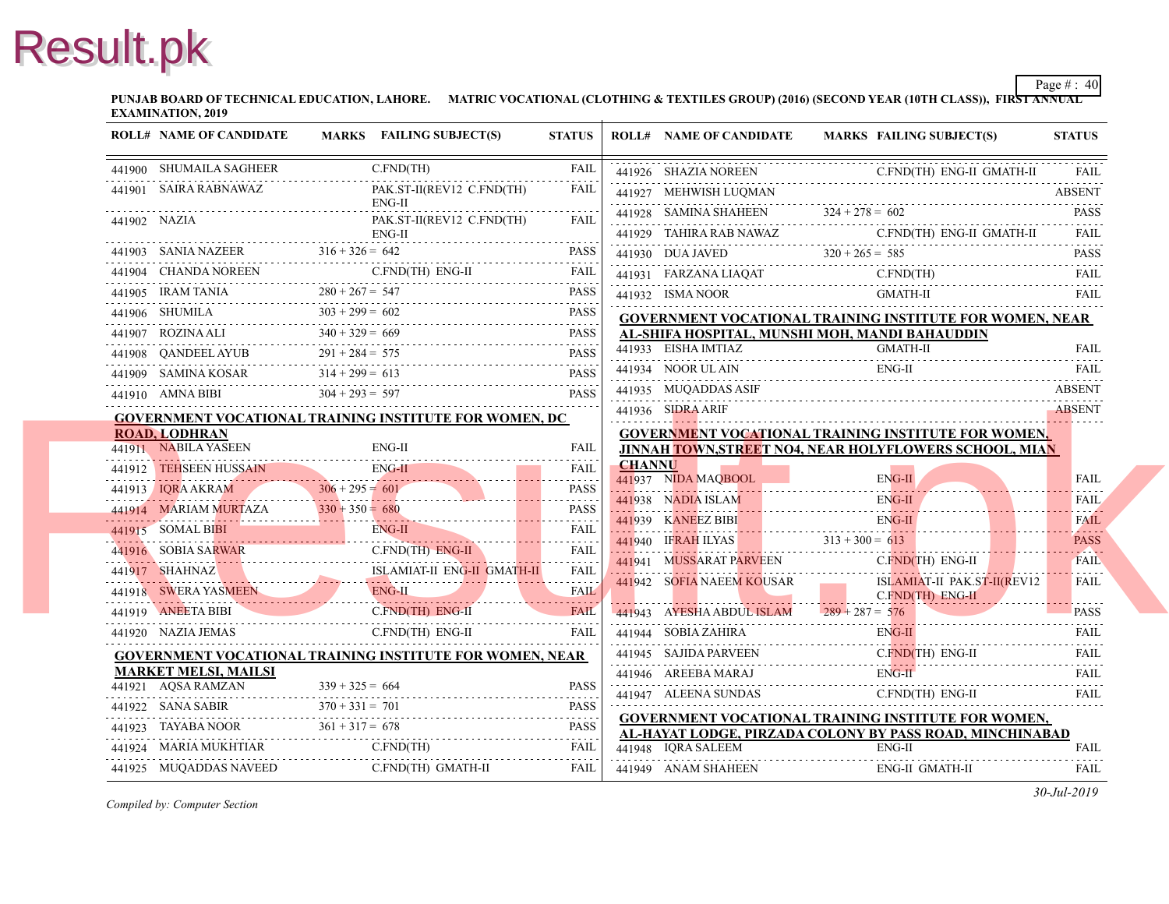**PUNJAB BOARD OF TECHNICAL EDUCATION, LAHORE. MATRIC VOCATIONAL (CLOTHING & TEXTILES GROUP) (2016) (SECOND YEAR EXAMINATION, 2019**

| <b>ROLL# NAME OF CANDIDATE</b>                                                | MARKS FAILING SUBJECT(S)                                                                                                                                                                                                                                                                                                                              | <b>STATUS</b>                              |               | <b>ROLL# NAME OF CANDIDATE</b>                             | <b>MARKS FAIL</b> |
|-------------------------------------------------------------------------------|-------------------------------------------------------------------------------------------------------------------------------------------------------------------------------------------------------------------------------------------------------------------------------------------------------------------------------------------------------|--------------------------------------------|---------------|------------------------------------------------------------|-------------------|
| 441900 SHUMAILA SAGHEER                                                       | C.FND(TH)                                                                                                                                                                                                                                                                                                                                             | <b>FAIL</b>                                |               | 441926 SHAZIA NOREEN                                       | C.FN              |
| 441901 SAIRA RABNAWAZ                                                         | PAK.ST-II(REV12 C.FND(TH)                                                                                                                                                                                                                                                                                                                             | FAIL                                       |               | 441927 MEHWISH LUQMAN                                      |                   |
|                                                                               | $ENG-II$                                                                                                                                                                                                                                                                                                                                              |                                            |               | 441928 SAMINA SHAHEEN                                      | $324 + 278 = 602$ |
| 441902 NAZIA                                                                  | PAK.ST-II(REV12 C.FND(TH)<br>$ENG-II$                                                                                                                                                                                                                                                                                                                 | FAIL                                       |               | 441929 TAHIRA RAB NAWAZ                                    | C.FN              |
|                                                                               | $ENG-II$<br>$441903$ SANIA NAZEER<br>$316 + 326 = 642$<br>$316 + 326 = 642$                                                                                                                                                                                                                                                                           | <b>PASS</b>                                |               | 441930 DUA JAVED<br>441930 DUA JAVED $320 + 265 = 585$     |                   |
|                                                                               | 441904 CHANDA NOREEN C.FND(TH) ENG-II                                                                                                                                                                                                                                                                                                                 | $\sim$ $\sim$ $\sim$ $\sim$ $\sim$<br>FAIL |               | 441931 FARZANA LIAQAT C.FN                                 | C.FN              |
|                                                                               | PASS PASS                                                                                                                                                                                                                                                                                                                                             | <b>PASS</b>                                |               | 441932 ISMA NOOR                                           | <b>GMA</b>        |
| 441905 IRAM TANIA<br>$280 + 267 = 547$<br>441906 SHUMILA<br>$303 + 299 = 602$ |                                                                                                                                                                                                                                                                                                                                                       | <b>PASS</b><br>.                           |               | <b>GOVERNMENT VOCATIONAL TRAINING INS</b>                  |                   |
| 441907 ROZINA ALI $340 + 329 = 669$                                           |                                                                                                                                                                                                                                                                                                                                                       | <b>PASS</b><br>.                           |               | AL-SHIFA HOSPITAL, MUNSHI MOH, MANDI                       |                   |
|                                                                               | 441908 QANDEEL AYUB $291 + 284 = 575$ PASS                                                                                                                                                                                                                                                                                                            |                                            |               | 441933 EISHA IMTIAZ                                        | <b>GMA</b>        |
|                                                                               | 441909 SAMINA KOSAR $314 + 299 = 613$ PASS                                                                                                                                                                                                                                                                                                            | <b>PASS</b>                                |               | 441934 NOOR UL AIN                                         | ENG-              |
|                                                                               | 441910 AMNA BIBI $304 + 293 = 597$ PASS                                                                                                                                                                                                                                                                                                               | <b>PASS</b>                                |               | 441935 MUQADDAS ASIF                                       |                   |
|                                                                               | <b>GOVERNMENT VOCATIONAL TRAINING INSTITUTE FOR WOMEN, DC</b>                                                                                                                                                                                                                                                                                         |                                            |               | 441936 SIDRA ARIF                                          |                   |
| <b>ROAD, LODHRAN</b>                                                          |                                                                                                                                                                                                                                                                                                                                                       |                                            |               | <b>GOVERNMENT VOCATIONAL TRAINING INS</b>                  |                   |
| 441911 NABILA YASEEN                                                          | $ENG-II$                                                                                                                                                                                                                                                                                                                                              | <b>FAIL</b>                                | <b>CHANNU</b> | <b>JINNAH TOWN,STREET NO4, NEAR HOLYFL</b>                 |                   |
| 441912 TEHSEEN HUSSAIN                                                        | $ENG-II$                                                                                                                                                                                                                                                                                                                                              | FAIL<br>.                                  |               | 441937 NIDA MAOBOOL                                        | ENG-              |
| 441913 IQRA AKRAM                                                             | $306 + 295 = 601$<br>$306 + 295 = 601$ PASS                                                                                                                                                                                                                                                                                                           |                                            |               | 441938 NADIA ISLAM                                         | ENG-              |
|                                                                               | 441914 MARIAM MURTAZA 330 + 350 = 680<br>441915 SOMAL BIBI                                                                                                                                                                                                                                                                                            | <b>PASS</b><br>.                           |               | 441939 KANEEZ BIBI EN EN                                   | ENG-              |
|                                                                               | 441915 SOMAL BIBI ENG-II                                                                                                                                                                                                                                                                                                                              | FAIL<br>.                                  |               | 441940 IFRAH ILYAS 313 + 300 = 613                         |                   |
| 441916 SOBIA SARWAR<br>441916 SOBIA SARWAR                                    | C.FND(TH) ENG-II                                                                                                                                                                                                                                                                                                                                      | FAIL<br>.                                  |               | 441941 MUSSARAT PARVEEN                                    | C.FN              |
|                                                                               | <b>ISLAMIAT-II ENG-II GMATH-II</b><br>441917 SHAHNAZ <b>ISLAMIAT-II</b> ENG-II GMATH-II FAIL                                                                                                                                                                                                                                                          |                                            |               | 441942 SOFIA NAEEM KOUSAR                                  | <b>ISLA</b>       |
|                                                                               | ENG-II<br>441918 SWERA YASMEEN ENG-II FAIL                                                                                                                                                                                                                                                                                                            |                                            |               |                                                            | C.FN              |
| 441919 ANEETA BIBI                                                            | C.FND(TH) ENG-II FAIL                                                                                                                                                                                                                                                                                                                                 | <b>FAIL</b>                                |               | 441943 AYESHA ABDUL ISLAM $289 + 287 = 576$                |                   |
| 441920 NAZIA JEMAS                                                            | C.FND(TH) ENG-II                                                                                                                                                                                                                                                                                                                                      | <b>FAIL</b>                                |               | 441944 SOBIA ZAHIRA                                        | ENG-              |
|                                                                               | <b>GOVERNMENT VOCATIONAL TRAINING INSTITUTE FOR WOMEN, NEAR</b>                                                                                                                                                                                                                                                                                       |                                            |               | 441945 SAJIDA PARVEEN                                      | C.FN              |
| <b>MARKET MELSI, MAILSI</b><br>441921 AQSA RAMZAN                             | $339 + 325 = 664$                                                                                                                                                                                                                                                                                                                                     | <b>PASS</b>                                |               | 441946 AREEBA MARAJ ENG                                    | ENG-              |
|                                                                               |                                                                                                                                                                                                                                                                                                                                                       |                                            |               | 441947 ALEENA SUNDAS                                       | C.FN              |
|                                                                               | $\begin{tabular}{c} 441922 & SANA SABIR \\ 441923 & TAYABA NOOR \\ \hline \end{tabular} \begin{tabular}{c} 370 + 331 = 701 \\ 361 + 317 = 678 \\ \end{tabular} \begin{tabular}{c} 284 NA SABIR \\ \hline \end{tabular} \begin{tabular}{c} 284 NA SABIR \\ \hline \end{tabular} \begin{tabular}{c} 284 NA SABIR \\ \hline \end{tabular} \end{tabular}$ |                                            |               | <b>GOVERNMENT VOCATIONAL TRAINING INS</b>                  |                   |
| 441924 MARIA MUKHTIAR                                                         | C.FND(TH)                                                                                                                                                                                                                                                                                                                                             | FAIL                                       |               | AL-HAYAT LODGE, PIRZADA COLONY BY PA<br>441948 IORA SALEEM | ENG-              |
| 441925 MUQADDAS NAVEED                                                        | C.FND(TH) GMATH-II                                                                                                                                                                                                                                                                                                                                    | FAIL                                       |               | 441949 ANAM SHAHEEN                                        | ENG-              |
|                                                                               |                                                                                                                                                                                                                                                                                                                                                       |                                            |               |                                                            |                   |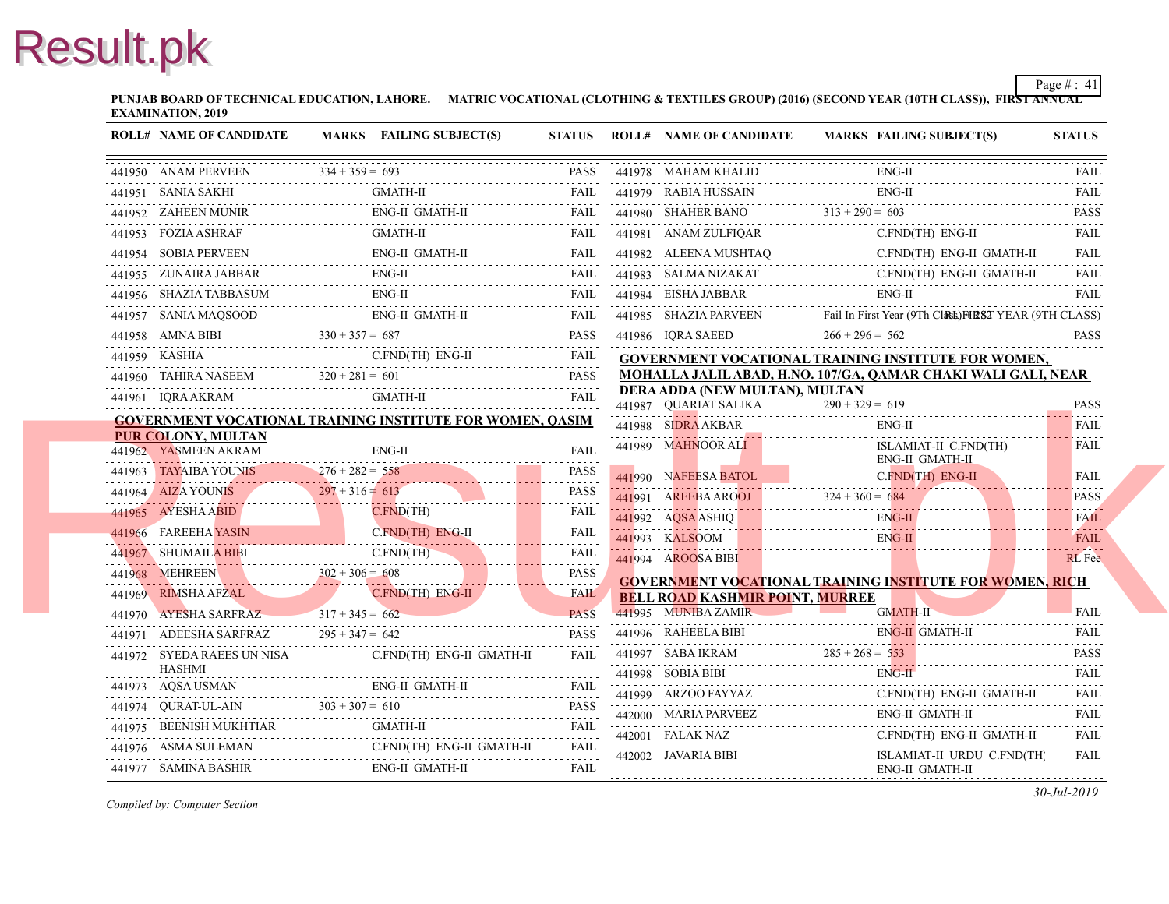**PUNJAB BOARD OF TECHNICAL EDUCATION, LAHORE. MATRIC VOCATIONAL (CLOTHING & TEXTILES GROUP) (2016) (SECOND YEAR EXAMINATION, 2019**

| <b>ROLL# NAME OF CANDIDATE</b>          | MARKS FAILING SUBJECT(S)                                                                                                                                                                                                                                                                                                                                     | <b>STATUS</b>    | <b>ROLL# NAME OF CANDIDATE</b>                      | <b>MARKS FAIL</b>  |
|-----------------------------------------|--------------------------------------------------------------------------------------------------------------------------------------------------------------------------------------------------------------------------------------------------------------------------------------------------------------------------------------------------------------|------------------|-----------------------------------------------------|--------------------|
|                                         | $\begin{array}{ l l }\hline \textbf{0} & \textbf{ANAM PERVEEN} & \textbf{334+359 = 693} & \textbf{PASS} \\\hline \end{array}$                                                                                                                                                                                                                                |                  | 441978 MAHAM KHALID                                 | ENG-               |
|                                         | $\begin{tabular}{ll} \bf 441951 & \tt SAMIA SAKHI & \tt GMATH-II & \tt FAIL \\ \bf 441951 & \tt SAMIA SAKHI & \tt GMATH & \tt THIL \\ \end{tabular}$                                                                                                                                                                                                         |                  | 441979 RABIA HUSSAIN                                | ENG-               |
|                                         | 441952 ZAHEEN MUNIR ENG-II GMATH-II FAIL FAIL                                                                                                                                                                                                                                                                                                                |                  | 441980 SHAHER BANO $313 + 290 = 603$                |                    |
|                                         | 441953 FOZIA ASHRAF GMATH-II FAIL FAIL                                                                                                                                                                                                                                                                                                                       |                  | 441981 ANAM ZULFIQAR C.FN                           |                    |
|                                         | 441954 SOBIA PERVEEN ENG-II GMATH-II FAIL FAIL                                                                                                                                                                                                                                                                                                               |                  | 441982 ALEENA MUSHTAQ<br>441982 ALEENA MUSHTAQ C.FI | C.FN               |
| 441955 ZUNAIRA JABBAR                   |                                                                                                                                                                                                                                                                                                                                                              |                  | 441983 SALMA NIZAKAT C.FN                           | C.FN               |
|                                         | 441956 SHAZIA TABBASUM ENG-II FAIL FAIL                                                                                                                                                                                                                                                                                                                      |                  |                                                     | ENG-               |
|                                         | $\begin{tabular}{ll} 441957 & SANIA MAQSOOD & ENG-II GMATH-II & FAIL \\ \hline \end{tabular}$                                                                                                                                                                                                                                                                |                  | 441985 SHAZIA PARVEEN                               | Fail In First Year |
|                                         | 441958 AMNA BIBI $330 + 357 = 687$ PASS                                                                                                                                                                                                                                                                                                                      |                  | 441986 IQRA SAEED                                   | $266 + 296 = 562$  |
|                                         | 441959 KASHIA C.FND(TH) ENG-II FAIL                                                                                                                                                                                                                                                                                                                          |                  | <b>GOVERNMENT VOCATIONAL TRAINING INS</b>           |                    |
|                                         | 441960 TAHIRA NASEEM $320 + 281 = 601$ PASS                                                                                                                                                                                                                                                                                                                  |                  | MOHALLA JALIL ABAD, H.NO. 107/GA, OAM               |                    |
|                                         | 441961 IQRA AKRAM GMATH-II FAIL FAIL                                                                                                                                                                                                                                                                                                                         |                  | DERA ADDA (NEW MULTAN), MULTAN                      | $290 + 329 = 619$  |
|                                         | <b>GOVERNMENT VOCATIONAL TRAINING INSTITUTE FOR WOMEN, QASIM</b>                                                                                                                                                                                                                                                                                             |                  | 441987 QUARIAT SALIKA $290 + 329 = 61$              | ENG-               |
| <b>PUR COLONY, MULTAN</b>               |                                                                                                                                                                                                                                                                                                                                                              |                  | 441988 SIDRA AKBAR<br>441989 MAHNOOR ALI            | <b>ISLA</b>        |
| 441962 YASMEEN AKRAM                    | ENG-II                                                                                                                                                                                                                                                                                                                                                       | FAII.            |                                                     | ENG-               |
| 441963 TAYAIBA YOUNIS $276 + 282 = 558$ | $-441903$ LATAIBA YOUNIS $276 + 282 = 558$                                                                                                                                                                                                                                                                                                                   | <b>PASS</b><br>. | 441990 NAFEESA BATOL                                | $C$ . $FN$         |
|                                         | 441964 AIZA YOUNIS $297 + 316 = 613$ PASS                                                                                                                                                                                                                                                                                                                    |                  | 441991 AREEBAAROOJ 324 + 360 = 684                  |                    |
|                                         | 441965 AYESHA ABID CFND(TH)                                                                                                                                                                                                                                                                                                                                  | FAIL             | ENG-<br>441992 AQSA ASHIQ<br>ENG-<br>ENG-           |                    |
|                                         | 441966 FAREEHA YASIN CFND(TH) ENG-II                                                                                                                                                                                                                                                                                                                         | <b>FAIL</b><br>. | 441993 KALSOOM                                      |                    |
|                                         | 441967 SHUMAILA BIBI C.FND(TH) FAIL                                                                                                                                                                                                                                                                                                                          |                  | 441994 AROOSA BIBI                                  |                    |
|                                         | $302 + 306 = 608$ PASS                                                                                                                                                                                                                                                                                                                                       | <b>PASS</b>      | <b>GOVERNMENT VOCATIONAL TRAINING INS</b>           |                    |
|                                         | 441969 RIMSHA AFZAL C.FND(TH) ENG-II                                                                                                                                                                                                                                                                                                                         |                  | <b>BELL ROAD KASHMIR POINT, MURREE</b>              |                    |
|                                         | 441970 AYESHA SARFRAZ $317 + 345 = 662$<br>$317 + 345 = 662$ PASS                                                                                                                                                                                                                                                                                            | <b>PASS</b>      | 441995 MUNIBA ZAMIR                                 | <b>GMA</b>         |
|                                         | 441971 ADEESHA SARFRAZ $295 + 347 = 642$ PASS                                                                                                                                                                                                                                                                                                                |                  |                                                     | ENG-               |
| HASHMI                                  | 441972 SYEDA RAEES UN NISA C.FND(TH) ENG-II GMATH-II                                                                                                                                                                                                                                                                                                         | FAII.            | 441997 SABA IKRAM $285 + 268 = 553$                 | ENG-               |
|                                         |                                                                                                                                                                                                                                                                                                                                                              |                  | $441998$ SOBIA BIBI ENG                             | C.FN               |
|                                         | $\begin{tabular}{ll} \hline 441973 & AQSA USMAN & \multicolumn{3}{c}{ENG-II GMATH-II} & \multicolumn{3}{c}{FAIL} \\ \hline 441973 & AQSA USMAN & \multicolumn{3}{c}{ENG-II GMATH-II} & \multicolumn{3}{c}{FAIL} \\ \hline \end{tabular}$                                                                                                                     |                  | 441999 ARZOO FAYYAZ C.FN<br>442000 MARIA PARVEEZ    | ENG-               |
|                                         | $\begin{tabular}{ll} \bf 441975 & BEENISH MUKHTIAR & GMATH-II & FAIL \\ \hline \end{tabular} \begin{tabular}{ll} \bf 6921 & \bf 7031 & \bf 1011 & \bf 1111 \\ \bf 1111 & \bf 1212 & \bf 1312 & \bf 1412 \\ \bf 1312 & \bf 1412 & \bf 1412 & \bf 1412 \\ \bf 1512 & \bf 1512 & \bf 1412 & \bf 1412 \\ \bf 1612 & \bf 1612 & \bf 1412 & \bf 1412 \\ \bf 172 &$ |                  | 442000 MARIA PARVEEZ ENG<br>442001 FALAK NAZ        | C.FN               |
|                                         | 441976 ASMA SULEMAN C.FND(TH) ENG-II GMATH-II FAIL                                                                                                                                                                                                                                                                                                           |                  | 442002 JAVARIA BIBI                                 | <b>ISLA</b>        |
| 441977 SAMINA BASHIR                    | ENG-II GMATH-II                                                                                                                                                                                                                                                                                                                                              | FAIL             |                                                     | ENG-               |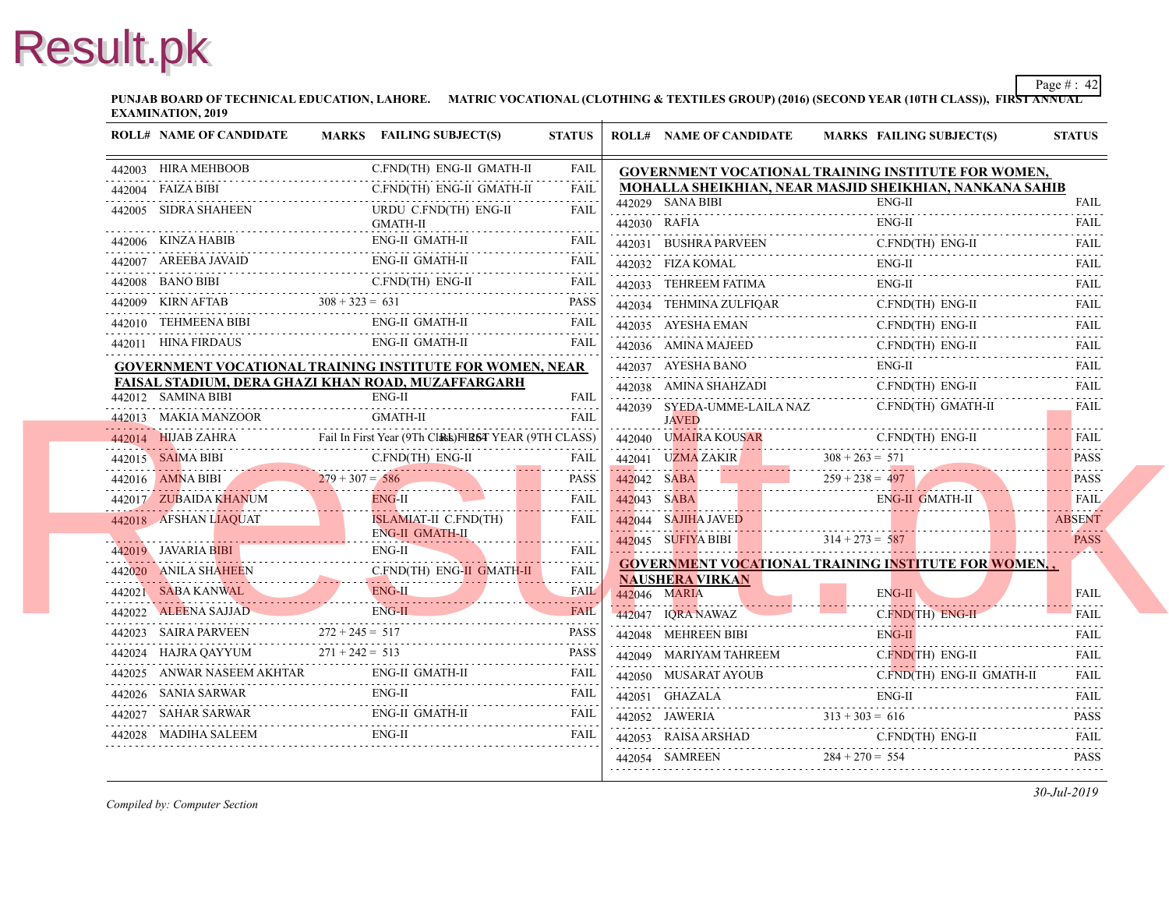**PUNJAB BOARD OF TECHNICAL EDUCATION, LAHORE. MATRIC VOCATIONAL (CLOTHING & TEXTILES GROUP) (2016) (SECOND YEAR EXAMINATION, 2019**

| <b>ROLL# NAME OF CANDIDATE</b>                                                                                              | MARKS FAILING SUBJECT(S)                                                                                                                                                                                                            | <b>STATUS</b>    | <b>ROLL# NAME OF CANDIDATE</b>                     | <b>MARKS FAIL</b>                         |
|-----------------------------------------------------------------------------------------------------------------------------|-------------------------------------------------------------------------------------------------------------------------------------------------------------------------------------------------------------------------------------|------------------|----------------------------------------------------|-------------------------------------------|
| 442003 HIRA MEHBOOB<br><u>0.110 c.110</u> c.110 c.110 c.110 c.110 c.110 c.110 c.110 c.110 c.110 c.110 c.110 c.110 c.110 c.1 | C.FND(TH) ENG-II GMATH-II                                                                                                                                                                                                           | FAIL             |                                                    | <b>GOVERNMENT VOCATIONAL TRAINING INS</b> |
| 442004 FAIZA BIBI<br>442004 FAIZA BIBI C.FND(TH) ENG-II                                                                     | C.FND(TH) ENG-II GMATH-II                                                                                                                                                                                                           | <b>FAIL</b>      |                                                    | MOHALLA SHEIKHIAN, NEAR MASJID SHEI       |
| 442005 SIDRA SHAHEEN                                                                                                        | URDU C.FND(TH) ENG-II                                                                                                                                                                                                               | .<br><b>FAIL</b> | 442029 SANA BIBI                                   | ENG-                                      |
|                                                                                                                             | GMATH-II                                                                                                                                                                                                                            |                  | 442030 RAFIA                                       | ENG-                                      |
|                                                                                                                             | ENG-II GMATH-II<br>442006 KINZA HABIB ENG-II GMATH-II FAIL                                                                                                                                                                          |                  |                                                    | 442031 BUSHRA PARVEEN C.FN<br>$C$ . $FN$  |
|                                                                                                                             | ENG-II GMATH-II<br>442007 AREEBA JAVAID ENG-II GMATH-II FAIL FAIL                                                                                                                                                                   |                  | 442032 FIZA KOMAL<br>442032 FIZA KOMAL ENC         | ENG-                                      |
|                                                                                                                             | 442008 BANO BIBI C.FND(TH) ENG-II FAIL                                                                                                                                                                                              |                  | 442033 TEHREEM FATIMA ENG                          | ENG-                                      |
|                                                                                                                             | 442009 KIRN AFTAB $308 + 323 = 631$ PASS                                                                                                                                                                                            |                  | 442034 TEHMINA ZULFIOAR<br>442034 IEHMINA ZOLFIQAR | C.FN                                      |
|                                                                                                                             | ENG-II GMATH-II<br>442010 TEHMEENA BIBI ENG-II GMATH-II FAIL FAIL                                                                                                                                                                   | <b>FAIL</b>      | 442035 AYESHA EMAN                                 | C.FN                                      |
|                                                                                                                             | 442011 HINA FIRDAUS ENG-II GMATH-II FAIL                                                                                                                                                                                            |                  | 442036 AMINA MAJEED                                | C.FN<br>442036 AMINA MAJEED C.FN          |
|                                                                                                                             | GOVERNMENT VOCATIONAL TRAINING INSTITUTE FOR WOMEN, NEAR                                                                                                                                                                            |                  | 442037 AYESHA BANO                                 | ENG-                                      |
| FAISAL STADIUM, DERA GHAZI KHAN ROAD, MUZAFFARGARH                                                                          |                                                                                                                                                                                                                                     |                  | 442038 AMINA SHAHZADI                              | C.FN                                      |
| 442012 SAMINA BIBI                                                                                                          | $ENG-II$                                                                                                                                                                                                                            | <b>FAIL</b>      | 442039 SYEDA-UMME-LAILA NAZ                        | C.FN                                      |
|                                                                                                                             | <b>442013</b> MAKIA MANZOOR GMATH-II FAIL FAIL PARTER AND THE PRESENTED AND THE PRESENTION OF THE PRESENT CHANGE OF THE CLASS FREE AND THE PRESENT CHANGE OF THE CLASS OF THE CLASS FREE AND THE PRESENT OF THE PRESENT OF THE PRES |                  | <b>JAVED</b>                                       |                                           |
|                                                                                                                             |                                                                                                                                                                                                                                     |                  | 442040 UMAIRA KOUSAR                               | C.FN                                      |
|                                                                                                                             | 442015 SAIMA BIBI C.FND(TH) ENG-II FAIL                                                                                                                                                                                             |                  |                                                    | 442041 UZMA ZAKIR $308 + 263 = 571$       |
| $279 + 307 = 586$                                                                                                           |                                                                                                                                                                                                                                     | <b>PASS</b>      |                                                    | $442042$ SABA<br>259 + 238 = 497          |
| 442017 ZUBAIDA KHANUM ENG-II                                                                                                |                                                                                                                                                                                                                                     | FAIL             | 442043 SABA E                                      | ENG-                                      |
| 442018 AFSHAN LIAQUAT                                                                                                       | ISLAMIAT-II C.FND(TH)                                                                                                                                                                                                               | <b>FAIL</b>      |                                                    |                                           |
| 442019 JAVARIA BIBI                                                                                                         | ENG-II GMATH-II<br>ENG-II                                                                                                                                                                                                           | <b>FAIL</b>      |                                                    | 442045 SUFIYA BIBI 314 + 273 = 587        |
| 442019 JAVARIA BIBI<br>Ali ENG-II                                                                                           |                                                                                                                                                                                                                                     | .                |                                                    | <b>GOVERNMENT VOCATIONAL TRAINING INS</b> |
| 442021 SABA KANWAL                                                                                                          | 442020 ANILA SHAHEEN CFND(TH) ENG-II GMATH-II FAIL<br>ENG-IL                                                                                                                                                                        | <b>FAIL</b>      | <b>NAUSHERA VIRKAN</b>                             |                                           |
| 442021 SABA KANWAL ENG-II                                                                                                   | ENG-II                                                                                                                                                                                                                              |                  | 442046 MARIA                                       | ENG-                                      |
|                                                                                                                             | 442022 ALEENA SAJJAD ENG-II FAIL                                                                                                                                                                                                    |                  | 442047 IORA NAWAZ                                  | $C$ . $FN$                                |
|                                                                                                                             | 442023 SAIRA PARVEEN $272 + 245 = 517$ PASS                                                                                                                                                                                         |                  | 442048 MEHREEN BIBI                                | ENG-                                      |
|                                                                                                                             | 442024 HAJRA QAYYUM $271 + 242 = 513$ PASS                                                                                                                                                                                          |                  | 442049 MARIYAM TAHREEM                             | C.FN                                      |
|                                                                                                                             | 442025 ANWAR NASEEM AKHTAR ENG-II GMATH-II FAIL FAIL                                                                                                                                                                                |                  | 442050 MUSARAT AYOUB C.FN                          | C.FN                                      |
|                                                                                                                             | 442026 SANIA SARWAR ENG-II FAIL FAIL                                                                                                                                                                                                |                  | 442051 GHAZALA<br>442051 GHAZALA ENC               | ENG-                                      |
|                                                                                                                             | $\begin{tabular}{ll} 442027 & \text{SAHAR SARWAR} & \text{ENG-II GMATH-II} & \text{FAIL} \\ \hline \end{tabular}$                                                                                                                   |                  |                                                    | 442052 JAWERIA $313 + 303 = 616$          |
| 442028 MADIHA SALEEM ENG-II                                                                                                 |                                                                                                                                                                                                                                     | <b>FAIL</b>      | 442053 RAISA ARSHAD C.FN                           | C.FN                                      |
|                                                                                                                             |                                                                                                                                                                                                                                     |                  |                                                    | 442054 SAMREEN $284 + 270 = 554$          |
|                                                                                                                             |                                                                                                                                                                                                                                     |                  |                                                    |                                           |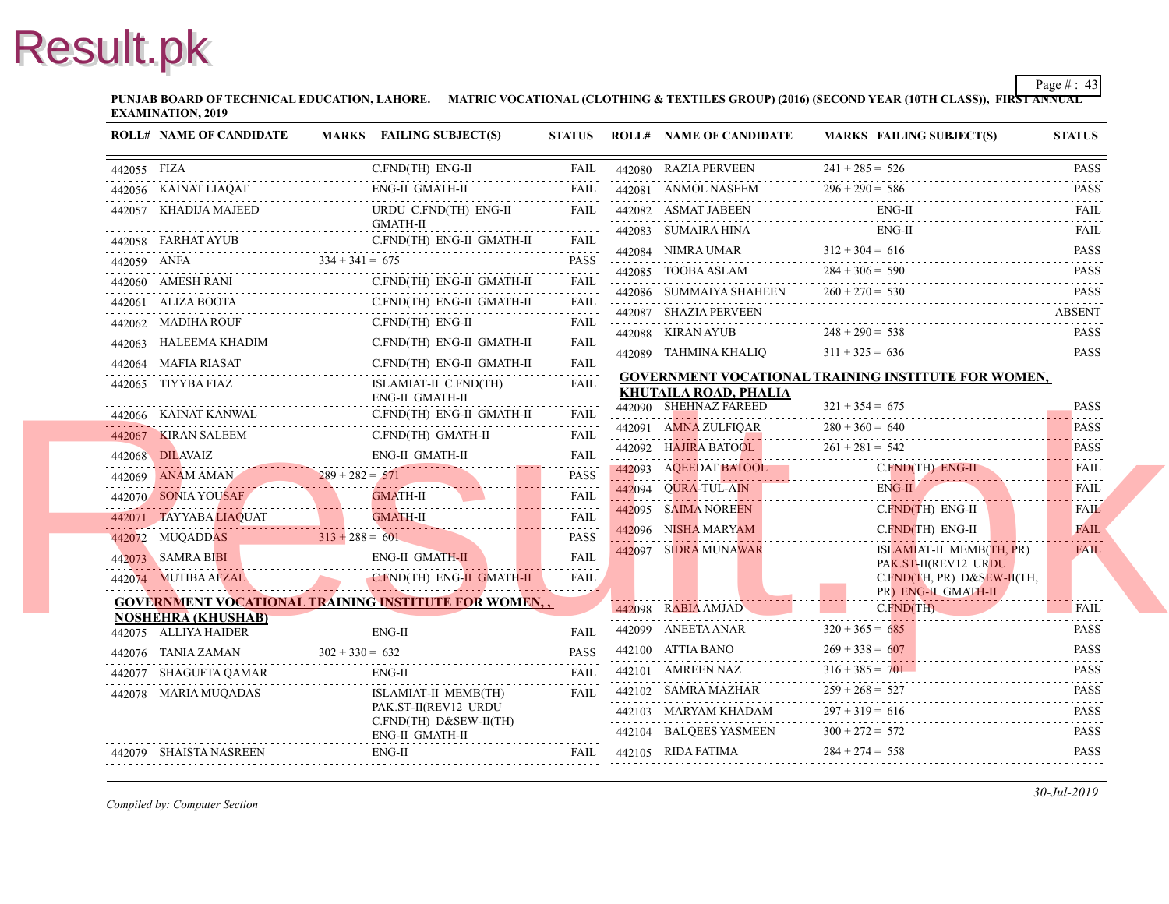**PUNJAB BOARD OF TECHNICAL EDUCATION, LAHORE. MATRIC VOCATIONAL (CLOTHING & TEXTILES GROUP) (2016) (SECOND YEAR EXAMINATION, 2019**

| 442055 FIZA |                                      | C.FND(TH) ENG-II<br>$\frac{44203}{17121}$ ENGLES IN THE CONTROLLER CONTROLLER TO THE CONTROLLER CONTROLLER TO THE CONTROLLER CONTROLLER TO THE CONTROLLER CONTROLLER CONTROLLER TO A CONTROLLER CONTROLLER CONTROLLER CONTROLLER CONTROLLER CONTROLLE                                                                                                                                                                                      | FAIL                                   | 442080 RAZIA PERVEEN                                         | $241 + 285 = 526$ |
|-------------|--------------------------------------|--------------------------------------------------------------------------------------------------------------------------------------------------------------------------------------------------------------------------------------------------------------------------------------------------------------------------------------------------------------------------------------------------------------------------------------------|----------------------------------------|--------------------------------------------------------------|-------------------|
|             |                                      | ${\bf 442056\quad KAINAT LIAQAT \qquad \qquad ENG-II\ GMATH-II \qquad \qquad FAIL \\ \cdots \qquad \qquad {\bf 142056\quad KAINAT LIAQAT \qquad \qquad {\bf 14307\quad KIAL} \qquad \qquad {\bf 14607\quad KIAL} \qquad \qquad {\bf 1470\quad KIAL} \qquad \qquad {\bf 1481\quad KIAL} \qquad \qquad {\bf 1492\quad KIAL} \qquad \qquad {\bf 1493\quad KIAL} \qquad \qquad {\bf 1492\quad KIAL} \qquad \qquad {\bf 1493\quad KIA$          |                                        | 442081 ANMOL NASEEM                                          | $296 + 290 = 586$ |
|             | 442057 KHADIJA MAJEED                | URDU C.FND(TH) ENG-II                                                                                                                                                                                                                                                                                                                                                                                                                      | <b>FAIL</b>                            | 442082 ASMAT JABEEN<br>442082 ASMAT JABEEN ENC               | ENG-              |
|             |                                      | GMATH-II<br>C.FND(TH) ENG-II GMATH-II                                                                                                                                                                                                                                                                                                                                                                                                      |                                        | 442083 SUMAIRA HINA                                          | ENG-              |
|             |                                      | 442058 FARHAT AYUB C.FND(TH) ENG-II GMATH-II FAIL                                                                                                                                                                                                                                                                                                                                                                                          |                                        | 442084 NIMRA UMAR $312 + 304 = 616$                          |                   |
|             |                                      | 442059 ANFA $334 + 341 = 675$ PASS                                                                                                                                                                                                                                                                                                                                                                                                         |                                        | 442085 TOOBA ASLAM                                           | $284 + 306 = 590$ |
|             | 442060 AMESH RANI C.FND(TH)          | C.FND(TH) ENG-II GMATH-II                                                                                                                                                                                                                                                                                                                                                                                                                  | FAII.<br>$\alpha$ is a set of $\alpha$ | 442086 SUMMAIYA SHAHEEN                                      | $260 + 270 = 530$ |
|             |                                      | C.FND(TH) ENG-II GMATH-II<br>442061 ALIZA BOOTA C.FND(TH) ENG-II GMATH-II FAIL                                                                                                                                                                                                                                                                                                                                                             |                                        | 442087 SHAZIA PERVEEN                                        |                   |
|             | 442062 MADIHA ROUF                   | C.FND(TH) ENG-II<br>442062 MADIHA ROUF C.FND(TH) ENG-II FAIL                                                                                                                                                                                                                                                                                                                                                                               |                                        | 442088 KIRAN AYUB                                            | $248 + 290 = 538$ |
|             |                                      | $\begin{tabular}{ll} \bf 442063 & HALEEMA KHADIM & C.FND (TH) ENG-II GMATH-II & FAIL \\ \hline \end{tabular}$                                                                                                                                                                                                                                                                                                                              |                                        | 442089 TAHMINA KHALIO                                        | $311 + 325 = 636$ |
|             |                                      | C.FND(TH) ENG-II GMATH-II<br>$\begin{tabular}{ll} \bf 442064 \quad MAFIA\; RIASAT & C.FND (TH) \; ENG-II \; GMATH-II & FAIL \\ \hline \end{tabular}$                                                                                                                                                                                                                                                                                       |                                        | <b>GOVERNMENT VOCATIONAL TRAINING INS</b>                    |                   |
|             | 442065 TIYYBA FIAZ                   | ISLAMIAT-II C.FND(TH)<br><b>ENG-II GMATH-II</b>                                                                                                                                                                                                                                                                                                                                                                                            | <b>FAIL</b>                            | <b>KHUTAILA ROAD, PHALIA</b>                                 |                   |
|             |                                      | C.FND(TH) ENG-II GMATH-II<br><b>442066</b> KAINAT KANWAL C.FND(TH) ENG-II GMATH-II FAIL                                                                                                                                                                                                                                                                                                                                                    |                                        | 442090 SHEHNAZ FAREED                                        | $321 + 354 = 675$ |
|             |                                      | 442067 KIRAN SALEEM C.FND(TH) GMATH-II FAIL                                                                                                                                                                                                                                                                                                                                                                                                | FAIL                                   | 442091 AMNA ZULFIOAR                                         | $280 + 360 = 640$ |
|             |                                      |                                                                                                                                                                                                                                                                                                                                                                                                                                            |                                        | 442092 HAJIRA BATOOL<br>442092 HAJIRA BATOOL 261 + 281 = 542 | $261 + 281 = 542$ |
|             |                                      | $\begin{tabular}{lllllllll} \multicolumn{2}{c l} \multicolumn{2}{c l} \multicolumn{2}{c l} \multicolumn{2}{c l} \multicolumn{2}{c l} \multicolumn{2}{c l} \multicolumn{2}{c l} \multicolumn{2}{c l} \multicolumn{2}{c l} \multicolumn{2}{c l} \multicolumn{2}{c l} \multicolumn{2}{c l} \multicolumn{2}{c l} \multicolumn{2}{c l} \multicolumn{2}{c l} \multicolumn{2}{c l} \multicolumn{2}{c l} \multicolumn{2}{c l} \multicolumn{2}{c l$ |                                        |                                                              | C.FN              |
|             |                                      |                                                                                                                                                                                                                                                                                                                                                                                                                                            |                                        | 442094 QURA-TUL-AIN                                          | ENG-              |
|             |                                      | 442070 SONIA YOUSAF GMATH-II FAIL FAIL                                                                                                                                                                                                                                                                                                                                                                                                     |                                        | 442095 SAIMA NOREEN<br>442095 SAIMA NOREEN C.FN              | $C$ FN            |
|             |                                      | 442071 TAYYABA LIAQUAT GMATH-II FAIL FAIL                                                                                                                                                                                                                                                                                                                                                                                                  | <b>PASS</b>                            | 442096 NISHA MARYAM<br>442096 NISHA MARYAM C.                | $C$ FN            |
|             |                                      | $313 + 288 = 601$                                                                                                                                                                                                                                                                                                                                                                                                                          | <b>FAIL</b>                            | 442097 SIDRA MUNAWAR                                         | <b>ISLA</b>       |
|             |                                      | 442073 SAMRA BIBI ENG-II GMATH-II                                                                                                                                                                                                                                                                                                                                                                                                          |                                        |                                                              | PAK.<br>C.FN      |
|             |                                      | 442074 MUTIBA AFZAL CFND(TH) ENG-II GMATH-II FAIL                                                                                                                                                                                                                                                                                                                                                                                          |                                        |                                                              | PR)               |
|             | <b>NOSHEHRA (KHUSHAB)</b>            | <b>GOVERNMENT VOCATIONAL TRAINING INSTITUTE FOR WOMEN</b>                                                                                                                                                                                                                                                                                                                                                                                  |                                        | 442098 RABIA AMJAD                                           | $C$ . $FN$        |
|             | 442075 ALLIYA HAIDER                 | $ENG-II$                                                                                                                                                                                                                                                                                                                                                                                                                                   | FAII.                                  | 442099 ANEETA ANAR $320 + 365 = 0$                           | $320 + 365 = 685$ |
|             | 442076 TANIA ZAMAN $302 + 330 = 632$ | 442076 TANIA ZAMAN $302 + 330 = 632$ PASS                                                                                                                                                                                                                                                                                                                                                                                                  |                                        | $442100$ ATTIA BANO                                          | $269 + 338 = 607$ |
|             |                                      |                                                                                                                                                                                                                                                                                                                                                                                                                                            | FAII                                   | 442101 AMREEN NAZ                                            | $316 + 385 = 701$ |
|             | 442078 MARIA MUQADAS                 | ISLAMIAT-II MEMB(TH)                                                                                                                                                                                                                                                                                                                                                                                                                       | <b>FAIL</b>                            | 442102 SAMRA MAZHAR $259 + 268 = 527$                        | $259 + 268 = 527$ |
|             |                                      | PAK.ST-II(REV12 URDU                                                                                                                                                                                                                                                                                                                                                                                                                       |                                        | 442103 MARYAM KHADAM                                         | $297 + 319 = 616$ |
|             |                                      | C.FND(TH) D&SEW-II(TH)<br>ENG-II GMATH-II                                                                                                                                                                                                                                                                                                                                                                                                  |                                        | 442104 BALQEES YASMEEN $300 + 272 =$                         | $300 + 272 = 572$ |
|             | 442079 SHAISTA NASREEN               | $ENG-II$                                                                                                                                                                                                                                                                                                                                                                                                                                   | <b>FAIL</b>                            | 442105 RIDA FATIMA $284 + 274 = 55$                          | $284 + 274 = 558$ |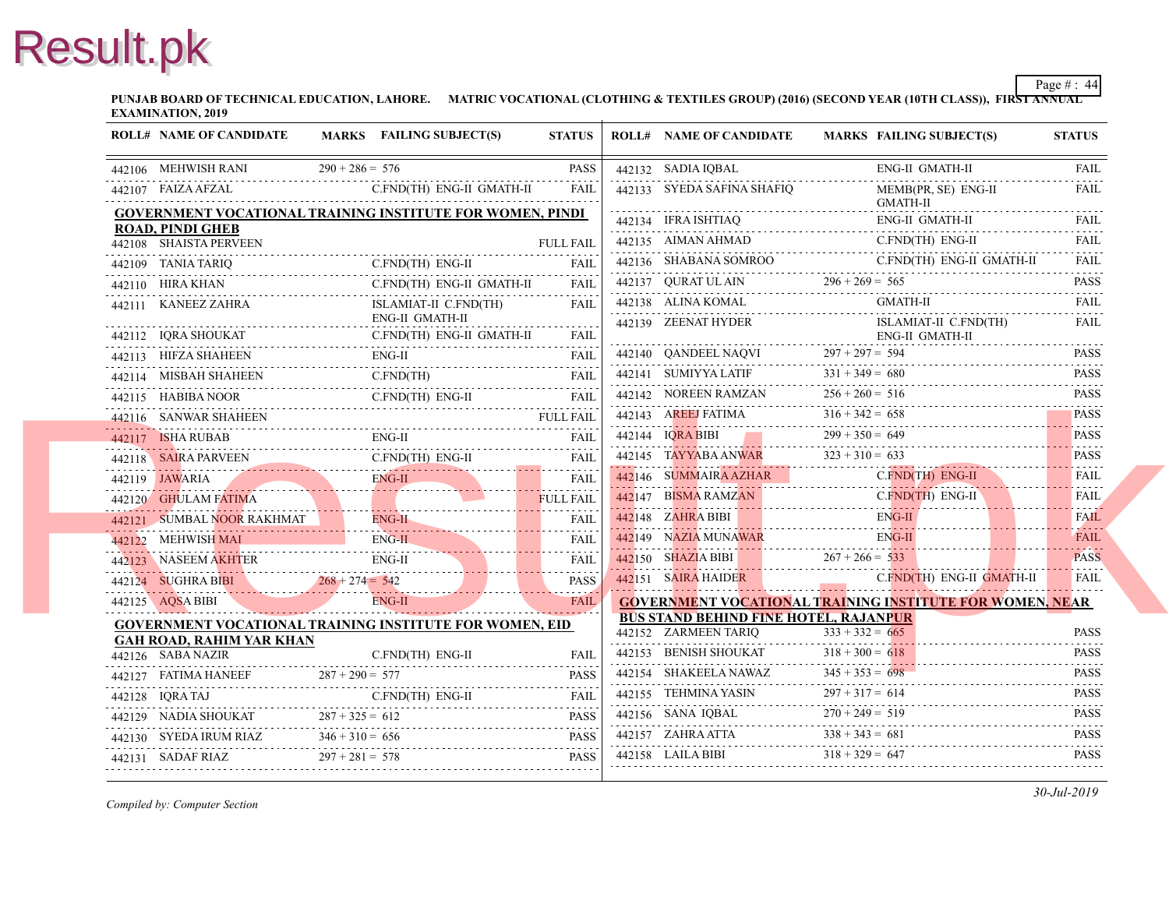**PUNJAB BOARD OF TECHNICAL EDUCATION, LAHORE. MATRIC VOCATIONAL (CLOTHING & TEXTILES GROUP) (2016) (SECOND YEAR EXAMINATION, 2019**

| <b>ROLL# NAME OF CANDIDATE</b>      | MARKS FAILING SUBJECT(S)                                                                                     | <b>STATUS</b>    | <b>ROLL# NAME OF CANDIDATE</b>                               | <b>MARKS FAIL</b>  |
|-------------------------------------|--------------------------------------------------------------------------------------------------------------|------------------|--------------------------------------------------------------|--------------------|
| 442106 MEHWISH RANI                 | $290 + 286 = 576$                                                                                            | <b>PASS</b>      | 442132 SADIA IQBAL                                           | ENG-               |
|                                     | 442107 FAIZA AFZAL C.FND(TH) ENG-II GMATH-II FAIL                                                            |                  | 442133 SYEDA SAFINA SHAFIO                                   | MEM                |
|                                     | <b>GOVERNMENT VOCATIONAL TRAINING INSTITUTE FOR WOMEN, PINDI</b>                                             |                  | 442134 IFRA ISHTIAQ                                          | <b>GMA</b><br>ENG- |
| <b>ROAD, PINDI GHEB</b>             |                                                                                                              |                  |                                                              | C.FN               |
| 442108 SHAISTA PERVEEN              |                                                                                                              | <b>FULL FAIL</b> | $442135$ AIMAN AHMAD C.FN<br>442136 SHABANA SOMROO           | C.FN               |
|                                     | 442109 TANIA TARIQ C.FND(TH) ENG-II FAIL                                                                     |                  |                                                              |                    |
| 442110 HIRA KHAN                    | C.FND(TH) ENG-II GMATH-II<br>442110 HIRA KHAN C.FND(TH) ENG-II GMATH-II FAIL                                 |                  | 442137 QURAT UL AIN $296 + 269 = 565$<br>442138 ALINA KOMAL  | <b>GMA</b>         |
| 442111 KANEEZ ZAHRA                 | ISLAMIAT-II C.FND(TH)<br>ENG-II GMATH-II                                                                     | FAIL.            | 442139 ZEENAT HYDER                                          | <b>ISLA</b>        |
|                                     | 442112 IQRA SHOUKAT C.FND(TH) ENG-II GMATH-II FAIL                                                           |                  |                                                              | ENG-               |
|                                     | 442113 HIFZA SHAHEEN ENG-II FAIL FAIL                                                                        |                  | 442140 QANDEEL NAQVI 297 + 297 = 594                         |                    |
|                                     | ${\bf 442114}\quad {\bf MISBAH SHAHEEN}\qquad \qquad {\bf C.FND (TH)} \qquad \qquad {\bf FAIL}$              |                  | 442141 SUMIYYA LATIF $331 + 349 = 680$                       |                    |
|                                     | 442115 HABIBA NOOR CFND(TH) ENG-II FAIL                                                                      |                  | 442142 NOREEN RAMZAN $256 + 260 =$                           | $256 + 260 = 516$  |
| 442116 SANWAR SHAHEEN               | 442116 SANWAR SHAHEEN FULL FAIL                                                                              |                  | 442143 AREEJ FATIMA $316 + 342 = 658$                        |                    |
|                                     | 442117 ISHA RUBAB ENG-II FAIL FAIL                                                                           |                  | 442144 IORA BIBI 299 + 350 = 649                             |                    |
|                                     | 442118 SAIRA PARVEEN C.FND(TH) ENG-II FAIL                                                                   |                  | 442145 TAYYABA ANWAR 323 + 310 = 633                         |                    |
|                                     | 442119 JAWARIA ENG-II FAIL FAIL                                                                              |                  | 442146 SUMMAIRA AZHAR                                        | C.FN               |
|                                     |                                                                                                              |                  | 442147 BISMA RAMZAN C.F                                      | C.FN               |
|                                     | 442120 GHULAM FATIMA FULL FAIL FULL FAIL FULL FAIL FOUL FAIL FOUL FAIL TO SUMBAL NOOR RAKHMAT FULL FAIL FAIL |                  | 442148 ZAHRA BIBI ENG.                                       | ENG-               |
| 442122 MEHWISH MAI                  | 442122 MEHWISH MAI ENG-II EAL FAIL FAIL                                                                      |                  |                                                              | ENG-               |
|                                     | 442123 NASEEM AKHTER ENG-II FAIL FAIL                                                                        |                  | 442150 SHAZIA BIBI $267 + 266 = 533$                         |                    |
|                                     | 442124 SUGHRA BIBI $268 + 274 = 542$ PASS                                                                    | <b>PASS</b>      | 442151 SAIRA HAIDER C                                        | $C$ FN             |
|                                     | 442125 AQSA BIBI ENG-II FAIL                                                                                 |                  | <b>GOVERNMENT VOCATIONAL TRAINING INS</b>                    |                    |
|                                     | <b>GOVERNMENT VOCATIONAL TRAINING INSTITUTE FOR WOMEN, EID</b>                                               |                  | <b>BUS STAND BEHIND FINE HOTEL, RAJANPU</b>                  |                    |
| <b>GAH ROAD, RAHIM YAR KHAN</b>     |                                                                                                              |                  | 442152 ZARMEEN TARIO<br>442152 ZARMEEN TARIQ $333 + 332 = 0$ | $333 + 332 = 665$  |
| 442126 SABA NAZIR                   | C.FND(TH) ENG-II<br>442126 SABA NAZIR C.FND(TH) ENG-II FAIL                                                  | <b>FAIL</b>      | 442153 BENISH SHOUKAT $318 + 300 = 618$                      |                    |
|                                     | 442127 FATIMA HANEEF 287 + 290 = 577 PASS                                                                    |                  | 442154 SHAKEELA NAWAZ $345 + 353 = 698$                      |                    |
|                                     | 442128 IQRA TAJ C.FND(TH) ENG-II FAIL                                                                        |                  | 442155 TEHMINA YASIN $297 + 317 = 614$                       |                    |
|                                     | 442129 NADIA SHOUKAT $287 + 325 = 612$ PASS                                                                  |                  | 442156 SANA IQBAL $270 + 249 = 519$                          |                    |
|                                     | 442130 SYEDA IRUM RIAZ $346 + 310 = 656$ PASS                                                                |                  | 442157 ZAHRA ATTA $338 + 343 = 681$                          |                    |
| 442131 SADAF RIAZ $297 + 281 = 578$ |                                                                                                              | <b>PASS</b>      |                                                              |                    |
|                                     |                                                                                                              |                  |                                                              |                    |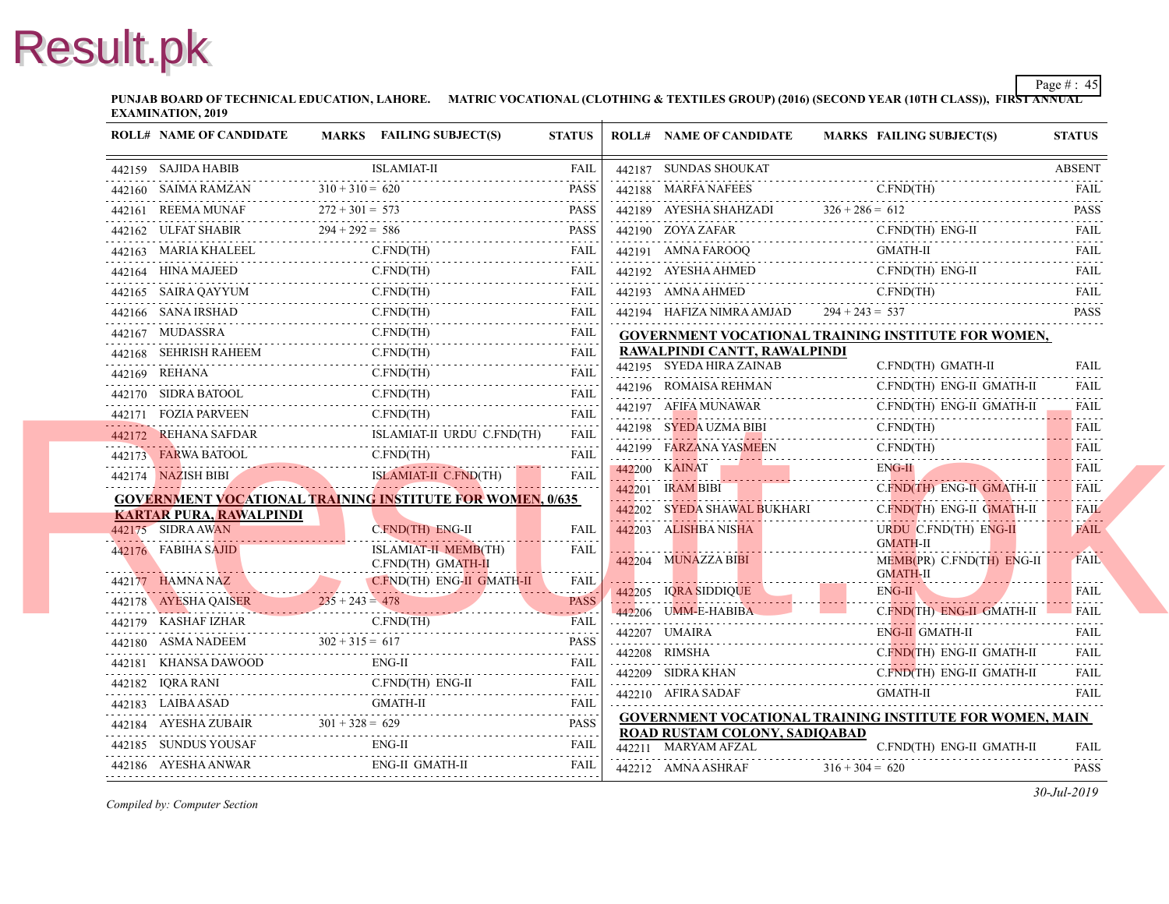**PUNJAB BOARD OF TECHNICAL EDUCATION, LAHORE. MATRIC VOCATIONAL (CLOTHING & TEXTILES GROUP) (2016) (SECOND YEAR EXAMINATION, 2019**

| <b>ROLL# NAME OF CANDIDATE</b>                                 | MARKS FAILING SUBJECT(S)                                                                                                                                                                                                                                                                                                                                                                                                                                                               | <b>STATUS</b>    | <b>ROLL# NAME OF CANDIDATE</b>                                             | <b>MARKS FAIL</b>        |
|----------------------------------------------------------------|----------------------------------------------------------------------------------------------------------------------------------------------------------------------------------------------------------------------------------------------------------------------------------------------------------------------------------------------------------------------------------------------------------------------------------------------------------------------------------------|------------------|----------------------------------------------------------------------------|--------------------------|
| 442159 SAJIDA HABIB                                            | <b>ISLAMIAT-II</b>                                                                                                                                                                                                                                                                                                                                                                                                                                                                     | FAIL             | 442187 SUNDAS SHOUKAT                                                      |                          |
| 442160 SAIMA RAMZAN                                            | $310 + 310 = 620$                                                                                                                                                                                                                                                                                                                                                                                                                                                                      | <b>PASS</b>      | 442188 MARFA NAFEES                                                        | C.FN                     |
|                                                                | $142161$ REEMA MUNAF $272 + 301 = 573$ PASS PASS                                                                                                                                                                                                                                                                                                                                                                                                                                       |                  | 442189 AYESHA SHAHZADI $326 + 286 = 612$                                   |                          |
| 442162 ULFAT SHABIR                                            | T SHABIR $294 + 292 = 586$ PASS                                                                                                                                                                                                                                                                                                                                                                                                                                                        |                  | 442190 ZOYA ZAFAR                                                          | C.FN                     |
|                                                                |                                                                                                                                                                                                                                                                                                                                                                                                                                                                                        |                  | 442191 AMNA FAROOQ                                                         | <b>GMA</b>               |
|                                                                | $\begin{tabular}{llllll} \bf 442163 & MARIA KHALEEL & C.FND (TH) & FAIL \\ \bf 442164 & HINA MAJEED & C.FND (TH) & FAIL \\ \end{tabular}$                                                                                                                                                                                                                                                                                                                                              |                  | 442192 AYESHA AHMED<br>$442192$ AYESHA AHMED C.FN                          | C.FN                     |
| 442165 SAIRA QAYYUM                                            | C.FND(TH)<br>442165 SAIRA QAYYUM C.FND(TH) FAIL                                                                                                                                                                                                                                                                                                                                                                                                                                        |                  | 442193 AMNA AHMED                                                          | $C$ . $FN$               |
|                                                                | 442166 SANA IRSHAD C.FND(TH) FAIL                                                                                                                                                                                                                                                                                                                                                                                                                                                      | <b>FAIL</b>      | $442194$ HAFIZA NIMRA AMJAD $294 + 243 = 537$                              |                          |
|                                                                | C.FND(TH)<br>442167 MUDASSRA C.FND(TH) FAIL                                                                                                                                                                                                                                                                                                                                                                                                                                            |                  | <b>GOVERNMENT VOCATIONAL TRAINING INS</b>                                  |                          |
|                                                                | $\begin{tabular}{ll} 442168 & SEHRISH RAHEEM & C.FND(TH) & FAIL \\ 442169 & REHANA & C.FND(TH) & FAIL \\ \end{tabular} \begin{tabular}{ll} \multicolumn{2}{l} \textbf{FAIL} \\ \multicolumn{2}{l}{} \multicolumn{2}{l}{} \\ \multicolumn{2}{l}{} \multicolumn{2}{l}{} \\ \multicolumn{2}{l}{} \\ \multicolumn{2}{l}{} \\ \multicolumn{2}{l}{} \\ \multicolumn{2}{l}{} \\ \multicolumn{2}{l}{} \\ \multicolumn{2}{l}{} \\ \multicolumn{2}{l}{} \\ \multicolumn{2}{l}{} \\ \multicolumn$ |                  | RAWALPINDI CANTT, RAWALPINDI                                               |                          |
|                                                                | 442169 REHANA C.FND(TH) FAIL                                                                                                                                                                                                                                                                                                                                                                                                                                                           |                  | 442195 SYEDA HIRA ZAINAB                                                   | C.FN                     |
| 442170 SIDRA BATOOL                                            | C.FND(TH)<br>442170 SIDRA BATOOL C.FND(TH) FAIL                                                                                                                                                                                                                                                                                                                                                                                                                                        |                  | 442196 ROMAISA REHMAN                                                      | C.FN                     |
|                                                                | C.FND(TH)<br>442171 FOZIA PARVEEN C.FND(TH)                                                                                                                                                                                                                                                                                                                                                                                                                                            | <b>FAIL</b><br>. | 442197 AFIFA MUNAWAR                                                       | C.FN                     |
|                                                                | 442172 REHANA SAFDAR ISLAMIAT-II URDU C.FND(TH) FAIL                                                                                                                                                                                                                                                                                                                                                                                                                                   |                  | 442198 SYEDA UZMA BIBI                                                     | C.FN                     |
| 442173 FARWA BATOOL                                            | C.FND(TH)                                                                                                                                                                                                                                                                                                                                                                                                                                                                              | <b>FAIL</b>      | 442199 FARZANA YASMEEN<br>442199 FARZANA YASMEEN C.FN                      |                          |
|                                                                | 442174 NAZISH BIBI ISLAMIAT-II C.FND(TH) FAIL                                                                                                                                                                                                                                                                                                                                                                                                                                          |                  | 442200 KAINAT<br>442200 KAINAT                                             | ENG-                     |
|                                                                | <b>GOVERNMENT VOCATIONAL TRAINING INSTITUTE FOR WOMEN, 0/635</b>                                                                                                                                                                                                                                                                                                                                                                                                                       |                  | 442201 IRAM BIBI 2001                                                      | $C$ . FN.                |
| <b>KARTAR PURA, RAWALPINDI</b>                                 |                                                                                                                                                                                                                                                                                                                                                                                                                                                                                        |                  | 442202 SYEDA SHAWAL BUKHARI                                                | $C$ FN                   |
| 442175 SIDRA AWAN                                              | C.FND(TH) ENG-II                                                                                                                                                                                                                                                                                                                                                                                                                                                                       | FAIL             | 442203 ALISHBA NISHA                                                       | <b>URD</b><br><b>GMA</b> |
| 442176 FABIHA SAJID<br><u> Alian American American America</u> | <b>ISLAMIAT-II MEMB(TH)</b><br>C.FND(TH) GMATH-II                                                                                                                                                                                                                                                                                                                                                                                                                                      | <b>FAIL</b>      | 442204 MUNAZZA BIBI                                                        | MEM                      |
|                                                                |                                                                                                                                                                                                                                                                                                                                                                                                                                                                                        |                  |                                                                            | <b>GMA</b>               |
|                                                                | $\begin{tabular}{c c c c c} \hline 442177 & HAMNA NAZ & CEND(TH) ENG-II GMATH-II & FAIL \\ \hline 442178 & AYESHA QAISER & 235 + 243 = 478 & PASS \\ \hline \end{tabular}$                                                                                                                                                                                                                                                                                                             |                  | 442205 IQRA SIDDIQUE                                                       | ENG-                     |
|                                                                |                                                                                                                                                                                                                                                                                                                                                                                                                                                                                        |                  | 442206 UMM-E-HABIBA                                                        | $C$ . FN.                |
|                                                                | 442180 ASMA NADEEM $302 + 315 = 617$ PASS                                                                                                                                                                                                                                                                                                                                                                                                                                              | <b>PASS</b>      | 442207 UMAIRA                                                              | ENG-                     |
| 442181 KHANSA DAWOOD                                           | ENG-II<br>442181 KHANSA DAWOOD ENG-II FAIL                                                                                                                                                                                                                                                                                                                                                                                                                                             |                  | 442208 RIMSHA                                                              | $C$ . FN.                |
|                                                                | 442182 IQRA RANI C.FND(TH) ENG-II FAIL                                                                                                                                                                                                                                                                                                                                                                                                                                                 |                  | 442209 SIDRA KHAN C.FN                                                     |                          |
|                                                                | 442183 LAIBA ASAD GMATH-II FAIL FAIL                                                                                                                                                                                                                                                                                                                                                                                                                                                   |                  | 442210 AFIRA SADAF                                                         | <b>GMA</b>               |
|                                                                | 442184 AYESHA ZUBAIR $301 + 328 = 629$ PASS                                                                                                                                                                                                                                                                                                                                                                                                                                            |                  | <b>GOVERNMENT VOCATIONAL TRAINING INS</b><br>ROAD RUSTAM COLONY, SADIQABAD |                          |
|                                                                | $ENG-II$<br>442185 SUNDUS YOUSAF ENG-II FAIL FAIL                                                                                                                                                                                                                                                                                                                                                                                                                                      | <b>FAIL</b>      | 442211 MARYAM AFZAL                                                        | C.FN                     |
| 442186 AYESHA ANWAR                                            | ENG-II GMATH-II                                                                                                                                                                                                                                                                                                                                                                                                                                                                        | FAIL             | 442212 AMNA ASHRAF                                                         | $316 + 304 = 620$        |
|                                                                |                                                                                                                                                                                                                                                                                                                                                                                                                                                                                        |                  |                                                                            |                          |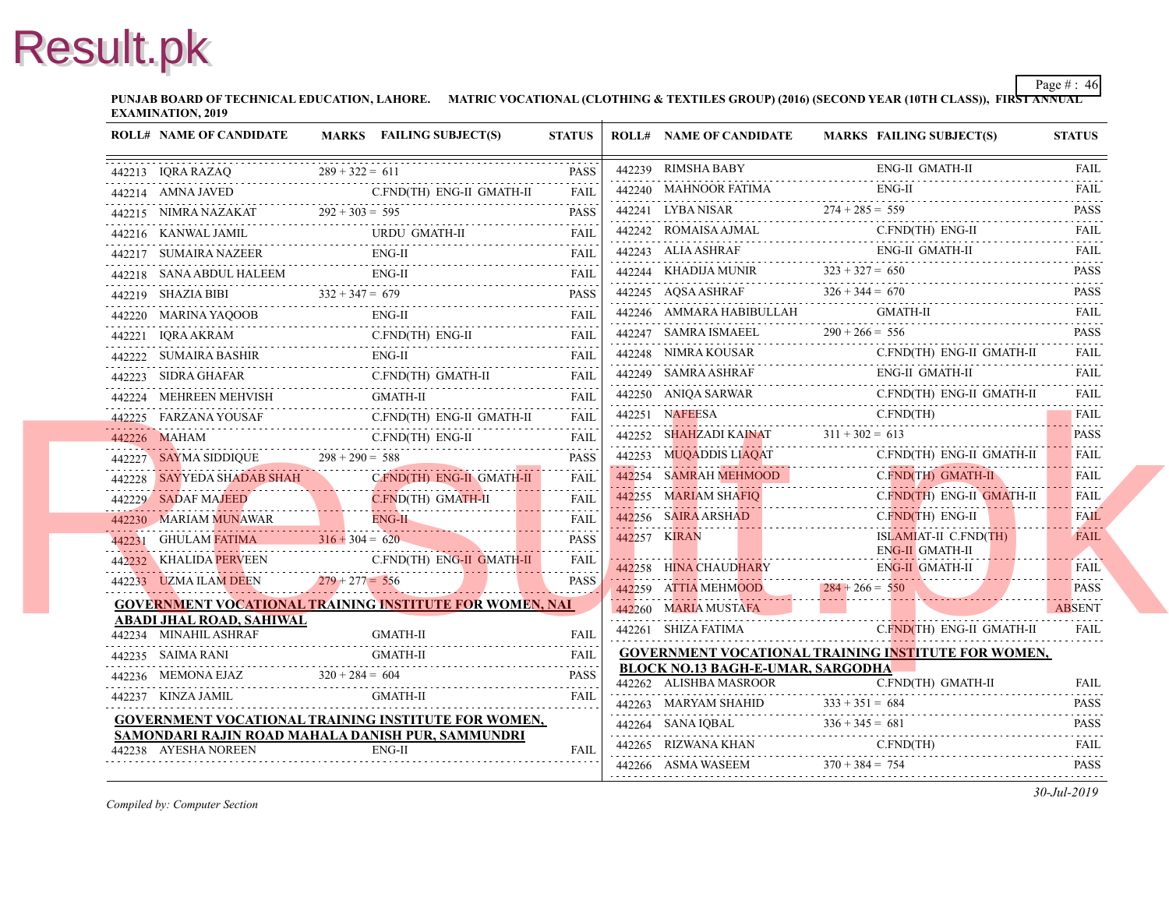**PUNJAB BOARD OF TECHNICAL EDUCATION, LAHORE. MATRIC VOCATIONAL (CLOTHING & TEXTILES GROUP) (2016) (SECOND YEAR EXAMINATION, 2019**

| <b>ROLL# NAME OF CANDIDATE</b>                                            | MARKS FAILING SUBJECT(S)                                                                                                                                                                                                                                                                                                                                                                                                            | <b>STATUS</b> | <b>ROLL# NAME OF CANDIDATE</b>                                                        | <b>MARKS FAIL</b> |
|---------------------------------------------------------------------------|-------------------------------------------------------------------------------------------------------------------------------------------------------------------------------------------------------------------------------------------------------------------------------------------------------------------------------------------------------------------------------------------------------------------------------------|---------------|---------------------------------------------------------------------------------------|-------------------|
|                                                                           | $\begin{tabular}{ll} \hline \rule{0pt}{2.5mm} \hline \rule[0pt]{1.2mm}{0.12mm} \rule[0pt]{2.2mm}{0.12mm} \rule[0pt]{2.2mm}{0.12mm} \rule[0pt]{2.2mm}{0.12mm} \rule[0pt]{2.2mm}{0.12mm} \rule[0pt]{2.2mm}{0.12mm} \rule[0pt]{2.2mm}{0.12mm} \rule[0pt]{2.2mm}{0.12mm} \rule[0pt]{2.2mm}{0.12mm} \rule[0pt]{2.2mm}{0.12mm} \rule[0pt]{2.2mm}{0.12mm} \rule[0pt]{2.$                                                                   |               | 442239 RIMSHA BABY                                                                    | ENG-              |
|                                                                           |                                                                                                                                                                                                                                                                                                                                                                                                                                     |               | 442240 MAHNOOR FATIMA<br>442240 MAHNOOR FATIMA ENG                                    | ENG-              |
|                                                                           | 442215 NIMRA NAZAKAT 292 + 303 = 595 PASS                                                                                                                                                                                                                                                                                                                                                                                           |               | 442241 LYBA NISAR 274 + 285 = 559                                                     |                   |
|                                                                           | 442216 KANWAL JAMIL URDU GMATH-II FAIL FAIL                                                                                                                                                                                                                                                                                                                                                                                         |               | 442242 ROMAISA AJMAL C.FN                                                             | C.FN              |
|                                                                           | $\begin{tabular}{ll} \bf 442217 & \bf SUMAIRA NAZEER & \color{red}{\bf EM-G-II} & \color{red}{\bf FAIL} \\ \bf 442217 & \color{red}{\bf SUMAIRA NAZEER} & \color{red}{\bf EM-GIT} \\ \end{tabular}$                                                                                                                                                                                                                                 |               | 442243 ALIA ASHRAF                                                                    | ENG-              |
|                                                                           |                                                                                                                                                                                                                                                                                                                                                                                                                                     |               | 442244 KHADIJA MUNIR $323 + 327 = 650$                                                |                   |
|                                                                           | $\begin{tabular}{c} 442218 & SANA ABDUL HALEEM \\ \hline 442219 & SHAZIA BIBI \\ \hline 442219 & SHAZIA BIBI \\ \end{tabular} \hspace{1cm} \begin{tabular}{c} RAZIA & BIBI \\ \hline \end{tabular}$                                                                                                                                                                                                                                 |               | $442245$ AQSA ASHRAF $326 + 344 = 670$                                                |                   |
|                                                                           | 442220 MARINA YAQOOB ENG-II FAIL FAIL                                                                                                                                                                                                                                                                                                                                                                                               |               | 442246 AMMARA HABIBULLAH                                                              | <b>GMA</b>        |
|                                                                           | 442221 IQRA AKRAM C.FND(TH) ENG-II FAIL                                                                                                                                                                                                                                                                                                                                                                                             |               | 442247 SAMRA ISMAEEL $290 + 266 =$                                                    | $290 + 266 = 556$ |
|                                                                           | $\begin{tabular}{ll} \bf 442222 & \bf SUMAIR & \bf FAIL & \bf FAIL \\ \bf 442222 & \bf SUMAIR & \bf FAIL \\ \bf 442222 & \bf SUMAIR & \bf FAIL \\ \bf 442222 & \bf SUMAIR & \bf FAIL \\ \bf 442222 & \bf SUMAIR & \bf FAIL \\ \bf 442222 & \bf SUMAIR & \bf FAIL \\ \bf 442222 & \bf SUMAIR & \bf FAIL \\ \bf 44222 & \bf SUMAIR & \bf FAIL \\ \bf 44222 & \bf SUMAIR & \bf FAIL \\ \bf 44222 & \bf SUMAR & \bf SASHIR & \$         |               | 442248 NIMRA KOUSAR<br>442248 NIMRA KOUSAR C.FN                                       | C.FN              |
|                                                                           | 442223 SIDRA GHAFAR C.FND(TH) GMATH-II FAIL                                                                                                                                                                                                                                                                                                                                                                                         |               | 442249 SAMRA ASHRAF                                                                   | ENG-              |
|                                                                           | 442224 MEHREEN MEHVISH GMATH-II FAIL FAIL                                                                                                                                                                                                                                                                                                                                                                                           |               | 442250 ANIQA SARWAR<br>442250 ANIQA SARWAR C.FN                                       | C.FN              |
|                                                                           | 442225 FARZANA YOUSAF C.FND(TH) ENG-II GMATH-II FAIL                                                                                                                                                                                                                                                                                                                                                                                |               | 442251 NAFEESA                                                                        | C.FN              |
|                                                                           |                                                                                                                                                                                                                                                                                                                                                                                                                                     |               | 442252 SHAHZADI KAINAT $311 + 302 = 613$                                              |                   |
|                                                                           | $\begin{tabular}{lllllllll} \multicolumn{2}{l}{{\bf 442226}} & {\bf MAHAM} & {\bf C.FND (TH) ENG-II} & {\bf FAIL} \\ \multicolumn{2}{l}{\bf 442227} & {\bf SAYMA SIDDIQUE} & {\bf 298 + 290 = 588} & {\bf PASS} \\ \multicolumn{2}{l}{\bf 442228} & {\bf SAYYEDA SHADAB SHAH} & {\bf C.FND (TH) ENG-II} & {\bf GMATH-II} & {\bf FAIL} \\ \multicolumn{2}{l}{\bf 442228} & {\bf SAYYEDA SHADAB SHAH} & {\bf C.FND (TH) ENG-II} & {\$ |               | 442253 MUQADDIS LIAQAT                                                                | C.FN              |
|                                                                           |                                                                                                                                                                                                                                                                                                                                                                                                                                     |               | 442254 SAMRAH MEHMOOD C.FN                                                            | C.FN              |
|                                                                           | 442229 SADAF MAJEED C.FND(TH) GMATH-II                                                                                                                                                                                                                                                                                                                                                                                              | <b>FAIL</b>   | 442255 MARIAM SHAFIO<br>442255 MARIAM SHAFIQ C.                                       | C.FN              |
|                                                                           |                                                                                                                                                                                                                                                                                                                                                                                                                                     |               | 442256 SAIRA ARSHAD<br>$442256$ SAIRA ARSHAD                                          | $C$ FN            |
|                                                                           | 442230 MARIAM MUNAWAR ENG-H FAIL FAIL PASS PASS PRESENTED A STRIKE THE PRESENT CHARGE THE PASS PASS                                                                                                                                                                                                                                                                                                                                 |               | 442257 KIRAN                                                                          | <b>ISLA</b>       |
|                                                                           | 442232 KHALIDA PERVEEN C.FND(TH) ENG-II GMATH-II FAIL                                                                                                                                                                                                                                                                                                                                                                               |               | 442258 HINA CHAUDHARY                                                                 | ENG-<br>ENG-      |
|                                                                           | 442233 UZMA ILAM DEEN 279 + 277 = 556 PASS                                                                                                                                                                                                                                                                                                                                                                                          | <b>PASS</b>   | 442238 ILING CHAODILANT                                                               |                   |
|                                                                           | <b>GOVERNMENT VOCATIONAL TRAINING INSTITUTE FOR WOMEN, NAI</b>                                                                                                                                                                                                                                                                                                                                                                      |               | $142259$ ATTIA MEHMOOD $284 + 266 = 550$<br>442260 MARIA MUSTAFA                      |                   |
| ABADI JHAL ROAD, SAHIWAL                                                  |                                                                                                                                                                                                                                                                                                                                                                                                                                     |               | 442261 SHIZA FATIMA                                                                   | <b>CFN</b>        |
|                                                                           | 442234 MINAHIL ASHRAF GMATH-II FAIL FAIL                                                                                                                                                                                                                                                                                                                                                                                            |               |                                                                                       |                   |
|                                                                           |                                                                                                                                                                                                                                                                                                                                                                                                                                     |               | <b>GOVERNMENT VOCATIONAL TRAINING INS</b><br><b>BLOCK NO.13 BAGH-E-UMAR, SARGODHA</b> |                   |
|                                                                           | $442236$ MEMONA EJAZ $320 + 284 = 604$ PASS                                                                                                                                                                                                                                                                                                                                                                                         | <b>PASS</b>   | 442262 ALISHBA MASROOR                                                                | C.FN              |
| 442237 KINZA JAMIL                                                        |                                                                                                                                                                                                                                                                                                                                                                                                                                     | FAII.         | 442263 MARYAM SHAHID                                                                  | $333 + 351 = 684$ |
|                                                                           | <b>GOVERNMENT VOCATIONAL TRAINING INSTITUTE FOR WOMEN,</b>                                                                                                                                                                                                                                                                                                                                                                          |               | $336 + 345 = 681$<br>$336 + 345 = 681$                                                |                   |
| SAMONDARI RAJIN ROAD MAHALA DANISH PUR, SAMMUNDRI<br>442238 AYESHA NOREEN | ENG-II                                                                                                                                                                                                                                                                                                                                                                                                                              | FAII.         | 442265 RIZWANA KHAN C.FI                                                              | C.FN              |
|                                                                           |                                                                                                                                                                                                                                                                                                                                                                                                                                     |               | 442266 ASMA WASEEM $370 + 384 = 754$                                                  |                   |
|                                                                           |                                                                                                                                                                                                                                                                                                                                                                                                                                     |               |                                                                                       |                   |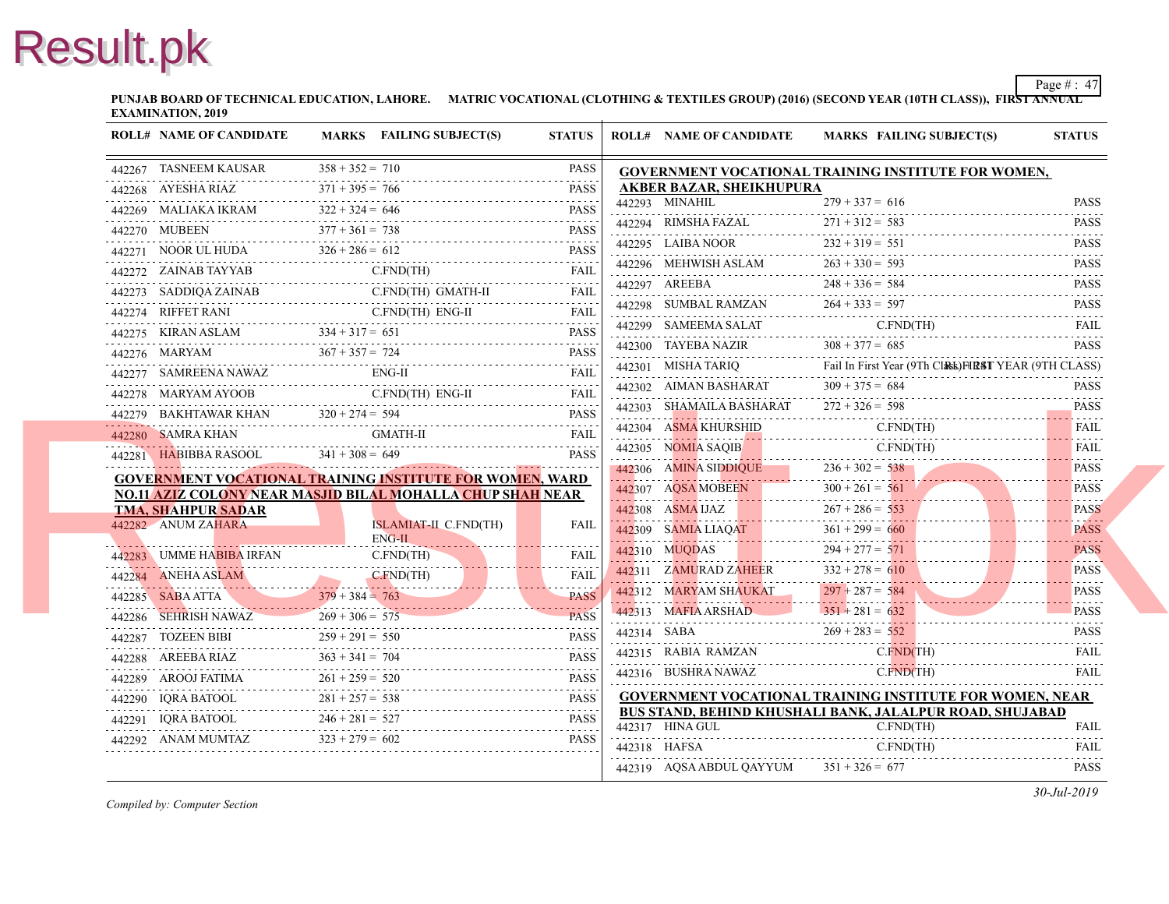**PUNJAB BOARD OF TECHNICAL EDUCATION, LAHORE. MATRIC VOCATIONAL (CLOTHING & TEXTILES GROUP) (2016) (SECOND YEAR EXAMINATION, 2019**

| <b>ROLL# NAME OF CANDIDATE</b>                                                                                                                                                                                                                                                                                                                                                                                                       |                   | MARKS FAILING SUBJECT(S)               | <b>STATUS</b> | <b>ROLL# NAME OF CANDIDATE</b>                          | <b>MARKS FAIL</b>  |
|--------------------------------------------------------------------------------------------------------------------------------------------------------------------------------------------------------------------------------------------------------------------------------------------------------------------------------------------------------------------------------------------------------------------------------------|-------------------|----------------------------------------|---------------|---------------------------------------------------------|--------------------|
| 442267 TASNEEM KAUSAR                                                                                                                                                                                                                                                                                                                                                                                                                | $358 + 352 = 710$ |                                        | <b>PASS</b>   | <b>GOVERNMENT VOCATIONAL TRAINING INS</b>               |                    |
| 442268 AYESHA RIAZ $371 + 395 = 766$ PASS                                                                                                                                                                                                                                                                                                                                                                                            | $371 + 395 = 766$ |                                        | <b>PASS</b>   | <b>AKBER BAZAR, SHEIKHUPURA</b>                         |                    |
| $442269$ MALIAKA IKRAM $322 + 324 = 646$ PASS                                                                                                                                                                                                                                                                                                                                                                                        | $322 + 324 = 646$ |                                        |               | 442293 MINAHIL                                          | $279 + 337 = 616$  |
| 442270 MUBEEN $377 + 361 = 738$                                                                                                                                                                                                                                                                                                                                                                                                      |                   |                                        | <b>PASS</b>   | 442294 RIMSHA FAZAL $271 + 312 =$                       | $271 + 312 = 583$  |
| 442271 NOOR UL HUDA $326 + 286 = 612$ PASS                                                                                                                                                                                                                                                                                                                                                                                           |                   |                                        |               | 442295 LAIBA NOOR                                       | $232 + 319 = 551$  |
|                                                                                                                                                                                                                                                                                                                                                                                                                                      |                   | C.FND(TH)                              |               | 442296 MEHWISH ASLAM $263 + 330 = 59$                   | $263 + 330 = 593$  |
| 442273 SADDIQA ZAINAB C.FND(TH) GMATH-II FAIL FAIL                                                                                                                                                                                                                                                                                                                                                                                   |                   |                                        |               | 442297 AREEBA $248 + 336 =$                             | $248 + 336 = 584$  |
| $\begin{tabular}{ll} 442274 & RIFFET RANI & C.FND(TH) ENG-II & FAIL \\ \hline \end{tabular} \begin{tabular}{ll} \multicolumn{3}{l}{{\bf{FAIL}}} & \multicolumn{3}{l}{\bf{FAIL}}\\ \multicolumn{3}{l}{\bf{FAIL}} & \multicolumn{3}{l}{\bf{FAIL}}\\ \hline \end{tabular}$                                                                                                                                                              |                   |                                        |               | 442298 SUMBAL RAMZAN $264 + 333 = 59$                   | $264 + 333 = 597$  |
|                                                                                                                                                                                                                                                                                                                                                                                                                                      |                   |                                        |               | 442299 SAMEEMA SALAT                                    | <b>C.FN</b>        |
| $\begin{tabular}{lllllll} \multicolumn{2}{c }{\textbf{442275}} & \multicolumn{2}{c }{\textbf{KIRAN ASLAM}} & \multicolumn{2}{c }{\textbf{334 + 317 = 651}} & \multicolumn{2}{c }{\textbf{PASS}} \\ \multicolumn{2}{c }{\textbf{442276}} & \multicolumn{2}{c }{\textbf{MARYAM}} & \multicolumn{2}{c }{\textbf{367 + 357 = 724}} & \multicolumn{2}{c }{\textbf{PASS}} \\ \multicolumn{2}{c }{\textbf{51}} & \multicolumn{2}{c }{\text$ |                   |                                        |               | 442300 TAYEBA NAZIR $308 + 377 = 685$                   |                    |
| 442277 SAMREENA NAWAZ ENG-II FAIL FAIL                                                                                                                                                                                                                                                                                                                                                                                               |                   |                                        |               | 442301 MISHA TARIQ Fail In First Yea                    | Fail In First Year |
| 442278 MARYAM AYOOB C.FND(TH) ENG-II FAIL                                                                                                                                                                                                                                                                                                                                                                                            |                   |                                        |               | 442302 AIMAN BASHARAT $309 + 375 = 684$                 |                    |
|                                                                                                                                                                                                                                                                                                                                                                                                                                      |                   |                                        | <b>PASS</b>   | 442303 SHAMAILA BASHARAT $272 + 326 = 598$              |                    |
| 442280 SAMRA KHAN GMATH-II FAIL FAIL                                                                                                                                                                                                                                                                                                                                                                                                 |                   |                                        |               | 442304 ASMA KHURSHID<br>442304 ASMA KHURSHID C.FN       | C.FN               |
| 442281 HABIBBA RASOOL $341 + 308 = 649$                                                                                                                                                                                                                                                                                                                                                                                              |                   |                                        | <b>PASS</b>   | 442305 NOMIA SAQIB C.FN                                 | C.FN               |
| <b>GOVERNMENT VOCATIONAL TRAINING INSTITUTE FOR WOMEN, WARD</b>                                                                                                                                                                                                                                                                                                                                                                      |                   |                                        |               | $442306$ AMINA SIDDIQUE $236 + 302 = 538$               |                    |
| NO.11 AZIZ COLONY NEAR MASJID BILAL MOHALLA CHUP SHAH NEAR                                                                                                                                                                                                                                                                                                                                                                           |                   |                                        |               | 442307 AQSA MOBEEN 300 + 261 = 561                      |                    |
| <b>TMA, SHAHPUR SADAR</b>                                                                                                                                                                                                                                                                                                                                                                                                            |                   |                                        |               | $442308$ ASMA UAZ $267 + 286 =$                         | $267 + 286 = 553$  |
| 442282 ANUM ZAHARA                                                                                                                                                                                                                                                                                                                                                                                                                   |                   | <b>ISLAMIAT-II C.FND(TH)</b><br>ENG-II | <b>FAIL</b>   | 442309 SAMIA LIAQAT 361 + 299 = 660                     |                    |
|                                                                                                                                                                                                                                                                                                                                                                                                                                      |                   |                                        |               | 442310 MUQDAS 294 + 277 =                               | $294 + 277 = 571$  |
| 442283 UMME HABIBA IRFAN C.FND(TH) FAIL 442284 ANEHA ASLAM C.FND(TH) FAIL                                                                                                                                                                                                                                                                                                                                                            |                   |                                        |               | 442311 ZAMURAD ZAHEER $332 + 278 = 610$                 |                    |
| $379 + 384 = 763$ PASS                                                                                                                                                                                                                                                                                                                                                                                                               |                   |                                        |               | 442312 MARYAM SHAUKAT                                   | $297 + 287 = 584$  |
| 442286 SEHRISH NAWAZ<br>$442286$ SEHRISH NAWAZ $269 + 306 = 575$ PASS                                                                                                                                                                                                                                                                                                                                                                | $269 + 306 = 575$ |                                        | <b>PASS</b>   | $442313$ MAFIA ARSHAD $351 + 281 = 62$                  | $351 + 281 = 632$  |
| 442287 TOZEEN BIBI<br>$142287$ TOZEEN BIBI $259 + 291 = 550$ PASS                                                                                                                                                                                                                                                                                                                                                                    | $259 + 291 = 550$ |                                        | <b>PASS</b>   | 442314 SABA $269 + 283 = 552$                           |                    |
| 442288 AREEBA RIAZ $363 + 341 = 704$ PASS                                                                                                                                                                                                                                                                                                                                                                                            |                   |                                        |               | 442315 RABIA RAMZAN C.FI                                | C.FN               |
| 442289 AROOJ FATIMA $261 + 259 = 520$ PASS                                                                                                                                                                                                                                                                                                                                                                                           |                   |                                        |               | 442316 BUSHRA NAWAZ                                     | $C$ FN             |
| 442290 IQRA BATOOL 281 + 257 = 538 PASS                                                                                                                                                                                                                                                                                                                                                                                              |                   |                                        |               | <b>GOVERNMENT VOCATIONAL TRAINING INS</b>               |                    |
| 442291 IQRA BATOOL 246 + 281 = 527 PASS                                                                                                                                                                                                                                                                                                                                                                                              |                   |                                        |               | BUS STAND, BEHIND KHUSHALI BANK, JAL<br>442317 HINA GUL | $C$ FN             |
| $442292$ ANAM MUMTAZ $323 + 279$                                                                                                                                                                                                                                                                                                                                                                                                     | $323 + 279 = 602$ |                                        | <b>PASS</b>   | 442318 HAFSA                                            | C.FN               |
|                                                                                                                                                                                                                                                                                                                                                                                                                                      |                   |                                        |               | 442319 AQSA ABDUL QAYYUM                                | $351 + 326 = 677$  |
|                                                                                                                                                                                                                                                                                                                                                                                                                                      |                   |                                        |               |                                                         |                    |